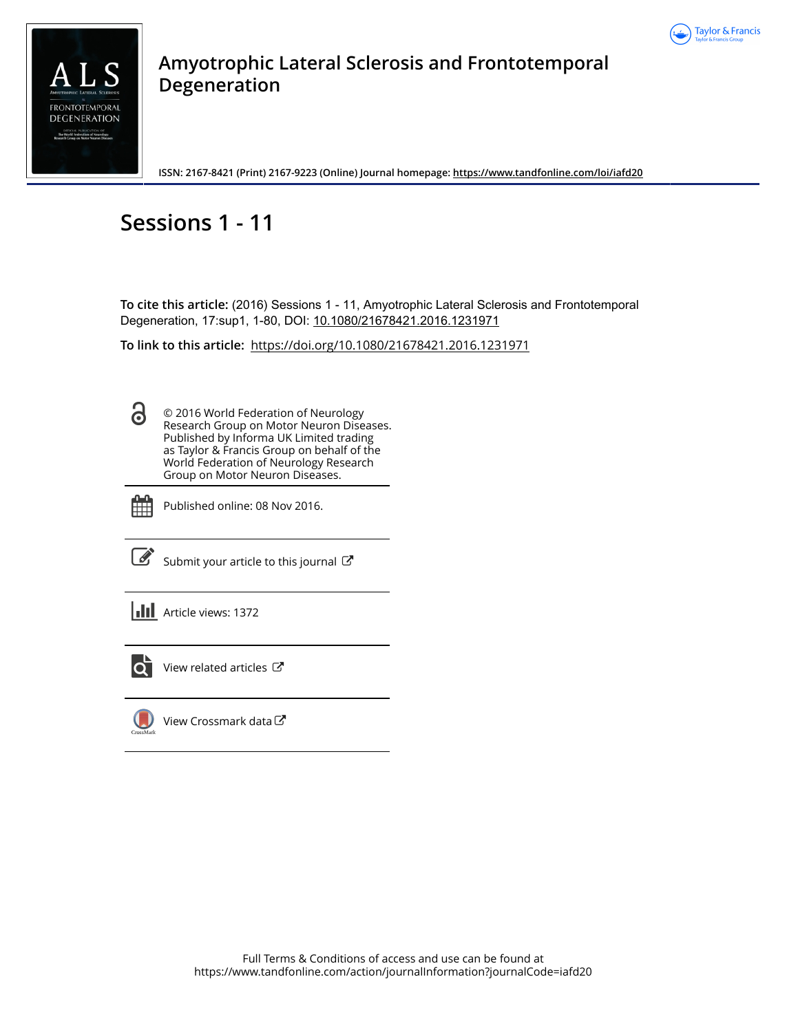



# **Amyotrophic Lateral Sclerosis and Frontotemporal Degeneration**

**ISSN: 2167-8421 (Print) 2167-9223 (Online) Journal homepage:<https://www.tandfonline.com/loi/iafd20>**

# **Sessions 1 - 11**

**To cite this article:** (2016) Sessions 1 - 11, Amyotrophic Lateral Sclerosis and Frontotemporal Degeneration, 17:sup1, 1-80, DOI: [10.1080/21678421.2016.1231971](https://www.tandfonline.com/action/showCitFormats?doi=10.1080/21678421.2016.1231971)

**To link to this article:** <https://doi.org/10.1080/21678421.2016.1231971>

8

© 2016 World Federation of Neurology Research Group on Motor Neuron Diseases. Published by Informa UK Limited trading as Taylor & Francis Group on behalf of the World Federation of Neurology Research Group on Motor Neuron Diseases.



Published online: 08 Nov 2016.

[Submit your article to this journal](https://www.tandfonline.com/action/authorSubmission?journalCode=iafd20&show=instructions)  $\mathbb{Z}$ 

**III** Article views: 1372



[View related articles](https://www.tandfonline.com/doi/mlt/10.1080/21678421.2016.1231971)  $\mathbb{Z}$ 



[View Crossmark data](http://crossmark.crossref.org/dialog/?doi=10.1080/21678421.2016.1231971&domain=pdf&date_stamp=2016-11-08)<sup>C</sup>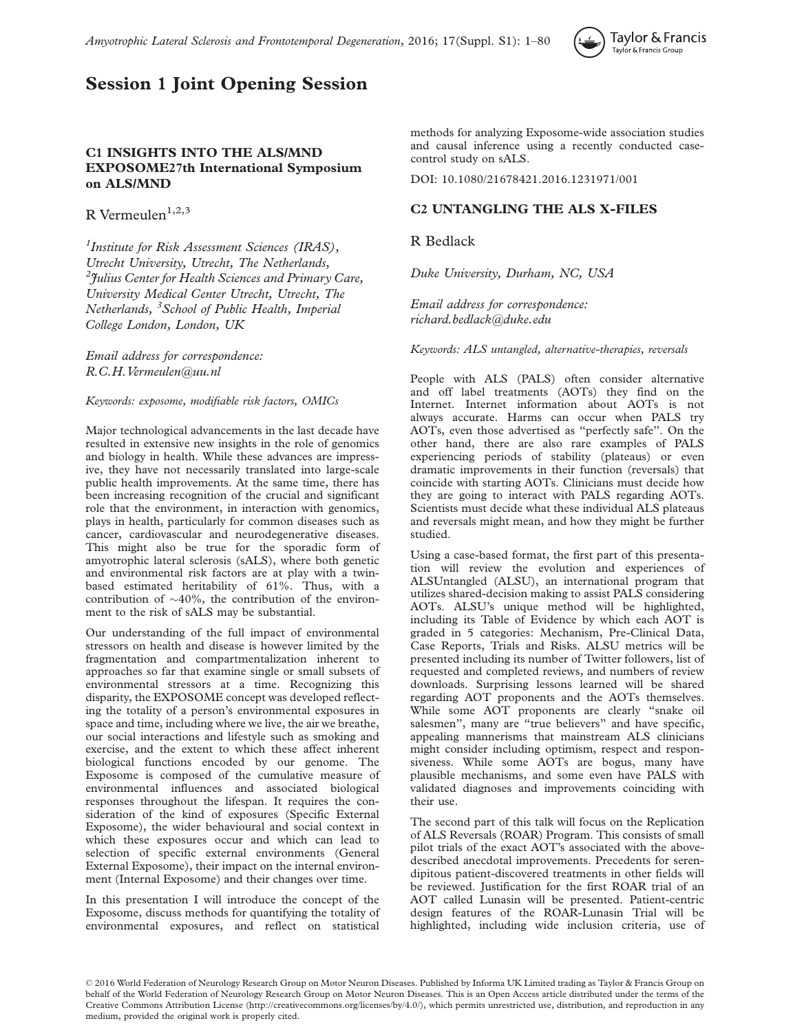

# Session 1 Joint Opening Session

# C1 INSIGHTS INTO THE ALS/MND EXPOSOME27th International Symposium on ALS/MND

R Vermeulen $^{1,2,3}$ 

<sup>1</sup>Institute for Risk Assessment Sciences (IRAS), Utrecht University, Utrecht, The Netherlands, <sup>2</sup>Julius Center for Health Sciences and Primary Care, University Medical Center Utrecht, Utrecht, The Netherlands, <sup>3</sup>School of Public Health, Imperial College London, London, UK

Email address for correspondence: R.C.H.Vermeulen@uu.nl

Keywords: exposome, modifiable risk factors, OMICs

Major technological advancements in the last decade have resulted in extensive new insights in the role of genomics and biology in health. While these advances are impressive, they have not necessarily translated into large-scale public health improvements. At the same time, there has been increasing recognition of the crucial and significant role that the environment, in interaction with genomics, plays in health, particularly for common diseases such as cancer, cardiovascular and neurodegenerative diseases. This might also be true for the sporadic form of amyotrophic lateral sclerosis (sALS), where both genetic and environmental risk factors are at play with a twinbased estimated heritability of 61%. Thus, with a contribution of  $\sim$ 40%, the contribution of the environment to the risk of sALS may be substantial.

Our understanding of the full impact of environmental stressors on health and disease is however limited by the fragmentation and compartmentalization inherent to approaches so far that examine single or small subsets of environmental stressors at a time. Recognizing this disparity, the EXPOSOME concept was developed reflecting the totality of a person's environmental exposures in space and time, including where we live, the air we breathe, our social interactions and lifestyle such as smoking and exercise, and the extent to which these affect inherent biological functions encoded by our genome. The Exposome is composed of the cumulative measure of environmental influences and associated biological responses throughout the lifespan. It requires the consideration of the kind of exposures (Specific External Exposome), the wider behavioural and social context in which these exposures occur and which can lead to selection of specific external environments (General External Exposome), their impact on the internal environment (Internal Exposome) and their changes over time.

In this presentation I will introduce the concept of the Exposome, discuss methods for quantifying the totality of environmental exposures, and reflect on statistical

methods for analyzing Exposome-wide association studies and causal inference using a recently conducted casecontrol study on sALS.

DOI: 10.1080/21678421.2016.1231971/001

### C2 UNTANGLING THE ALS X-FILES

R Bedlack

Duke University, Durham, NC, USA

Email address for correspondence: richard.bedlack@duke.edu

Keywords: ALS untangled, alternative-therapies, reversals

People with ALS (PALS) often consider alternative and off label treatments (AOTs) they find on the Internet. Internet information about AOTs is not always accurate. Harms can occur when PALS try AOTs, even those advertised as ''perfectly safe''. On the other hand, there are also rare examples of PALS experiencing periods of stability (plateaus) or even dramatic improvements in their function (reversals) that coincide with starting AOTs. Clinicians must decide how they are going to interact with PALS regarding AOTs. Scientists must decide what these individual ALS plateaus and reversals might mean, and how they might be further studied.

Using a case-based format, the first part of this presentation will review the evolution and experiences of ALSUntangled (ALSU), an international program that utilizes shared-decision making to assist PALS considering AOTs. ALSU's unique method will be highlighted, including its Table of Evidence by which each AOT is graded in 5 categories: Mechanism, Pre-Clinical Data, Case Reports, Trials and Risks. ALSU metrics will be presented including its number of Twitter followers, list of requested and completed reviews, and numbers of review downloads. Surprising lessons learned will be shared regarding AOT proponents and the AOTs themselves. While some AOT proponents are clearly ''snake oil salesmen", many are "true believers" and have specific, appealing mannerisms that mainstream ALS clinicians might consider including optimism, respect and responsiveness. While some AOTs are bogus, many have plausible mechanisms, and some even have PALS with validated diagnoses and improvements coinciding with their use.

The second part of this talk will focus on the Replication of ALS Reversals (ROAR) Program. This consists of small pilot trials of the exact AOT's associated with the abovedescribed anecdotal improvements. Precedents for serendipitous patient-discovered treatments in other fields will be reviewed. Justification for the first ROAR trial of an AOT called Lunasin will be presented. Patient-centric design features of the ROAR-Lunasin Trial will be highlighted, including wide inclusion criteria, use of

<sup>-</sup> 2016 World Federation of Neurology Research Group on Motor Neuron Diseases. Published by Informa UK Limited trading as Taylor & Francis Group on behalf of the World Federation of Neurology Research Group on Motor Neuron Diseases. This is an Open Access article distributed under the terms of the Creative Commons Attribution License (http://creativecommons.org/licenses/by/4.0/), which permits unrestricted use, distribution, and reproduction in any medium, provided the original work is properly cited.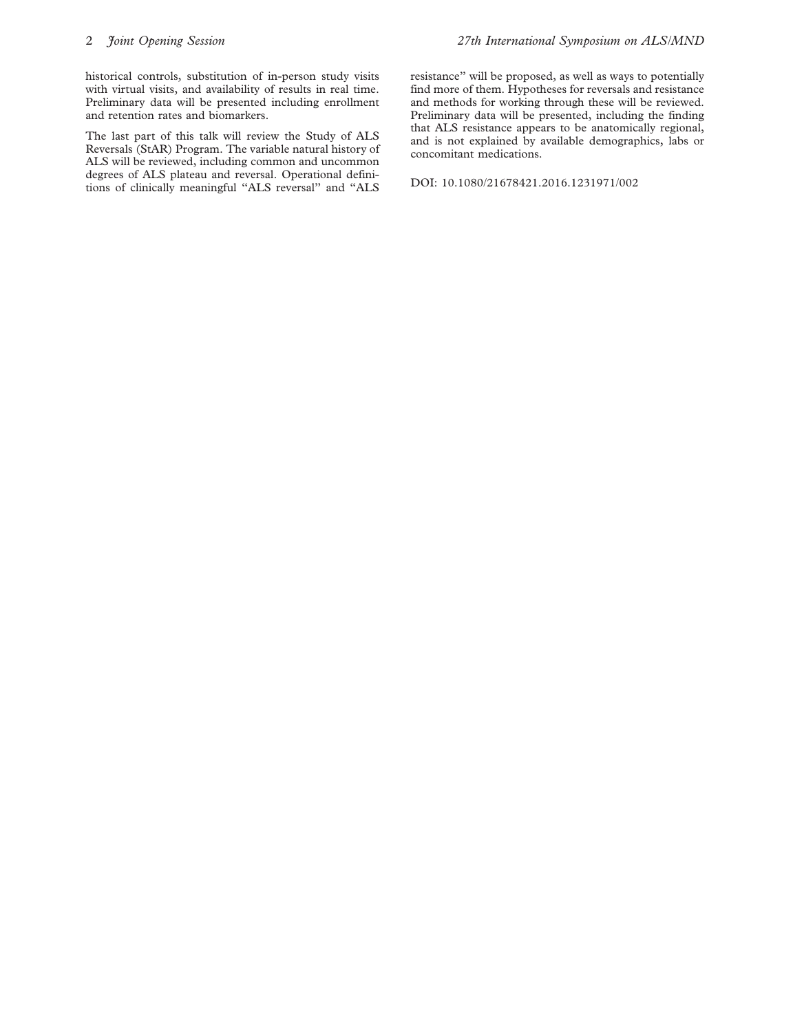historical controls, substitution of in-person study visits with virtual visits, and availability of results in real time. Preliminary data will be presented including enrollment and retention rates and biomarkers.

The last part of this talk will review the Study of ALS Reversals (StAR) Program. The variable natural history of ALS will be reviewed, including common and uncommon degrees of ALS plateau and reversal. Operational definitions of clinically meaningful ''ALS reversal'' and ''ALS

resistance'' will be proposed, as well as ways to potentially find more of them. Hypotheses for reversals and resistance and methods for working through these will be reviewed. Preliminary data will be presented, including the finding that ALS resistance appears to be anatomically regional, and is not explained by available demographics, labs or concomitant medications.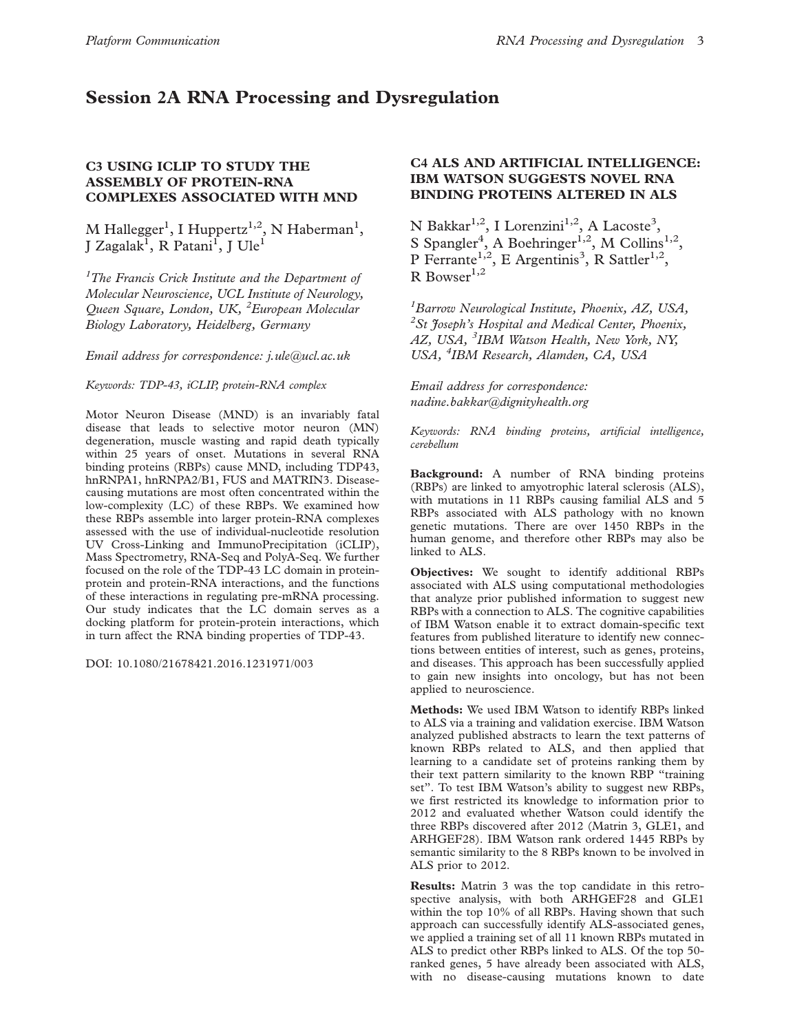# Session 2A RNA Processing and Dysregulation

# C3 USING ICLIP TO STUDY THE ASSEMBLY OF PROTEIN-RNA COMPLEXES ASSOCIATED WITH MND

M Hallegger<sup>1</sup>, I Huppertz<sup>1,2</sup>, N Haberman<sup>1</sup>, J Zagalak<sup>I</sup>, R Patani<sup>1</sup>, J Ule<sup>1</sup>

<sup>1</sup>The Francis Crick Institute and the Department of Molecular Neuroscience, UCL Institute of Neurology, Queen Square, London, UK, <sup>2</sup>European Molecular Biology Laboratory, Heidelberg, Germany

Email address for correspondence: j.ule@ucl.ac.uk

Keywords: TDP-43, iCLIP, protein-RNA complex

Motor Neuron Disease (MND) is an invariably fatal disease that leads to selective motor neuron (MN) degeneration, muscle wasting and rapid death typically within 25 years of onset. Mutations in several RNA binding proteins (RBPs) cause MND, including TDP43, hnRNPA1, hnRNPA2/B1, FUS and MATRIN3. Diseasecausing mutations are most often concentrated within the low-complexity (LC) of these RBPs. We examined how these RBPs assemble into larger protein-RNA complexes assessed with the use of individual-nucleotide resolution UV Cross-Linking and ImmunoPrecipitation (iCLIP), Mass Spectrometry, RNA-Seq and PolyA-Seq. We further focused on the role of the TDP-43 LC domain in proteinprotein and protein-RNA interactions, and the functions of these interactions in regulating pre-mRNA processing. Our study indicates that the LC domain serves as a docking platform for protein-protein interactions, which in turn affect the RNA binding properties of TDP-43.

DOI: 10.1080/21678421.2016.1231971/003

# C4 ALS AND ARTIFICIAL INTELLIGENCE: IBM WATSON SUGGESTS NOVEL RNA BINDING PROTEINS ALTERED IN ALS

N Bakkar<sup>1,2</sup>, I Lorenzini<sup>1,2</sup>, A Lacoste<sup>3</sup>, S Spangler<sup>4</sup>, A Boehringer<sup>1,2</sup>, M Collins<sup>1,2</sup>, P Ferrante<sup>1,2</sup>, E Argentinis<sup>3</sup>, R Sattler<sup>1,2</sup>, R Bowser $^{1,2}$ 

<sup>1</sup> Barrow Neurological Institute, Phoenix, AZ, USA, <sup>2</sup>St Joseph's Hospital and Medical Center, Phoenix, AZ, USA, <sup>3</sup>IBM Watson Health, New York, NY, USA, <sup>4</sup>IBM Research, Alamden, CA, USA

Email address for correspondence: nadine.bakkar@dignityhealth.org

Keywords: RNA binding proteins, artificial intelligence, cerebellum

Background: A number of RNA binding proteins (RBPs) are linked to amyotrophic lateral sclerosis (ALS), with mutations in 11 RBPs causing familial ALS and 5 RBPs associated with ALS pathology with no known genetic mutations. There are over 1450 RBPs in the human genome, and therefore other RBPs may also be linked to ALS.

Objectives: We sought to identify additional RBPs associated with ALS using computational methodologies that analyze prior published information to suggest new RBPs with a connection to ALS. The cognitive capabilities of IBM Watson enable it to extract domain-specific text features from published literature to identify new connections between entities of interest, such as genes, proteins, and diseases. This approach has been successfully applied to gain new insights into oncology, but has not been applied to neuroscience.

Methods: We used IBM Watson to identify RBPs linked to ALS via a training and validation exercise. IBM Watson analyzed published abstracts to learn the text patterns of known RBPs related to ALS, and then applied that learning to a candidate set of proteins ranking them by their text pattern similarity to the known RBP ''training set''. To test IBM Watson's ability to suggest new RBPs, we first restricted its knowledge to information prior to 2012 and evaluated whether Watson could identify the three RBPs discovered after 2012 (Matrin 3, GLE1, and ARHGEF28). IBM Watson rank ordered 1445 RBPs by semantic similarity to the 8 RBPs known to be involved in ALS prior to 2012.

Results: Matrin 3 was the top candidate in this retrospective analysis, with both ARHGEF28 and GLE1 within the top 10% of all RBPs. Having shown that such approach can successfully identify ALS-associated genes, we applied a training set of all 11 known RBPs mutated in ALS to predict other RBPs linked to ALS. Of the top 50 ranked genes, 5 have already been associated with ALS, with no disease-causing mutations known to date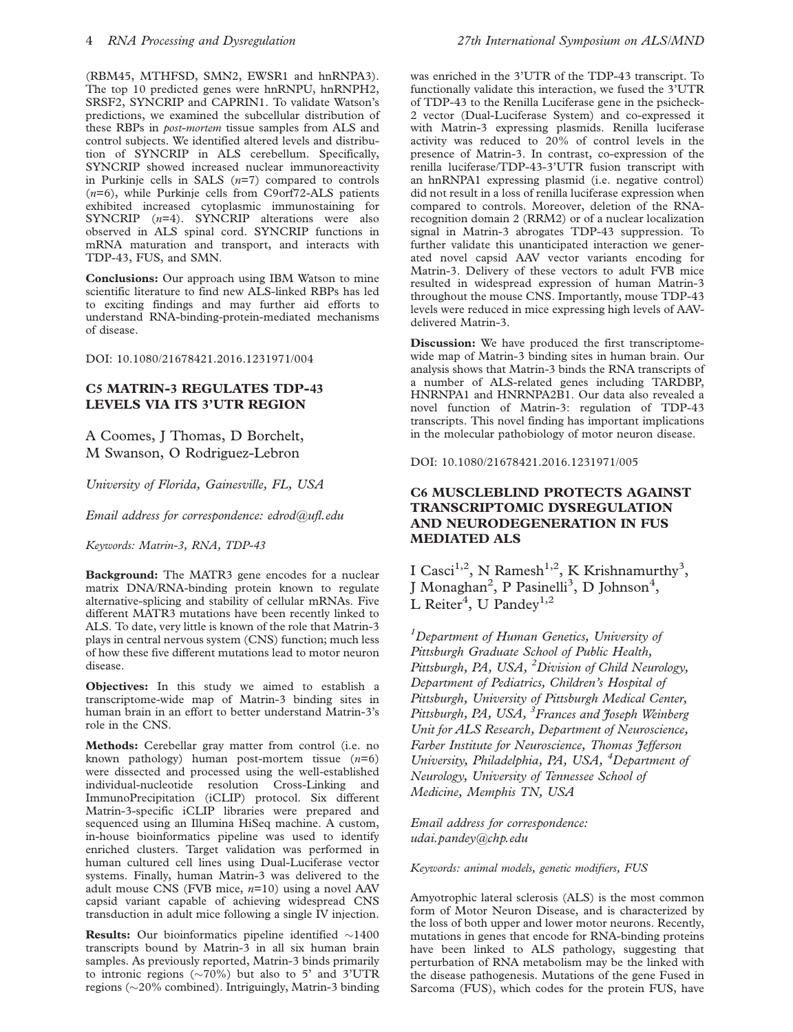(RBM45, MTHFSD, SMN2, EWSR1 and hnRNPA3). The top 10 predicted genes were hnRNPU, hnRNPH2, SRSF2, SYNCRIP and CAPRIN1. To validate Watson's predictions, we examined the subcellular distribution of these RBPs in post-mortem tissue samples from ALS and control subjects. We identified altered levels and distribution of SYNCRIP in ALS cerebellum. Specifically, SYNCRIP showed increased nuclear immunoreactivity in Purkinje cells in SALS  $(n=7)$  compared to controls  $(n=6)$ , while Purkinje cells from C9orf72-ALS patients exhibited increased cytoplasmic immunostaining for SYNCRIP  $(n=4)$ . SYNCRIP alterations were also observed in ALS spinal cord. SYNCRIP functions in mRNA maturation and transport, and interacts with TDP-43, FUS, and SMN.

Conclusions: Our approach using IBM Watson to mine scientific literature to find new ALS-linked RBPs has led to exciting findings and may further aid efforts to understand RNA-binding-protein-mediated mechanisms of disease.

DOI: 10.1080/21678421.2016.1231971/004

### C5 MATRIN-3 REGULATES TDP-43 LEVELS VIA ITS 3'UTR REGION

A Coomes, J Thomas, D Borchelt, M Swanson, O Rodriguez-Lebron

University of Florida, Gainesville, FL, USA

Email address for correspondence: edrod@ufl.edu

Keywords: Matrin-3, RNA, TDP-43

Background: The MATR3 gene encodes for a nuclear matrix DNA/RNA-binding protein known to regulate alternative-splicing and stability of cellular mRNAs. Five different MATR3 mutations have been recently linked to ALS. To date, very little is known of the role that Matrin-3 plays in central nervous system (CNS) function; much less of how these five different mutations lead to motor neuron disease.

Objectives: In this study we aimed to establish a transcriptome-wide map of Matrin-3 binding sites in human brain in an effort to better understand Matrin-3's role in the CNS.

Methods: Cerebellar gray matter from control (i.e. no known pathology) human post-mortem tissue  $(n=6)$ were dissected and processed using the well-established individual-nucleotide resolution Cross-Linking and ImmunoPrecipitation (iCLIP) protocol. Six different Matrin-3-specific iCLIP libraries were prepared and sequenced using an Illumina HiSeq machine. A custom, in-house bioinformatics pipeline was used to identify enriched clusters. Target validation was performed in human cultured cell lines using Dual-Luciferase vector systems. Finally, human Matrin-3 was delivered to the adult mouse CNS (FVB mice,  $n=10$ ) using a novel AAV capsid variant capable of achieving widespread CNS transduction in adult mice following a single IV injection.

**Results:** Our bioinformatics pipeline identified  $\sim$ 1400 transcripts bound by Matrin-3 in all six human brain samples. As previously reported, Matrin-3 binds primarily to intronic regions ( $\sim 70\%$ ) but also to 5' and 3'UTR regions (~20% combined). Intriguingly, Matrin-3 binding

was enriched in the 3'UTR of the TDP-43 transcript. To functionally validate this interaction, we fused the 3'UTR of TDP-43 to the Renilla Luciferase gene in the psicheck-2 vector (Dual-Luciferase System) and co-expressed it with Matrin-3 expressing plasmids. Renilla luciferase activity was reduced to 20% of control levels in the presence of Matrin-3. In contrast, co-expression of the renilla luciferase/TDP-43-3'UTR fusion transcript with an hnRNPA1 expressing plasmid (i.e. negative control) did not result in a loss of renilla luciferase expression when compared to controls. Moreover, deletion of the RNArecognition domain 2 (RRM2) or of a nuclear localization signal in Matrin-3 abrogates TDP-43 suppression. To further validate this unanticipated interaction we generated novel capsid AAV vector variants encoding for Matrin-3. Delivery of these vectors to adult FVB mice resulted in widespread expression of human Matrin-3 throughout the mouse CNS. Importantly, mouse TDP-43 levels were reduced in mice expressing high levels of AAVdelivered Matrin-3.

Discussion: We have produced the first transcriptomewide map of Matrin-3 binding sites in human brain. Our analysis shows that Matrin-3 binds the RNA transcripts of a number of ALS-related genes including TARDBP, HNRNPA1 and HNRNPA2B1. Our data also revealed a novel function of Matrin-3: regulation of TDP-43 transcripts. This novel finding has important implications in the molecular pathobiology of motor neuron disease.

DOI: 10.1080/21678421.2016.1231971/005

# C6 MUSCLEBLIND PROTECTS AGAINST TRANSCRIPTOMIC DYSREGULATION AND NEURODEGENERATION IN FUS MEDIATED ALS

I Casci<sup>1,2</sup>, N Ramesh<sup>1,2</sup>, K Krishnamurthy<sup>3</sup>, J Monaghan<sup>2</sup>, P Pasinelli<sup>3</sup>, D Johnson<sup>4</sup>, L Reiter<sup>4</sup>, U Pandey<sup>1,2</sup>

<sup>1</sup>Department of Human Genetics, University of Pittsburgh Graduate School of Public Health, Pittsburgh, PA, USA, <sup>2</sup> Division of Child Neurology, Department of Pediatrics, Children's Hospital of Pittsburgh, University of Pittsburgh Medical Center, Pittsburgh, PA, USA, <sup>3</sup>Frances and Joseph Weinberg Unit for ALS Research, Department of Neuroscience, Farber Institute for Neuroscience, Thomas Jefferson University, Philadelphia, PA, USA, <sup>4</sup>Department of Neurology, University of Tennessee School of Medicine, Memphis TN, USA

Email address for correspondence: udai.pandey@chp.edu

Keywords: animal models, genetic modifiers, FUS

Amyotrophic lateral sclerosis (ALS) is the most common form of Motor Neuron Disease, and is characterized by the loss of both upper and lower motor neurons. Recently, mutations in genes that encode for RNA-binding proteins have been linked to ALS pathology, suggesting that perturbation of RNA metabolism may be the linked with the disease pathogenesis. Mutations of the gene Fused in Sarcoma (FUS), which codes for the protein FUS, have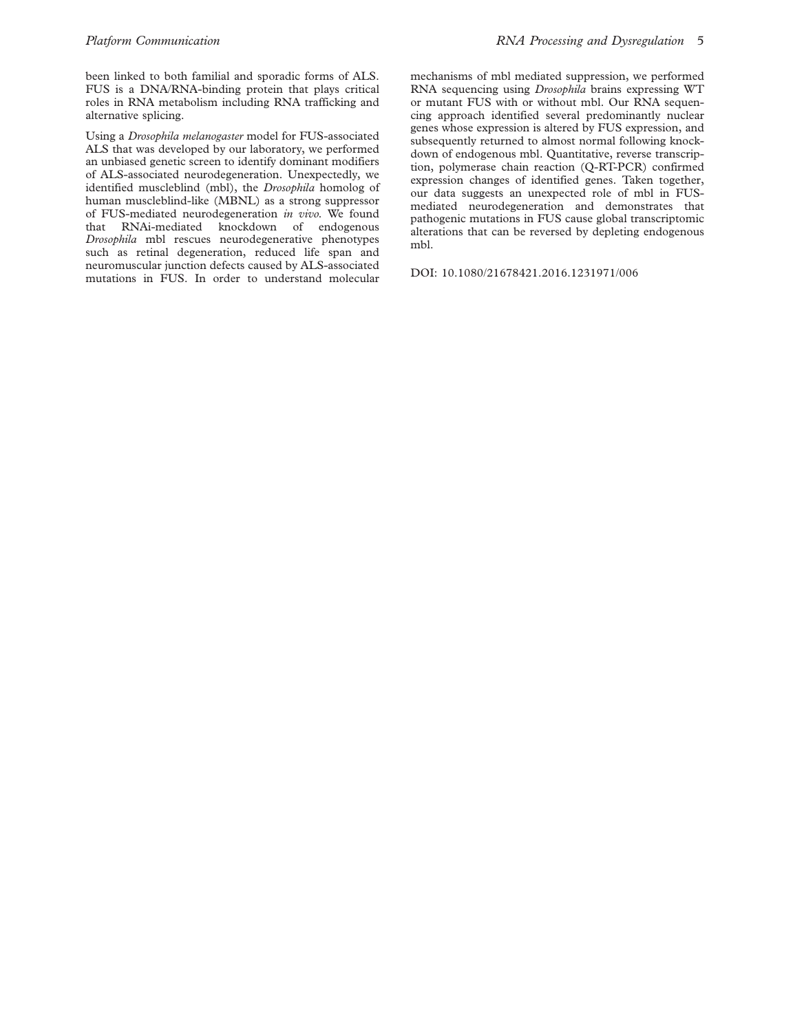been linked to both familial and sporadic forms of ALS. FUS is a DNA/RNA-binding protein that plays critical roles in RNA metabolism including RNA trafficking and alternative splicing.

Using a Drosophila melanogaster model for FUS-associated ALS that was developed by our laboratory, we performed an unbiased genetic screen to identify dominant modifiers of ALS-associated neurodegeneration. Unexpectedly, we identified muscleblind (mbl), the Drosophila homolog of human muscleblind-like (MBNL) as a strong suppressor of FUS-mediated neurodegeneration in vivo. We found that RNAi-mediated knockdown of endogenous Drosophila mbl rescues neurodegenerative phenotypes such as retinal degeneration, reduced life span and neuromuscular junction defects caused by ALS-associated mutations in FUS. In order to understand molecular mechanisms of mbl mediated suppression, we performed RNA sequencing using Drosophila brains expressing WT or mutant FUS with or without mbl. Our RNA sequencing approach identified several predominantly nuclear genes whose expression is altered by FUS expression, and subsequently returned to almost normal following knockdown of endogenous mbl. Quantitative, reverse transcription, polymerase chain reaction (Q-RT-PCR) confirmed expression changes of identified genes. Taken together, our data suggests an unexpected role of mbl in FUSmediated neurodegeneration and demonstrates that pathogenic mutations in FUS cause global transcriptomic alterations that can be reversed by depleting endogenous mbl.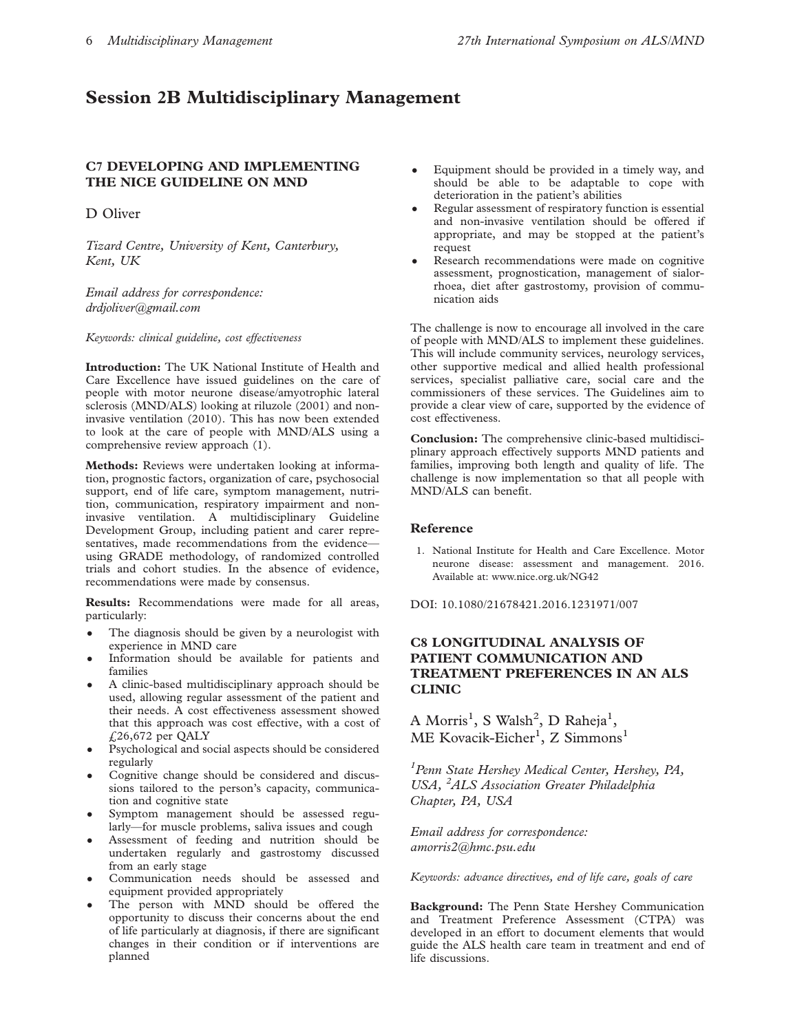# <span id="page-6-0"></span>Session 2B Multidisciplinary Management

### C7 DEVELOPING AND IMPLEMENTING THE NICE GUIDELINE ON MND

D Oliver

Tizard Centre, University of Kent, Canterbury, Kent, UK

Email address for correspondence: drdjoliver@gmail.com

Keywords: clinical guideline, cost effectiveness

Introduction: The UK National Institute of Health and Care Excellence have issued guidelines on the care of people with motor neurone disease/amyotrophic lateral sclerosis (MND/ALS) looking at riluzole (2001) and noninvasive ventilation (2010). This has now been extended to look at the care of people with MND/ALS using a comprehensive review approach (1).

Methods: Reviews were undertaken looking at information, prognostic factors, organization of care, psychosocial support, end of life care, symptom management, nutrition, communication, respiratory impairment and noninvasive ventilation. A multidisciplinary Guideline Development Group, including patient and carer representatives, made recommendations from the evidence using GRADE methodology, of randomized controlled trials and cohort studies. In the absence of evidence, recommendations were made by consensus.

Results: Recommendations were made for all areas, particularly:

- The diagnosis should be given by a neurologist with experience in MND care
- Information should be available for patients and families
- A clinic-based multidisciplinary approach should be used, allowing regular assessment of the patient and their needs. A cost effectiveness assessment showed that this approach was cost effective, with a cost of £26,672 per QALY
- Psychological and social aspects should be considered regularly
- Cognitive change should be considered and discussions tailored to the person's capacity, communication and cognitive state
- Symptom management should be assessed regularly—for muscle problems, saliva issues and cough
- Assessment of feeding and nutrition should be undertaken regularly and gastrostomy discussed from an early stage
- Communication needs should be assessed and equipment provided appropriately
- The person with MND should be offered the opportunity to discuss their concerns about the end of life particularly at diagnosis, if there are significant changes in their condition or if interventions are planned
- Equipment should be provided in a timely way, and should be able to be adaptable to cope with deterioration in the patient's abilities
- Regular assessment of respiratory function is essential and non-invasive ventilation should be offered if appropriate, and may be stopped at the patient's request
- Research recommendations were made on cognitive assessment, prognostication, management of sialorrhoea, diet after gastrostomy, provision of communication aids

The challenge is now to encourage all involved in the care of people with MND/ALS to implement these guidelines. This will include community services, neurology services, other supportive medical and allied health professional services, specialist palliative care, social care and the commissioners of these services. The Guidelines aim to provide a clear view of care, supported by the evidence of cost effectiveness.

Conclusion: The comprehensive clinic-based multidisciplinary approach effectively supports MND patients and families, improving both length and quality of life. The challenge is now implementation so that all people with MND/ALS can benefit.

### Reference

1. National Institute for Health and Care Excellence. Motor neurone disease: assessment and management. 2016. Available at: www.nice.org.uk/NG42

DOI: 10.1080/21678421.2016.1231971/007

# C8 LONGITUDINAL ANALYSIS OF PATIENT COMMUNICATION AND TREATMENT PREFERENCES IN AN ALS CLINIC

A Morris<sup>1</sup>, S Walsh<sup>2</sup>, D Raheja<sup>1</sup>, ME Kovacik-Eicher<sup>1</sup>, Z Simmons<sup>1</sup>

<sup>1</sup> Penn State Hershey Medical Center, Hershey, PA, USA, <sup>2</sup>ALS Association Greater Philadelphia Chapter, PA, USA

Email address for correspondence: amorris2@hmc.psu.edu

Keywords: advance directives, end of life care, goals of care

Background: The Penn State Hershey Communication and Treatment Preference Assessment (CTPA) was developed in an effort to document elements that would guide the ALS health care team in treatment and end of life discussions.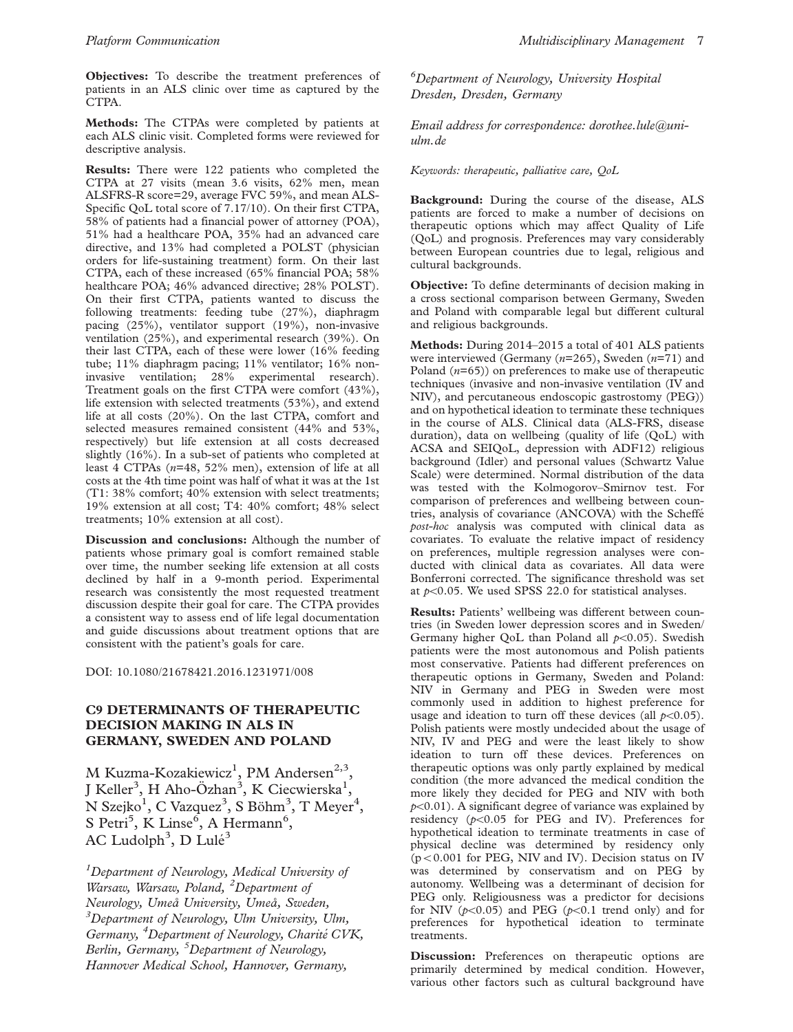**Objectives:** To describe the treatment preferences of patients in an ALS clinic over time as captured by the CTPA.

Methods: The CTPAs were completed by patients at each ALS clinic visit. Completed forms were reviewed for descriptive analysis.

Results: There were 122 patients who completed the CTPA at 27 visits (mean 3.6 visits, 62% men, mean ALSFRS-R score=29, average FVC 59%, and mean ALS-Specific QoL total score of 7.17/10). On their first CTPA, 58% of patients had a financial power of attorney (POA), 51% had a healthcare POA, 35% had an advanced care directive, and 13% had completed a POLST (physician orders for life-sustaining treatment) form. On their last CTPA, each of these increased (65% financial POA; 58% healthcare POA; 46% advanced directive; 28% POLST). On their first CTPA, patients wanted to discuss the following treatments: feeding tube (27%), diaphragm pacing (25%), ventilator support (19%), non-invasive ventilation (25%), and experimental research (39%). On their last CTPA, each of these were lower (16% feeding tube; 11% diaphragm pacing; 11% ventilator; 16% noninvasive ventilation; 28% experimental research). Treatment goals on the first CTPA were comfort (43%), life extension with selected treatments (53%), and extend life at all costs (20%). On the last CTPA, comfort and selected measures remained consistent (44% and 53%, respectively) but life extension at all costs decreased slightly (16%). In a sub-set of patients who completed at least 4 CTPAs (n=48, 52% men), extension of life at all costs at the 4th time point was half of what it was at the 1st (T1: 38% comfort;  $40\%$  extension with select treatments; 19% extension at all cost; T4: 40% comfort; 48% select treatments; 10% extension at all cost).

Discussion and conclusions: Although the number of patients whose primary goal is comfort remained stable over time, the number seeking life extension at all costs declined by half in a 9-month period. Experimental research was consistently the most requested treatment discussion despite their goal for care. The CTPA provides a consistent way to assess end of life legal documentation and guide discussions about treatment options that are consistent with the patient's goals for care.

DOI: 10.1080/21678421.2016.1231971/008

# C9 DETERMINANTS OF THERAPEUTIC DECISION MAKING IN ALS IN GERMANY, SWEDEN AND POLAND

M Kuzma-Kozakiewicz<sup>1</sup>, PM Andersen<sup>2,3</sup>, J Keller<sup>3</sup>, H Aho-Özhan<sup>3</sup>, K Ciecwierska<sup>1</sup>,  $\rm N$  Szejko $^1$ , C Vazquez $^3$ , S Böhm $^3$ , T Meyer $^4$ , S Petri<sup>5</sup>, K Linse<sup>6</sup>, A Hermann<sup>6</sup>, AC Ludolph<sup>3</sup>, D Lulé<sup>3</sup>

<sup>1</sup>Department of Neurology, Medical University of Warsaw, Warsaw, Poland, <sup>2</sup> Department of Neurology, Umeå University, Umeå, Sweden,  ${}^{3}$ Department of Neurology, Ulm University, Ulm, Germany, <sup>4</sup>Department of Neurology, Charité CVK, Berlin, Germany, <sup>5</sup>Department of Neurology, Hannover Medical School, Hannover, Germany,

6 Department of Neurology, University Hospital Dresden, Dresden, Germany

Email address for correspondence: dorothee.lule@uniulm.de

Keywords: therapeutic, palliative care, QoL

Background: During the course of the disease, ALS patients are forced to make a number of decisions on therapeutic options which may affect Quality of Life (QoL) and prognosis. Preferences may vary considerably between European countries due to legal, religious and cultural backgrounds.

Objective: To define determinants of decision making in a cross sectional comparison between Germany, Sweden and Poland with comparable legal but different cultural and religious backgrounds.

Methods: During 2014–2015 a total of 401 ALS patients were interviewed (Germany ( $n=265$ ), Sweden ( $n=71$ ) and Poland  $(n=65)$  on preferences to make use of therapeutic techniques (invasive and non-invasive ventilation (IV and NIV), and percutaneous endoscopic gastrostomy (PEG)) and on hypothetical ideation to terminate these techniques in the course of ALS. Clinical data (ALS-FRS, disease duration), data on wellbeing (quality of life (QoL) with ACSA and SEIQoL, depression with ADF12) religious background (Idler) and personal values (Schwartz Value Scale) were determined. Normal distribution of the data was tested with the Kolmogorov–Smirnov test. For comparison of preferences and wellbeing between countries, analysis of covariance (ANCOVA) with the Scheffé post-hoc analysis was computed with clinical data as covariates. To evaluate the relative impact of residency on preferences, multiple regression analyses were conducted with clinical data as covariates. All data were Bonferroni corrected. The significance threshold was set at  $p<0.05$ . We used SPSS 22.0 for statistical analyses.

Results: Patients' wellbeing was different between countries (in Sweden lower depression scores and in Sweden/ Germany higher QoL than Poland all  $p<0.05$ ). Swedish patients were the most autonomous and Polish patients most conservative. Patients had different preferences on therapeutic options in Germany, Sweden and Poland: NIV in Germany and PEG in Sweden were most commonly used in addition to highest preference for usage and ideation to turn off these devices (all  $p<0.05$ ). Polish patients were mostly undecided about the usage of NIV, IV and PEG and were the least likely to show ideation to turn off these devices. Preferences on therapeutic options was only partly explained by medical condition (the more advanced the medical condition the more likely they decided for PEG and NIV with both  $p<0.01$ ). A significant degree of variance was explained by residency  $(p<0.05$  for PEG and IV). Preferences for hypothetical ideation to terminate treatments in case of physical decline was determined by residency only  $(p<0.001$  for PEG, NIV and IV). Decision status on IV was determined by conservatism and on PEG by autonomy. Wellbeing was a determinant of decision for PEG only. Religiousness was a predictor for decisions for NIV ( $p<0.05$ ) and PEG ( $p<0.1$  trend only) and for preferences for hypothetical ideation to terminate treatments.

Discussion: Preferences on therapeutic options are primarily determined by medical condition. However, various other factors such as cultural background have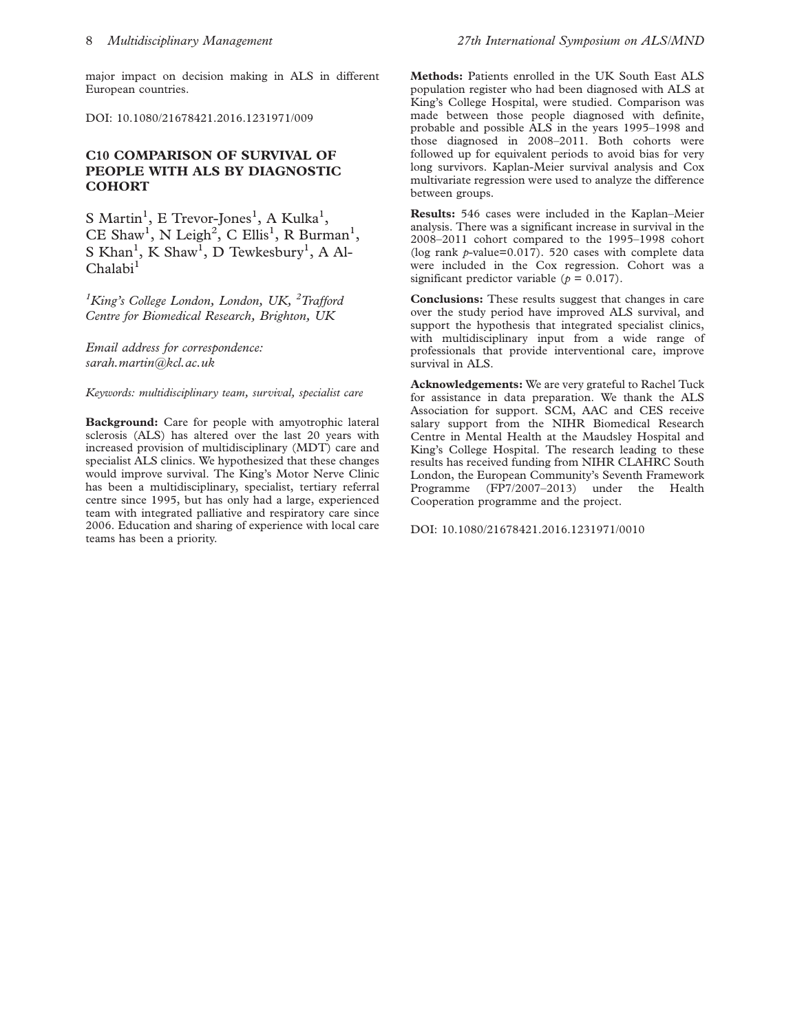major impact on decision making in ALS in different European countries.

DOI: 10.1080/21678421.2016.1231971/009

# C10 COMPARISON OF SURVIVAL OF PEOPLE WITH ALS BY DIAGNOSTIC **COHORT**

S Martin<sup>1</sup>, E Trevor-Jones<sup>1</sup>, A Kulka<sup>1</sup>, CE Shaw<sup>1</sup>, N Leigh<sup>2</sup>, C Ellis<sup>1</sup>, R Burman<sup>1</sup>, S Khan<sup>1</sup>, K Shaw<sup>1</sup>, D Tewkesbury<sup>1</sup>, A Al- $Chalabi<sup>1</sup>$ 

 ${}^{1}$ King's College London, London, UK,  ${}^{2}$ Trafford Centre for Biomedical Research, Brighton, UK

Email address for correspondence: sarah.martin@kcl.ac.uk

Keywords: multidisciplinary team, survival, specialist care

Background: Care for people with amyotrophic lateral sclerosis (ALS) has altered over the last 20 years with increased provision of multidisciplinary (MDT) care and specialist ALS clinics. We hypothesized that these changes would improve survival. The King's Motor Nerve Clinic has been a multidisciplinary, specialist, tertiary referral centre since 1995, but has only had a large, experienced team with integrated palliative and respiratory care since 2006. Education and sharing of experience with local care teams has been a priority.

Methods: Patients enrolled in the UK South East ALS population register who had been diagnosed with ALS at King's College Hospital, were studied. Comparison was made between those people diagnosed with definite, probable and possible ALS in the years 1995–1998 and those diagnosed in 2008–2011. Both cohorts were followed up for equivalent periods to avoid bias for very long survivors. Kaplan-Meier survival analysis and Cox multivariate regression were used to analyze the difference between groups.

Results: 546 cases were included in the Kaplan–Meier analysis. There was a significant increase in survival in the 2008–2011 cohort compared to the 1995–1998 cohort (log rank  $p$ -value=0.017). 520 cases with complete data were included in the Cox regression. Cohort was a significant predictor variable ( $p = 0.017$ ).

Conclusions: These results suggest that changes in care over the study period have improved ALS survival, and support the hypothesis that integrated specialist clinics, with multidisciplinary input from a wide range of professionals that provide interventional care, improve survival in ALS.

Acknowledgements: We are very grateful to Rachel Tuck for assistance in data preparation. We thank the ALS Association for support. SCM, AAC and CES receive salary support from the NIHR Biomedical Research Centre in Mental Health at the Maudsley Hospital and King's College Hospital. The research leading to these results has received funding from NIHR CLAHRC South London, the European Community's Seventh Framework Programme (FP7/2007–2013) under the Health Cooperation programme and the project.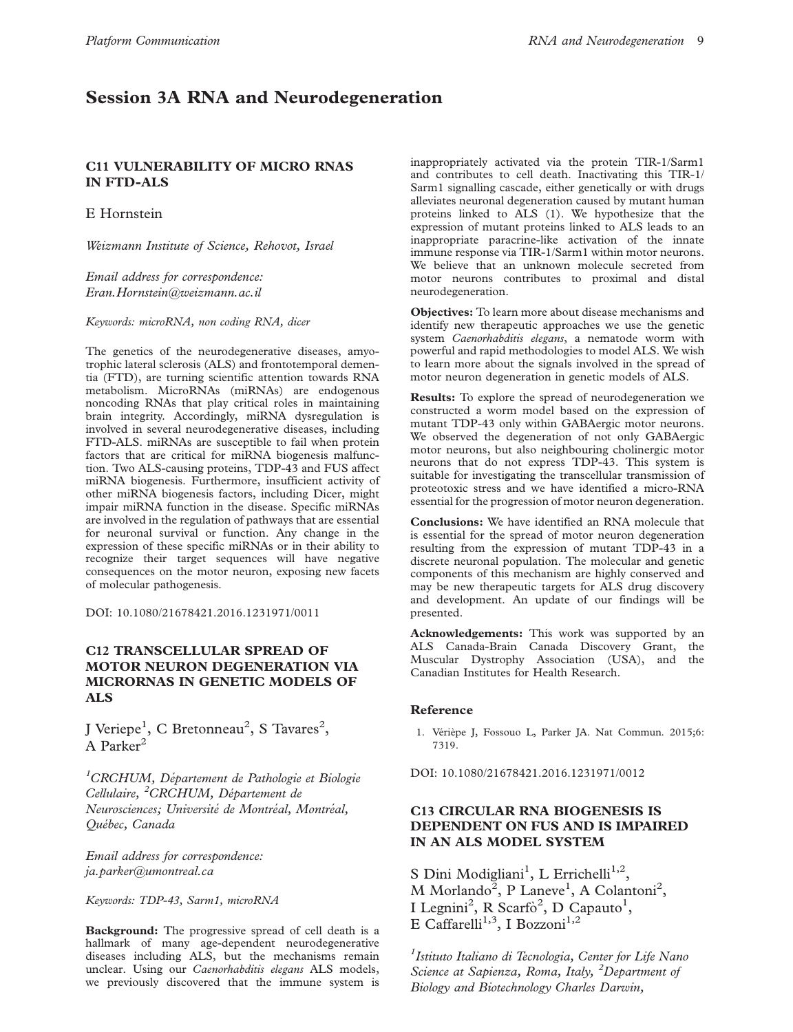# <span id="page-9-0"></span>Session 3A RNA and Neurodegeneration

# C11 VULNERABILITY OF MICRO RNAS IN FTD-ALS

# E Hornstein

Weizmann Institute of Science, Rehovot, Israel

Email address for correspondence: Eran.Hornstein@weizmann.ac.il

Keywords: microRNA, non coding RNA, dicer

The genetics of the neurodegenerative diseases, amyotrophic lateral sclerosis (ALS) and frontotemporal dementia (FTD), are turning scientific attention towards RNA metabolism. MicroRNAs (miRNAs) are endogenous noncoding RNAs that play critical roles in maintaining brain integrity. Accordingly, miRNA dysregulation is involved in several neurodegenerative diseases, including FTD-ALS. miRNAs are susceptible to fail when protein factors that are critical for miRNA biogenesis malfunction. Two ALS-causing proteins, TDP-43 and FUS affect miRNA biogenesis. Furthermore, insufficient activity of other miRNA biogenesis factors, including Dicer, might impair miRNA function in the disease. Specific miRNAs are involved in the regulation of pathways that are essential for neuronal survival or function. Any change in the expression of these specific miRNAs or in their ability to recognize their target sequences will have negative consequences on the motor neuron, exposing new facets of molecular pathogenesis.

DOI: 10.1080/21678421.2016.1231971/0011

# C12 TRANSCELLULAR SPREAD OF MOTOR NEURON DEGENERATION VIA MICRORNAS IN GENETIC MODELS OF ALS

J Veriepe<sup>1</sup>, C Bretonneau<sup>2</sup>, S Tavares<sup>2</sup>, A Parker<sup>2</sup>

<sup>1</sup>CRCHUM, Département de Pathologie et Biologie Cellulaire, <sup>2</sup>CRCHUM, Département de Neurosciences; Université de Montréal, Montréal, Québec, Canada

Email address for correspondence: ja.parker@umontreal.ca

Keywords: TDP-43, Sarm1, microRNA

Background: The progressive spread of cell death is a hallmark of many age-dependent neurodegenerative diseases including ALS, but the mechanisms remain unclear. Using our *Caenorhabditis elegans* ALS models, we previously discovered that the immune system is inappropriately activated via the protein TIR-1/Sarm1 and contributes to cell death. Inactivating this TIR-1/ Sarm1 signalling cascade, either genetically or with drugs alleviates neuronal degeneration caused by mutant human proteins linked to ALS (1). We hypothesize that the expression of mutant proteins linked to ALS leads to an inappropriate paracrine-like activation of the innate immune response via TIR-1/Sarm1 within motor neurons. We believe that an unknown molecule secreted from motor neurons contributes to proximal and distal neurodegeneration.

Objectives: To learn more about disease mechanisms and identify new therapeutic approaches we use the genetic system Caenorhabditis elegans, a nematode worm with powerful and rapid methodologies to model ALS. We wish to learn more about the signals involved in the spread of motor neuron degeneration in genetic models of ALS.

Results: To explore the spread of neurodegeneration we constructed a worm model based on the expression of mutant TDP-43 only within GABAergic motor neurons. We observed the degeneration of not only GABAergic motor neurons, but also neighbouring cholinergic motor neurons that do not express TDP-43. This system is suitable for investigating the transcellular transmission of proteotoxic stress and we have identified a micro-RNA essential for the progression of motor neuron degeneration.

Conclusions: We have identified an RNA molecule that is essential for the spread of motor neuron degeneration resulting from the expression of mutant TDP-43 in a discrete neuronal population. The molecular and genetic components of this mechanism are highly conserved and may be new therapeutic targets for ALS drug discovery and development. An update of our findings will be presented.

Acknowledgements: This work was supported by an ALS Canada-Brain Canada Discovery Grant, the Muscular Dystrophy Association (USA), and the Canadian Institutes for Health Research.

### Reference

1. Vérièpe J, Fossouo L, Parker JA. Nat Commun. 2015;6: 7319.

DOI: 10.1080/21678421.2016.1231971/0012

# C13 CIRCULAR RNA BIOGENESIS IS DEPENDENT ON FUS AND IS IMPAIRED IN AN ALS MODEL SYSTEM

S Dini Modigliani<sup>1</sup>, L Errichelli<sup>1,2</sup>, M Morlando<sup>2</sup>, P Laneve<sup>1</sup>, A Colantoni<sup>2</sup>, I Legnini<sup>2</sup>, R Scarfò<sup>2</sup>, D Capauto<sup>1</sup>, E Caffarelli<sup>1,3</sup>, I Bozzoni<sup>1,2</sup>

<sup>1</sup>Istituto Italiano di Tecnologia, Center for Life Nano Science at Sapienza, Roma, Italy, <sup>2</sup>Department of Biology and Biotechnology Charles Darwin,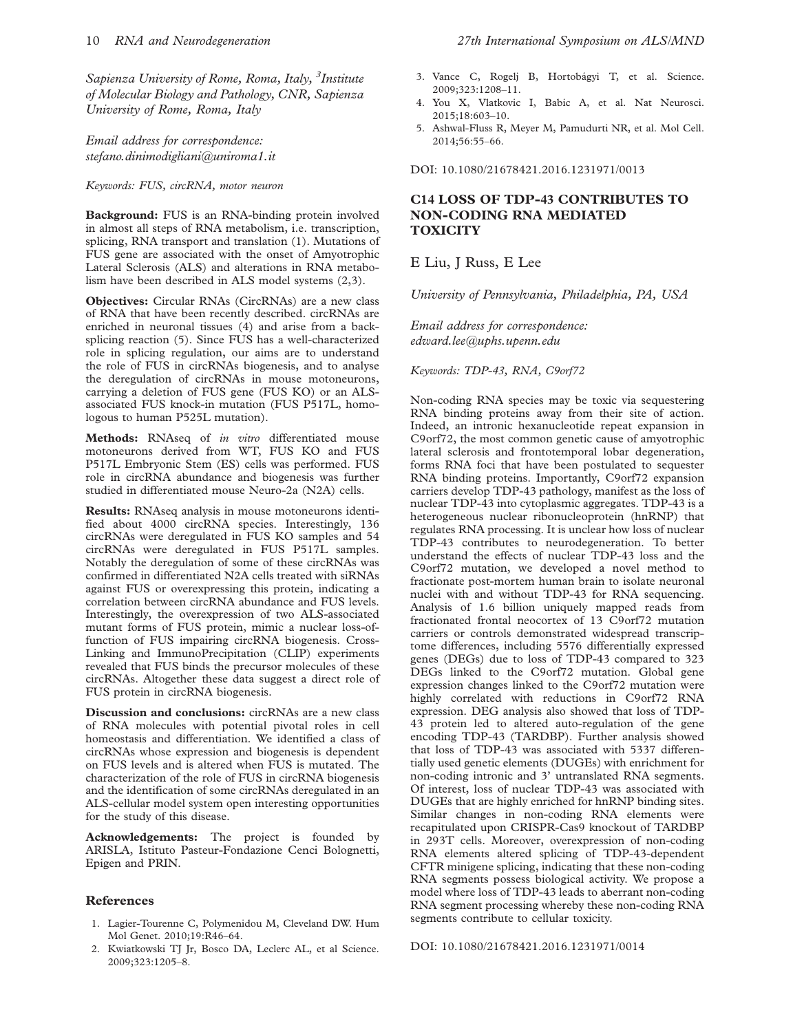<span id="page-10-0"></span>Sapienza University of Rome, Roma, Italy, <sup>3</sup>Institute of Molecular Biology and Pathology, CNR, Sapienza University of Rome, Roma, Italy

Email address for correspondence: stefano.dinimodigliani@uniroma1.it

Keywords: FUS, circRNA, motor neuron

Background: FUS is an RNA-binding protein involved in almost all steps of RNA metabolism, i.e. transcription, splicing, RNA transport and translation (1). Mutations of FUS gene are associated with the onset of Amyotrophic Lateral Sclerosis (ALS) and alterations in RNA metabolism have been described in ALS model systems [\(2](#page-9-0),3).

Objectives: Circular RNAs (CircRNAs) are a new class of RNA that have been recently described. circRNAs are enriched in neuronal tissues (4) and arise from a backsplicing reaction (5). Since FUS has a well-characterized role in splicing regulation, our aims are to understand the role of FUS in circRNAs biogenesis, and to analyse the deregulation of circRNAs in mouse motoneurons, carrying a deletion of FUS gene (FUS KO) or an ALSassociated FUS knock-in mutation (FUS P517L, homologous to human P525L mutation).

Methods: RNAseq of in vitro differentiated mouse motoneurons derived from WT, FUS KO and FUS P517L Embryonic Stem (ES) cells was performed. FUS role in circRNA abundance and biogenesis was further studied in differentiated mouse Neuro-2a (N2A) cells.

Results: RNAseq analysis in mouse motoneurons identified about 4000 circRNA species. Interestingly, 136 circRNAs were deregulated in FUS KO samples and 54 circRNAs were deregulated in FUS P517L samples. Notably the deregulation of some of these circRNAs was confirmed in differentiated N2A cells treated with siRNAs against FUS or overexpressing this protein, indicating a correlation between circRNA abundance and FUS levels. Interestingly, the overexpression of two ALS-associated mutant forms of FUS protein, mimic a nuclear loss-offunction of FUS impairing circRNA biogenesis. Cross-Linking and ImmunoPrecipitation (CLIP) experiments revealed that FUS binds the precursor molecules of these circRNAs. Altogether these data suggest a direct role of FUS protein in circRNA biogenesis.

Discussion and conclusions: circRNAs are a new class of RNA molecules with potential pivotal roles in cell homeostasis and differentiation. We identified a class of circRNAs whose expression and biogenesis is dependent on FUS levels and is altered when FUS is mutated. The characterization of the role of FUS in circRNA biogenesis and the identification of some circRNAs deregulated in an ALS-cellular model system open interesting opportunities for the study of this disease.

Acknowledgements: The project is founded by ARISLA, Istituto Pasteur-Fondazione Cenci Bolognetti, Epigen and PRIN.

#### References

- 1. Lagier-Tourenne C, Polymenidou M, Cleveland DW. Hum Mol Genet. 2010;19:R46–64.
- 2. Kwiatkowski TJ Jr, Bosco DA, Leclerc AL, et al Science. 2009;323:1205–8.
- 3. Vance C, Rogeli B, Hortobágyi T, et al. Science. 2009;323:1208–11.
- 4. You X, Vlatkovic I, Babic A, et al. Nat Neurosci. 2015;18:603–10.
- 5. Ashwal-Fluss R, Meyer M, Pamudurti NR, et al. Mol Cell. 2014;56:55–66.

DOI: 10.1080/21678421.2016.1231971/0013

# C14 LOSS OF TDP-43 CONTRIBUTES TO NON-CODING RNA MEDIATED **TOXICITY**

E Liu, J Russ, E Lee

University of Pennsylvania, Philadelphia, PA, USA

Email address for correspondence: edward.lee@uphs.upenn.edu

Keywords: TDP-43, RNA, C9orf72

Non-coding RNA species may be toxic via sequestering RNA binding proteins away from their site of action. Indeed, an intronic hexanucleotide repeat expansion in C9orf72, the most common genetic cause of amyotrophic lateral sclerosis and frontotemporal lobar degeneration, forms RNA foci that have been postulated to sequester RNA binding proteins. Importantly, C9orf72 expansion carriers develop TDP-43 pathology, manifest as the loss of nuclear TDP-43 into cytoplasmic aggregates. TDP-43 is a heterogeneous nuclear ribonucleoprotein (hnRNP) that regulates RNA processing. It is unclear how loss of nuclear TDP-43 contributes to neurodegeneration. To better understand the effects of nuclear TDP-43 loss and the C9orf72 mutation, we developed a novel method to fractionate post-mortem human brain to isolate neuronal nuclei with and without TDP-43 for RNA sequencing. Analysis of 1.6 billion uniquely mapped reads from fractionated frontal neocortex of 13 C9orf72 mutation carriers or controls demonstrated widespread transcriptome differences, including 5576 differentially expressed genes (DEGs) due to loss of TDP-43 compared to 323 DEGs linked to the C9orf72 mutation. Global gene expression changes linked to the C9orf72 mutation were highly correlated with reductions in C9orf72 RNA expression. DEG analysis also showed that loss of TDP-43 protein led to altered auto-regulation of the gene encoding TDP-43 (TARDBP). Further analysis showed that loss of TDP-43 was associated with 5337 differentially used genetic elements (DUGEs) with enrichment for non-coding intronic and 3' untranslated RNA segments. Of interest, loss of nuclear TDP-43 was associated with DUGEs that are highly enriched for hnRNP binding sites. Similar changes in non-coding RNA elements were recapitulated upon CRISPR-Cas9 knockout of TARDBP in 293T cells. Moreover, overexpression of non-coding RNA elements altered splicing of TDP-43-dependent CFTR minigene splicing, indicating that these non-coding RNA segments possess biological activity. We propose a model where loss of TDP-43 leads to aberrant non-coding RNA segment processing whereby these non-coding RNA segments contribute to cellular toxicity.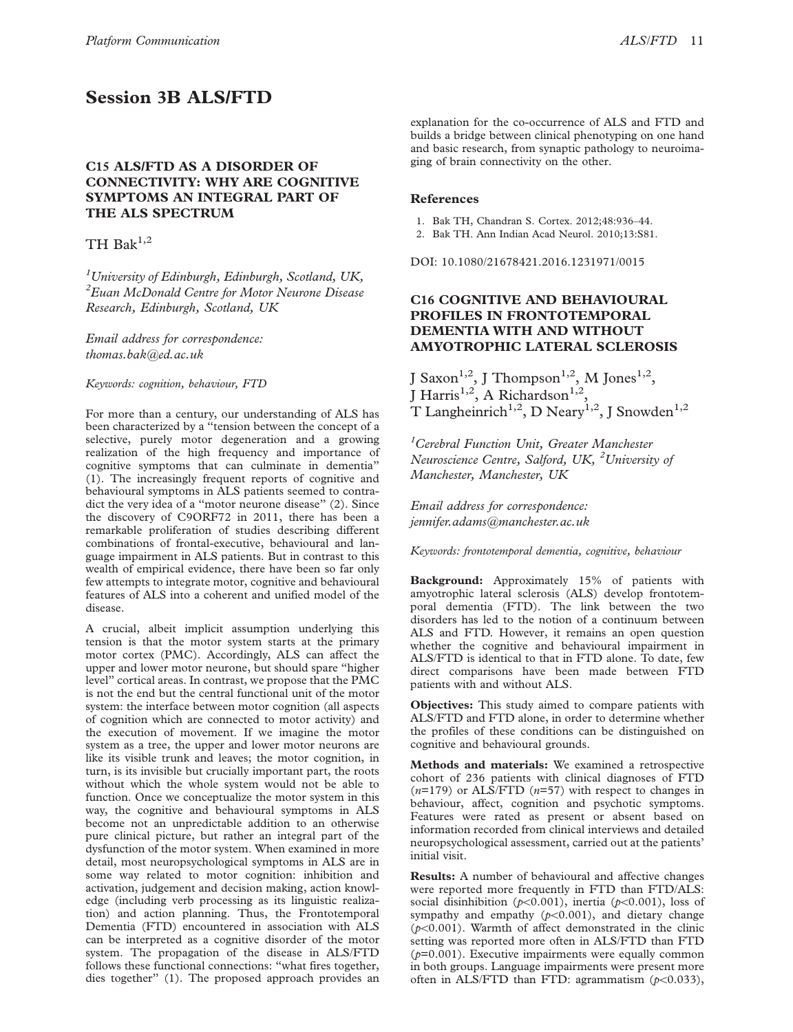# Session 3B ALS/FTD

# C15 ALS/FTD AS A DISORDER OF CONNECTIVITY: WHY ARE COGNITIVE SYMPTOMS AN INTEGRAL PART OF THE ALS SPECTRUM

# TH  $Bak^{1,2}$

<sup>1</sup> University of Edinburgh, Edinburgh, Scotland, UK, 2 Euan McDonald Centre for Motor Neurone Disease Research, Edinburgh, Scotland, UK

Email address for correspondence: thomas.bak@ed.ac.uk

#### Keywords: cognition, behaviour, FTD

For more than a century, our understanding of ALS has been characterized by a ''tension between the concept of a selective, purely motor degeneration and a growing realization of the high frequency and importance of cognitive symptoms that can culminate in dementia'' (1). The increasingly frequent reports of cognitive and behavioural symptoms in ALS patients seemed to contradict the very idea of a ''motor neurone disease'' (2). Since the discovery of C9ORF72 in 2011, there has been a remarkable proliferation of studies describing different combinations of frontal-executive, behavioural and language impairment in ALS patients. But in contrast to this wealth of empirical evidence, there have been so far only few attempts to integrate motor, cognitive and behavioural features of ALS into a coherent and unified model of the disease.

A crucial, albeit implicit assumption underlying this tension is that the motor system starts at the primary motor cortex (PMC). Accordingly, ALS can affect the upper and lower motor neurone, but should spare ''higher level'' cortical areas. In contrast, we propose that the PMC is not the end but the central functional unit of the motor system: the interface between motor cognition (all aspects of cognition which are connected to motor activity) and the execution of movement. If we imagine the motor system as a tree, the upper and lower motor neurons are like its visible trunk and leaves; the motor cognition, in turn, is its invisible but crucially important part, the roots without which the whole system would not be able to function. Once we conceptualize the motor system in this way, the cognitive and behavioural symptoms in ALS become not an unpredictable addition to an otherwise pure clinical picture, but rather an integral part of the dysfunction of the motor system. When examined in more detail, most neuropsychological symptoms in ALS are in some way related to motor cognition: inhibition and activation, judgement and decision making, action knowledge (including verb processing as its linguistic realization) and action planning. Thus, the Frontotemporal Dementia (FTD) encountered in association with ALS can be interpreted as a cognitive disorder of the motor system. The propagation of the disease in ALS/FTD follows these functional connections: ''what fires together, dies together'' (1). The proposed approach provides an explanation for the co-occurrence of ALS and FTD and builds a bridge between clinical phenotyping on one hand and basic research, from synaptic pathology to neuroimaging of brain connectivity on the other.

#### References

- 1. Bak TH, Chandran S. Cortex. 2012;48:936–44.
- 2. Bak TH. Ann Indian Acad Neurol. 2010;13:S81.

DOI: 10.1080/21678421.2016.1231971/0015

# C16 COGNITIVE AND BEHAVIOURAL PROFILES IN FRONTOTEMPORAL DEMENTIA WITH AND WITHOUT AMYOTROPHIC LATERAL SCLEROSIS

J Saxon<sup>1,2</sup>, J Thompson<sup>1,2</sup>, M Jones<sup>1,2</sup>, J Harris<sup>1,2</sup>, A Richardson<sup>1,2</sup>, T Langheinrich<sup>1,2</sup>, D Neary<sup>1,2</sup>, J Snowden<sup>1,2</sup>

<sup>1</sup> Cerebral Function Unit, Greater Manchester Neuroscience Centre, Salford, UK, <sup>2</sup>University of Manchester, Manchester, UK

Email address for correspondence: jennifer.adams@manchester.ac.uk

Keywords: frontotemporal dementia, cognitive, behaviour

Background: Approximately 15% of patients with amyotrophic lateral sclerosis (ALS) develop frontotemporal dementia (FTD). The link between the two disorders has led to the notion of a continuum between ALS and FTD. However, it remains an open question whether the cognitive and behavioural impairment in ALS/FTD is identical to that in FTD alone. To date, few direct comparisons have been made between FTD patients with and without ALS.

Objectives: This study aimed to compare patients with ALS/FTD and FTD alone, in order to determine whether the profiles of these conditions can be distinguished on cognitive and behavioural grounds.

Methods and materials: We examined a retrospective cohort of 236 patients with clinical diagnoses of FTD  $(n=179)$  or ALS/FTD  $(n=57)$  with respect to changes in behaviour, affect, cognition and psychotic symptoms. Features were rated as present or absent based on information recorded from clinical interviews and detailed neuropsychological assessment, carried out at the patients' initial visit.

Results: A number of behavioural and affective changes were reported more frequently in FTD than FTD/ALS: social disinhibition ( $p<0.001$ ), inertia ( $p<0.001$ ), loss of sympathy and empathy  $(p<0.001)$ , and dietary change  $(p<0.001)$ . Warmth of affect demonstrated in the clinic setting was reported more often in ALS/FTD than FTD  $(p=0.001)$ . Executive impairments were equally common in both groups. Language impairments were present more often in ALS/FTD than FTD: agrammatism  $(p<0.033)$ ,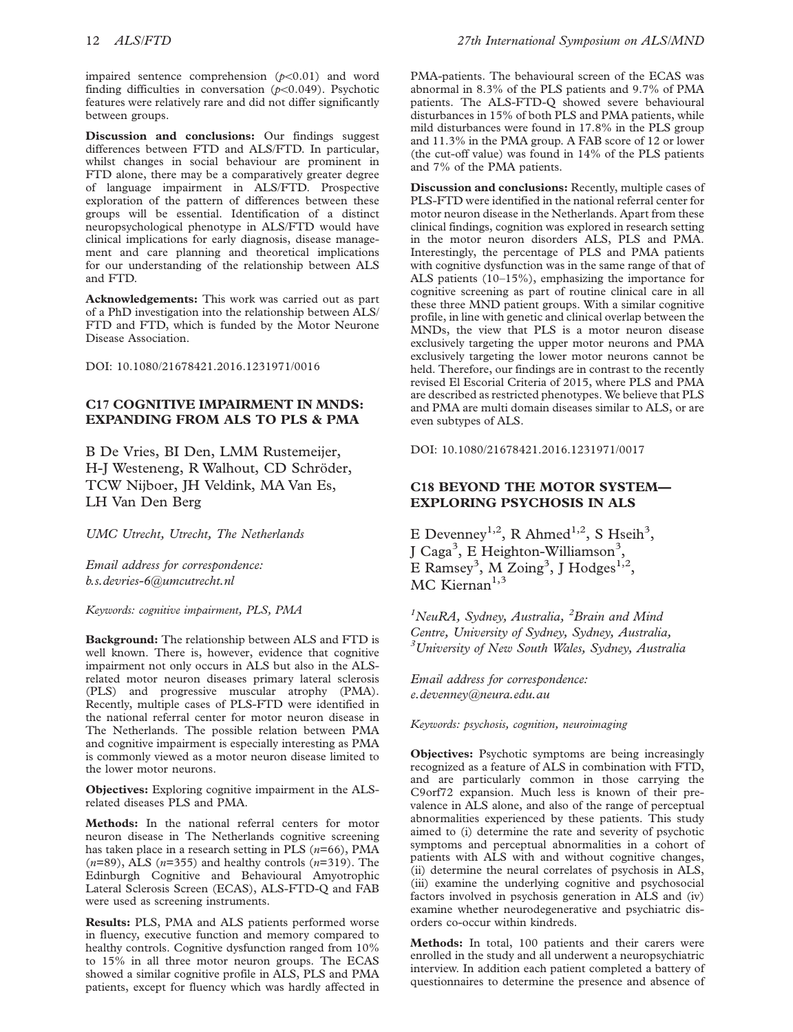impaired sentence comprehension  $(p<0.01)$  and word finding difficulties in conversation  $(p<0.049)$ . Psychotic features were relatively rare and did not differ significantly between groups.

Discussion and conclusions: Our findings suggest differences between FTD and ALS/FTD. In particular, whilst changes in social behaviour are prominent in FTD alone, there may be a comparatively greater degree of language impairment in ALS/FTD. Prospective exploration of the pattern of differences between these groups will be essential. Identification of a distinct neuropsychological phenotype in ALS/FTD would have clinical implications for early diagnosis, disease management and care planning and theoretical implications for our understanding of the relationship between ALS and FTD.

Acknowledgements: This work was carried out as part of a PhD investigation into the relationship between ALS/ FTD and FTD, which is funded by the Motor Neurone Disease Association.

DOI: 10.1080/21678421.2016.1231971/0016

# C17 COGNITIVE IMPAIRMENT IN MNDS: EXPANDING FROM ALS TO PLS & PMA

B De Vries, BI Den, LMM Rustemeijer, H-J Westeneng, R Walhout, CD Schröder, TCW Nijboer, JH Veldink, MA Van Es, LH Van Den Berg

UMC Utrecht, Utrecht, The Netherlands

Email address for correspondence: b.s.devries-6@umcutrecht.nl

Keywords: cognitive impairment, PLS, PMA

Background: The relationship between ALS and FTD is well known. There is, however, evidence that cognitive impairment not only occurs in ALS but also in the ALSrelated motor neuron diseases primary lateral sclerosis (PLS) and progressive muscular atrophy (PMA). Recently, multiple cases of PLS-FTD were identified in the national referral center for motor neuron disease in The Netherlands. The possible relation between PMA and cognitive impairment is especially interesting as PMA is commonly viewed as a motor neuron disease limited to the lower motor neurons.

Objectives: Exploring cognitive impairment in the ALSrelated diseases PLS and PMA.

Methods: In the national referral centers for motor neuron disease in The Netherlands cognitive screening has taken place in a research setting in PLS  $(n=66)$ , PMA  $(n=89)$ , ALS  $(n=355)$  and healthy controls  $(n=319)$ . The Edinburgh Cognitive and Behavioural Amyotrophic Lateral Sclerosis Screen (ECAS), ALS-FTD-Q and FAB were used as screening instruments.

Results: PLS, PMA and ALS patients performed worse in fluency, executive function and memory compared to healthy controls. Cognitive dysfunction ranged from 10% to 15% in all three motor neuron groups. The ECAS showed a similar cognitive profile in ALS, PLS and PMA patients, except for fluency which was hardly affected in PMA-patients. The behavioural screen of the ECAS was abnormal in 8.3% of the PLS patients and 9.7% of PMA patients. The ALS-FTD-Q showed severe behavioural disturbances in 15% of both PLS and PMA patients, while mild disturbances were found in 17.8% in the PLS group and 11.3% in the PMA group. A FAB score of 12 or lower (the cut-off value) was found in 14% of the PLS patients and 7% of the PMA patients.

Discussion and conclusions: Recently, multiple cases of PLS-FTD were identified in the national referral center for motor neuron disease in the Netherlands. Apart from these clinical findings, cognition was explored in research setting in the motor neuron disorders ALS, PLS and PMA. Interestingly, the percentage of PLS and PMA patients with cognitive dysfunction was in the same range of that of ALS patients (10–15%), emphasizing the importance for cognitive screening as part of routine clinical care in all these three MND patient groups. With a similar cognitive profile, in line with genetic and clinical overlap between the MNDs, the view that PLS is a motor neuron disease exclusively targeting the upper motor neurons and PMA exclusively targeting the lower motor neurons cannot be held. Therefore, our findings are in contrast to the recently revised El Escorial Criteria of 2015, where PLS and PMA are described as restricted phenotypes. We believe that PLS and PMA are multi domain diseases similar to ALS, or are even subtypes of ALS.

DOI: 10.1080/21678421.2016.1231971/0017

# C18 BEYOND THE MOTOR SYSTEM— EXPLORING PSYCHOSIS IN ALS

E Devenney<sup>1,2</sup>, R Ahmed<sup>1,2</sup>, S Hseih<sup>3</sup>, J Caga<sup>3</sup>, E Heighton-Williamson<sup>3</sup>, E Ramsey<sup>3</sup>, M Zoing<sup>3</sup>, J Hodges<sup>1,2</sup>, MC Kiernan $1,3$ 

<sup>1</sup>NeuRA, Sydney, Australia, <sup>2</sup>Brain and Mind Centre, University of Sydney, Sydney, Australia, <sup>3</sup>University of New South Wales, Sydney, Australia

Email address for correspondence: e.devenney@neura.edu.au

Keywords: psychosis, cognition, neuroimaging

Objectives: Psychotic symptoms are being increasingly recognized as a feature of ALS in combination with FTD, and are particularly common in those carrying the C9orf72 expansion. Much less is known of their prevalence in ALS alone, and also of the range of perceptual abnormalities experienced by these patients. This study aimed to (i) determine the rate and severity of psychotic symptoms and perceptual abnormalities in a cohort of patients with ALS with and without cognitive changes, (ii) determine the neural correlates of psychosis in ALS, (iii) examine the underlying cognitive and psychosocial factors involved in psychosis generation in ALS and (iv) examine whether neurodegenerative and psychiatric disorders co-occur within kindreds.

Methods: In total, 100 patients and their carers were enrolled in the study and all underwent a neuropsychiatric interview. In addition each patient completed a battery of questionnaires to determine the presence and absence of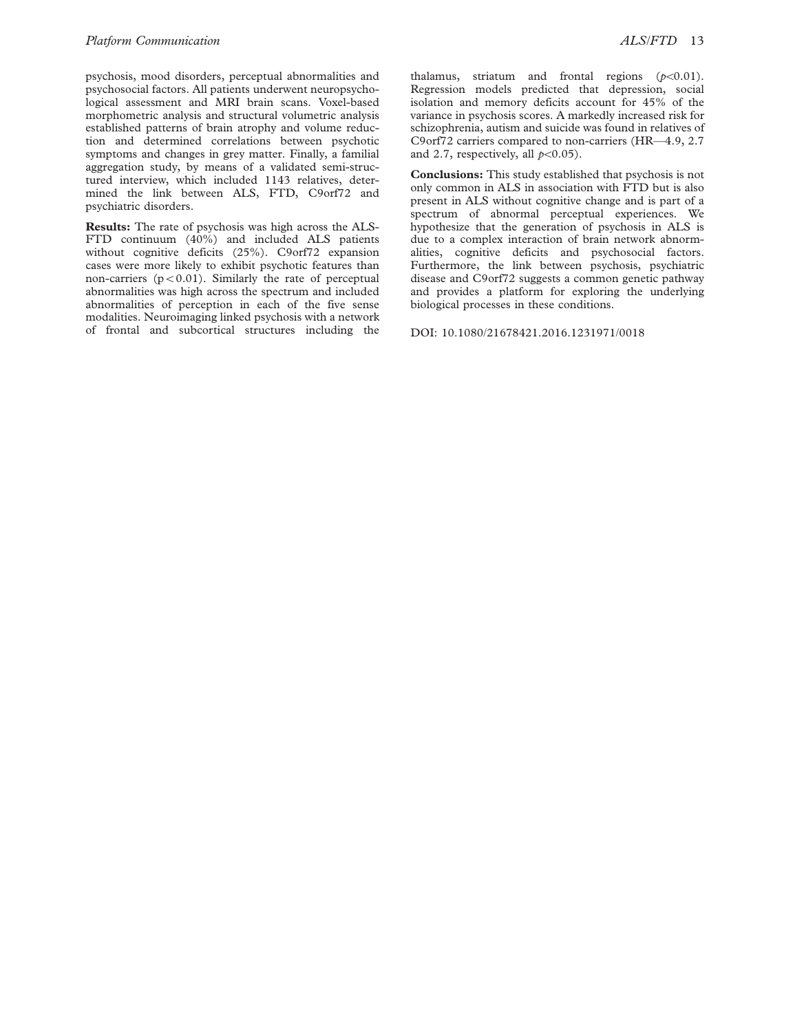psychosis, mood disorders, perceptual abnormalities and psychosocial factors. All patients underwent neuropsychological assessment and MRI brain scans. Voxel-based morphometric analysis and structural volumetric analysis established patterns of brain atrophy and volume reduction and determined correlations between psychotic symptoms and changes in grey matter. Finally, a familial aggregation study, by means of a validated semi-structured interview, which included 1143 relatives, determined the link between ALS, FTD, C9orf72 and psychiatric disorders.

Results: The rate of psychosis was high across the ALS-FTD continuum (40%) and included ALS patients without cognitive deficits (25%). C9orf72 expansion cases were more likely to exhibit psychotic features than non-carriers  $(p<0.01)$ . Similarly the rate of perceptual abnormalities was high across the spectrum and included abnormalities of perception in each of the five sense modalities. Neuroimaging linked psychosis with a network of frontal and subcortical structures including the

thalamus, striatum and frontal regions  $(p<0.01)$ . Regression models predicted that depression, social isolation and memory deficits account for 45% of the variance in psychosis scores. A markedly increased risk for schizophrenia, autism and suicide was found in relatives of C9orf72 carriers compared to non-carriers (HR—4.9, 2.7 and 2.7, respectively, all  $p<0.05$ ).

Conclusions: This study established that psychosis is not only common in ALS in association with FTD but is also present in ALS without cognitive change and is part of a spectrum of abnormal perceptual experiences. We hypothesize that the generation of psychosis in ALS is due to a complex interaction of brain network abnormalities, cognitive deficits and psychosocial factors. Furthermore, the link between psychosis, psychiatric disease and C9orf72 suggests a common genetic pathway and provides a platform for exploring the underlying biological processes in these conditions.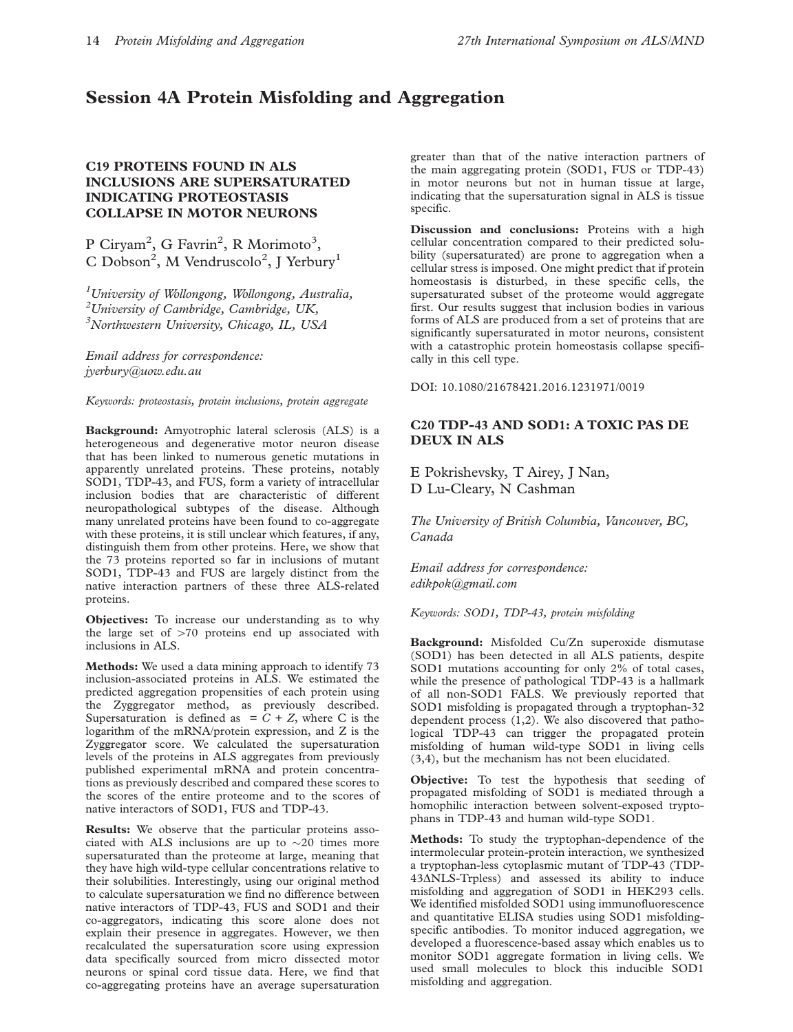# Session 4A Protein Misfolding and Aggregation

# C19 PROTEINS FOUND IN ALS INCLUSIONS ARE SUPERSATURATED INDICATING PROTEOSTASIS COLLAPSE IN MOTOR NEURONS

P Ciryam<sup>2</sup>, G Favrin<sup>2</sup>, R Morimoto<sup>3</sup>, C Dobson<sup>2</sup>, M Vendruscolo<sup>2</sup>, J Yerbury<sup>1</sup>

<sup>1</sup>University of Wollongong, Wollongong, Australia,  $^{2}$ University of Cambridge, Cambridge, UK, <sup>3</sup>Northwestern University, Chicago, IL, USA

Email address for correspondence: jyerbury@uow.edu.au

Keywords: proteostasis, protein inclusions, protein aggregate

Background: Amyotrophic lateral sclerosis (ALS) is a heterogeneous and degenerative motor neuron disease that has been linked to numerous genetic mutations in apparently unrelated proteins. These proteins, notably SOD1, TDP-43, and FUS, form a variety of intracellular inclusion bodies that are characteristic of different neuropathological subtypes of the disease. Although many unrelated proteins have been found to co-aggregate with these proteins, it is still unclear which features, if any, distinguish them from other proteins. Here, we show that the 73 proteins reported so far in inclusions of mutant SOD1, TDP-43 and FUS are largely distinct from the native interaction partners of these three ALS-related proteins.

Objectives: To increase our understanding as to why the large set of  $>70$  proteins end up associated with inclusions in ALS.

Methods: We used a data mining approach to identify 73 inclusion-associated proteins in ALS. We estimated the predicted aggregation propensities of each protein using the Zyggregator method, as previously described. Supersaturation is defined as  $= C + Z$ , where C is the logarithm of the mRNA/protein expression, and Z is the Zyggregator score. We calculated the supersaturation levels of the proteins in ALS aggregates from previously published experimental mRNA and protein concentrations as previously described and compared these scores to the scores of the entire proteome and to the scores of native interactors of SOD1, FUS and TDP-43.

Results: We observe that the particular proteins associated with ALS inclusions are up to  $\sim$  20 times more supersaturated than the proteome at large, meaning that they have high wild-type cellular concentrations relative to their solubilities. Interestingly, using our original method to calculate supersaturation we find no difference between native interactors of TDP-43, FUS and SOD1 and their co-aggregators, indicating this score alone does not explain their presence in aggregates. However, we then recalculated the supersaturation score using expression data specifically sourced from micro dissected motor neurons or spinal cord tissue data. Here, we find that co-aggregating proteins have an average supersaturation

greater than that of the native interaction partners of the main aggregating protein (SOD1, FUS or TDP-43) in motor neurons but not in human tissue at large, indicating that the supersaturation signal in ALS is tissue specific.

Discussion and conclusions: Proteins with a high cellular concentration compared to their predicted solubility (supersaturated) are prone to aggregation when a cellular stress is imposed. One might predict that if protein homeostasis is disturbed, in these specific cells, the supersaturated subset of the proteome would aggregate first. Our results suggest that inclusion bodies in various forms of ALS are produced from a set of proteins that are significantly supersaturated in motor neurons, consistent with a catastrophic protein homeostasis collapse specifically in this cell type.

DOI: 10.1080/21678421.2016.1231971/0019

# C20 TDP-43 AND SOD1: A TOXIC PAS DE DEUX IN ALS

E Pokrishevsky, T Airey, J Nan, D Lu-Cleary, N Cashman

The University of British Columbia, Vancouver, BC, Canada

Email address for correspondence: edikpok@gmail.com

Keywords: SOD1, TDP-43, protein misfolding

Background: Misfolded Cu/Zn superoxide dismutase (SOD1) has been detected in all ALS patients, despite SOD1 mutations accounting for only 2% of total cases, while the presence of pathological TDP-43 is a hallmark of all non-SOD1 FALS. We previously reported that SOD1 misfolding is propagated through a tryptophan-32 dependent process ([1,2](#page-15-0)). We also discovered that pathological TDP-43 can trigger the propagated protein misfolding of human wild-type SOD1 in living cells ([3,4](#page-15-0)), but the mechanism has not been elucidated.

Objective: To test the hypothesis that seeding of propagated misfolding of SOD1 is mediated through a homophilic interaction between solvent-exposed tryptophans in TDP-43 and human wild-type SOD1.

Methods: To study the tryptophan-dependence of the intermolecular protein-protein interaction, we synthesized a tryptophan-less cytoplasmic mutant of TDP-43 (TDP-43DNLS-Trpless) and assessed its ability to induce misfolding and aggregation of SOD1 in HEK293 cells. We identified misfolded SOD1 using immunofluorescence and quantitative ELISA studies using SOD1 misfoldingspecific antibodies. To monitor induced aggregation, we developed a fluorescence-based assay which enables us to monitor SOD1 aggregate formation in living cells. We used small molecules to block this inducible SOD1 misfolding and aggregation.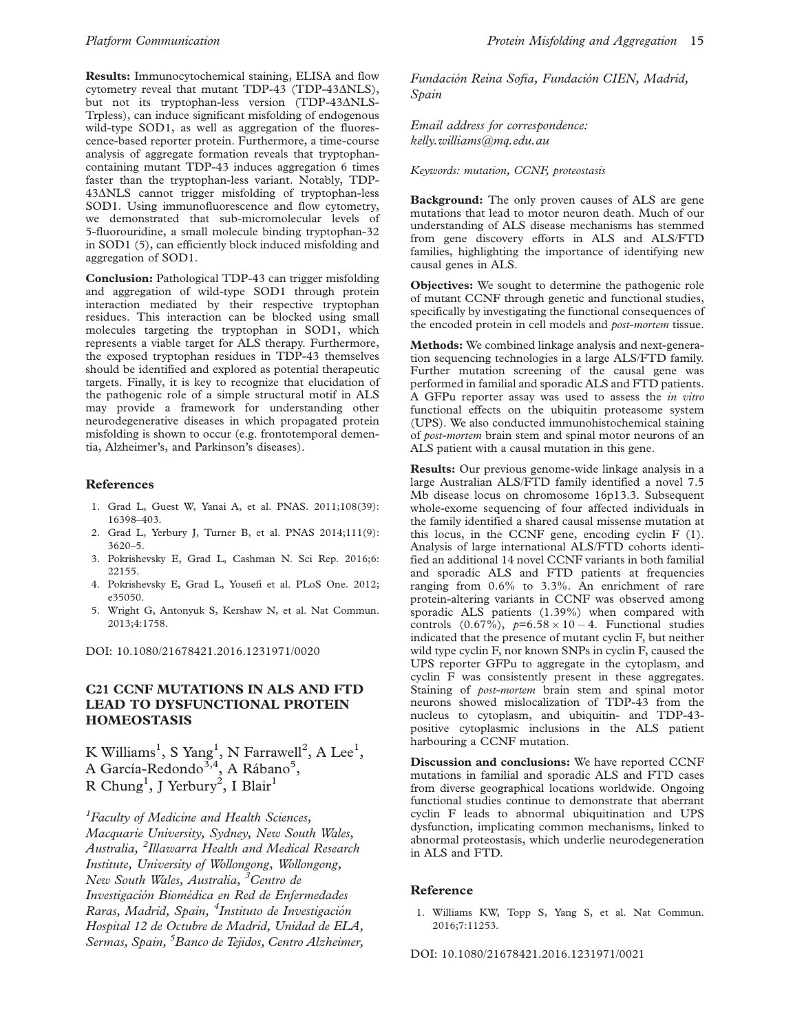<span id="page-15-0"></span>Results: Immunocytochemical staining, ELISA and flow cytometry reveal that mutant TDP-43 (TDP-43 $\triangle NLS$ ), but not its tryptophan-less version (TDP-43 $\triangle$ NLS-Trpless), can induce significant misfolding of endogenous wild-type SOD1, as well as aggregation of the fluorescence-based reporter protein. Furthermore, a time-course analysis of aggregate formation reveals that tryptophancontaining mutant TDP-43 induces aggregation 6 times faster than the tryptophan-less variant. Notably, TDP-43 $\triangle$ NLS cannot trigger misfolding of tryptophan-less SOD1. Using immunofluorescence and flow cytometry, we demonstrated that sub-micromolecular levels of 5-fluorouridine, a small molecule binding tryptophan-32 in SOD1 (5), can efficiently block induced misfolding and aggregation of SOD1.

Conclusion: Pathological TDP-43 can trigger misfolding and aggregation of wild-type SOD1 through protein interaction mediated by their respective tryptophan residues. This interaction can be blocked using small molecules targeting the tryptophan in SOD1, which represents a viable target for ALS therapy. Furthermore, the exposed tryptophan residues in TDP-43 themselves should be identified and explored as potential therapeutic targets. Finally, it is key to recognize that elucidation of the pathogenic role of a simple structural motif in ALS may provide a framework for understanding other neurodegenerative diseases in which propagated protein misfolding is shown to occur (e.g. frontotemporal dementia, Alzheimer's, and Parkinson's diseases).

#### References

- 1. Grad L, Guest W, Yanai A, et al. PNAS. 2011;108(39): 16398–403.
- 2. Grad L, Yerbury J, Turner B, et al. PNAS 2014;111(9): 3620–5.
- 3. Pokrishevsky E, Grad L, Cashman N. Sci Rep. 2016;6: 22155.
- 4. Pokrishevsky E, Grad L, Yousefi et al. PLoS One. 2012; e35050.
- 5. Wright G, Antonyuk S, Kershaw N, et al. Nat Commun. 2013;4:1758.

DOI: 10.1080/21678421.2016.1231971/0020

# C21 CCNF MUTATIONS IN ALS AND FTD LEAD TO DYSFUNCTIONAL PROTEIN **HOMEOSTASIS**

K Williams<sup>1</sup>, S Yang<sup>1</sup>, N Farrawell<sup>2</sup>, A Lee<sup>1</sup>, A García-Redondo<sup>3,4</sup>, A Rábano<sup>5</sup>, R Chung<sup>1</sup>, J Yerbury<sup>2</sup>, I Blair<sup>1</sup>

<sup>1</sup> Faculty of Medicine and Health Sciences, Macquarie University, Sydney, New South Wales, Australia, <sup>2</sup>Illawarra Health and Medical Research Institute, University of Wollongong, Wollongong, New South Wales, Australia, <sup>3</sup>Centro de Investigación Biomédica en Red de Enfermedades Raras, Madrid, Spain, <sup>4</sup>Instituto de Investigación Hospital 12 de Octubre de Madrid, Unidad de ELA, Sermas, Spain, <sup>5</sup>Banco de Tejidos, Centro Alzheimer,

Fundación Reina Sofia, Fundación CIEN, Madrid, Spain

Email address for correspondence: kelly.williams@mq.edu.au

Keywords: mutation, CCNF, proteostasis

Background: The only proven causes of ALS are gene mutations that lead to motor neuron death. Much of our understanding of ALS disease mechanisms has stemmed from gene discovery efforts in ALS and ALS/FTD families, highlighting the importance of identifying new causal genes in ALS.

Objectives: We sought to determine the pathogenic role of mutant CCNF through genetic and functional studies, specifically by investigating the functional consequences of the encoded protein in cell models and post-mortem tissue.

Methods: We combined linkage analysis and next-generation sequencing technologies in a large ALS/FTD family. Further mutation screening of the causal gene was performed in familial and sporadic ALS and FTD patients. A GFPu reporter assay was used to assess the *in vitro* functional effects on the ubiquitin proteasome system (UPS). We also conducted immunohistochemical staining of post-mortem brain stem and spinal motor neurons of an ALS patient with a causal mutation in this gene.

Results: Our previous genome-wide linkage analysis in a large Australian ALS/FTD family identified a novel 7.5 Mb disease locus on chromosome 16p13.3. Subsequent whole-exome sequencing of four affected individuals in the family identified a shared causal missense mutation at this locus, in the CCNF gene, encoding cyclin F (1). Analysis of large international ALS/FTD cohorts identified an additional 14 novel CCNF variants in both familial and sporadic ALS and FTD patients at frequencies ranging from 0.6% to 3.3%. An enrichment of rare protein-altering variants in CCNF was observed among sporadic ALS patients (1.39%) when compared with controls  $(0.67\%)$ ,  $p=6.58 \times 10-4$ . Functional studies indicated that the presence of mutant cyclin F, but neither wild type cyclin F, nor known SNPs in cyclin F, caused the UPS reporter GFPu to aggregate in the cytoplasm, and cyclin F was consistently present in these aggregates. Staining of *post-mortem* brain stem and spinal motor neurons showed mislocalization of TDP-43 from the nucleus to cytoplasm, and ubiquitin- and TDP-43 positive cytoplasmic inclusions in the ALS patient harbouring a CCNF mutation.

Discussion and conclusions: We have reported CCNF mutations in familial and sporadic ALS and FTD cases from diverse geographical locations worldwide. Ongoing functional studies continue to demonstrate that aberrant cyclin F leads to abnormal ubiquitination and UPS dysfunction, implicating common mechanisms, linked to abnormal proteostasis, which underlie neurodegeneration in ALS and FTD.

#### Reference

1. Williams KW, Topp S, Yang S, et al. Nat Commun. 2016;7:11253.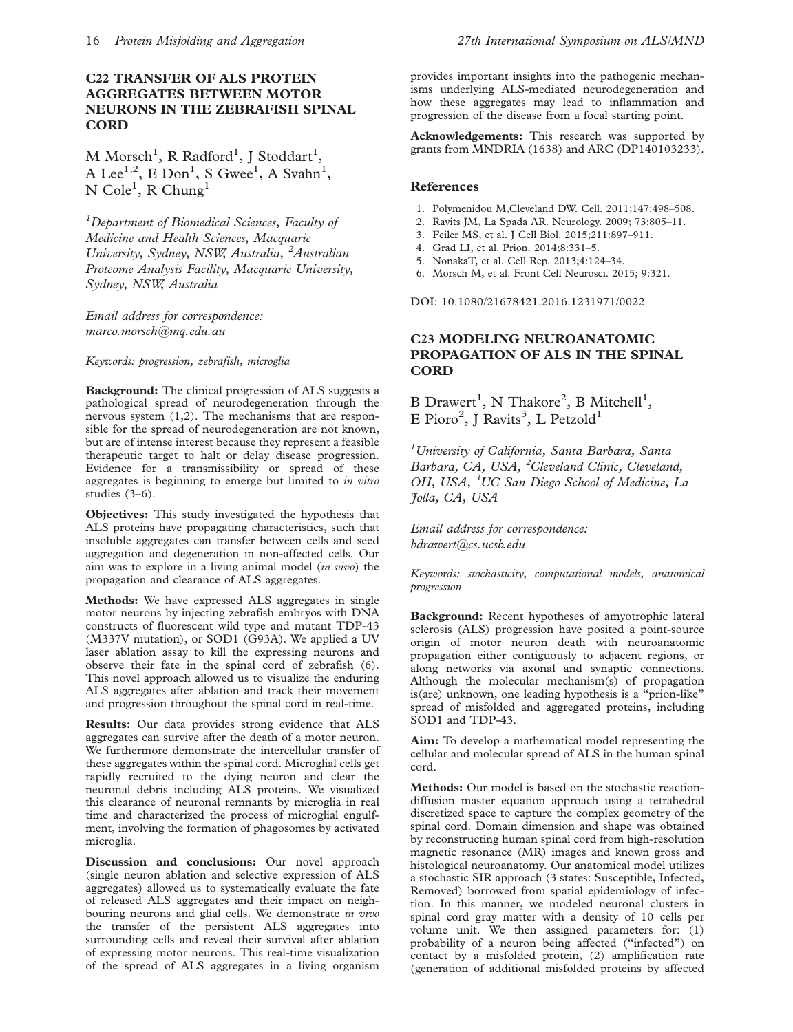### C22 TRANSFER OF ALS PROTEIN AGGREGATES BETWEEN MOTOR NEURONS IN THE ZEBRAFISH SPINAL **CORD**

M Morsch<sup>1</sup>, R Radford<sup>1</sup>, J Stoddart<sup>1</sup>, A Lee<sup>1,2</sup>, E Don<sup>1</sup>, S Gwee<sup>1</sup>, A Svahn<sup>1</sup>, N Cole<sup>1</sup>, R Chung<sup>1</sup>

<sup>1</sup>Department of Biomedical Sciences, Faculty of Medicine and Health Sciences, Macquarie University, Sydney, NSW, Australia, <sup>2</sup>Australian Proteome Analysis Facility, Macquarie University, Sydney, NSW, Australia

Email address for correspondence: marco.morsch@mq.edu.au

Keywords: progression, zebrafish, microglia

Background: The clinical progression of ALS suggests a pathological spread of neurodegeneration through the nervous system (1,2). The mechanisms that are responsible for the spread of neurodegeneration are not known, but are of intense interest because they represent a feasible therapeutic target to halt or delay disease progression. Evidence for a transmissibility or spread of these aggregates is beginning to emerge but limited to *in vitro* studies (3–6).

Objectives: This study investigated the hypothesis that ALS proteins have propagating characteristics, such that insoluble aggregates can transfer between cells and seed aggregation and degeneration in non-affected cells. Our aim was to explore in a living animal model  $(in \, vivo)$  the propagation and clearance of ALS aggregates.

Methods: We have expressed ALS aggregates in single motor neurons by injecting zebrafish embryos with DNA constructs of fluorescent wild type and mutant TDP-43 (M337V mutation), or SOD1 (G93A). We applied a UV laser ablation assay to kill the expressing neurons and observe their fate in the spinal cord of zebrafish (6). This novel approach allowed us to visualize the enduring ALS aggregates after ablation and track their movement and progression throughout the spinal cord in real-time.

Results: Our data provides strong evidence that ALS aggregates can survive after the death of a motor neuron. We furthermore demonstrate the intercellular transfer of these aggregates within the spinal cord. Microglial cells get rapidly recruited to the dying neuron and clear the neuronal debris including ALS proteins. We visualized this clearance of neuronal remnants by microglia in real time and characterized the process of microglial engulfment, involving the formation of phagosomes by activated microglia.

Discussion and conclusions: Our novel approach (single neuron ablation and selective expression of ALS aggregates) allowed us to systematically evaluate the fate of released ALS aggregates and their impact on neighbouring neurons and glial cells. We demonstrate in vivo the transfer of the persistent ALS aggregates into surrounding cells and reveal their survival after ablation of expressing motor neurons. This real-time visualization of the spread of ALS aggregates in a living organism

provides important insights into the pathogenic mechanisms underlying ALS-mediated neurodegeneration and how these aggregates may lead to inflammation and progression of the disease from a focal starting point.

Acknowledgements: This research was supported by grants from MNDRIA (1638) and ARC (DP140103233).

#### References

- 1. Polymenidou M,Cleveland DW. Cell. 2011;147:498–508.
- 2. Ravits JM, La Spada AR. Neurology. 2009; 73:805–11.
- 3. Feiler MS, et al. J Cell Biol. 2015;211:897–911.
- 4. Grad LI, et al. Prion. 2014;8:331–5.
- 5. NonakaT, et al. Cell Rep. 2013;4:124–34.
- 6. Morsch M, et al. Front Cell Neurosci. 2015; 9:321.

DOI: 10.1080/21678421.2016.1231971/0022

# C23 MODELING NEUROANATOMIC PROPAGATION OF ALS IN THE SPINAL CORD

B Drawert<sup>1</sup>, N Thakore<sup>2</sup>, B Mitchell<sup>1</sup>, E Pioro<sup>2</sup>, J Ravits<sup>3</sup>, L Petzold<sup>1</sup>

1 University of California, Santa Barbara, Santa Barbara, CA, USA, <sup>2</sup>Cleveland Clinic, Cleveland, OH, USA, <sup>3</sup>UC San Diego School of Medicine, La Jolla, CA, USA

Email address for correspondence: bdrawert@cs.ucsb.edu

Keywords: stochasticity, computational models, anatomical progression

Background: Recent hypotheses of amyotrophic lateral sclerosis (ALS) progression have posited a point-source origin of motor neuron death with neuroanatomic propagation either contiguously to adjacent regions, or along networks via axonal and synaptic connections. Although the molecular mechanism(s) of propagation is(are) unknown, one leading hypothesis is a ''prion-like'' spread of misfolded and aggregated proteins, including SOD1 and TDP-43.

Aim: To develop a mathematical model representing the cellular and molecular spread of ALS in the human spinal cord.

Methods: Our model is based on the stochastic reactiondiffusion master equation approach using a tetrahedral discretized space to capture the complex geometry of the spinal cord. Domain dimension and shape was obtained by reconstructing human spinal cord from high-resolution magnetic resonance (MR) images and known gross and histological neuroanatomy. Our anatomical model utilizes a stochastic SIR approach (3 states: Susceptible, Infected, Removed) borrowed from spatial epidemiology of infection. In this manner, we modeled neuronal clusters in spinal cord gray matter with a density of 10 cells per volume unit. We then assigned parameters for: ([1\)](#page-6-0) probability of a neuron being affected (''infected'') on contact by a misfolded protein, [\(2](#page-9-0)) amplification rate (generation of additional misfolded proteins by affected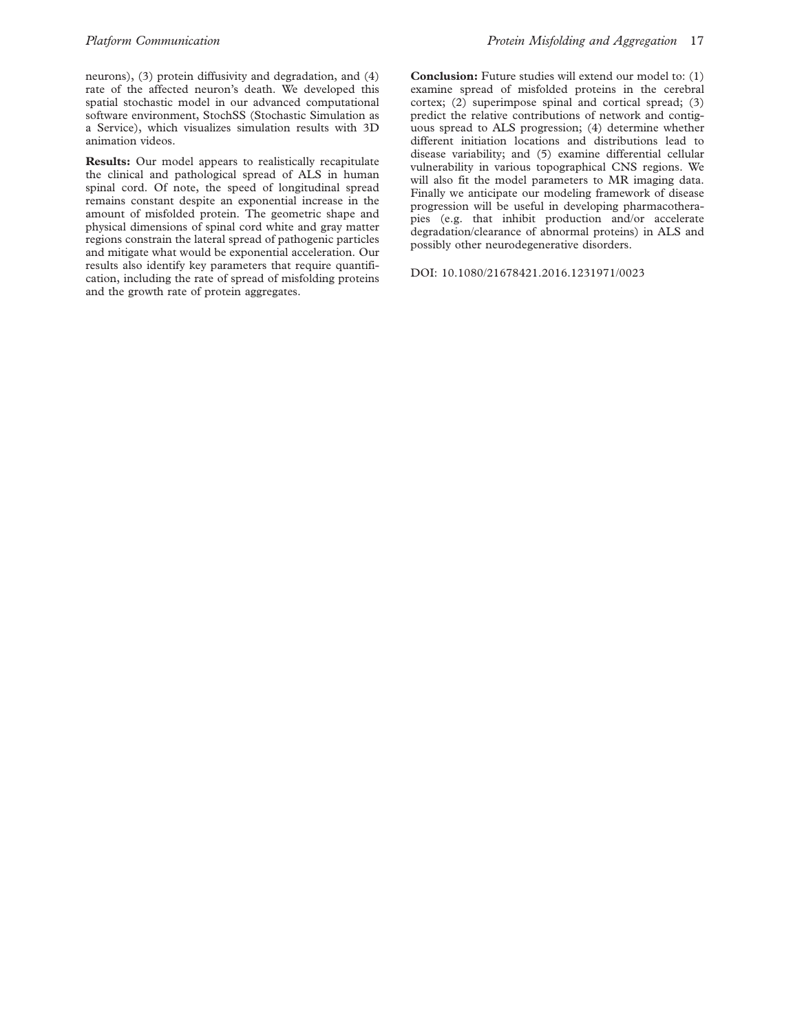neurons), ([3\)](#page-10-0) protein diffusivity and degradation, and [\(4](#page-10-0)) rate of the affected neuron's death. We developed this spatial stochastic model in our advanced computational software environment, StochSS (Stochastic Simulation as a Service), which visualizes simulation results with 3D animation videos.

Results: Our model appears to realistically recapitulate the clinical and pathological spread of ALS in human spinal cord. Of note, the speed of longitudinal spread remains constant despite an exponential increase in the amount of misfolded protein. The geometric shape and physical dimensions of spinal cord white and gray matter regions constrain the lateral spread of pathogenic particles and mitigate what would be exponential acceleration. Our results also identify key parameters that require quantification, including the rate of spread of misfolding proteins and the growth rate of protein aggregates.

Conclusion: Future studies will extend our model to: ([1\)](#page-6-0) examine spread of misfolded proteins in the cerebral cortex; [\(2](#page-9-0)) superimpose spinal and cortical spread; ([3\)](#page-10-0) predict the relative contributions of network and contiguous spread to ALS progression; ([4\)](#page-10-0) determine whether different initiation locations and distributions lead to disease variability; and ([5\)](#page-10-0) examine differential cellular vulnerability in various topographical CNS regions. We will also fit the model parameters to MR imaging data. Finally we anticipate our modeling framework of disease progression will be useful in developing pharmacotherapies (e.g. that inhibit production and/or accelerate degradation/clearance of abnormal proteins) in ALS and possibly other neurodegenerative disorders.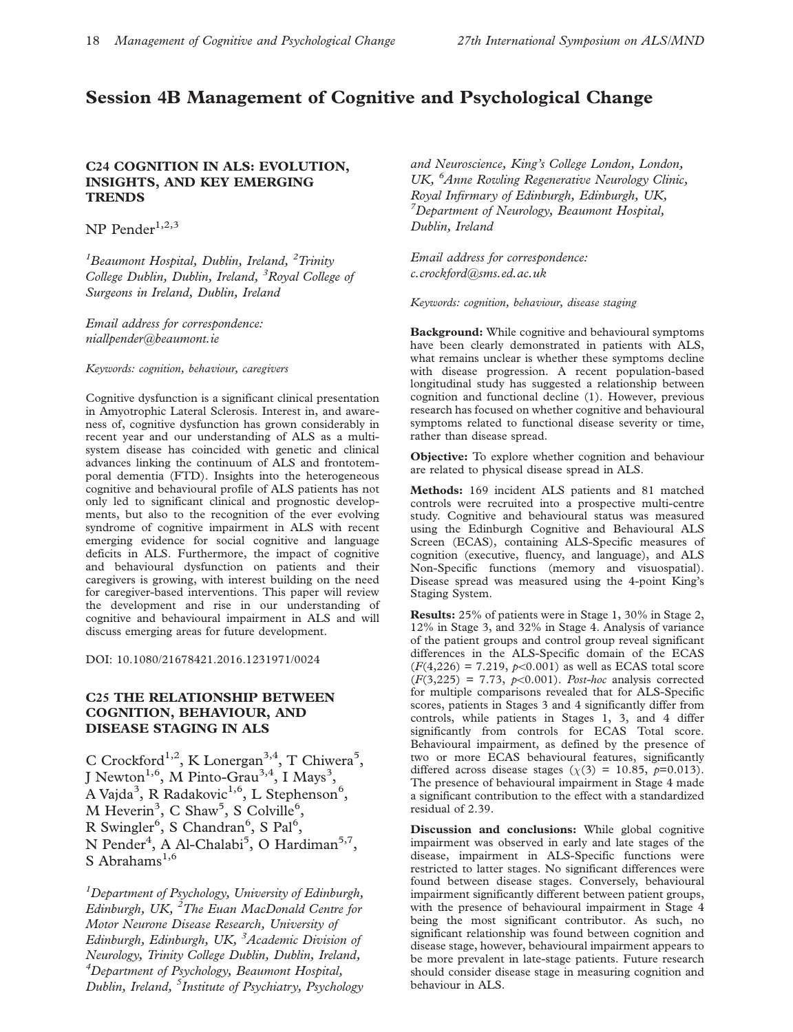# Session 4B Management of Cognitive and Psychological Change

### C24 COGNITION IN ALS: EVOLUTION, INSIGHTS, AND KEY EMERGING **TRENDS**

NP Pender<sup>1,2,3</sup>

 ${}^{1}$ Beaumont Hospital, Dublin, Ireland,  ${}^{2}$ Trinity College Dublin, Dublin, Ireland, <sup>3</sup>Royal College of Surgeons in Ireland, Dublin, Ireland

Email address for correspondence: niallpender@beaumont.ie

Keywords: cognition, behaviour, caregivers

Cognitive dysfunction is a significant clinical presentation in Amyotrophic Lateral Sclerosis. Interest in, and awareness of, cognitive dysfunction has grown considerably in recent year and our understanding of ALS as a multisystem disease has coincided with genetic and clinical advances linking the continuum of ALS and frontotemporal dementia (FTD). Insights into the heterogeneous cognitive and behavioural profile of ALS patients has not only led to significant clinical and prognostic developments, but also to the recognition of the ever evolving syndrome of cognitive impairment in ALS with recent emerging evidence for social cognitive and language deficits in ALS. Furthermore, the impact of cognitive and behavioural dysfunction on patients and their caregivers is growing, with interest building on the need for caregiver-based interventions. This paper will review the development and rise in our understanding of cognitive and behavioural impairment in ALS and will discuss emerging areas for future development.

DOI: 10.1080/21678421.2016.1231971/0024

# C25 THE RELATIONSHIP BETWEEN COGNITION, BEHAVIOUR, AND DISEASE STAGING IN ALS

C Crockford<sup>1,2</sup>, K Lonergan<sup>3,4</sup>, T Chiwera<sup>5</sup>, J Newton<sup>1,6</sup>, M Pinto-Grau<sup>3,4</sup>, I Mays<sup>3</sup>, A Vajda<sup>3</sup>, R Radakovic<sup>1,6</sup>, L Stephenson<sup>6</sup>, M Heverin<sup>3</sup>, C Shaw<sup>5</sup>, S Colville<sup>6</sup>, R Swingler<sup>6</sup>, S Chandran<sup>6</sup>, S Pal<sup>6</sup>, N Pender<sup>4</sup>, A Al-Chalabi<sup>5</sup>, O Hardiman<sup>5,7</sup>, S Abrahams $^{1,6}$ 

<sup>1</sup>Department of Psychology, University of Edinburgh, Edinburgh, UK, <sup>2</sup>The Euan MacDonald Centre for Motor Neurone Disease Research, University of Edinburgh, Edinburgh, UK, <sup>3</sup>Academic Division of Neurology, Trinity College Dublin, Dublin, Ireland, <sup>4</sup>Department of Psychology, Beaumont Hospital, Dublin, Ireland, <sup>5</sup>Institute of Psychiatry, Psychology and Neuroscience, King's College London, London, UK, <sup>6</sup> Anne Rowling Regenerative Neurology Clinic, Royal Infirmary of Edinburgh, Edinburgh, UK, <sup>7</sup>Department of Neurology, Beaumont Hospital, Dublin, Ireland

Email address for correspondence: c.crockford@sms.ed.ac.uk

Keywords: cognition, behaviour, disease staging

Background: While cognitive and behavioural symptoms have been clearly demonstrated in patients with ALS, what remains unclear is whether these symptoms decline with disease progression. A recent population-based longitudinal study has suggested a relationship between cognition and functional decline [\(1](#page-19-0)). However, previous research has focused on whether cognitive and behavioural symptoms related to functional disease severity or time, rather than disease spread.

Objective: To explore whether cognition and behaviour are related to physical disease spread in ALS.

Methods: 169 incident ALS patients and 81 matched controls were recruited into a prospective multi-centre study. Cognitive and behavioural status was measured using the Edinburgh Cognitive and Behavioural ALS Screen (ECAS), containing ALS-Specific measures of cognition (executive, fluency, and language), and ALS Non-Specific functions (memory and visuospatial). Disease spread was measured using the 4-point King's Staging System.

Results: 25% of patients were in Stage 1, 30% in Stage 2, 12% in Stage 3, and 32% in Stage 4. Analysis of variance of the patient groups and control group reveal significant differences in the ALS-Specific domain of the ECAS  $(F(4,226) = 7.219, p<0.001)$  as well as ECAS total score  $(F(3,225) = 7.73, p<0.001)$ . *Post-hoc* analysis corrected for multiple comparisons revealed that for ALS-Specific scores, patients in Stages 3 and 4 significantly differ from controls, while patients in Stages 1, 3, and 4 differ significantly from controls for ECAS Total score. Behavioural impairment, as defined by the presence of two or more ECAS behavioural features, significantly differed across disease stages ( $\chi$ ([3\)](#page-10-0) = 10.85, p=0.013). The presence of behavioural impairment in Stage 4 made a significant contribution to the effect with a standardized residual of 2.39.

Discussion and conclusions: While global cognitive impairment was observed in early and late stages of the disease, impairment in ALS-Specific functions were restricted to latter stages. No significant differences were found between disease stages. Conversely, behavioural impairment significantly different between patient groups, with the presence of behavioural impairment in Stage 4 being the most significant contributor. As such, no significant relationship was found between cognition and disease stage, however, behavioural impairment appears to be more prevalent in late-stage patients. Future research should consider disease stage in measuring cognition and behaviour in ALS.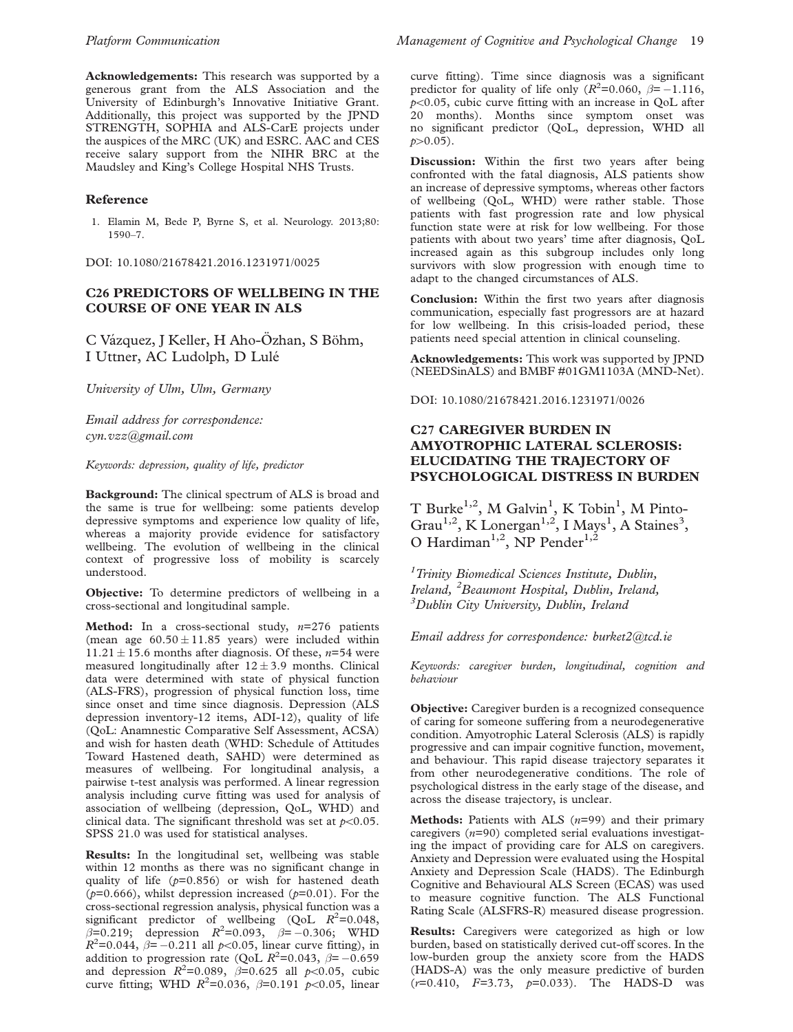<span id="page-19-0"></span>Acknowledgements: This research was supported by a generous grant from the ALS Association and the University of Edinburgh's Innovative Initiative Grant. Additionally, this project was supported by the JPND STRENGTH, SOPHIA and ALS-CarE projects under the auspices of the MRC (UK) and ESRC. AAC and CES receive salary support from the NIHR BRC at the Maudsley and King's College Hospital NHS Trusts.

#### Reference

1. Elamin M, Bede P, Byrne S, et al. Neurology. 2013;80: 1590–7.

DOI: 10.1080/21678421.2016.1231971/0025

### C26 PREDICTORS OF WELLBEING IN THE COURSE OF ONE YEAR IN ALS

C Vázquez, J Keller, H Aho-Özhan, S Böhm, I Uttner, AC Ludolph, D Lule´

University of Ulm, Ulm, Germany

Email address for correspondence: cyn.vzz@gmail.com

Keywords: depression, quality of life, predictor

Background: The clinical spectrum of ALS is broad and the same is true for wellbeing: some patients develop depressive symptoms and experience low quality of life, whereas a majority provide evidence for satisfactory wellbeing. The evolution of wellbeing in the clinical context of progressive loss of mobility is scarcely understood.

Objective: To determine predictors of wellbeing in a cross-sectional and longitudinal sample.

**Method:** In a cross-sectional study,  $n=276$  patients (mean age  $60.50 \pm 11.85$  years) were included within  $11.21 \pm 15.6$  months after diagnosis. Of these,  $n=54$  were measured longitudinally after  $12 \pm 3.9$  months. Clinical data were determined with state of physical function (ALS-FRS), progression of physical function loss, time since onset and time since diagnosis. Depression (ALS depression inventory-12 items, ADI-12), quality of life (QoL: Anamnestic Comparative Self Assessment, ACSA) and wish for hasten death (WHD: Schedule of Attitudes Toward Hastened death, SAHD) were determined as measures of wellbeing. For longitudinal analysis, a pairwise t-test analysis was performed. A linear regression analysis including curve fitting was used for analysis of association of wellbeing (depression, QoL, WHD) and clinical data. The significant threshold was set at  $p<0.05$ . SPSS 21.0 was used for statistical analyses.

Results: In the longitudinal set, wellbeing was stable within 12 months as there was no significant change in quality of life  $(p=0.856)$  or wish for hastened death ( $p=0.666$ ), whilst depression increased ( $p=0.01$ ). For the cross-sectional regression analysis, physical function was a significant predictor of wellbeing (QoL  $R^2$ =0.048,  $\beta = 0.219$ ; depression  $R^2 = 0.093$ ,  $\beta = -0.306$ ; WHD  $R^2 = 0.044$ ,  $\beta = -0.211$  all  $p < 0.05$ , linear curve fitting), in addition to progression rate (QoL  $R^2$ =0.043,  $\beta$ = -0.659 and depression  $R^2 = 0.089$ ,  $\beta = 0.625$  all  $p < 0.05$ , cubic curve fitting; WHD  $R^2 = 0.036$ ,  $\beta = 0.191$   $p < 0.05$ , linear

curve fitting). Time since diagnosis was a significant predictor for quality of life only  $(R^2=0.060, \beta=-1.116,$  $p<0.05$ , cubic curve fitting with an increase in QoL after 20 months). Months since symptom onset was no significant predictor (QoL, depression, WHD all  $p>0.05$ ).

Discussion: Within the first two years after being confronted with the fatal diagnosis, ALS patients show an increase of depressive symptoms, whereas other factors of wellbeing (QoL, WHD) were rather stable. Those patients with fast progression rate and low physical function state were at risk for low wellbeing. For those patients with about two years' time after diagnosis, QoL increased again as this subgroup includes only long survivors with slow progression with enough time to adapt to the changed circumstances of ALS.

Conclusion: Within the first two years after diagnosis communication, especially fast progressors are at hazard for low wellbeing. In this crisis-loaded period, these patients need special attention in clinical counseling.

Acknowledgements: This work was supported by JPND (NEEDSinALS) and BMBF #01GM1103A (MND-Net).

DOI: 10.1080/21678421.2016.1231971/0026

# C27 CAREGIVER BURDEN IN AMYOTROPHIC LATERAL SCLEROSIS: ELUCIDATING THE TRAJECTORY OF PSYCHOLOGICAL DISTRESS IN BURDEN

T Burke<sup>1,2</sup>, M Galvin<sup>1</sup>, K Tobin<sup>1</sup>, M Pinto-Grau<sup>1,2</sup>, K Lonergan<sup>1,2</sup>, I Mays<sup>1</sup>, A Staines<sup>3</sup>, O Hardiman<sup>1,2</sup>, NP Pender<sup>1,2</sup>

<sup>1</sup> Trinity Biomedical Sciences Institute, Dublin, Ireland, <sup>2</sup>Beaumont Hospital, Dublin, Ireland,<br><sup>3</sup>Dublin City University, Dublin, Ireland  ${}^{3}$ Dublin City University, Dublin, Ireland

Email address for correspondence: burket2@tcd.ie

Keywords: caregiver burden, longitudinal, cognition and behaviour

Objective: Caregiver burden is a recognized consequence of caring for someone suffering from a neurodegenerative condition. Amyotrophic Lateral Sclerosis (ALS) is rapidly progressive and can impair cognitive function, movement, and behaviour. This rapid disease trajectory separates it from other neurodegenerative conditions. The role of psychological distress in the early stage of the disease, and across the disease trajectory, is unclear.

**Methods:** Patients with ALS  $(n=99)$  and their primary caregivers  $(n=90)$  completed serial evaluations investigating the impact of providing care for ALS on caregivers. Anxiety and Depression were evaluated using the Hospital Anxiety and Depression Scale (HADS). The Edinburgh Cognitive and Behavioural ALS Screen (ECAS) was used to measure cognitive function. The ALS Functional Rating Scale (ALSFRS-R) measured disease progression.

Results: Caregivers were categorized as high or low burden, based on statistically derived cut-off scores. In the low-burden group the anxiety score from the HADS (HADS-A) was the only measure predictive of burden  $(r=0.410, F=3.73, p=0.033)$ . The HADS-D was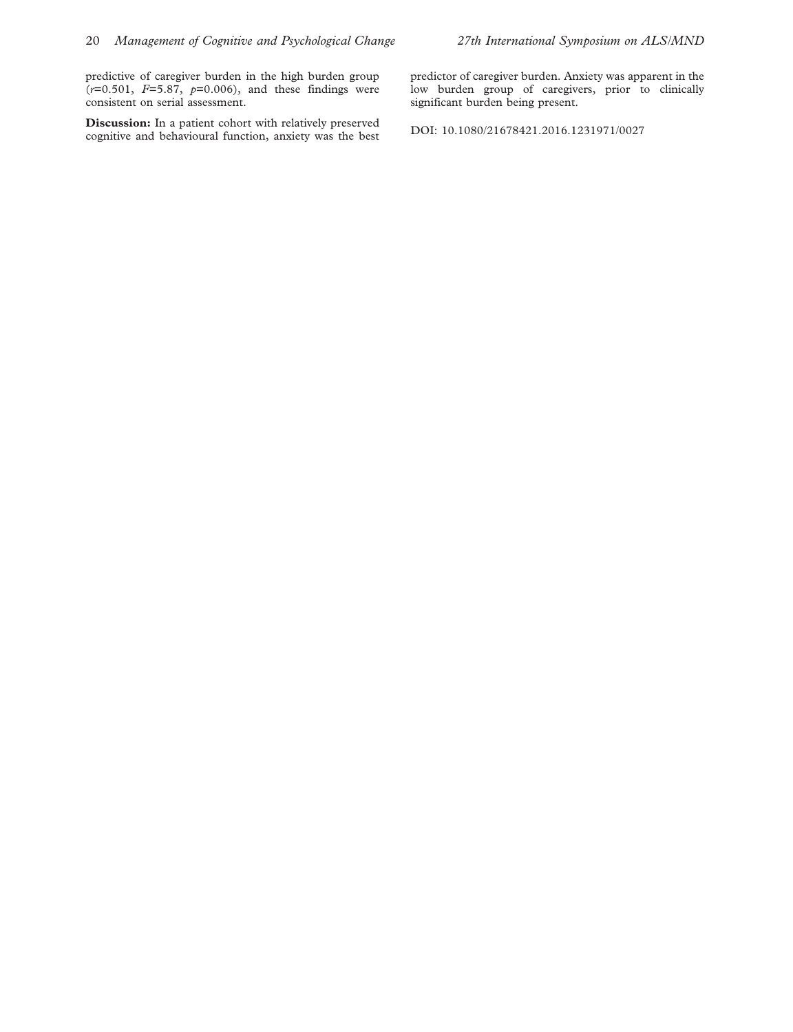predictive of caregiver burden in the high burden group  $(r=0.501, F=5.87, p=0.006)$ , and these findings were consistent on serial assessment.

Discussion: In a patient cohort with relatively preserved cognitive and behavioural function, anxiety was the best

predictor of caregiver burden. Anxiety was apparent in the low burden group of caregivers, prior to clinically significant burden being present.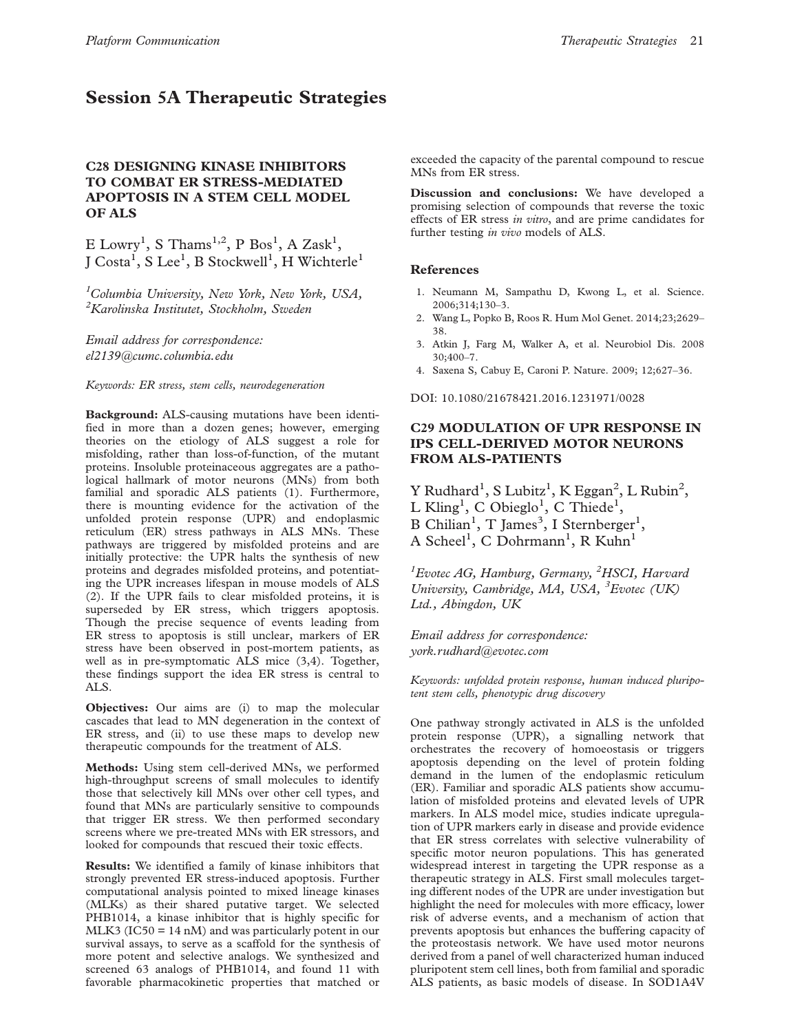# Session 5A Therapeutic Strategies

# C28 DESIGNING KINASE INHIBITORS TO COMBAT ER STRESS-MEDIATED APOPTOSIS IN A STEM CELL MODEL OF ALS

E Lowry<sup>1</sup>, S Thams<sup>1,2</sup>, P Bos<sup>1</sup>, A Zask<sup>1</sup>, J Costa<sup>1</sup>, S Lee<sup>1</sup>, B Stockwell<sup>1</sup>, H Wichterle<sup>1</sup>

1 Columbia University, New York, New York, USA,  ${}^{2}$ Karolinska Institutet, Stockholm, Sweden

Email address for correspondence: el2139@cumc.columbia.edu

Keywords: ER stress, stem cells, neurodegeneration

Background: ALS-causing mutations have been identified in more than a dozen genes; however, emerging theories on the etiology of ALS suggest a role for misfolding, rather than loss-of-function, of the mutant proteins. Insoluble proteinaceous aggregates are a pathological hallmark of motor neurons (MNs) from both familial and sporadic ALS patients (1). Furthermore, there is mounting evidence for the activation of the unfolded protein response (UPR) and endoplasmic reticulum (ER) stress pathways in ALS MNs. These pathways are triggered by misfolded proteins and are initially protective: the UPR halts the synthesis of new proteins and degrades misfolded proteins, and potentiating the UPR increases lifespan in mouse models of ALS (2). If the UPR fails to clear misfolded proteins, it is superseded by ER stress, which triggers apoptosis. Though the precise sequence of events leading from ER stress to apoptosis is still unclear, markers of ER stress have been observed in post-mortem patients, as well as in pre-symptomatic ALS mice (3,4). Together, these findings support the idea ER stress is central to ALS.

Objectives: Our aims are (i) to map the molecular cascades that lead to MN degeneration in the context of ER stress, and (ii) to use these maps to develop new therapeutic compounds for the treatment of ALS.

Methods: Using stem cell-derived MNs, we performed high-throughput screens of small molecules to identify those that selectively kill MNs over other cell types, and found that MNs are particularly sensitive to compounds that trigger ER stress. We then performed secondary screens where we pre-treated MNs with ER stressors, and looked for compounds that rescued their toxic effects.

Results: We identified a family of kinase inhibitors that strongly prevented ER stress-induced apoptosis. Further computational analysis pointed to mixed lineage kinases (MLKs) as their shared putative target. We selected PHB1014, a kinase inhibitor that is highly specific for MLK3 (IC50 = 14 nM) and was particularly potent in our survival assays, to serve as a scaffold for the synthesis of more potent and selective analogs. We synthesized and screened 63 analogs of PHB1014, and found 11 with favorable pharmacokinetic properties that matched or

exceeded the capacity of the parental compound to rescue MNs from ER stress.

Discussion and conclusions: We have developed a promising selection of compounds that reverse the toxic effects of ER stress in vitro, and are prime candidates for further testing in vivo models of ALS.

### References

- 1. Neumann M, Sampathu D, Kwong L, et al. Science. 2006;314;130–3.
- 2. Wang L, Popko B, Roos R. Hum Mol Genet. 2014;23;2629– 38.
- 3. Atkin J, Farg M, Walker A, et al. Neurobiol Dis. 2008 30;400–7.
- 4. Saxena S, Cabuy E, Caroni P. Nature. 2009; 12;627–36.

DOI: 10.1080/21678421.2016.1231971/0028

# C29 MODULATION OF UPR RESPONSE IN IPS CELL-DERIVED MOTOR NEURONS FROM ALS-PATIENTS

Y Rudhard<sup>1</sup>, S Lubitz<sup>1</sup>, K Eggan<sup>2</sup>, L Rubin<sup>2</sup>, L Kling<sup>1</sup>, C Obieglo<sup>1</sup>, C Thiede<sup>1</sup>, B Chilian<sup>1</sup>, T James<sup>3</sup>, I Sternberger<sup>1</sup>, A Scheel<sup>1</sup>, C Dohrmann<sup>1</sup>, R Kuhn<sup>1</sup>

<sup>1</sup> Evotec AG, Hamburg, Germany, <sup>2</sup>HSCI, Harvard University, Cambridge, MA, USA, <sup>3</sup>Evotec (UK) Ltd., Abingdon, UK

Email address for correspondence: york.rudhard@evotec.com

Keywords: unfolded protein response, human induced pluripotent stem cells, phenotypic drug discovery

One pathway strongly activated in ALS is the unfolded protein response (UPR), a signalling network that orchestrates the recovery of homoeostasis or triggers apoptosis depending on the level of protein folding demand in the lumen of the endoplasmic reticulum (ER). Familiar and sporadic ALS patients show accumulation of misfolded proteins and elevated levels of UPR markers. In ALS model mice, studies indicate upregulation of UPR markers early in disease and provide evidence that ER stress correlates with selective vulnerability of specific motor neuron populations. This has generated widespread interest in targeting the UPR response as a therapeutic strategy in ALS. First small molecules targeting different nodes of the UPR are under investigation but highlight the need for molecules with more efficacy, lower risk of adverse events, and a mechanism of action that prevents apoptosis but enhances the buffering capacity of the proteostasis network. We have used motor neurons derived from a panel of well characterized human induced pluripotent stem cell lines, both from familial and sporadic ALS patients, as basic models of disease. In SOD1A4V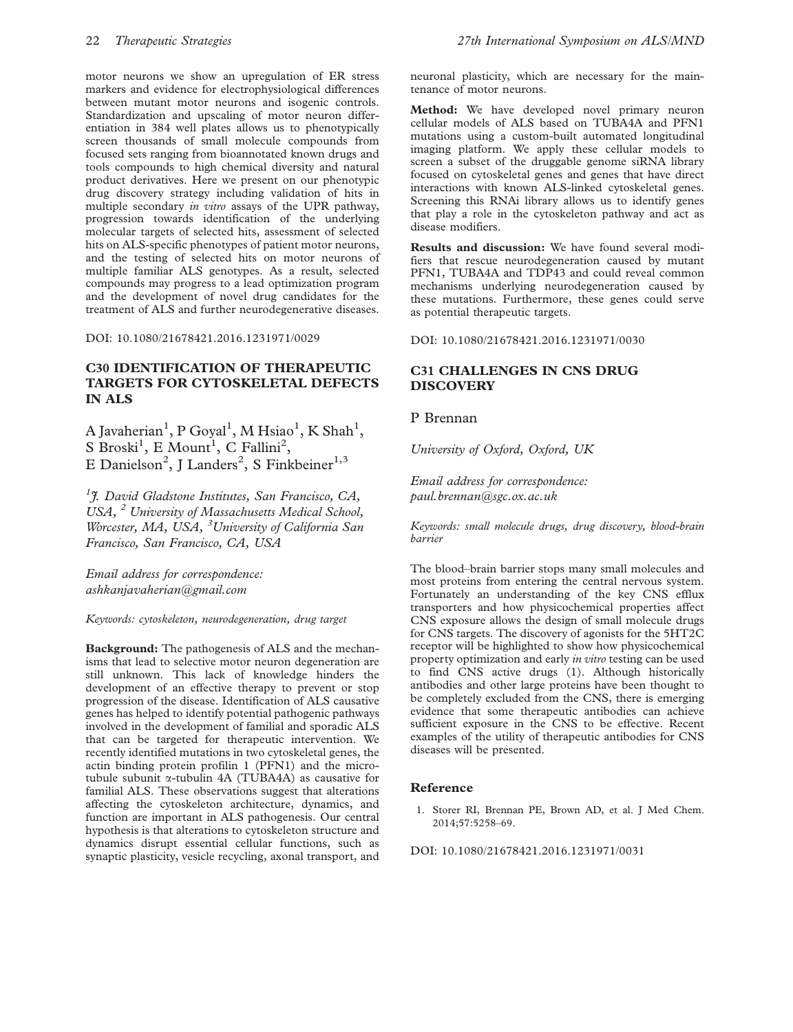motor neurons we show an upregulation of ER stress markers and evidence for electrophysiological differences between mutant motor neurons and isogenic controls. Standardization and upscaling of motor neuron differentiation in 384 well plates allows us to phenotypically screen thousands of small molecule compounds from focused sets ranging from bioannotated known drugs and tools compounds to high chemical diversity and natural product derivatives. Here we present on our phenotypic drug discovery strategy including validation of hits in multiple secondary *in vitro* assays of the UPR pathway, progression towards identification of the underlying molecular targets of selected hits, assessment of selected hits on ALS-specific phenotypes of patient motor neurons, and the testing of selected hits on motor neurons of multiple familiar ALS genotypes. As a result, selected compounds may progress to a lead optimization program and the development of novel drug candidates for the treatment of ALS and further neurodegenerative diseases.

DOI: 10.1080/21678421.2016.1231971/0029

# C30 IDENTIFICATION OF THERAPEUTIC TARGETS FOR CYTOSKELETAL DEFECTS IN ALS

A Javaherian<sup>1</sup>, P Goyal<sup>1</sup>, M Hsiao<sup>1</sup>, K Shah<sup>1</sup>, S Broski<sup>1</sup>, E Mount<sup>1</sup>, C Fallini<sup>2</sup>, E Danielson<sup>2</sup>, J Landers<sup>2</sup>, S Finkbeiner<sup>1,3</sup>

<sup>1</sup>J. David Gladstone Institutes, San Francisco, CA, USA, <sup>2</sup> University of Massachusetts Medical School, Worcester, MA, USA, <sup>3</sup>University of California San Francisco, San Francisco, CA, USA

Email address for correspondence: ashkanjavaherian@gmail.com

Keywords: cytoskeleton, neurodegeneration, drug target

Background: The pathogenesis of ALS and the mechanisms that lead to selective motor neuron degeneration are still unknown. This lack of knowledge hinders the development of an effective therapy to prevent or stop progression of the disease. Identification of ALS causative genes has helped to identify potential pathogenic pathways involved in the development of familial and sporadic ALS that can be targeted for therapeutic intervention. We recently identified mutations in two cytoskeletal genes, the actin binding protein profilin 1 (PFN1) and the microtubule subunit  $\alpha$ -tubulin 4A (TUBA4A) as causative for familial ALS. These observations suggest that alterations affecting the cytoskeleton architecture, dynamics, and function are important in ALS pathogenesis. Our central hypothesis is that alterations to cytoskeleton structure and dynamics disrupt essential cellular functions, such as synaptic plasticity, vesicle recycling, axonal transport, and neuronal plasticity, which are necessary for the maintenance of motor neurons.

Method: We have developed novel primary neuron cellular models of ALS based on TUBA4A and PFN1 mutations using a custom-built automated longitudinal imaging platform. We apply these cellular models to screen a subset of the druggable genome siRNA library focused on cytoskeletal genes and genes that have direct interactions with known ALS-linked cytoskeletal genes. Screening this RNAi library allows us to identify genes that play a role in the cytoskeleton pathway and act as disease modifiers.

Results and discussion: We have found several modifiers that rescue neurodegeneration caused by mutant PFN1, TUBA4A and TDP43 and could reveal common mechanisms underlying neurodegeneration caused by these mutations. Furthermore, these genes could serve as potential therapeutic targets.

DOI: 10.1080/21678421.2016.1231971/0030

# C31 CHALLENGES IN CNS DRUG **DISCOVERY**

P Brennan

University of Oxford, Oxford, UK

Email address for correspondence: paul.brennan@sgc.ox.ac.uk

Keywords: small molecule drugs, drug discovery, blood-brain barrier

The blood–brain barrier stops many small molecules and most proteins from entering the central nervous system. Fortunately an understanding of the key CNS efflux transporters and how physicochemical properties affect CNS exposure allows the design of small molecule drugs for CNS targets. The discovery of agonists for the 5HT2C receptor will be highlighted to show how physicochemical property optimization and early in vitro testing can be used to find CNS active drugs (1). Although historically antibodies and other large proteins have been thought to be completely excluded from the CNS, there is emerging evidence that some therapeutic antibodies can achieve sufficient exposure in the CNS to be effective. Recent examples of the utility of therapeutic antibodies for CNS diseases will be presented.

#### Reference

1. Storer RI, Brennan PE, Brown AD, et al. J Med Chem. 2014;57:5258–69.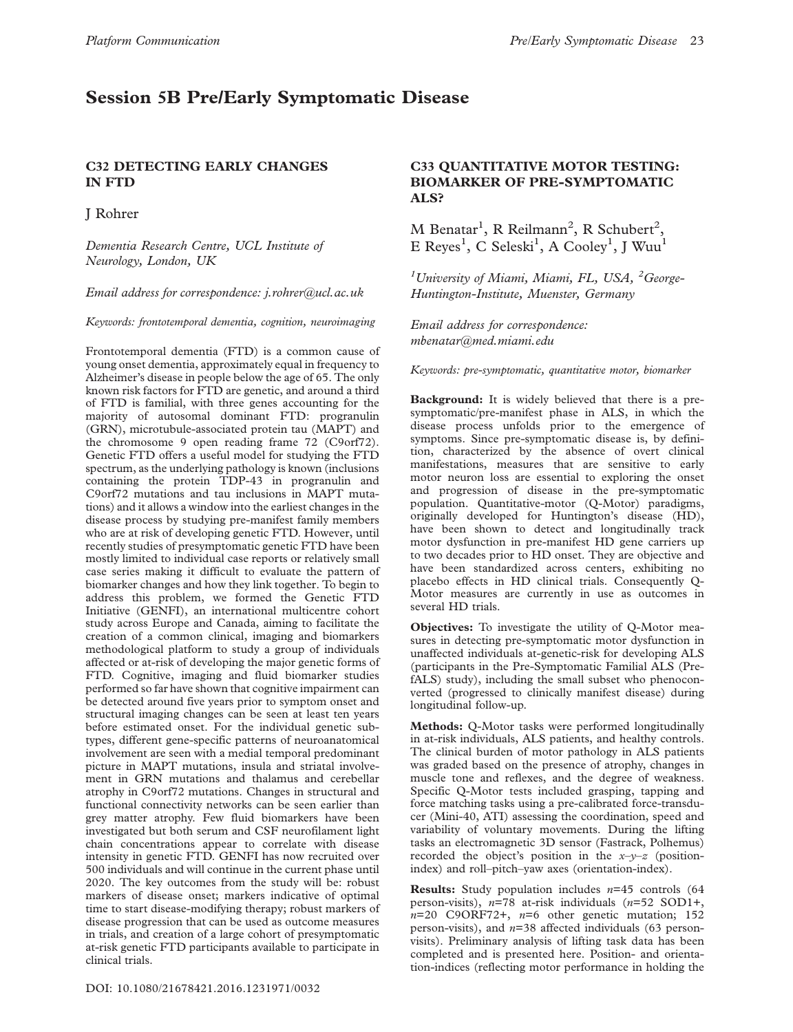# Session 5B Pre/Early Symptomatic Disease

# C32 DETECTING EARLY CHANGES IN FTD

J Rohrer

Dementia Research Centre, UCL Institute of Neurology, London, UK

Email address for correspondence: j.rohrer@ucl.ac.uk

Keywords: frontotemporal dementia, cognition, neuroimaging

Frontotemporal dementia (FTD) is a common cause of young onset dementia, approximately equal in frequency to Alzheimer's disease in people below the age of 65. The only known risk factors for FTD are genetic, and around a third of FTD is familial, with three genes accounting for the majority of autosomal dominant FTD: progranulin (GRN), microtubule-associated protein tau (MAPT) and the chromosome 9 open reading frame 72 (C9orf72). Genetic FTD offers a useful model for studying the FTD spectrum, as the underlying pathology is known (inclusions containing the protein TDP-43 in progranulin and C9orf72 mutations and tau inclusions in MAPT mutations) and it allows a window into the earliest changes in the disease process by studying pre-manifest family members who are at risk of developing genetic FTD. However, until recently studies of presymptomatic genetic FTD have been mostly limited to individual case reports or relatively small case series making it difficult to evaluate the pattern of biomarker changes and how they link together. To begin to address this problem, we formed the Genetic FTD Initiative (GENFI), an international multicentre cohort study across Europe and Canada, aiming to facilitate the creation of a common clinical, imaging and biomarkers methodological platform to study a group of individuals affected or at-risk of developing the major genetic forms of FTD. Cognitive, imaging and fluid biomarker studies performed so far have shown that cognitive impairment can be detected around five years prior to symptom onset and structural imaging changes can be seen at least ten years before estimated onset. For the individual genetic subtypes, different gene-specific patterns of neuroanatomical involvement are seen with a medial temporal predominant picture in MAPT mutations, insula and striatal involvement in GRN mutations and thalamus and cerebellar atrophy in C9orf72 mutations. Changes in structural and functional connectivity networks can be seen earlier than grey matter atrophy. Few fluid biomarkers have been investigated but both serum and CSF neurofilament light chain concentrations appear to correlate with disease intensity in genetic FTD. GENFI has now recruited over 500 individuals and will continue in the current phase until 2020. The key outcomes from the study will be: robust markers of disease onset; markers indicative of optimal time to start disease-modifying therapy; robust markers of disease progression that can be used as outcome measures in trials, and creation of a large cohort of presymptomatic at-risk genetic FTD participants available to participate in clinical trials.

# C33 QUANTITATIVE MOTOR TESTING: BIOMARKER OF PRE-SYMPTOMATIC ALS?

M Benatar<sup>1</sup>, R Reilmann<sup>2</sup>, R Schubert<sup>2</sup>, E Reyes<sup>1</sup>, C Seleski<sup>1</sup>, A Cooley<sup>1</sup>, J Wuu<sup>1</sup>

<sup>1</sup>University of Miami, Miami, FL, USA, <sup>2</sup>George-Huntington-Institute, Muenster, Germany

Email address for correspondence: mbenatar@med.miami.edu

Keywords: pre-symptomatic, quantitative motor, biomarker

Background: It is widely believed that there is a presymptomatic/pre-manifest phase in ALS, in which the disease process unfolds prior to the emergence of symptoms. Since pre-symptomatic disease is, by definition, characterized by the absence of overt clinical manifestations, measures that are sensitive to early motor neuron loss are essential to exploring the onset and progression of disease in the pre-symptomatic population. Quantitative-motor (Q-Motor) paradigms, originally developed for Huntington's disease (HD), have been shown to detect and longitudinally track motor dysfunction in pre-manifest HD gene carriers up to two decades prior to HD onset. They are objective and have been standardized across centers, exhibiting no placebo effects in HD clinical trials. Consequently Q-Motor measures are currently in use as outcomes in several HD trials.

Objectives: To investigate the utility of Q-Motor measures in detecting pre-symptomatic motor dysfunction in unaffected individuals at-genetic-risk for developing ALS (participants in the Pre-Symptomatic Familial ALS (PrefALS) study), including the small subset who phenoconverted (progressed to clinically manifest disease) during longitudinal follow-up.

Methods: Q-Motor tasks were performed longitudinally in at-risk individuals, ALS patients, and healthy controls. The clinical burden of motor pathology in ALS patients was graded based on the presence of atrophy, changes in muscle tone and reflexes, and the degree of weakness. Specific Q-Motor tests included grasping, tapping and force matching tasks using a pre-calibrated force-transducer (Mini-40, ATI) assessing the coordination, speed and variability of voluntary movements. During the lifting tasks an electromagnetic 3D sensor (Fastrack, Polhemus) recorded the object's position in the  $x-y-z$  (positionindex) and roll–pitch–yaw axes (orientation-index).

**Results:** Study population includes  $n=45$  controls (64) person-visits),  $n=78$  at-risk individuals  $(n=52$  SOD1+,  $n=20$  C9ORF72+,  $n=6$  other genetic mutation; 152 person-visits), and  $n=38$  affected individuals (63 personvisits). Preliminary analysis of lifting task data has been completed and is presented here. Position- and orientation-indices (reflecting motor performance in holding the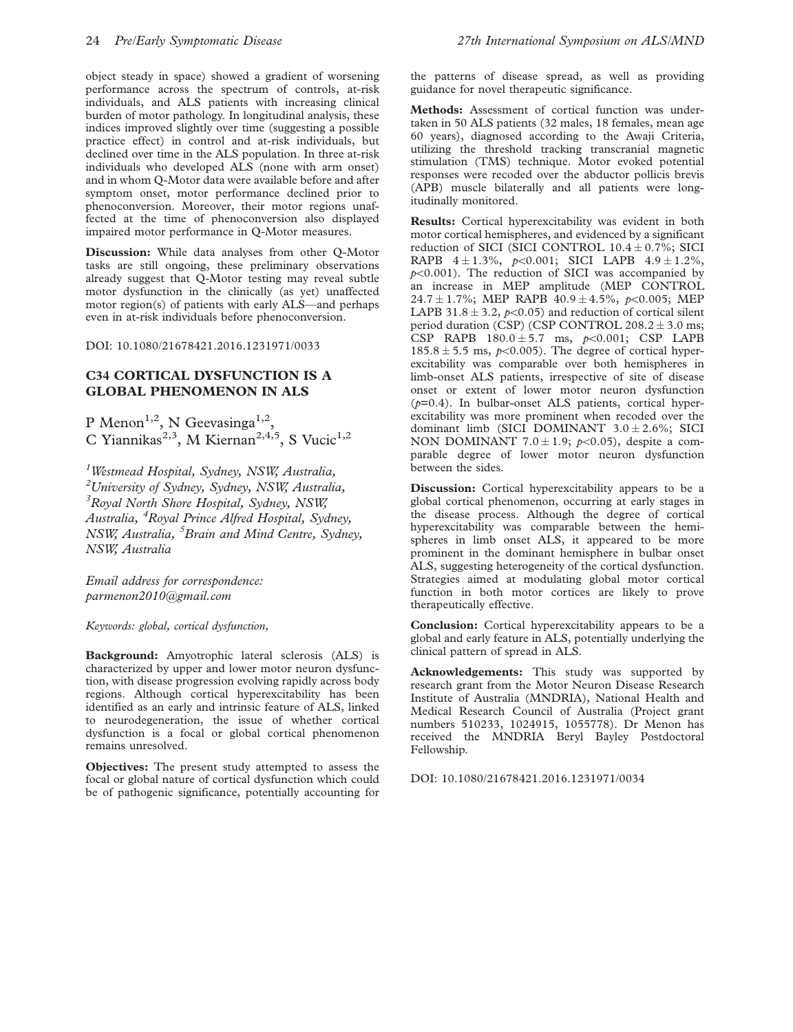object steady in space) showed a gradient of worsening performance across the spectrum of controls, at-risk individuals, and ALS patients with increasing clinical burden of motor pathology. In longitudinal analysis, these indices improved slightly over time (suggesting a possible practice effect) in control and at-risk individuals, but declined over time in the ALS population. In three at-risk individuals who developed ALS (none with arm onset) and in whom Q-Motor data were available before and after symptom onset, motor performance declined prior to phenoconversion. Moreover, their motor regions unaffected at the time of phenoconversion also displayed impaired motor performance in Q-Motor measures.

Discussion: While data analyses from other Q-Motor tasks are still ongoing, these preliminary observations already suggest that Q-Motor testing may reveal subtle motor dysfunction in the clinically (as yet) unaffected motor region(s) of patients with early ALS—and perhaps even in at-risk individuals before phenoconversion.

DOI: 10.1080/21678421.2016.1231971/0033

### C34 CORTICAL DYSFUNCTION IS A GLOBAL PHENOMENON IN ALS

P Menon<sup>1,2</sup>, N Geevasinga<sup>1,2</sup>, C Yiannikas<sup>2,3</sup>, M Kiernan<sup>2,4,5</sup>, S Vucic<sup>1,2</sup>

<sup>1</sup> Westmead Hospital, Sydney, NSW, Australia, <sup>2</sup>University of Sydney, Sydney, NSW, Australia, <sup>3</sup> Royal North Shore Hospital, Sydney, NSW, Australia, <sup>4</sup>Royal Prince Alfred Hospital, Sydney, NSW, Australia, <sup>5</sup> Brain and Mind Centre, Sydney, NSW, Australia

Email address for correspondence: parmenon2010@gmail.com

#### Keywords: global, cortical dysfunction,

Background: Amyotrophic lateral sclerosis (ALS) is characterized by upper and lower motor neuron dysfunction, with disease progression evolving rapidly across body regions. Although cortical hyperexcitability has been identified as an early and intrinsic feature of ALS, linked to neurodegeneration, the issue of whether cortical dysfunction is a focal or global cortical phenomenon remains unresolved.

Objectives: The present study attempted to assess the focal or global nature of cortical dysfunction which could be of pathogenic significance, potentially accounting for the patterns of disease spread, as well as providing guidance for novel therapeutic significance.

Methods: Assessment of cortical function was undertaken in 50 ALS patients (32 males, 18 females, mean age 60 years), diagnosed according to the Awaji Criteria, utilizing the threshold tracking transcranial magnetic stimulation (TMS) technique. Motor evoked potential responses were recoded over the abductor pollicis brevis (APB) muscle bilaterally and all patients were longitudinally monitored.

Results: Cortical hyperexcitability was evident in both motor cortical hemispheres, and evidenced by a significant reduction of SICI (SICI CONTROL  $10.4 \pm 0.7\%$ ; SICI RAPB  $4 \pm 1.3\%$ ,  $p<0.001$ ; SICI LAPB  $4.9 \pm 1.2\%$ ,  $p<0.001$ ). The reduction of SICI was accompanied by an increase in MEP amplitude (MEP CONTROL 24.7 ± 1.7%; MEP RAPB  $40.9 \pm 4.5$ %,  $p<0.005$ ; MEP LAPB 31.8  $\pm$  3.2, p<0.05) and reduction of cortical silent period duration (CSP) (CSP CONTROL  $208.2 \pm 3.0$  ms; CSP RAPB  $180.0 \pm 5.7$  ms,  $p<0.001$ ; CSP LAPB  $185.8 \pm 5.5$  ms,  $p<0.005$ ). The degree of cortical hyperexcitability was comparable over both hemispheres in limb-onset ALS patients, irrespective of site of disease onset or extent of lower motor neuron dysfunction  $(p=0.4)$ . In bulbar-onset ALS patients, cortical hyperexcitability was more prominent when recoded over the dominant limb (SICI DOMINANT  $3.0 \pm 2.6\%$ ; SICI NON DOMINANT 7.0  $\pm$  1.9; p<0.05), despite a comparable degree of lower motor neuron dysfunction between the sides.

Discussion: Cortical hyperexcitability appears to be a global cortical phenomenon, occurring at early stages in the disease process. Although the degree of cortical hyperexcitability was comparable between the hemispheres in limb onset ALS, it appeared to be more prominent in the dominant hemisphere in bulbar onset ALS, suggesting heterogeneity of the cortical dysfunction. Strategies aimed at modulating global motor cortical function in both motor cortices are likely to prove therapeutically effective.

Conclusion: Cortical hyperexcitability appears to be a global and early feature in ALS, potentially underlying the clinical pattern of spread in ALS.

Acknowledgements: This study was supported by research grant from the Motor Neuron Disease Research Institute of Australia (MNDRIA), National Health and Medical Research Council of Australia (Project grant numbers 510233, 1024915, 1055778). Dr Menon has received the MNDRIA Beryl Bayley Postdoctoral Fellowship.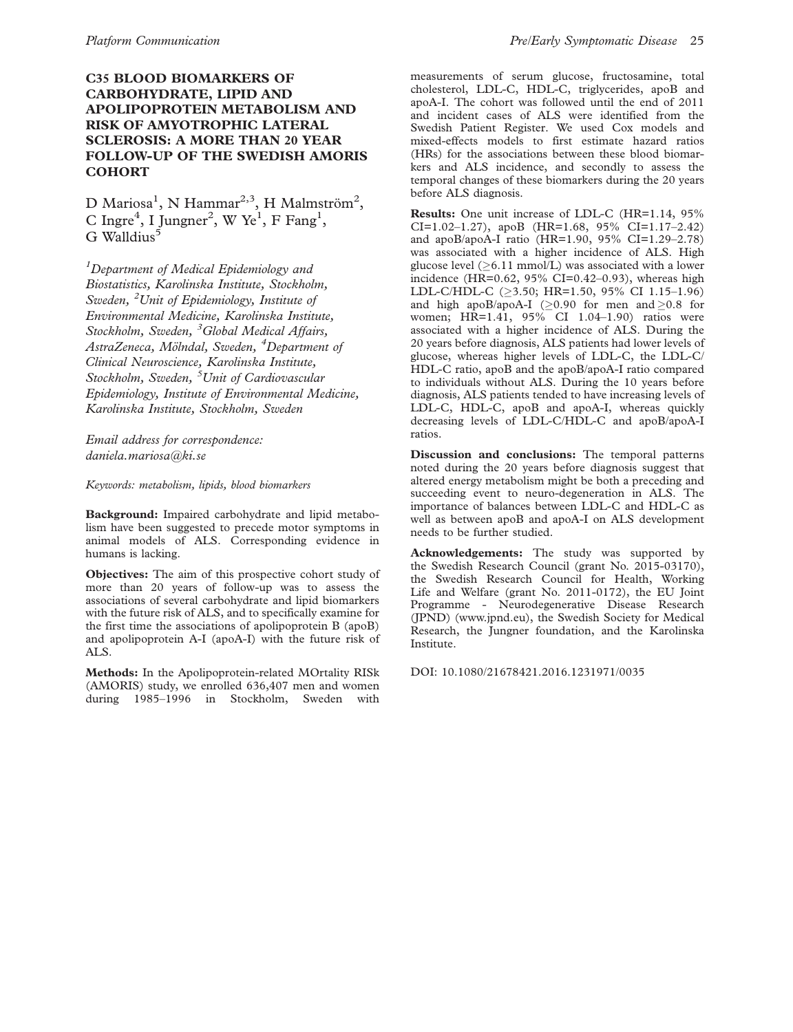# C35 BLOOD BIOMARKERS OF CARBOHYDRATE, LIPID AND APOLIPOPROTEIN METABOLISM AND RISK OF AMYOTROPHIC LATERAL SCLEROSIS: A MORE THAN 20 YEAR FOLLOW-UP OF THE SWEDISH AMORIS **COHORT**

D Mariosa<sup>1</sup>, N Hammar<sup>2,3</sup>, H Malmström<sup>2</sup>, C Ingre<sup>4</sup>, I Jungner<sup>2</sup>, W Ye<sup>1</sup>, F Fang<sup>1</sup>,  $G$  Walldius<sup>5</sup>

<sup>1</sup>Department of Medical Epidemiology and Biostatistics, Karolinska Institute, Stockholm, Sweden, <sup>2</sup>Unit of Epidemiology, Institute of Environmental Medicine, Karolinska Institute, Stockholm, Sweden, <sup>3</sup>Global Medical Affairs, AstraZeneca, Mölndal, Sweden, <sup>4</sup>Department of Clinical Neuroscience, Karolinska Institute, Stockholm, Sweden, <sup>5</sup>Unit of Cardiovascular Epidemiology, Institute of Environmental Medicine, Karolinska Institute, Stockholm, Sweden

Email address for correspondence: daniela.mariosa@ki.se

Keywords: metabolism, lipids, blood biomarkers

Background: Impaired carbohydrate and lipid metabolism have been suggested to precede motor symptoms in animal models of ALS. Corresponding evidence in humans is lacking.

Objectives: The aim of this prospective cohort study of more than 20 years of follow-up was to assess the associations of several carbohydrate and lipid biomarkers with the future risk of ALS, and to specifically examine for the first time the associations of apolipoprotein B (apoB) and apolipoprotein A-I (apoA-I) with the future risk of ALS.

Methods: In the Apolipoprotein-related MOrtality RISk (AMORIS) study, we enrolled 636,407 men and women during 1985–1996 in Stockholm, Sweden with

measurements of serum glucose, fructosamine, total cholesterol, LDL-C, HDL-C, triglycerides, apoB and apoA-I. The cohort was followed until the end of 2011 and incident cases of ALS were identified from the Swedish Patient Register. We used Cox models and mixed-effects models to first estimate hazard ratios (HRs) for the associations between these blood biomarkers and ALS incidence, and secondly to assess the temporal changes of these biomarkers during the 20 years before ALS diagnosis.

Results: One unit increase of LDL-C (HR=1.14, 95% CI=1.02–1.27), apoB (HR=1.68, 95% CI=1.17–2.42) and apoB/apoA-I ratio (HR=1.90, 95% CI=1.29–2.78) was associated with a higher incidence of ALS. High glucose level  $(>6.11 \text{ mmol/L})$  was associated with a lower incidence (HR= $0.62$ , 95% CI= $0.42-0.93$ ), whereas high LDL-C/HDL-C ( $\geq$ 3.50; HR=1.50, 95% CI 1.15–1.96) and high apoB/apoA-I ( $\geq$ 0.90 for men and  $\geq$ 0.8 for women; HR=1.41, 95% CI 1.04–1.90) ratios were associated with a higher incidence of ALS. During the 20 years before diagnosis, ALS patients had lower levels of glucose, whereas higher levels of LDL-C, the LDL-C/ HDL-C ratio, apoB and the apoB/apoA-I ratio compared to individuals without ALS. During the 10 years before diagnosis, ALS patients tended to have increasing levels of LDL-C, HDL-C, apoB and apoA-I, whereas quickly decreasing levels of LDL-C/HDL-C and apoB/apoA-I ratios.

Discussion and conclusions: The temporal patterns noted during the 20 years before diagnosis suggest that altered energy metabolism might be both a preceding and succeeding event to neuro-degeneration in ALS. The importance of balances between LDL-C and HDL-C as well as between apoB and apoA-I on ALS development needs to be further studied.

Acknowledgements: The study was supported by the Swedish Research Council (grant No. 2015-03170), the Swedish Research Council for Health, Working Life and Welfare (grant No. 2011-0172), the EU Joint Programme - Neurodegenerative Disease Research (JPND) (www.jpnd.eu), the Swedish Society for Medical Research, the Jungner foundation, and the Karolinska Institute.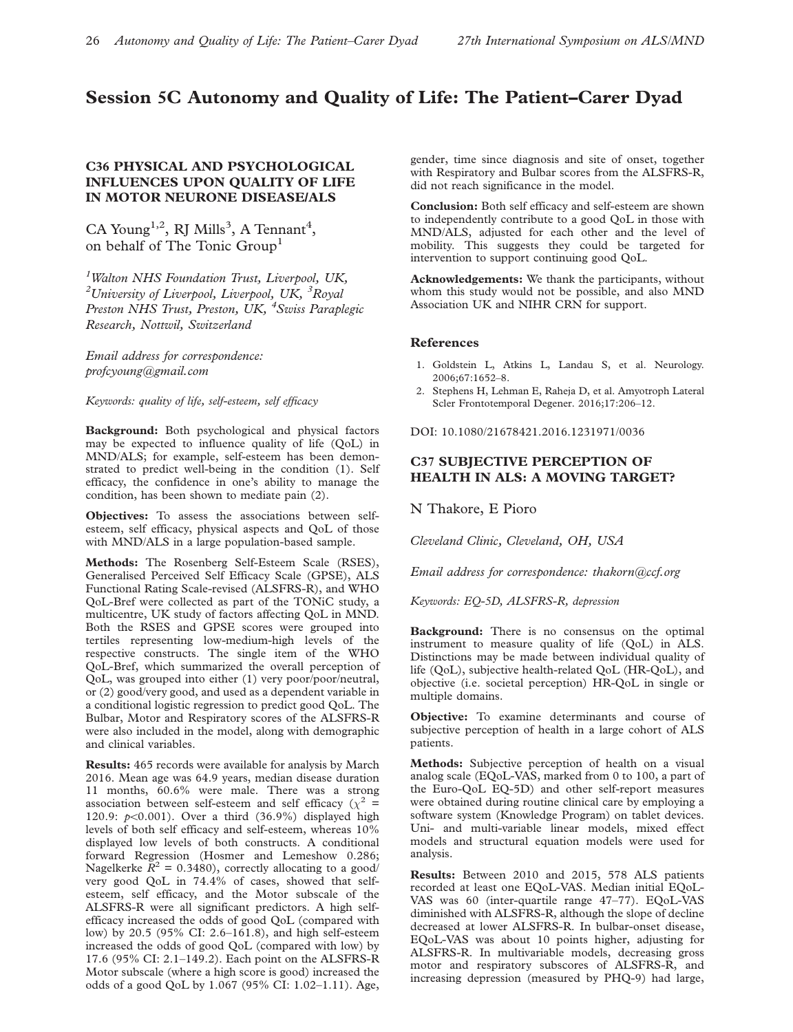# Session 5C Autonomy and Quality of Life: The Patient–Carer Dyad

# C36 PHYSICAL AND PSYCHOLOGICAL INFLUENCES UPON QUALITY OF LIFE IN MOTOR NEURONE DISEASE/ALS

CA Young<sup>1,2</sup>, RJ Mills<sup>3</sup>, A Tennant<sup>4</sup>, on behalf of The Tonic Group<sup>1</sup>

<sup>1</sup> Walton NHS Foundation Trust, Liverpool, UK, <sup>2</sup> University of Liverpool, Liverpool, UK, <sup>3</sup> Royal Preston NHS Trust, Preston, UK, <sup>4</sup>Swiss Paraplegic Research, Nottwil, Switzerland

Email address for correspondence: profcyoung@gmail.com

Keywords: quality of life, self-esteem, self efficacy

Background: Both psychological and physical factors may be expected to influence quality of life (QoL) in MND/ALS; for example, self-esteem has been demonstrated to predict well-being in the condition (1). Self efficacy, the confidence in one's ability to manage the condition, has been shown to mediate pain (2).

Objectives: To assess the associations between selfesteem, self efficacy, physical aspects and QoL of those with MND/ALS in a large population-based sample.

Methods: The Rosenberg Self-Esteem Scale (RSES), Generalised Perceived Self Efficacy Scale (GPSE), ALS Functional Rating Scale-revised (ALSFRS-R), and WHO QoL-Bref were collected as part of the TONiC study, a multicentre, UK study of factors affecting QoL in MND. Both the RSES and GPSE scores were grouped into tertiles representing low-medium-high levels of the respective constructs. The single item of the WHO QoL-Bref, which summarized the overall perception of QoL, was grouped into either (1) very poor/poor/neutral, or (2) good/very good, and used as a dependent variable in a conditional logistic regression to predict good QoL. The Bulbar, Motor and Respiratory scores of the ALSFRS-R were also included in the model, along with demographic and clinical variables.

Results: 465 records were available for analysis by March 2016. Mean age was 64.9 years, median disease duration 11 months, 60.6% were male. There was a strong association between self-esteem and self efficacy ( $\chi^2$  = 120.9:  $p<0.001$ ). Over a third (36.9%) displayed high levels of both self efficacy and self-esteem, whereas 10% displayed low levels of both constructs. A conditional forward Regression (Hosmer and Lemeshow 0.286; Nagelkerke  $\bar{R}^2 = 0.3480$ , correctly allocating to a good/ very good QoL in 74.4% of cases, showed that selfesteem, self efficacy, and the Motor subscale of the ALSFRS-R were all significant predictors. A high selfefficacy increased the odds of good QoL (compared with low) by 20.5 (95% CI: 2.6–161.8), and high self-esteem increased the odds of good QoL (compared with low) by 17.6 (95% CI: 2.1–149.2). Each point on the ALSFRS-R Motor subscale (where a high score is good) increased the odds of a good QoL by 1.067 (95% CI: 1.02–1.11). Age,

gender, time since diagnosis and site of onset, together with Respiratory and Bulbar scores from the ALSFRS-R, did not reach significance in the model.

Conclusion: Both self efficacy and self-esteem are shown to independently contribute to a good QoL in those with MND/ALS, adjusted for each other and the level of mobility. This suggests they could be targeted for intervention to support continuing good QoL.

Acknowledgements: We thank the participants, without whom this study would not be possible, and also MND Association UK and NIHR CRN for support.

#### References

- 1. Goldstein L, Atkins L, Landau S, et al. Neurology. 2006;67:1652–8.
- 2. Stephens H, Lehman E, Raheja D, et al. Amyotroph Lateral Scler Frontotemporal Degener. 2016;17:206–12.

DOI: 10.1080/21678421.2016.1231971/0036

### C37 SUBJECTIVE PERCEPTION OF HEALTH IN ALS: A MOVING TARGET?

N Thakore, E Pioro

Cleveland Clinic, Cleveland, OH, USA

Email address for correspondence: thakorn@ccf.org

Keywords: EQ-5D, ALSFRS-R, depression

Background: There is no consensus on the optimal instrument to measure quality of life (QoL) in ALS. Distinctions may be made between individual quality of life (QoL), subjective health-related QoL (HR-QoL), and objective (i.e. societal perception) HR-QoL in single or multiple domains.

Objective: To examine determinants and course of subjective perception of health in a large cohort of ALS patients.

Methods: Subjective perception of health on a visual analog scale (EQoL-VAS, marked from 0 to 100, a part of the Euro-QoL EQ-5D) and other self-report measures were obtained during routine clinical care by employing a software system (Knowledge Program) on tablet devices. Uni- and multi-variable linear models, mixed effect models and structural equation models were used for analysis.

Results: Between 2010 and 2015, 578 ALS patients recorded at least one EQoL-VAS. Median initial EQoL-VAS was 60 (inter-quartile range 47–77). EQoL-VAS diminished with ALSFRS-R, although the slope of decline decreased at lower ALSFRS-R. In bulbar-onset disease, EQoL-VAS was about 10 points higher, adjusting for ALSFRS-R. In multivariable models, decreasing gross motor and respiratory subscores of ALSFRS-R, and increasing depression (measured by PHQ-9) had large,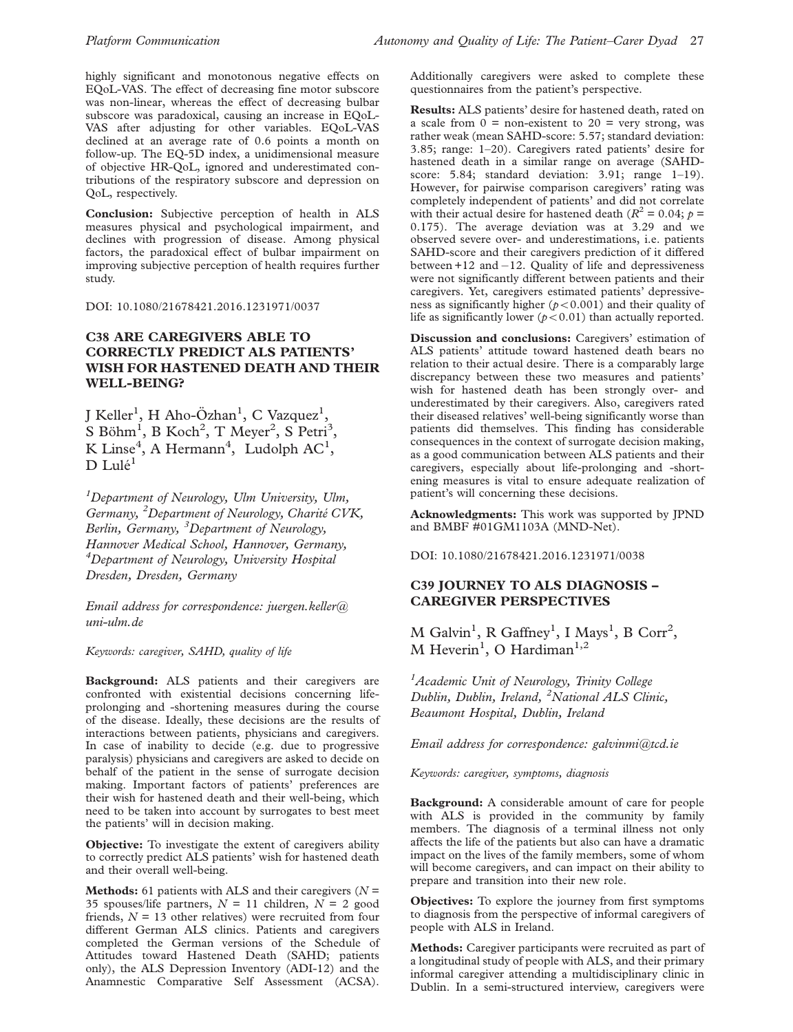highly significant and monotonous negative effects on EQoL-VAS. The effect of decreasing fine motor subscore was non-linear, whereas the effect of decreasing bulbar subscore was paradoxical, causing an increase in EQoL-VAS after adjusting for other variables. EQoL-VAS declined at an average rate of 0.6 points a month on follow-up. The EQ-5D index, a unidimensional measure of objective HR-QoL, ignored and underestimated contributions of the respiratory subscore and depression on QoL, respectively.

Conclusion: Subjective perception of health in ALS measures physical and psychological impairment, and declines with progression of disease. Among physical factors, the paradoxical effect of bulbar impairment on improving subjective perception of health requires further study.

DOI: 10.1080/21678421.2016.1231971/0037

# C38 ARE CAREGIVERS ABLE TO CORRECTLY PREDICT ALS PATIENTS' WISH FOR HASTENED DEATH AND THEIR WELL-BEING?

J Keller<sup>1</sup>, H Aho-Özhan<sup>1</sup>, C Vazquez<sup>1</sup>, S Böhm<sup>1</sup>, B Koch<sup>2</sup>, T Meyer<sup>2</sup>, S Petri<sup>3</sup>, K Linse<sup>4</sup>, A Hermann<sup>4</sup>, Ludolph AC<sup>1</sup>,  $D$  Lulé<sup>1</sup>

<sup>1</sup>Department of Neurology, Ulm University, Ulm, Germany, <sup>2</sup>Department of Neurology, Charité CVK, Berlin, Germany, <sup>3</sup>Department of Neurology, Hannover Medical School, Hannover, Germany, <sup>4</sup>Department of Neurology, University Hospital Dresden, Dresden, Germany

Email address for correspondence: juergen.keller@ uni-ulm.de

Keywords: caregiver, SAHD, quality of life

Background: ALS patients and their caregivers are confronted with existential decisions concerning lifeprolonging and -shortening measures during the course of the disease. Ideally, these decisions are the results of interactions between patients, physicians and caregivers. In case of inability to decide (e.g. due to progressive paralysis) physicians and caregivers are asked to decide on behalf of the patient in the sense of surrogate decision making. Important factors of patients' preferences are their wish for hastened death and their well-being, which need to be taken into account by surrogates to best meet the patients' will in decision making.

**Objective:** To investigate the extent of caregivers ability to correctly predict ALS patients' wish for hastened death and their overall well-being.

**Methods:** 61 patients with ALS and their caregivers ( $N =$ 35 spouses/life partners,  $N = 11$  children,  $N = 2$  good friends,  $N = 13$  other relatives) were recruited from four different German ALS clinics. Patients and caregivers completed the German versions of the Schedule of Attitudes toward Hastened Death (SAHD; patients only), the ALS Depression Inventory (ADI-12) and the Anamnestic Comparative Self Assessment (ACSA).

Additionally caregivers were asked to complete these questionnaires from the patient's perspective.

Results: ALS patients' desire for hastened death, rated on a scale from  $\hat{0}$  = non-existent to 20 = very strong, was rather weak (mean SAHD-score: 5.57; standard deviation: 3.85; range: 1–20). Caregivers rated patients' desire for hastened death in a similar range on average (SAHDscore: 5.84; standard deviation: 3.91; range 1–19). However, for pairwise comparison caregivers' rating was completely independent of patients' and did not correlate with their actual desire for hastened death ( $R^2 = 0.04$ ;  $p =$ 0.175). The average deviation was at 3.29 and we observed severe over- and underestimations, i.e. patients SAHD-score and their caregivers prediction of it differed between  $+12$  and  $-12$ . Quality of life and depressiveness were not significantly different between patients and their caregivers. Yet, caregivers estimated patients' depressiveness as significantly higher  $(p<0.001)$  and their quality of life as significantly lower  $(p<0.01)$  than actually reported.

Discussion and conclusions: Caregivers' estimation of ALS patients' attitude toward hastened death bears no relation to their actual desire. There is a comparably large discrepancy between these two measures and patients' wish for hastened death has been strongly over- and underestimated by their caregivers. Also, caregivers rated their diseased relatives' well-being significantly worse than patients did themselves. This finding has considerable consequences in the context of surrogate decision making, as a good communication between ALS patients and their caregivers, especially about life-prolonging and -shortening measures is vital to ensure adequate realization of patient's will concerning these decisions.

Acknowledgments: This work was supported by JPND and BMBF #01GM1103A (MND-Net).

DOI: 10.1080/21678421.2016.1231971/0038

### C39 JOURNEY TO ALS DIAGNOSIS – CAREGIVER PERSPECTIVES

M Galvin<sup>1</sup>, R Gaffney<sup>1</sup>, I Mays<sup>1</sup>, B Corr<sup>2</sup>, M Heverin<sup>1</sup>, O Hardiman<sup>1,2</sup>

<sup>1</sup> Academic Unit of Neurology, Trinity College Dublin, Dublin, Ireland, <sup>2</sup>National ALS Clinic, Beaumont Hospital, Dublin, Ireland

Email address for correspondence: galvinmi@tcd.ie

Keywords: caregiver, symptoms, diagnosis

Background: A considerable amount of care for people with ALS is provided in the community by family members. The diagnosis of a terminal illness not only affects the life of the patients but also can have a dramatic impact on the lives of the family members, some of whom will become caregivers, and can impact on their ability to prepare and transition into their new role.

Objectives: To explore the journey from first symptoms to diagnosis from the perspective of informal caregivers of people with ALS in Ireland.

Methods: Caregiver participants were recruited as part of a longitudinal study of people with ALS, and their primary informal caregiver attending a multidisciplinary clinic in Dublin. In a semi-structured interview, caregivers were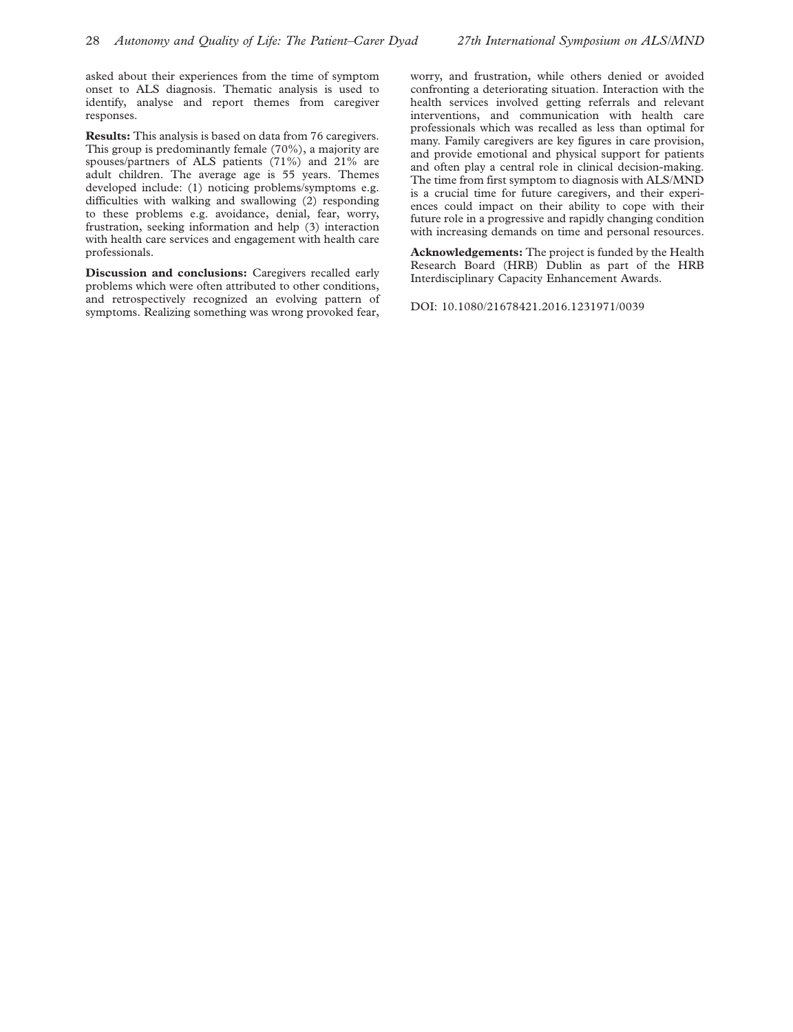asked about their experiences from the time of symptom onset to ALS diagnosis. Thematic analysis is used to identify, analyse and report themes from caregiver responses.

Results: This analysis is based on data from 76 caregivers. This group is predominantly female (70%), a majority are spouses/partners of ALS patients (71%) and 21% are adult children. The average age is 55 years. Themes developed include: ([1\)](#page-6-0) noticing problems/symptoms e.g. difficulties with walking and swallowing ([2](#page-9-0)) responding to these problems e.g. avoidance, denial, fear, worry, frustration, seeking information and help [\(3](#page-10-0)) interaction with health care services and engagement with health care professionals.

Discussion and conclusions: Caregivers recalled early problems which were often attributed to other conditions, and retrospectively recognized an evolving pattern of symptoms. Realizing something was wrong provoked fear,

worry, and frustration, while others denied or avoided confronting a deteriorating situation. Interaction with the health services involved getting referrals and relevant interventions, and communication with health care professionals which was recalled as less than optimal for many. Family caregivers are key figures in care provision, and provide emotional and physical support for patients and often play a central role in clinical decision-making. The time from first symptom to diagnosis with ALS/MND is a crucial time for future caregivers, and their experiences could impact on their ability to cope with their future role in a progressive and rapidly changing condition with increasing demands on time and personal resources.

Acknowledgements: The project is funded by the Health Research Board (HRB) Dublin as part of the HRB Interdisciplinary Capacity Enhancement Awards.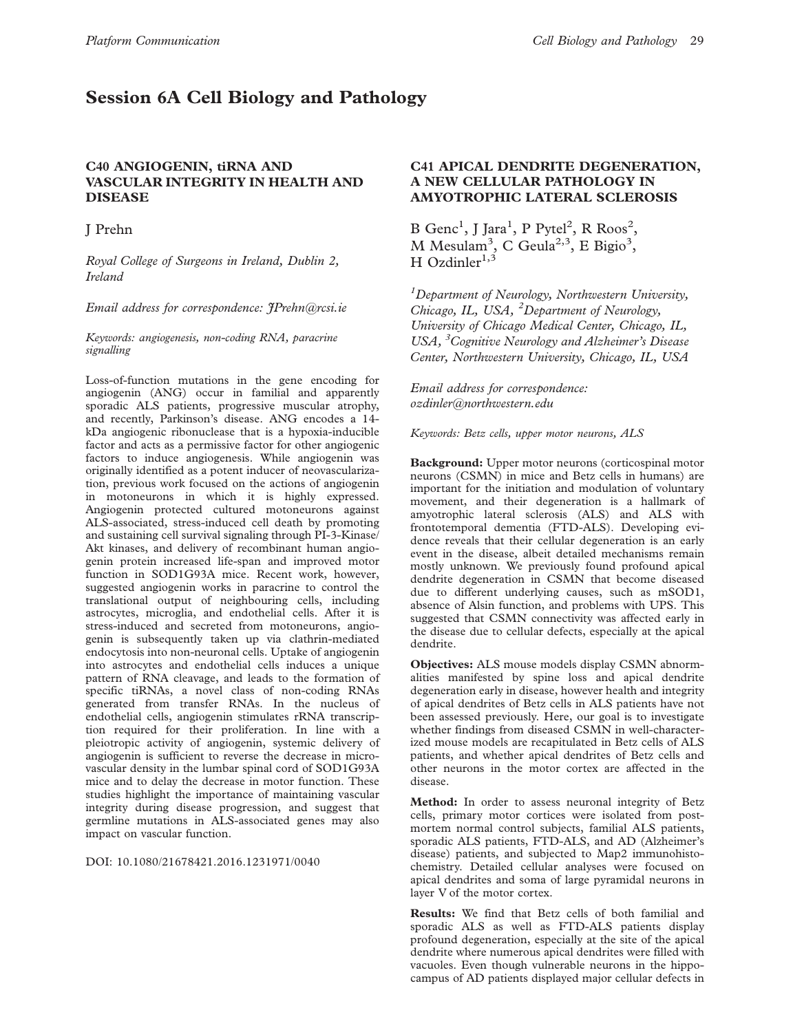# Session 6A Cell Biology and Pathology

# C40 ANGIOGENIN, tiRNA AND VASCULAR INTEGRITY IN HEALTH AND DISEASE

### J Prehn

Royal College of Surgeons in Ireland, Dublin 2, Ireland

Email address for correspondence: JPrehn@rcsi.ie

Keywords: angiogenesis, non-coding RNA, paracrine signalling

Loss-of-function mutations in the gene encoding for angiogenin (ANG) occur in familial and apparently sporadic ALS patients, progressive muscular atrophy, and recently, Parkinson's disease. ANG encodes a 14 kDa angiogenic ribonuclease that is a hypoxia-inducible factor and acts as a permissive factor for other angiogenic factors to induce angiogenesis. While angiogenin was originally identified as a potent inducer of neovascularization, previous work focused on the actions of angiogenin in motoneurons in which it is highly expressed. Angiogenin protected cultured motoneurons against ALS-associated, stress-induced cell death by promoting and sustaining cell survival signaling through PI-3-Kinase/ Akt kinases, and delivery of recombinant human angiogenin protein increased life-span and improved motor function in SOD1G93A mice. Recent work, however, suggested angiogenin works in paracrine to control the translational output of neighbouring cells, including astrocytes, microglia, and endothelial cells. After it is stress-induced and secreted from motoneurons, angiogenin is subsequently taken up via clathrin-mediated endocytosis into non-neuronal cells. Uptake of angiogenin into astrocytes and endothelial cells induces a unique pattern of RNA cleavage, and leads to the formation of specific tiRNAs, a novel class of non-coding RNAs generated from transfer RNAs. In the nucleus of endothelial cells, angiogenin stimulates rRNA transcription required for their proliferation. In line with a pleiotropic activity of angiogenin, systemic delivery of angiogenin is sufficient to reverse the decrease in microvascular density in the lumbar spinal cord of SOD1G93A mice and to delay the decrease in motor function. These studies highlight the importance of maintaining vascular integrity during disease progression, and suggest that germline mutations in ALS-associated genes may also impact on vascular function.

DOI: 10.1080/21678421.2016.1231971/0040

### C41 APICAL DENDRITE DEGENERATION, A NEW CELLULAR PATHOLOGY IN AMYOTROPHIC LATERAL SCLEROSIS

B Genc<sup>1</sup>, J Jara<sup>1</sup>, P Pytel<sup>2</sup>, R Roos<sup>2</sup>, M Mesulam<sup>3</sup>, C Geula<sup>2,3</sup>, E Bigio<sup>3</sup>, H Ozdinler $^{1,3}$ 

<sup>1</sup>Department of Neurology, Northwestern University, Chicago, IL, USA, <sup>2</sup>Department of Neurology, University of Chicago Medical Center, Chicago, IL, USA, <sup>3</sup>Cognitive Neurology and Alzheimer's Disease Center, Northwestern University, Chicago, IL, USA

Email address for correspondence: ozdinler@northwestern.edu

Keywords: Betz cells, upper motor neurons, ALS

Background: Upper motor neurons (corticospinal motor neurons (CSMN) in mice and Betz cells in humans) are important for the initiation and modulation of voluntary movement, and their degeneration is a hallmark of amyotrophic lateral sclerosis (ALS) and ALS with frontotemporal dementia (FTD-ALS). Developing evidence reveals that their cellular degeneration is an early event in the disease, albeit detailed mechanisms remain mostly unknown. We previously found profound apical dendrite degeneration in CSMN that become diseased due to different underlying causes, such as mSOD1, absence of Alsin function, and problems with UPS. This suggested that CSMN connectivity was affected early in the disease due to cellular defects, especially at the apical dendrite.

Objectives: ALS mouse models display CSMN abnormalities manifested by spine loss and apical dendrite degeneration early in disease, however health and integrity of apical dendrites of Betz cells in ALS patients have not been assessed previously. Here, our goal is to investigate whether findings from diseased CSMN in well-characterized mouse models are recapitulated in Betz cells of ALS patients, and whether apical dendrites of Betz cells and other neurons in the motor cortex are affected in the disease.

Method: In order to assess neuronal integrity of Betz cells, primary motor cortices were isolated from postmortem normal control subjects, familial ALS patients, sporadic ALS patients, FTD-ALS, and AD (Alzheimer's disease) patients, and subjected to Map2 immunohistochemistry. Detailed cellular analyses were focused on apical dendrites and soma of large pyramidal neurons in layer V of the motor cortex.

Results: We find that Betz cells of both familial and sporadic ALS as well as FTD-ALS patients display profound degeneration, especially at the site of the apical dendrite where numerous apical dendrites were filled with vacuoles. Even though vulnerable neurons in the hippocampus of AD patients displayed major cellular defects in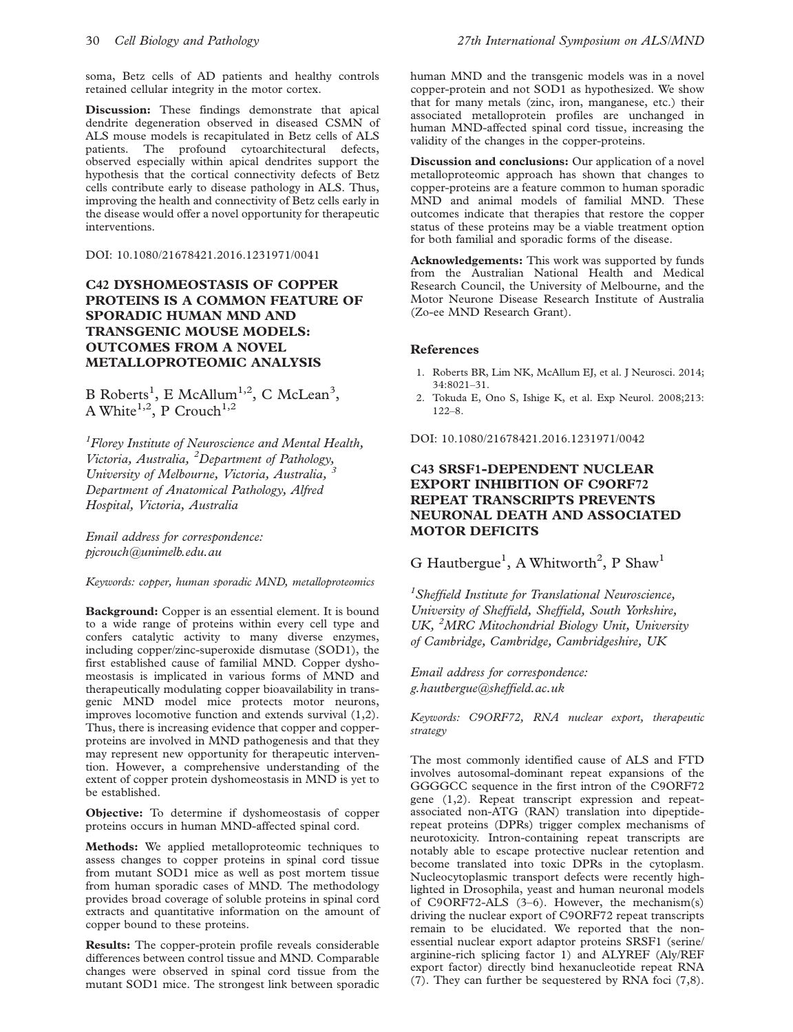soma, Betz cells of AD patients and healthy controls retained cellular integrity in the motor cortex.

Discussion: These findings demonstrate that apical dendrite degeneration observed in diseased CSMN of ALS mouse models is recapitulated in Betz cells of ALS patients. The profound cytoarchitectural defects, observed especially within apical dendrites support the hypothesis that the cortical connectivity defects of Betz cells contribute early to disease pathology in ALS. Thus, improving the health and connectivity of Betz cells early in the disease would offer a novel opportunity for therapeutic interventions.

DOI: 10.1080/21678421.2016.1231971/0041

# C42 DYSHOMEOSTASIS OF COPPER PROTEINS IS A COMMON FEATURE OF SPORADIC HUMAN MND AND TRANSGENIC MOUSE MODELS: OUTCOMES FROM A NOVEL METALLOPROTEOMIC ANALYSIS

B Roberts<sup>1</sup>, E McAllum<sup>1,2</sup>, C McLean<sup>3</sup>, A White<sup>1,2</sup>, P Crouch<sup>1,2</sup>

<sup>1</sup> Florey Institute of Neuroscience and Mental Health, Victoria, Australia, <sup>2</sup>Department of Pathology, University of Melbourne, Victoria, Australia, <sup>3</sup> Department of Anatomical Pathology, Alfred Hospital, Victoria, Australia

Email address for correspondence: pjcrouch@unimelb.edu.au

Keywords: copper, human sporadic MND, metalloproteomics

Background: Copper is an essential element. It is bound to a wide range of proteins within every cell type and confers catalytic activity to many diverse enzymes, including copper/zinc-superoxide dismutase (SOD1), the first established cause of familial MND. Copper dyshomeostasis is implicated in various forms of MND and therapeutically modulating copper bioavailability in transgenic MND model mice protects motor neurons, improves locomotive function and extends survival (1,2). Thus, there is increasing evidence that copper and copperproteins are involved in MND pathogenesis and that they may represent new opportunity for therapeutic intervention. However, a comprehensive understanding of the extent of copper protein dyshomeostasis in MND is yet to be established.

Objective: To determine if dyshomeostasis of copper proteins occurs in human MND-affected spinal cord.

Methods: We applied metalloproteomic techniques to assess changes to copper proteins in spinal cord tissue from mutant SOD1 mice as well as post mortem tissue from human sporadic cases of MND. The methodology provides broad coverage of soluble proteins in spinal cord extracts and quantitative information on the amount of copper bound to these proteins.

Results: The copper-protein profile reveals considerable differences between control tissue and MND. Comparable changes were observed in spinal cord tissue from the mutant SOD1 mice. The strongest link between sporadic human MND and the transgenic models was in a novel copper-protein and not SOD1 as hypothesized. We show that for many metals (zinc, iron, manganese, etc.) their associated metalloprotein profiles are unchanged in human MND-affected spinal cord tissue, increasing the validity of the changes in the copper-proteins.

Discussion and conclusions: Our application of a novel metalloproteomic approach has shown that changes to copper-proteins are a feature common to human sporadic MND and animal models of familial MND. These outcomes indicate that therapies that restore the copper status of these proteins may be a viable treatment option for both familial and sporadic forms of the disease.

Acknowledgements: This work was supported by funds from the Australian National Health and Medical Research Council, the University of Melbourne, and the Motor Neurone Disease Research Institute of Australia (Zo-ee MND Research Grant).

#### References

- 1. Roberts BR, Lim NK, McAllum EJ, et al. J Neurosci. 2014; 34:8021–31.
- 2. Tokuda E, Ono S, Ishige K, et al. Exp Neurol. 2008;213: 122–8.

DOI: 10.1080/21678421.2016.1231971/0042

# C43 SRSF1-DEPENDENT NUCLEAR EXPORT INHIBITION OF C9ORF72 REPEAT TRANSCRIPTS PREVENTS NEURONAL DEATH AND ASSOCIATED MOTOR DEFICITS

G Hautbergue<sup>1</sup>, A Whitworth<sup>2</sup>, P Shaw<sup>1</sup>

<sup>1</sup>Sheffield Institute for Translational Neuroscience, University of Sheffield, Sheffield, South Yorkshire, UK, <sup>2</sup>MRC Mitochondrial Biology Unit, University of Cambridge, Cambridge, Cambridgeshire, UK

Email address for correspondence: g.hautbergue@sheffield.ac.uk

Keywords: C9ORF72, RNA nuclear export, therapeutic strategy

The most commonly identified cause of ALS and FTD involves autosomal-dominant repeat expansions of the GGGGCC sequence in the first intron of the C9ORF72 gene [\(1](#page-31-0),[2\)](#page-31-0). Repeat transcript expression and repeatassociated non-ATG (RAN) translation into dipeptiderepeat proteins (DPRs) trigger complex mechanisms of neurotoxicity. Intron-containing repeat transcripts are notably able to escape protective nuclear retention and become translated into toxic DPRs in the cytoplasm. Nucleocytoplasmic transport defects were recently highlighted in Drosophila, yeast and human neuronal models of C9ORF72-ALS [\(3–6](#page-31-0)). However, the mechanism(s) driving the nuclear export of C9ORF72 repeat transcripts remain to be elucidated. We reported that the nonessential nuclear export adaptor proteins SRSF1 (serine/ arginine-rich splicing factor 1) and ALYREF (Aly/REF export factor) directly bind hexanucleotide repeat RNA ([7\)](#page-31-0). They can further be sequestered by RNA foci ([7](#page-10-0)[,8](#page-31-0)).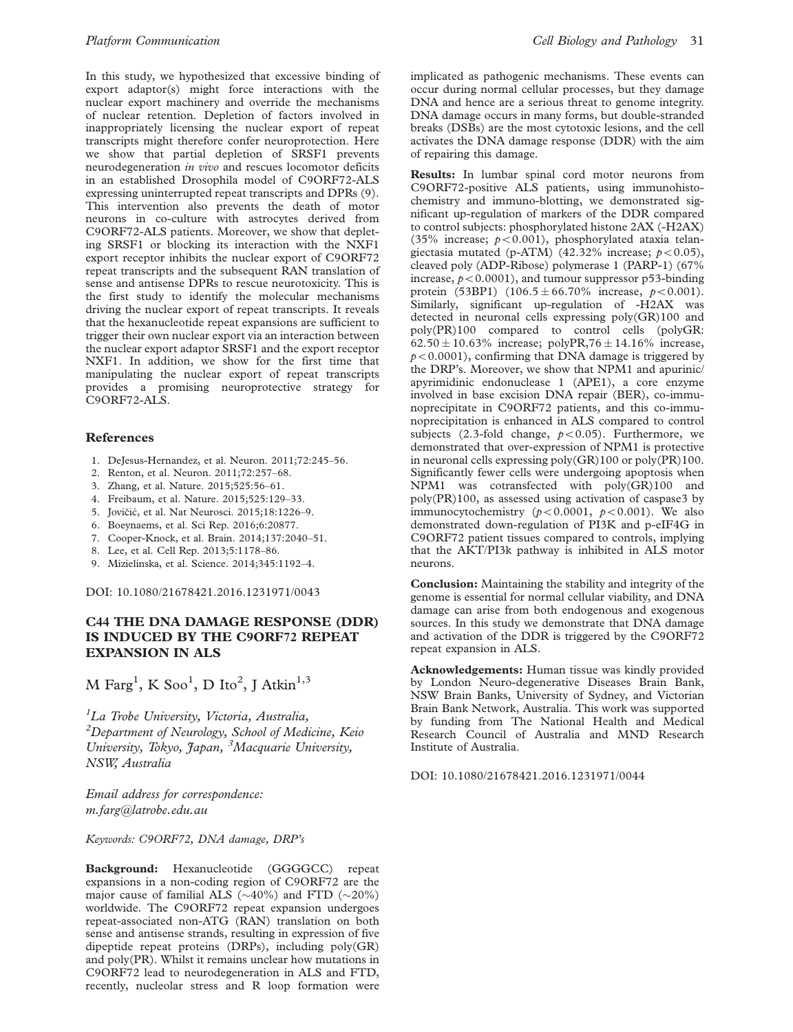<span id="page-31-0"></span>In this study, we hypothesized that excessive binding of export adaptor(s) might force interactions with the nuclear export machinery and override the mechanisms of nuclear retention. Depletion of factors involved in inappropriately licensing the nuclear export of repeat transcripts might therefore confer neuroprotection. Here we show that partial depletion of SRSF1 prevents neurodegeneration in vivo and rescues locomotor deficits in an established Drosophila model of C9ORF72-ALS expressing uninterrupted repeat transcripts and DPRs (9). This intervention also prevents the death of motor neurons in co-culture with astrocytes derived from C9ORF72-ALS patients. Moreover, we show that depleting SRSF1 or blocking its interaction with the NXF1 export receptor inhibits the nuclear export of C9ORF72 repeat transcripts and the subsequent RAN translation of sense and antisense DPRs to rescue neurotoxicity. This is the first study to identify the molecular mechanisms driving the nuclear export of repeat transcripts. It reveals that the hexanucleotide repeat expansions are sufficient to trigger their own nuclear export via an interaction between the nuclear export adaptor SRSF1 and the export receptor NXF1. In addition, we show for the first time that manipulating the nuclear export of repeat transcripts provides a promising neuroprotective strategy for C9ORF72-ALS.

### References

- 1. DeJesus-Hernandez, et al. Neuron. 2011;72:245–56.
- 2. Renton, et al. Neuron. 2011;72:257–68.
- 3. Zhang, et al. Nature. 2015;525:56–61.
- 4. Freibaum, et al. Nature. 2015;525:129–33.
- 5. Jovičić, et al. Nat Neurosci. 2015;18:1226-9.
- 6. Boeynaems, et al. Sci Rep. 2016;6:20877.
- 7. Cooper-Knock, et al. Brain. 2014;137:2040–51.
- 8. Lee, et al. Cell Rep. 2013;5:1178–86.
- 9. Mizielinska, et al. Science. 2014;345:1192–4.

DOI: 10.1080/21678421.2016.1231971/0043

# C44 THE DNA DAMAGE RESPONSE (DDR) IS INDUCED BY THE C9ORF72 REPEAT EXPANSION IN ALS

M Farg<sup>1</sup>, K Soo<sup>1</sup>, D Ito<sup>2</sup>, J Atkin<sup>1,3</sup>

<sup>1</sup>La Trobe University, Victoria, Australia, <sup>2</sup>Department of Neurology, School of Medicine, Keio University, Tokyo, Japan, <sup>3</sup>Macquarie University, NSW, Australia

Email address for correspondence: m.farg@latrobe.edu.au

Keywords: C9ORF72, DNA damage, DRP's

Background: Hexanucleotide (GGGGCC) repeat expansions in a non-coding region of C9ORF72 are the major cause of familial ALS ( ${\sim}40\%$ ) and FTD ( ${\sim}20\%$ ) worldwide. The C9ORF72 repeat expansion undergoes repeat-associated non-ATG (RAN) translation on both sense and antisense strands, resulting in expression of five dipeptide repeat proteins (DRPs), including poly(GR) and poly(PR). Whilst it remains unclear how mutations in C9ORF72 lead to neurodegeneration in ALS and FTD, recently, nucleolar stress and R loop formation were

implicated as pathogenic mechanisms. These events can occur during normal cellular processes, but they damage DNA and hence are a serious threat to genome integrity. DNA damage occurs in many forms, but double-stranded breaks (DSBs) are the most cytotoxic lesions, and the cell activates the DNA damage response (DDR) with the aim of repairing this damage.

Results: In lumbar spinal cord motor neurons from C9ORF72-positive ALS patients, using immunohistochemistry and immuno-blotting, we demonstrated significant up-regulation of markers of the DDR compared to control subjects: phosphorylated histone 2AX (-H2AX) (35% increase;  $p < 0.001$ ), phosphorylated ataxia telangiectasia mutated (p-ATM) (42.32% increase;  $p < 0.05$ ), cleaved poly (ADP-Ribose) polymerase 1 (PARP-1) (67% increase,  $p < 0.0001$ ), and tumour suppressor p53-binding protein (53BP1) (106.5  $\pm$  66.70% increase,  $p < 0.001$ ). Similarly, significant up-regulation of -H2AX was detected in neuronal cells expressing poly(GR)100 and poly(PR)100 compared to control cells (polyGR:  $62.50 \pm 10.63\%$  increase; polyPR,76  $\pm$  14.16% increase,  $p<0.0001$ ), confirming that DNA damage is triggered by the DRP's. Moreover, we show that NPM1 and apurinic/ apyrimidinic endonuclease 1 (APE1), a core enzyme involved in base excision DNA repair (BER), co-immunoprecipitate in C9ORF72 patients, and this co-immunoprecipitation is enhanced in ALS compared to control subjects (2.3-fold change,  $p<0.05$ ). Furthermore, we demonstrated that over-expression of NPM1 is protective in neuronal cells expressing poly(GR)100 or poly(PR)100. Significantly fewer cells were undergoing apoptosis when NPM1 was cotransfected with poly(GR)100 and poly(PR)100, as assessed using activation of caspase3 by immunocytochemistry ( $p < 0.0001$ ,  $p < 0.001$ ). We also demonstrated down-regulation of PI3K and p-eIF4G in C9ORF72 patient tissues compared to controls, implying that the AKT/PI3k pathway is inhibited in ALS motor neurons.

Conclusion: Maintaining the stability and integrity of the genome is essential for normal cellular viability, and DNA damage can arise from both endogenous and exogenous sources. In this study we demonstrate that DNA damage and activation of the DDR is triggered by the C9ORF72 repeat expansion in ALS.

Acknowledgements: Human tissue was kindly provided by London Neuro-degenerative Diseases Brain Bank, NSW Brain Banks, University of Sydney, and Victorian Brain Bank Network, Australia. This work was supported by funding from The National Health and Medical Research Council of Australia and MND Research Institute of Australia.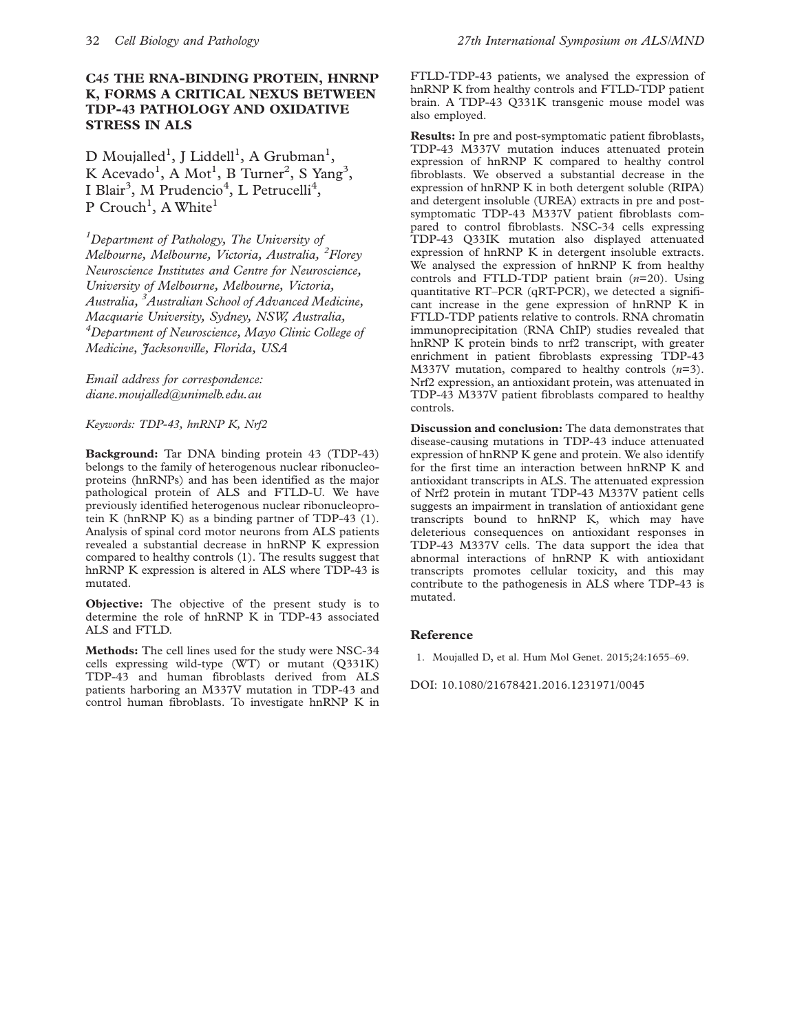# C45 THE RNA-BINDING PROTEIN, HNRNP K, FORMS A CRITICAL NEXUS BETWEEN TDP-43 PATHOLOGY AND OXIDATIVE STRESS IN ALS

D Moujalled<sup>1</sup>, J Liddell<sup>1</sup>, A Grubman<sup>1</sup>, K Acevado<sup>1</sup>, A Mot<sup>1</sup>, B Turner<sup>2</sup>, S Yang<sup>3</sup>, I Blair<sup>3</sup>, M Prudencio<sup>4</sup>, L Petrucelli<sup>4</sup>, P Crouch<sup>1</sup>, A White<sup>1</sup>

<sup>1</sup>Department of Pathology, The University of Melbourne, Melbourne, Victoria, Australia, <sup>2</sup>Florey Neuroscience Institutes and Centre for Neuroscience, University of Melbourne, Melbourne, Victoria, Australia, <sup>3</sup>Australian School of Advanced Medicine, Macquarie University, Sydney, NSW, Australia, 4 Department of Neuroscience, Mayo Clinic College of Medicine, Jacksonville, Florida, USA

Email address for correspondence: diane.moujalled@unimelb.edu.au

Keywords: TDP-43, hnRNP K, Nrf2

Background: Tar DNA binding protein 43 (TDP-43) belongs to the family of heterogenous nuclear ribonucleoproteins (hnRNPs) and has been identified as the major pathological protein of ALS and FTLD-U. We have previously identified heterogenous nuclear ribonucleoprotein K (hnRNP K) as a binding partner of TDP-43 (1). Analysis of spinal cord motor neurons from ALS patients revealed a substantial decrease in hnRNP K expression compared to healthy controls (1). The results suggest that hnRNP K expression is altered in ALS where TDP-43 is mutated.

Objective: The objective of the present study is to determine the role of hnRNP K in TDP-43 associated ALS and FTLD.

Methods: The cell lines used for the study were NSC-34 cells expressing wild-type (WT) or mutant (Q331K) TDP-43 and human fibroblasts derived from ALS patients harboring an M337V mutation in TDP-43 and control human fibroblasts. To investigate hnRNP K in

FTLD-TDP-43 patients, we analysed the expression of hnRNP K from healthy controls and FTLD-TDP patient brain. A TDP-43 Q331K transgenic mouse model was also employed.

Results: In pre and post-symptomatic patient fibroblasts, TDP-43 M337V mutation induces attenuated protein expression of hnRNP K compared to healthy control fibroblasts. We observed a substantial decrease in the expression of hnRNP K in both detergent soluble (RIPA) and detergent insoluble (UREA) extracts in pre and postsymptomatic TDP-43 M337V patient fibroblasts compared to control fibroblasts. NSC-34 cells expressing TDP-43 Q33IK mutation also displayed attenuated expression of hnRNP K in detergent insoluble extracts. We analysed the expression of hnRNP K from healthy controls and FTLD-TDP patient brain  $(n=20)$ . Using quantitative RT–PCR (qRT-PCR), we detected a significant increase in the gene expression of hnRNP K in FTLD-TDP patients relative to controls. RNA chromatin immunoprecipitation (RNA ChIP) studies revealed that hnRNP K protein binds to nrf2 transcript, with greater enrichment in patient fibroblasts expressing TDP-43 M337V mutation, compared to healthy controls  $(n=3)$ . Nrf2 expression, an antioxidant protein, was attenuated in TDP-43 M337V patient fibroblasts compared to healthy controls.

Discussion and conclusion: The data demonstrates that disease-causing mutations in TDP-43 induce attenuated expression of hnRNP K gene and protein. We also identify for the first time an interaction between hnRNP K and antioxidant transcripts in ALS. The attenuated expression of Nrf2 protein in mutant TDP-43 M337V patient cells suggests an impairment in translation of antioxidant gene transcripts bound to hnRNP K, which may have deleterious consequences on antioxidant responses in TDP-43 M337V cells. The data support the idea that abnormal interactions of hnRNP K with antioxidant transcripts promotes cellular toxicity, and this may contribute to the pathogenesis in ALS where TDP-43 is mutated.

# Reference

1. Moujalled D, et al. Hum Mol Genet. 2015;24:1655–69.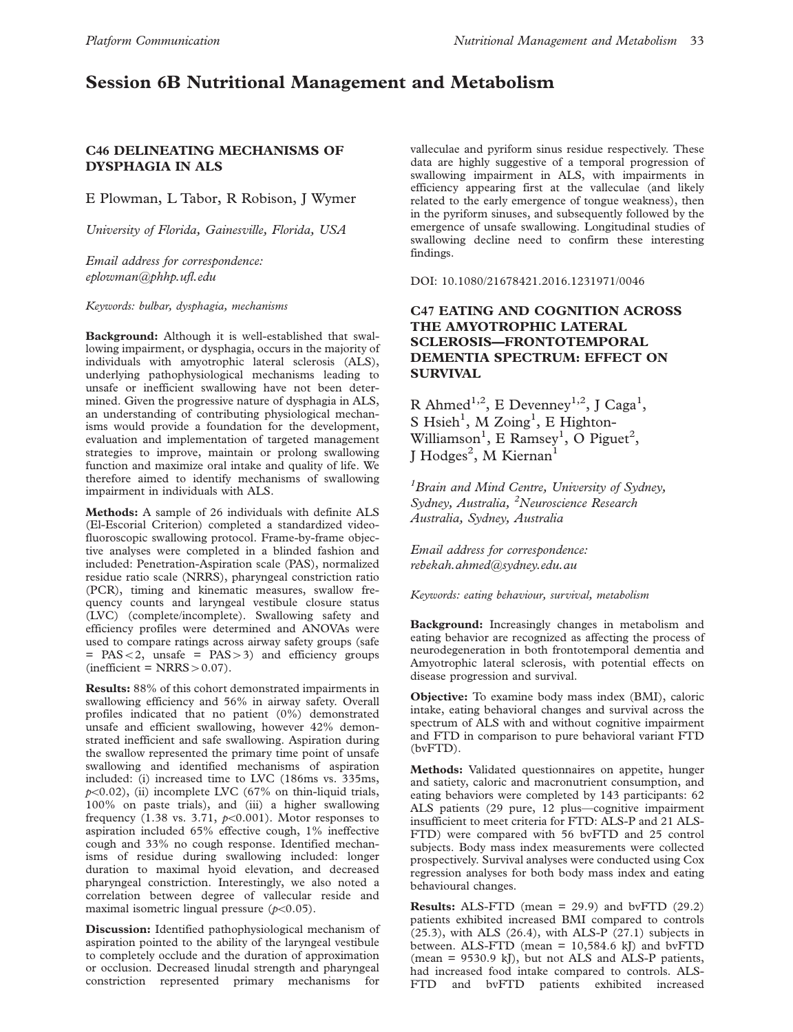# Session 6B Nutritional Management and Metabolism

# C46 DELINEATING MECHANISMS OF DYSPHAGIA IN ALS

E Plowman, L Tabor, R Robison, J Wymer

University of Florida, Gainesville, Florida, USA

Email address for correspondence: eplowman@phhp.ufl.edu

Keywords: bulbar, dysphagia, mechanisms

Background: Although it is well-established that swallowing impairment, or dysphagia, occurs in the majority of individuals with amyotrophic lateral sclerosis (ALS), underlying pathophysiological mechanisms leading to unsafe or inefficient swallowing have not been determined. Given the progressive nature of dysphagia in ALS, an understanding of contributing physiological mechanisms would provide a foundation for the development, evaluation and implementation of targeted management strategies to improve, maintain or prolong swallowing function and maximize oral intake and quality of life. We therefore aimed to identify mechanisms of swallowing impairment in individuals with ALS.

Methods: A sample of 26 individuals with definite ALS (El-Escorial Criterion) completed a standardized videofluoroscopic swallowing protocol. Frame-by-frame objective analyses were completed in a blinded fashion and included: Penetration-Aspiration scale (PAS), normalized residue ratio scale (NRRS), pharyngeal constriction ratio (PCR), timing and kinematic measures, swallow frequency counts and laryngeal vestibule closure status (LVC) (complete/incomplete). Swallowing safety and efficiency profiles were determined and ANOVAs were used to compare ratings across airway safety groups (safe =  $PAS < 2$ , unsafe =  $PAS > 3$ ) and efficiency groups (inefficient =  $NRRS > 0.07$ ).

Results: 88% of this cohort demonstrated impairments in swallowing efficiency and 56% in airway safety. Overall profiles indicated that no patient (0%) demonstrated unsafe and efficient swallowing, however 42% demonstrated inefficient and safe swallowing. Aspiration during the swallow represented the primary time point of unsafe swallowing and identified mechanisms of aspiration included: (i) increased time to LVC (186ms vs. 335ms,  $p<0.02$ ), (ii) incomplete LVC (67% on thin-liquid trials, 100% on paste trials), and (iii) a higher swallowing frequency (1.38 vs. 3.71,  $p<0.001$ ). Motor responses to aspiration included 65% effective cough, 1% ineffective cough and 33% no cough response. Identified mechanisms of residue during swallowing included: longer duration to maximal hyoid elevation, and decreased pharyngeal constriction. Interestingly, we also noted a correlation between degree of vallecular reside and maximal isometric lingual pressure  $(p<0.05)$ .

Discussion: Identified pathophysiological mechanism of aspiration pointed to the ability of the laryngeal vestibule to completely occlude and the duration of approximation or occlusion. Decreased linudal strength and pharyngeal constriction represented primary mechanisms for

valleculae and pyriform sinus residue respectively. These data are highly suggestive of a temporal progression of swallowing impairment in ALS, with impairments in efficiency appearing first at the valleculae (and likely related to the early emergence of tongue weakness), then in the pyriform sinuses, and subsequently followed by the emergence of unsafe swallowing. Longitudinal studies of swallowing decline need to confirm these interesting findings.

DOI: 10.1080/21678421.2016.1231971/0046

# C47 EATING AND COGNITION ACROSS THE AMYOTROPHIC LATERAL SCLEROSIS—FRONTOTEMPORAL DEMENTIA SPECTRUM: EFFECT ON **SURVIVAL**

R Ahmed<sup>1,2</sup>, E Devenney<sup>1,2</sup>, J Caga<sup>1</sup>, S Hsieh<sup>1</sup>, M Zoing<sup>1</sup>, E Highton-Williamson<sup>1</sup>, E Ramsey<sup>1</sup>, O Piguet<sup>2</sup>, J Hodges<sup>2</sup>, M Kiernan<sup>1</sup>

<sup>1</sup> Brain and Mind Centre, University of Sydney, Sydney, Australia, <sup>2</sup>Neuroscience Research Australia, Sydney, Australia

Email address for correspondence: rebekah.ahmed@sydney.edu.au

Keywords: eating behaviour, survival, metabolism

Background: Increasingly changes in metabolism and eating behavior are recognized as affecting the process of neurodegeneration in both frontotemporal dementia and Amyotrophic lateral sclerosis, with potential effects on disease progression and survival.

Objective: To examine body mass index (BMI), caloric intake, eating behavioral changes and survival across the spectrum of ALS with and without cognitive impairment and FTD in comparison to pure behavioral variant FTD (bvFTD).

Methods: Validated questionnaires on appetite, hunger and satiety, caloric and macronutrient consumption, and eating behaviors were completed by 143 participants: 62 ALS patients (29 pure, 12 plus—cognitive impairment insufficient to meet criteria for FTD: ALS-P and 21 ALS-FTD) were compared with 56 bvFTD and 25 control subjects. Body mass index measurements were collected prospectively. Survival analyses were conducted using Cox regression analyses for both body mass index and eating behavioural changes.

**Results:** ALS-FTD (mean  $= 29.9$ ) and bvFTD (29.2) patients exhibited increased BMI compared to controls  $(25.3)$ , with ALS  $(26.4)$ , with ALS-P  $(27.1)$  subjects in between. ALS-FTD (mean =  $10,584.6$  kJ) and bvFTD (mean = 9530.9 kJ), but not ALS and ALS-P patients, had increased food intake compared to controls. ALS-FTD and bvFTD patients exhibited increased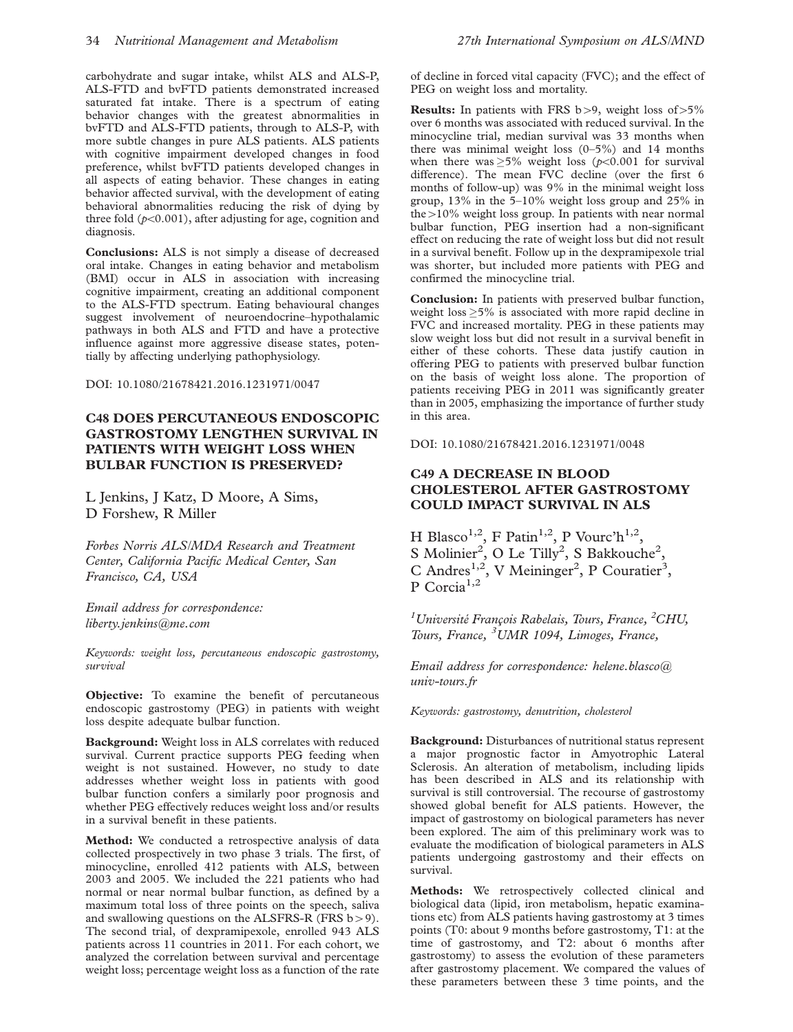carbohydrate and sugar intake, whilst ALS and ALS-P, ALS-FTD and bvFTD patients demonstrated increased saturated fat intake. There is a spectrum of eating behavior changes with the greatest abnormalities in bvFTD and ALS-FTD patients, through to ALS-P, with more subtle changes in pure ALS patients. ALS patients with cognitive impairment developed changes in food preference, whilst bvFTD patients developed changes in all aspects of eating behavior. These changes in eating behavior affected survival, with the development of eating behavioral abnormalities reducing the risk of dying by three fold  $(p<0.001)$ , after adjusting for age, cognition and diagnosis.

Conclusions: ALS is not simply a disease of decreased oral intake. Changes in eating behavior and metabolism (BMI) occur in ALS in association with increasing cognitive impairment, creating an additional component to the ALS-FTD spectrum. Eating behavioural changes suggest involvement of neuroendocrine–hypothalamic pathways in both ALS and FTD and have a protective influence against more aggressive disease states, potentially by affecting underlying pathophysiology.

DOI: 10.1080/21678421.2016.1231971/0047

# C48 DOES PERCUTANEOUS ENDOSCOPIC GASTROSTOMY LENGTHEN SURVIVAL IN PATIENTS WITH WEIGHT LOSS WHEN BULBAR FUNCTION IS PRESERVED?

L Jenkins, J Katz, D Moore, A Sims, D Forshew, R Miller

Forbes Norris ALS/MDA Research and Treatment Center, California Pacific Medical Center, San Francisco, CA, USA

Email address for correspondence: liberty.jenkins@me.com

Keywords: weight loss, percutaneous endoscopic gastrostomy,  $suringial$ 

Objective: To examine the benefit of percutaneous endoscopic gastrostomy (PEG) in patients with weight loss despite adequate bulbar function.

Background: Weight loss in ALS correlates with reduced survival. Current practice supports PEG feeding when weight is not sustained. However, no study to date addresses whether weight loss in patients with good bulbar function confers a similarly poor prognosis and whether PEG effectively reduces weight loss and/or results in a survival benefit in these patients.

Method: We conducted a retrospective analysis of data collected prospectively in two phase 3 trials. The first, of minocycline, enrolled 412 patients with ALS, between 2003 and 2005. We included the 221 patients who had normal or near normal bulbar function, as defined by a maximum total loss of three points on the speech, saliva and swallowing questions on the ALSFRS-R (FRS  $b > 9$ ). The second trial, of dexpramipexole, enrolled 943 ALS patients across 11 countries in 2011. For each cohort, we analyzed the correlation between survival and percentage weight loss; percentage weight loss as a function of the rate

of decline in forced vital capacity (FVC); and the effect of PEG on weight loss and mortality.

**Results:** In patients with FRS  $b > 9$ , weight loss of  $> 5\%$ over 6 months was associated with reduced survival. In the minocycline trial, median survival was 33 months when there was minimal weight loss  $(0-5\%)$  and 14 months when there was  $\geq$ 5% weight loss ( $p$ <0.001 for survival difference). The mean FVC decline (over the first 6 months of follow-up) was 9% in the minimal weight loss group, 13% in the 5–10% weight loss group and 25% in the $>10\%$  weight loss group. In patients with near normal bulbar function, PEG insertion had a non-significant effect on reducing the rate of weight loss but did not result in a survival benefit. Follow up in the dexpramipexole trial was shorter, but included more patients with PEG and confirmed the minocycline trial.

Conclusion: In patients with preserved bulbar function, weight loss  $\geq$ 5% is associated with more rapid decline in FVC and increased mortality. PEG in these patients may slow weight loss but did not result in a survival benefit in either of these cohorts. These data justify caution in offering PEG to patients with preserved bulbar function on the basis of weight loss alone. The proportion of patients receiving PEG in 2011 was significantly greater than in 2005, emphasizing the importance of further study in this area.

DOI: 10.1080/21678421.2016.1231971/0048

# C49 A DECREASE IN BLOOD CHOLESTEROL AFTER GASTROSTOMY COULD IMPACT SURVIVAL IN ALS

H Blasco<sup>1,2</sup>, F Patin<sup>1,2</sup>, P Vourc'h<sup>1,2</sup>, S Molinier<sup>2</sup>, O Le Tilly<sup>2</sup>, S Bakkouche<sup>2</sup>, C Andres<sup>1,2</sup>, V Meininger<sup>2</sup>, P Couratier<sup>3</sup>, P Corcia<sup>1,2</sup>

<sup>1</sup> Université François Rabelais, Tours, France, <sup>2</sup>CHU, Tours, France, <sup>3</sup>UMR 1094, Limoges, France,

Email address for correspondence: helene.blasco@ univ-tours.fr

Keywords: gastrostomy, denutrition, cholesterol

Background: Disturbances of nutritional status represent a major prognostic factor in Amyotrophic Lateral Sclerosis. An alteration of metabolism, including lipids has been described in ALS and its relationship with survival is still controversial. The recourse of gastrostomy showed global benefit for ALS patients. However, the impact of gastrostomy on biological parameters has never been explored. The aim of this preliminary work was to evaluate the modification of biological parameters in ALS patients undergoing gastrostomy and their effects on survival.

Methods: We retrospectively collected clinical and biological data (lipid, iron metabolism, hepatic examinations etc) from ALS patients having gastrostomy at 3 times points (T0: about 9 months before gastrostomy, T1: at the time of gastrostomy, and T2: about 6 months after gastrostomy) to assess the evolution of these parameters after gastrostomy placement. We compared the values of these parameters between these 3 time points, and the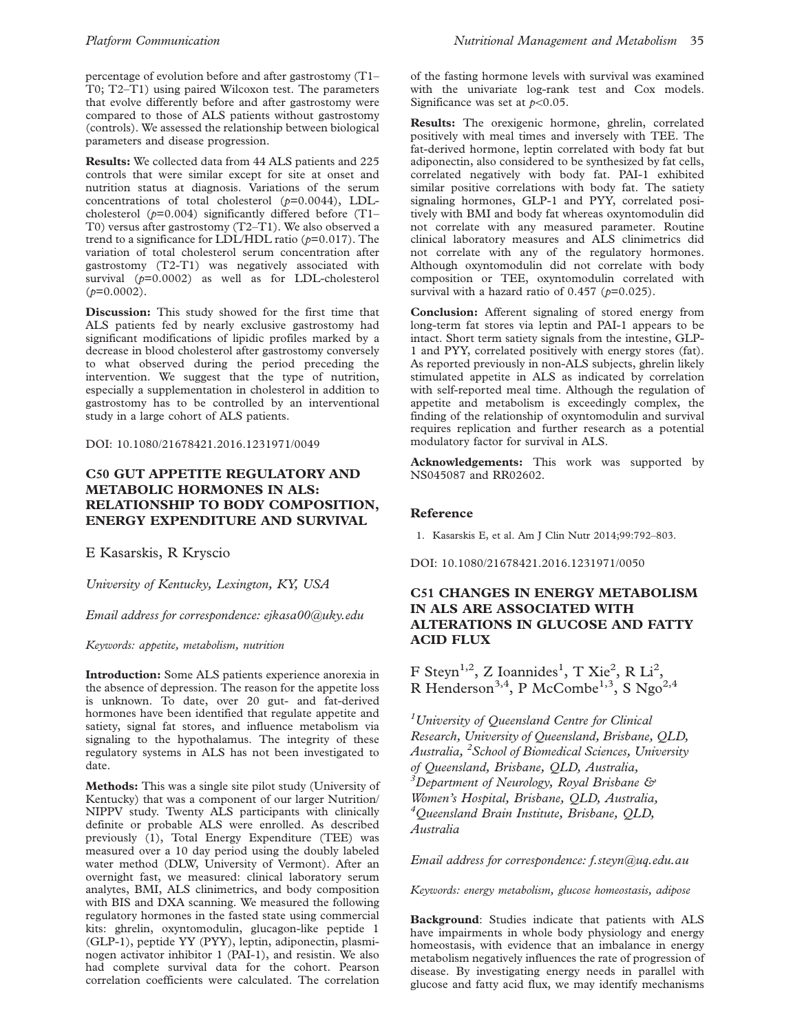percentage of evolution before and after gastrostomy (T1– T0; T2–T1) using paired Wilcoxon test. The parameters that evolve differently before and after gastrostomy were compared to those of ALS patients without gastrostomy (controls). We assessed the relationship between biological parameters and disease progression.

Results: We collected data from 44 ALS patients and 225 controls that were similar except for site at onset and nutrition status at diagnosis. Variations of the serum concentrations of total cholesterol  $(p=0.0044)$ , LDLcholesterol ( $p=0.004$ ) significantly differed before (T1– T0) versus after gastrostomy (T2–T1). We also observed a trend to a significance for LDL/HDL ratio ( $p=0.017$ ). The variation of total cholesterol serum concentration after gastrostomy (T2-T1) was negatively associated with survival  $(p=0.0002)$  as well as for LDL-cholesterol  $(p=0.0002)$ .

Discussion: This study showed for the first time that ALS patients fed by nearly exclusive gastrostomy had significant modifications of lipidic profiles marked by a decrease in blood cholesterol after gastrostomy conversely to what observed during the period preceding the intervention. We suggest that the type of nutrition, especially a supplementation in cholesterol in addition to gastrostomy has to be controlled by an interventional study in a large cohort of ALS patients.

DOI: 10.1080/21678421.2016.1231971/0049

# C50 GUT APPETITE REGULATORY AND METABOLIC HORMONES IN ALS: RELATIONSHIP TO BODY COMPOSITION, ENERGY EXPENDITURE AND SURVIVAL

E Kasarskis, R Kryscio

University of Kentucky, Lexington, KY, USA

Email address for correspondence: ejkasa00@uky.edu

### Keywords: appetite, metabolism, nutrition

Introduction: Some ALS patients experience anorexia in the absence of depression. The reason for the appetite loss is unknown. To date, over 20 gut- and fat-derived hormones have been identified that regulate appetite and satiety, signal fat stores, and influence metabolism via signaling to the hypothalamus. The integrity of these regulatory systems in ALS has not been investigated to date.

Methods: This was a single site pilot study (University of Kentucky) that was a component of our larger Nutrition/ NIPPV study. Twenty ALS participants with clinically definite or probable ALS were enrolled. As described previously (1), Total Energy Expenditure (TEE) was measured over a 10 day period using the doubly labeled water method (DLW, University of Vermont). After an overnight fast, we measured: clinical laboratory serum analytes, BMI, ALS clinimetrics, and body composition with BIS and DXA scanning. We measured the following regulatory hormones in the fasted state using commercial kits: ghrelin, oxyntomodulin, glucagon-like peptide 1 (GLP-1), peptide YY (PYY), leptin, adiponectin, plasminogen activator inhibitor 1 (PAI-1), and resistin. We also had complete survival data for the cohort. Pearson correlation coefficients were calculated. The correlation

of the fasting hormone levels with survival was examined with the univariate log-rank test and Cox models. Significance was set at  $p<0.05$ .

Results: The orexigenic hormone, ghrelin, correlated positively with meal times and inversely with TEE. The fat-derived hormone, leptin correlated with body fat but adiponectin, also considered to be synthesized by fat cells, correlated negatively with body fat. PAI-1 exhibited similar positive correlations with body fat. The satiety signaling hormones, GLP-1 and PYY, correlated positively with BMI and body fat whereas oxyntomodulin did not correlate with any measured parameter. Routine clinical laboratory measures and ALS clinimetrics did not correlate with any of the regulatory hormones. Although oxyntomodulin did not correlate with body composition or TEE, oxyntomodulin correlated with survival with a hazard ratio of 0.457 ( $p=0.025$ ).

Conclusion: Afferent signaling of stored energy from long-term fat stores via leptin and PAI-1 appears to be intact. Short term satiety signals from the intestine, GLP-1 and PYY, correlated positively with energy stores (fat). As reported previously in non-ALS subjects, ghrelin likely stimulated appetite in ALS as indicated by correlation with self-reported meal time. Although the regulation of appetite and metabolism is exceedingly complex, the finding of the relationship of oxyntomodulin and survival requires replication and further research as a potential modulatory factor for survival in ALS.

Acknowledgements: This work was supported by NS045087 and RR02602.

# Reference

1. Kasarskis E, et al. Am J Clin Nutr 2014;99:792–803.

DOI: 10.1080/21678421.2016.1231971/0050

# C51 CHANGES IN ENERGY METABOLISM IN ALS ARE ASSOCIATED WITH ALTERATIONS IN GLUCOSE AND FATTY ACID FLUX

F Steyn<sup>1,2</sup>, Z Ioannides<sup>1</sup>, T Xie<sup>2</sup>, R Li<sup>2</sup>, R Henderson<sup>3,4</sup>, P McCombe<sup>1,3</sup>, S Ngo<sup>2,4</sup>

<sup>1</sup> University of Queensland Centre for Clinical Research, University of Queensland, Brisbane, QLD, Australia, <sup>2</sup> School of Biomedical Sciences, University of Queensland, Brisbane, QLD, Australia, <sup>3</sup>Department of Neurology, Royal Brisbane & Women's Hospital, Brisbane, QLD, Australia, 4 Queensland Brain Institute, Brisbane, QLD, Australia

Email address for correspondence: f.steyn@uq.edu.au

Keywords: energy metabolism, glucose homeostasis, adipose

Background: Studies indicate that patients with ALS have impairments in whole body physiology and energy homeostasis, with evidence that an imbalance in energy metabolism negatively influences the rate of progression of disease. By investigating energy needs in parallel with glucose and fatty acid flux, we may identify mechanisms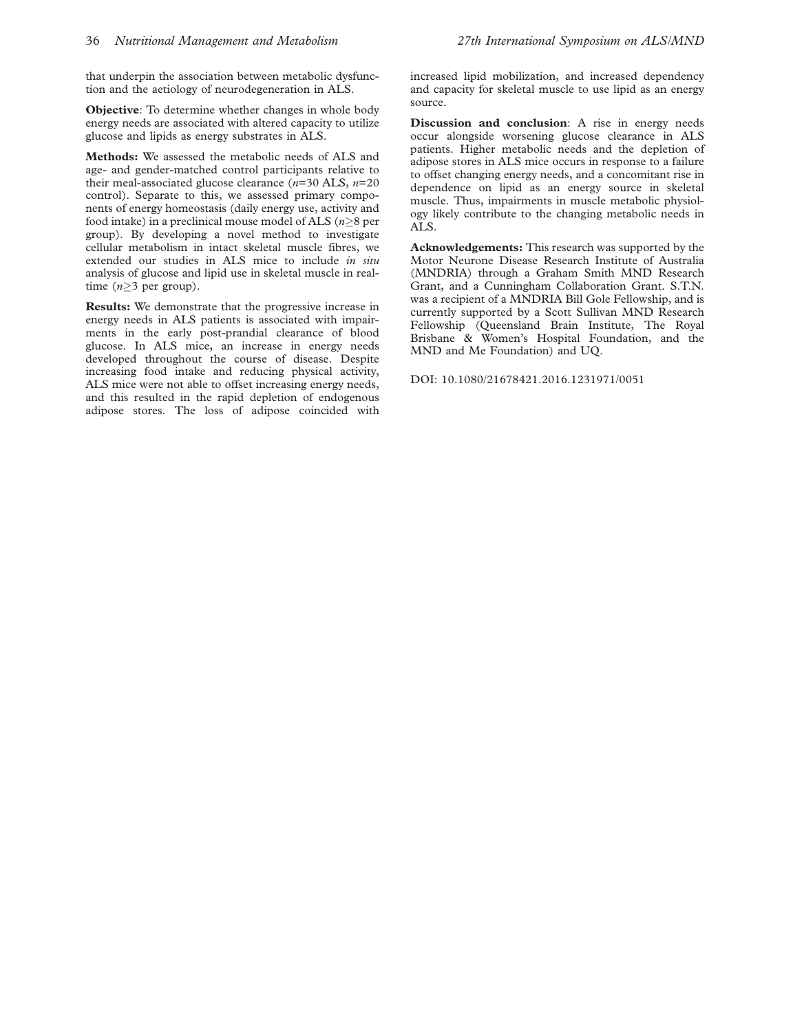that underpin the association between metabolic dysfunction and the aetiology of neurodegeneration in ALS.

Objective: To determine whether changes in whole body energy needs are associated with altered capacity to utilize glucose and lipids as energy substrates in ALS.

Methods: We assessed the metabolic needs of ALS and age- and gender-matched control participants relative to their meal-associated glucose clearance  $(n=30$  ALS,  $n=20$ control). Separate to this, we assessed primary components of energy homeostasis (daily energy use, activity and food intake) in a preclinical mouse model of ALS ( $n \geq 8$  per group). By developing a novel method to investigate cellular metabolism in intact skeletal muscle fibres, we extended our studies in ALS mice to include in situ analysis of glucose and lipid use in skeletal muscle in realtime  $(n \geq 3$  per group).

Results: We demonstrate that the progressive increase in energy needs in ALS patients is associated with impairments in the early post-prandial clearance of blood glucose. In ALS mice, an increase in energy needs developed throughout the course of disease. Despite increasing food intake and reducing physical activity, ALS mice were not able to offset increasing energy needs, and this resulted in the rapid depletion of endogenous adipose stores. The loss of adipose coincided with

increased lipid mobilization, and increased dependency and capacity for skeletal muscle to use lipid as an energy source.

Discussion and conclusion: A rise in energy needs occur alongside worsening glucose clearance in ALS patients. Higher metabolic needs and the depletion of adipose stores in ALS mice occurs in response to a failure to offset changing energy needs, and a concomitant rise in dependence on lipid as an energy source in skeletal muscle. Thus, impairments in muscle metabolic physiology likely contribute to the changing metabolic needs in ALS.

Acknowledgements: This research was supported by the Motor Neurone Disease Research Institute of Australia (MNDRIA) through a Graham Smith MND Research Grant, and a Cunningham Collaboration Grant. S.T.N. was a recipient of a MNDRIA Bill Gole Fellowship, and is currently supported by a Scott Sullivan MND Research Fellowship (Queensland Brain Institute, The Royal Brisbane & Women's Hospital Foundation, and the MND and Me Foundation) and UQ.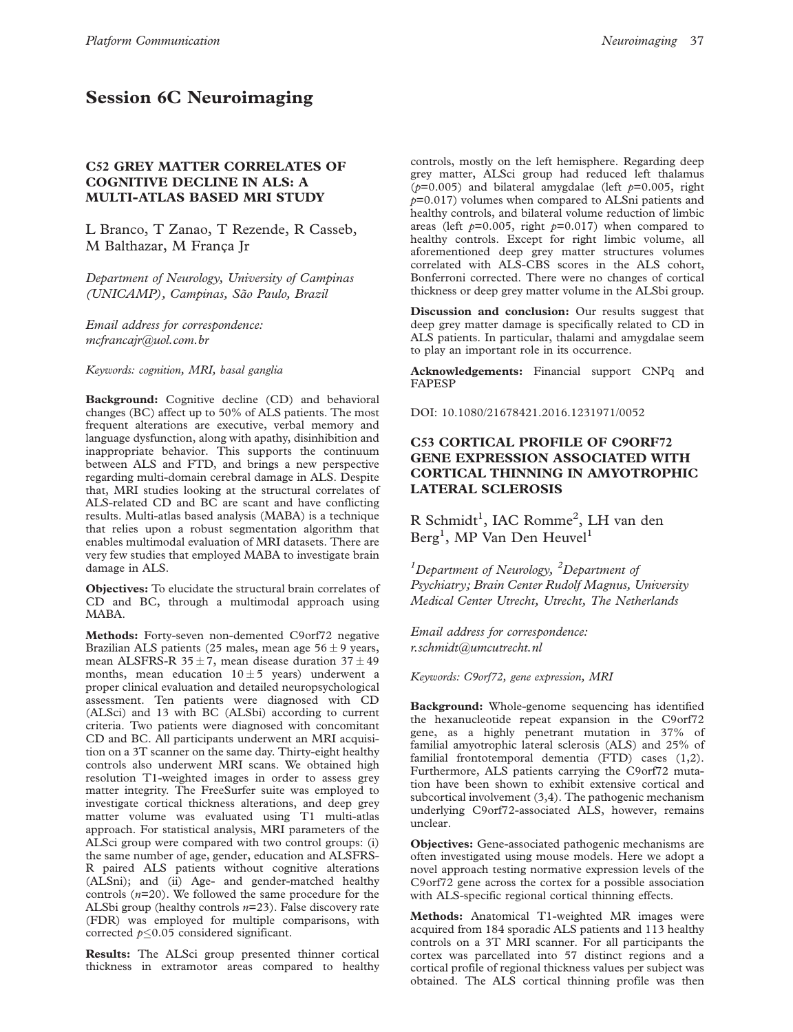# Session 6C Neuroimaging

## C52 GREY MATTER CORRELATES OF COGNITIVE DECLINE IN ALS: A MULTI-ATLAS BASED MRI STUDY

L Branco, T Zanao, T Rezende, R Casseb, M Balthazar, M França Jr

Department of Neurology, University of Campinas (UNICAMP), Campinas, São Paulo, Brazil

Email address for correspondence: mcfrancajr@uol.com.br

Keywords: cognition, MRI, basal ganglia

Background: Cognitive decline (CD) and behavioral changes (BC) affect up to 50% of ALS patients. The most frequent alterations are executive, verbal memory and language dysfunction, along with apathy, disinhibition and inappropriate behavior. This supports the continuum between ALS and FTD, and brings a new perspective regarding multi-domain cerebral damage in ALS. Despite that, MRI studies looking at the structural correlates of ALS-related CD and BC are scant and have conflicting results. Multi-atlas based analysis (MABA) is a technique that relies upon a robust segmentation algorithm that enables multimodal evaluation of MRI datasets. There are very few studies that employed MABA to investigate brain damage in ALS.

**Objectives:** To elucidate the structural brain correlates of CD and BC, through a multimodal approach using MABA.

Methods: Forty-seven non-demented C9orf72 negative Brazilian ALS patients (25 males, mean age  $56 \pm 9$  years, mean ALSFRS-R 35  $\pm$  7, mean disease duration 37  $\pm$  49 months, mean education  $10 \pm 5$  years) underwent a proper clinical evaluation and detailed neuropsychological assessment. Ten patients were diagnosed with CD (ALSci) and 13 with BC (ALSbi) according to current criteria. Two patients were diagnosed with concomitant CD and BC. All participants underwent an MRI acquisition on a 3T scanner on the same day. Thirty-eight healthy controls also underwent MRI scans. We obtained high resolution T1-weighted images in order to assess grey matter integrity. The FreeSurfer suite was employed to investigate cortical thickness alterations, and deep grey matter volume was evaluated using T1 multi-atlas approach. For statistical analysis, MRI parameters of the ALSci group were compared with two control groups: (i) the same number of age, gender, education and ALSFRS-R paired ALS patients without cognitive alterations (ALSni); and (ii) Age- and gender-matched healthy controls  $(n=20)$ . We followed the same procedure for the ALSbi group (healthy controls  $n=23$ ). False discovery rate (FDR) was employed for multiple comparisons, with corrected  $p \le 0.05$  considered significant.

Results: The ALSci group presented thinner cortical thickness in extramotor areas compared to healthy controls, mostly on the left hemisphere. Regarding deep grey matter, ALSci group had reduced left thalamus ( $p=0.005$ ) and bilateral amygdalae (left  $p=0.005$ , right  $p=0.017$ ) volumes when compared to ALSni patients and healthy controls, and bilateral volume reduction of limbic areas (left  $p=0.005$ , right  $p=0.017$ ) when compared to healthy controls. Except for right limbic volume, all aforementioned deep grey matter structures volumes correlated with ALS-CBS scores in the ALS cohort, Bonferroni corrected. There were no changes of cortical thickness or deep grey matter volume in the ALSbi group.

Discussion and conclusion: Our results suggest that deep grey matter damage is specifically related to CD in ALS patients. In particular, thalami and amygdalae seem to play an important role in its occurrence.

Acknowledgements: Financial support CNPq and FAPESP

DOI: 10.1080/21678421.2016.1231971/0052

## C53 CORTICAL PROFILE OF C9ORF72 GENE EXPRESSION ASSOCIATED WITH CORTICAL THINNING IN AMYOTROPHIC LATERAL SCLEROSIS

R Schmidt<sup>1</sup>, IAC Romme<sup>2</sup>, LH van den Berg<sup>1</sup>, MP Van Den Heuvel<sup>1</sup>

<sup>1</sup>Department of Neurology, <sup>2</sup>Department of Psychiatry; Brain Center Rudolf Magnus, University Medical Center Utrecht, Utrecht, The Netherlands

Email address for correspondence: r.schmidt@umcutrecht.nl

Keywords: C9orf72, gene expression, MRI

Background: Whole-genome sequencing has identified the hexanucleotide repeat expansion in the C9orf72 gene, as a highly penetrant mutation in 37% of familial amyotrophic lateral sclerosis (ALS) and 25% of familial frontotemporal dementia (FTD) cases ([1,2](#page-38-0)). Furthermore, ALS patients carrying the C9orf72 mutation have been shown to exhibit extensive cortical and subcortical involvement [\(3](#page-38-0),[4\)](#page-38-0). The pathogenic mechanism underlying C9orf72-associated ALS, however, remains unclear.

Objectives: Gene-associated pathogenic mechanisms are often investigated using mouse models. Here we adopt a novel approach testing normative expression levels of the C9orf72 gene across the cortex for a possible association with ALS-specific regional cortical thinning effects.

Methods: Anatomical T1-weighted MR images were acquired from 184 sporadic ALS patients and 113 healthy controls on a 3T MRI scanner. For all participants the cortex was parcellated into 57 distinct regions and a cortical profile of regional thickness values per subject was obtained. The ALS cortical thinning profile was then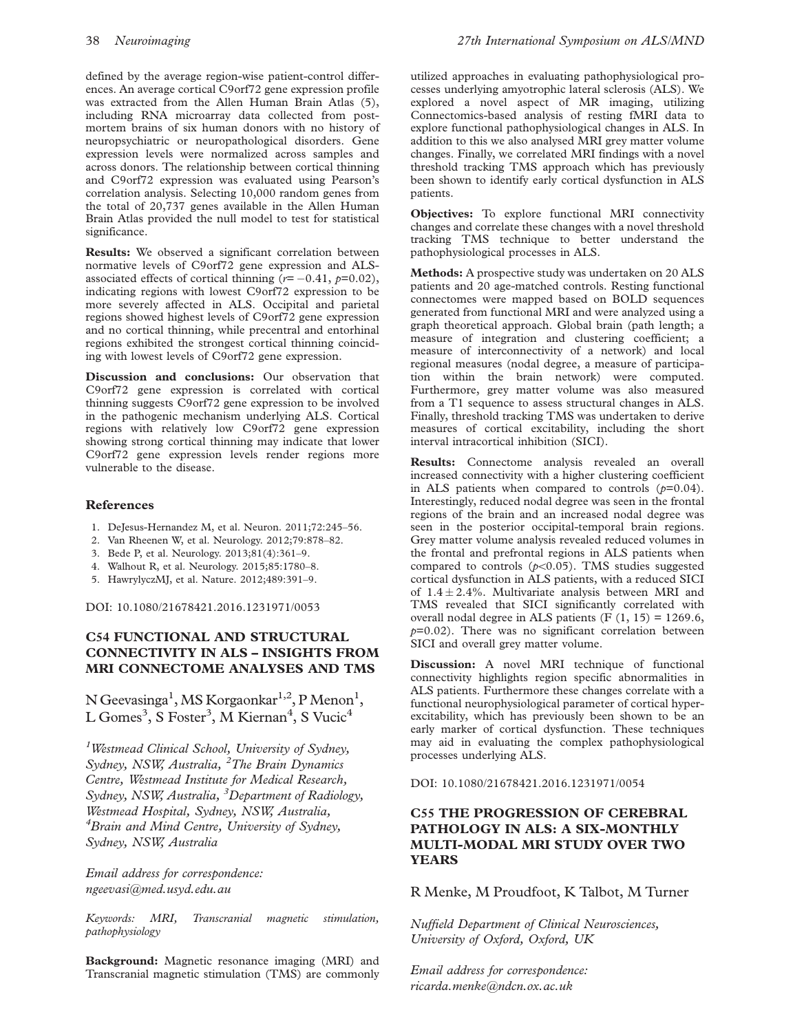<span id="page-38-0"></span>defined by the average region-wise patient-control differences. An average cortical C9orf72 gene expression profile was extracted from the Allen Human Brain Atlas (5), including RNA microarray data collected from postmortem brains of six human donors with no history of neuropsychiatric or neuropathological disorders. Gene expression levels were normalized across samples and across donors. The relationship between cortical thinning and C9orf72 expression was evaluated using Pearson's correlation analysis. Selecting 10,000 random genes from the total of 20,737 genes available in the Allen Human Brain Atlas provided the null model to test for statistical significance.

Results: We observed a significant correlation between normative levels of C9orf72 gene expression and ALSassociated effects of cortical thinning  $(r=-0.41, p=0.02)$ , indicating regions with lowest C9orf72 expression to be more severely affected in ALS. Occipital and parietal regions showed highest levels of C9orf72 gene expression and no cortical thinning, while precentral and entorhinal regions exhibited the strongest cortical thinning coinciding with lowest levels of C9orf72 gene expression.

Discussion and conclusions: Our observation that C9orf72 gene expression is correlated with cortical thinning suggests C9orf72 gene expression to be involved in the pathogenic mechanism underlying ALS. Cortical regions with relatively low C9orf72 gene expression showing strong cortical thinning may indicate that lower C9orf72 gene expression levels render regions more vulnerable to the disease.

### References

- 1. DeJesus-Hernandez M, et al. Neuron. 2011;72:245–56.
- 2. Van Rheenen W, et al. Neurology. 2012;79:878–82.
- 3. Bede P, et al. Neurology. 2013;81(4):361–9.
- 4. Walhout R, et al. Neurology. 2015;85:1780–8.
- 5. HawrylyczMJ, et al. Nature. 2012;489:391–9.

DOI: 10.1080/21678421.2016.1231971/0053

# C54 FUNCTIONAL AND STRUCTURAL CONNECTIVITY IN ALS – INSIGHTS FROM MRI CONNECTOME ANALYSES AND TMS

N Geevasinga<sup>1</sup>, MS Korgaonkar<sup>1,2</sup>, P Menon<sup>1</sup>, L Gomes<sup>3</sup>, S Foster<sup>3</sup>, M Kiernan<sup>4</sup>, S Vucic<sup>4</sup>

<sup>1</sup> Westmead Clinical School, University of Sydney, Sydney, NSW, Australia, <sup>2</sup>The Brain Dynamics Centre, Westmead Institute for Medical Research, Sydney, NSW, Australia, <sup>3</sup> Department of Radiology, Westmead Hospital, Sydney, NSW, Australia, 4 Brain and Mind Centre, University of Sydney, Sydney, NSW, Australia

Email address for correspondence: ngeevasi@med.usyd.edu.au

Keywords: MRI, Transcranial magnetic stimulation, pathophysiology

Background: Magnetic resonance imaging (MRI) and Transcranial magnetic stimulation (TMS) are commonly utilized approaches in evaluating pathophysiological processes underlying amyotrophic lateral sclerosis (ALS). We explored a novel aspect of MR imaging, utilizing Connectomics-based analysis of resting fMRI data to explore functional pathophysiological changes in ALS. In addition to this we also analysed MRI grey matter volume changes. Finally, we correlated MRI findings with a novel threshold tracking TMS approach which has previously been shown to identify early cortical dysfunction in ALS patients.

Objectives: To explore functional MRI connectivity changes and correlate these changes with a novel threshold tracking TMS technique to better understand the pathophysiological processes in ALS.

Methods: A prospective study was undertaken on 20 ALS patients and 20 age-matched controls. Resting functional connectomes were mapped based on BOLD sequences generated from functional MRI and were analyzed using a graph theoretical approach. Global brain (path length; a measure of integration and clustering coefficient; a measure of interconnectivity of a network) and local regional measures (nodal degree, a measure of participation within the brain network) were computed. Furthermore, grey matter volume was also measured from a T1 sequence to assess structural changes in ALS. Finally, threshold tracking TMS was undertaken to derive measures of cortical excitability, including the short interval intracortical inhibition (SICI).

Results: Connectome analysis revealed an overall increased connectivity with a higher clustering coefficient in ALS patients when compared to controls  $(p=0.04)$ . Interestingly, reduced nodal degree was seen in the frontal regions of the brain and an increased nodal degree was seen in the posterior occipital-temporal brain regions. Grey matter volume analysis revealed reduced volumes in the frontal and prefrontal regions in ALS patients when compared to controls  $(p<0.05)$ . TMS studies suggested cortical dysfunction in ALS patients, with a reduced SICI of  $1.4 \pm 2.4$ %. Multivariate analysis between MRI and TMS revealed that SICI significantly correlated with overall nodal degree in ALS patients  $(F (1, 15) = 1269.6,$  $p=0.02$ ). There was no significant correlation between SICI and overall grey matter volume.

Discussion: A novel MRI technique of functional connectivity highlights region specific abnormalities in ALS patients. Furthermore these changes correlate with a functional neurophysiological parameter of cortical hyperexcitability, which has previously been shown to be an early marker of cortical dysfunction. These techniques may aid in evaluating the complex pathophysiological processes underlying ALS.

DOI: 10.1080/21678421.2016.1231971/0054

# C55 THE PROGRESSION OF CEREBRAL PATHOLOGY IN ALS: A SIX-MONTHLY MULTI-MODAL MRI STUDY OVER TWO **YEARS**

R Menke, M Proudfoot, K Talbot, M Turner

Nuffield Department of Clinical Neurosciences, University of Oxford, Oxford, UK

Email address for correspondence: ricarda.menke@ndcn.ox.ac.uk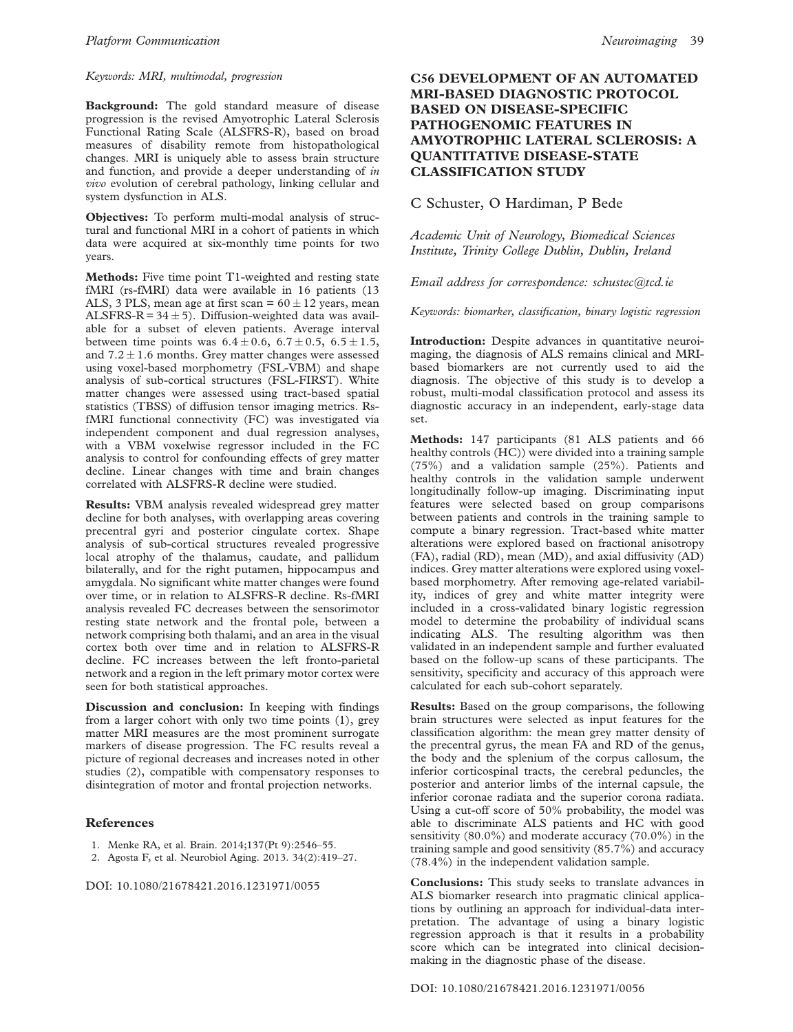#### Keywords: MRI, multimodal, progression

Background: The gold standard measure of disease progression is the revised Amyotrophic Lateral Sclerosis Functional Rating Scale (ALSFRS-R), based on broad measures of disability remote from histopathological changes. MRI is uniquely able to assess brain structure and function, and provide a deeper understanding of in vivo evolution of cerebral pathology, linking cellular and system dysfunction in ALS.

Objectives: To perform multi-modal analysis of structural and functional MRI in a cohort of patients in which data were acquired at six-monthly time points for two years.

Methods: Five time point T1-weighted and resting state fMRI (rs-fMRI) data were available in 16 patients (13 ALS, 3 PLS, mean age at first scan  $= 60 \pm 12$  years, mean ALSFRS-R =  $34 \pm 5$ ). Diffusion-weighted data was available for a subset of eleven patients. Average interval between time points was  $6.4 \pm 0.6$ ,  $6.7 \pm 0.5$ ,  $6.5 \pm 1.5$ , and  $7.2 \pm 1.6$  months. Grey matter changes were assessed using voxel-based morphometry (FSL-VBM) and shape analysis of sub-cortical structures (FSL-FIRST). White matter changes were assessed using tract-based spatial statistics (TBSS) of diffusion tensor imaging metrics. RsfMRI functional connectivity (FC) was investigated via independent component and dual regression analyses, with a VBM voxelwise regressor included in the FC analysis to control for confounding effects of grey matter decline. Linear changes with time and brain changes correlated with ALSFRS-R decline were studied.

Results: VBM analysis revealed widespread grey matter decline for both analyses, with overlapping areas covering precentral gyri and posterior cingulate cortex. Shape analysis of sub-cortical structures revealed progressive local atrophy of the thalamus, caudate, and pallidum bilaterally, and for the right putamen, hippocampus and amygdala. No significant white matter changes were found over time, or in relation to ALSFRS-R decline. Rs-fMRI analysis revealed FC decreases between the sensorimotor resting state network and the frontal pole, between a network comprising both thalami, and an area in the visual cortex both over time and in relation to ALSFRS-R decline. FC increases between the left fronto-parietal network and a region in the left primary motor cortex were seen for both statistical approaches.

Discussion and conclusion: In keeping with findings from a larger cohort with only two time points (1), grey matter MRI measures are the most prominent surrogate markers of disease progression. The FC results reveal a picture of regional decreases and increases noted in other studies (2), compatible with compensatory responses to disintegration of motor and frontal projection networks.

#### References

- 1. Menke RA, et al. Brain. 2014;137(Pt 9):2546–55.
- 2. Agosta F, et al. Neurobiol Aging. 2013. 34(2):419–27.

DOI: 10.1080/21678421.2016.1231971/0055

# C56 DEVELOPMENT OF AN AUTOMATED MRI-BASED DIAGNOSTIC PROTOCOL BASED ON DISEASE-SPECIFIC PATHOGENOMIC FEATURES IN AMYOTROPHIC LATERAL SCLEROSIS: A QUANTITATIVE DISEASE-STATE CLASSIFICATION STUDY

#### C Schuster, O Hardiman, P Bede

Academic Unit of Neurology, Biomedical Sciences Institute, Trinity College Dublin, Dublin, Ireland

Email address for correspondence: schustec $@$ tcd.ie

Keywords: biomarker, classification, binary logistic regression

Introduction: Despite advances in quantitative neuroimaging, the diagnosis of ALS remains clinical and MRIbased biomarkers are not currently used to aid the diagnosis. The objective of this study is to develop a robust, multi-modal classification protocol and assess its diagnostic accuracy in an independent, early-stage data set.

Methods: 147 participants (81 ALS patients and 66 healthy controls (HC)) were divided into a training sample (75%) and a validation sample (25%). Patients and healthy controls in the validation sample underwent longitudinally follow-up imaging. Discriminating input features were selected based on group comparisons between patients and controls in the training sample to compute a binary regression. Tract-based white matter alterations were explored based on fractional anisotropy (FA), radial (RD), mean (MD), and axial diffusivity (AD) indices. Grey matter alterations were explored using voxelbased morphometry. After removing age-related variability, indices of grey and white matter integrity were included in a cross-validated binary logistic regression model to determine the probability of individual scans indicating ALS. The resulting algorithm was then validated in an independent sample and further evaluated based on the follow-up scans of these participants. The sensitivity, specificity and accuracy of this approach were calculated for each sub-cohort separately.

Results: Based on the group comparisons, the following brain structures were selected as input features for the classification algorithm: the mean grey matter density of the precentral gyrus, the mean FA and RD of the genus, the body and the splenium of the corpus callosum, the inferior corticospinal tracts, the cerebral peduncles, the posterior and anterior limbs of the internal capsule, the inferior coronae radiata and the superior corona radiata. Using a cut-off score of 50% probability, the model was able to discriminate ALS patients and HC with good sensitivity (80.0%) and moderate accuracy (70.0%) in the training sample and good sensitivity (85.7%) and accuracy (78.4%) in the independent validation sample.

Conclusions: This study seeks to translate advances in ALS biomarker research into pragmatic clinical applications by outlining an approach for individual-data interpretation. The advantage of using a binary logistic regression approach is that it results in a probability score which can be integrated into clinical decisionmaking in the diagnostic phase of the disease.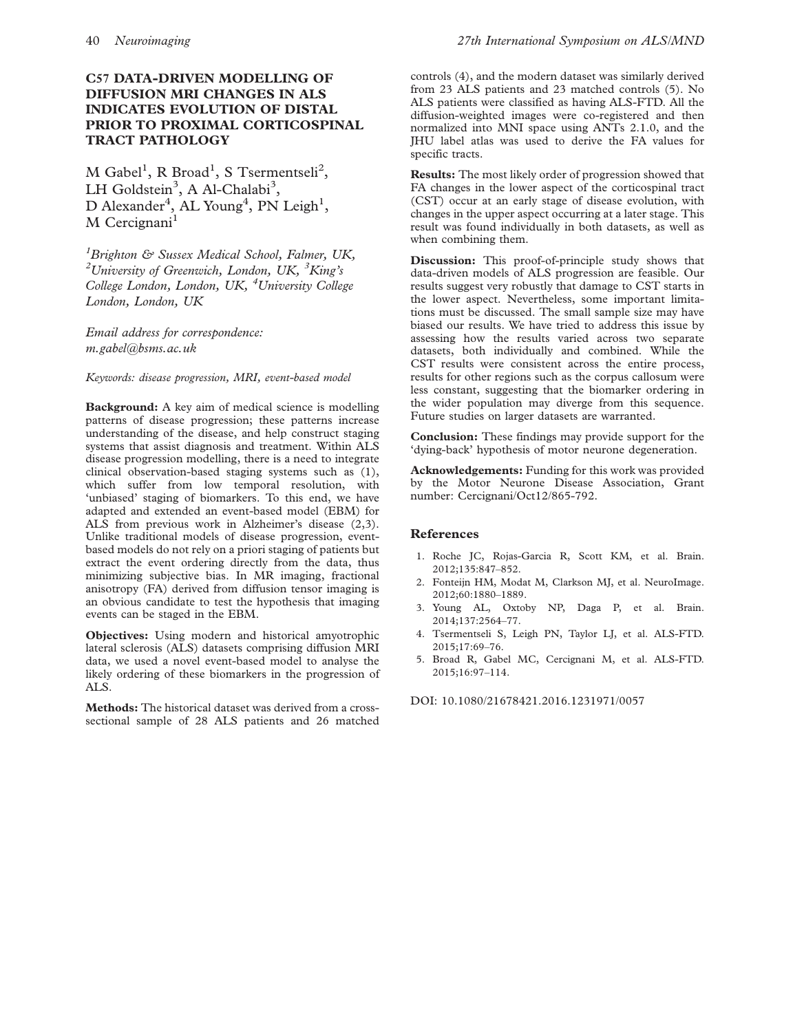# C57 DATA-DRIVEN MODELLING OF DIFFUSION MRI CHANGES IN ALS INDICATES EVOLUTION OF DISTAL PRIOR TO PROXIMAL CORTICOSPINAL TRACT PATHOLOGY

 $M$  Gabel<sup>1</sup>, R Broad<sup>1</sup>, S Tsermentseli<sup>2</sup>, LH Goldstein<sup>3</sup>, A Al-Chalabi<sup>3</sup>, D Alexander<sup>4</sup>, AL Young<sup>4</sup>, PN Leigh<sup>1</sup>,  $M$  Cercignani<sup>1</sup>

<sup>1</sup> Brighton & Sussex Medical School, Falmer, UK, <sup>2</sup>University of Greenwich, London, UK,  ${}^{3}$ King's College London, London, UK, <sup>4</sup>University College London, London, UK

Email address for correspondence: m.gabel@bsms.ac.uk

Keywords: disease progression, MRI, event-based model

Background: A key aim of medical science is modelling patterns of disease progression; these patterns increase understanding of the disease, and help construct staging systems that assist diagnosis and treatment. Within ALS disease progression modelling, there is a need to integrate clinical observation-based staging systems such as (1), which suffer from low temporal resolution, with 'unbiased' staging of biomarkers. To this end, we have adapted and extended an event-based model (EBM) for ALS from previous work in Alzheimer's disease (2,3). Unlike traditional models of disease progression, eventbased models do not rely on a priori staging of patients but extract the event ordering directly from the data, thus minimizing subjective bias. In MR imaging, fractional anisotropy (FA) derived from diffusion tensor imaging is an obvious candidate to test the hypothesis that imaging events can be staged in the EBM.

Objectives: Using modern and historical amyotrophic lateral sclerosis (ALS) datasets comprising diffusion MRI data, we used a novel event-based model to analyse the likely ordering of these biomarkers in the progression of ALS.

Methods: The historical dataset was derived from a crosssectional sample of 28 ALS patients and 26 matched controls (4), and the modern dataset was similarly derived from 23 ALS patients and 23 matched controls (5). No ALS patients were classified as having ALS-FTD. All the diffusion-weighted images were co-registered and then normalized into MNI space using ANTs 2.1.0, and the JHU label atlas was used to derive the FA values for specific tracts.

Results: The most likely order of progression showed that FA changes in the lower aspect of the corticospinal tract (CST) occur at an early stage of disease evolution, with changes in the upper aspect occurring at a later stage. This result was found individually in both datasets, as well as when combining them.

Discussion: This proof-of-principle study shows that data-driven models of ALS progression are feasible. Our results suggest very robustly that damage to CST starts in the lower aspect. Nevertheless, some important limitations must be discussed. The small sample size may have biased our results. We have tried to address this issue by assessing how the results varied across two separate datasets, both individually and combined. While the CST results were consistent across the entire process, results for other regions such as the corpus callosum were less constant, suggesting that the biomarker ordering in the wider population may diverge from this sequence. Future studies on larger datasets are warranted.

Conclusion: These findings may provide support for the 'dying-back' hypothesis of motor neurone degeneration.

Acknowledgements: Funding for this work was provided by the Motor Neurone Disease Association, Grant number: Cercignani/Oct12/865-792.

#### References

- 1. Roche JC, Rojas-Garcia R, Scott KM, et al. Brain. 2012;135:847–852.
- 2. Fonteijn HM, Modat M, Clarkson MJ, et al. NeuroImage. 2012;60:1880–1889.
- 3. Young AL, Oxtoby NP, Daga P, et al. Brain. 2014;137:2564–77.
- 4. Tsermentseli S, Leigh PN, Taylor LJ, et al. ALS-FTD. 2015;17:69–76.
- 5. Broad R, Gabel MC, Cercignani M, et al. ALS-FTD. 2015;16:97–114.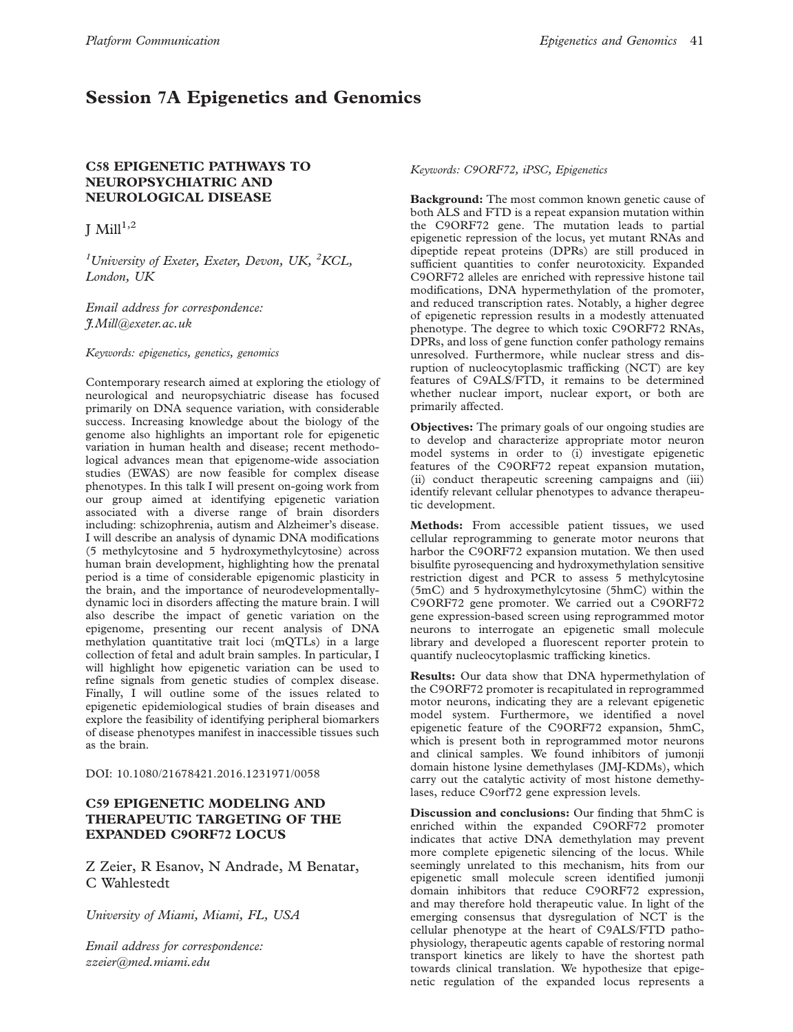# Session 7A Epigenetics and Genomics

## C58 EPIGENETIC PATHWAYS TO NEUROPSYCHIATRIC AND NEUROLOGICAL DISEASE

I Mill $^{1,2}$ 

<sup>1</sup>University of Exeter, Exeter, Devon, UK,  ${}^{2}KCL$ , London, UK

Email address for correspondence: J.Mill@exeter.ac.uk

Keywords: epigenetics, genetics, genomics

Contemporary research aimed at exploring the etiology of neurological and neuropsychiatric disease has focused primarily on DNA sequence variation, with considerable success. Increasing knowledge about the biology of the genome also highlights an important role for epigenetic variation in human health and disease; recent methodological advances mean that epigenome-wide association studies (EWAS) are now feasible for complex disease phenotypes. In this talk I will present on-going work from our group aimed at identifying epigenetic variation associated with a diverse range of brain disorders including: schizophrenia, autism and Alzheimer's disease. I will describe an analysis of dynamic DNA modifications (5 methylcytosine and 5 hydroxymethylcytosine) across human brain development, highlighting how the prenatal period is a time of considerable epigenomic plasticity in the brain, and the importance of neurodevelopmentallydynamic loci in disorders affecting the mature brain. I will also describe the impact of genetic variation on the epigenome, presenting our recent analysis of DNA methylation quantitative trait loci (mQTLs) in a large collection of fetal and adult brain samples. In particular, I will highlight how epigenetic variation can be used to refine signals from genetic studies of complex disease. Finally, I will outline some of the issues related to epigenetic epidemiological studies of brain diseases and explore the feasibility of identifying peripheral biomarkers of disease phenotypes manifest in inaccessible tissues such as the brain.

DOI: 10.1080/21678421.2016.1231971/0058

# C59 EPIGENETIC MODELING AND THERAPEUTIC TARGETING OF THE EXPANDED C9ORF72 LOCUS

Z Zeier, R Esanov, N Andrade, M Benatar, C Wahlestedt

University of Miami, Miami, FL, USA

Email address for correspondence: zzeier@med.miami.edu

Keywords: C9ORF72, iPSC, Epigenetics

Background: The most common known genetic cause of both ALS and FTD is a repeat expansion mutation within the C9ORF72 gene. The mutation leads to partial epigenetic repression of the locus, yet mutant RNAs and dipeptide repeat proteins (DPRs) are still produced in sufficient quantities to confer neurotoxicity. Expanded C9ORF72 alleles are enriched with repressive histone tail modifications, DNA hypermethylation of the promoter, and reduced transcription rates. Notably, a higher degree of epigenetic repression results in a modestly attenuated phenotype. The degree to which toxic C9ORF72 RNAs, DPRs, and loss of gene function confer pathology remains unresolved. Furthermore, while nuclear stress and disruption of nucleocytoplasmic trafficking (NCT) are key features of C9ALS/FTD, it remains to be determined whether nuclear import, nuclear export, or both are primarily affected.

Objectives: The primary goals of our ongoing studies are to develop and characterize appropriate motor neuron model systems in order to (i) investigate epigenetic features of the C9ORF72 repeat expansion mutation, (ii) conduct therapeutic screening campaigns and (iii) identify relevant cellular phenotypes to advance therapeutic development.

Methods: From accessible patient tissues, we used cellular reprogramming to generate motor neurons that harbor the C9ORF72 expansion mutation. We then used bisulfite pyrosequencing and hydroxymethylation sensitive restriction digest and PCR to assess 5 methylcytosine (5mC) and 5 hydroxymethylcytosine (5hmC) within the C9ORF72 gene promoter. We carried out a C9ORF72 gene expression-based screen using reprogrammed motor neurons to interrogate an epigenetic small molecule library and developed a fluorescent reporter protein to quantify nucleocytoplasmic trafficking kinetics.

Results: Our data show that DNA hypermethylation of the C9ORF72 promoter is recapitulated in reprogrammed motor neurons, indicating they are a relevant epigenetic model system. Furthermore, we identified a novel epigenetic feature of the C9ORF72 expansion, 5hmC, which is present both in reprogrammed motor neurons and clinical samples. We found inhibitors of jumonji domain histone lysine demethylases (JMJ-KDMs), which carry out the catalytic activity of most histone demethylases, reduce C9orf72 gene expression levels.

Discussion and conclusions: Our finding that 5hmC is enriched within the expanded C9ORF72 promoter indicates that active DNA demethylation may prevent more complete epigenetic silencing of the locus. While seemingly unrelated to this mechanism, hits from our epigenetic small molecule screen identified jumonji domain inhibitors that reduce C9ORF72 expression, and may therefore hold therapeutic value. In light of the emerging consensus that dysregulation of NCT is the cellular phenotype at the heart of C9ALS/FTD pathophysiology, therapeutic agents capable of restoring normal transport kinetics are likely to have the shortest path towards clinical translation. We hypothesize that epigenetic regulation of the expanded locus represents a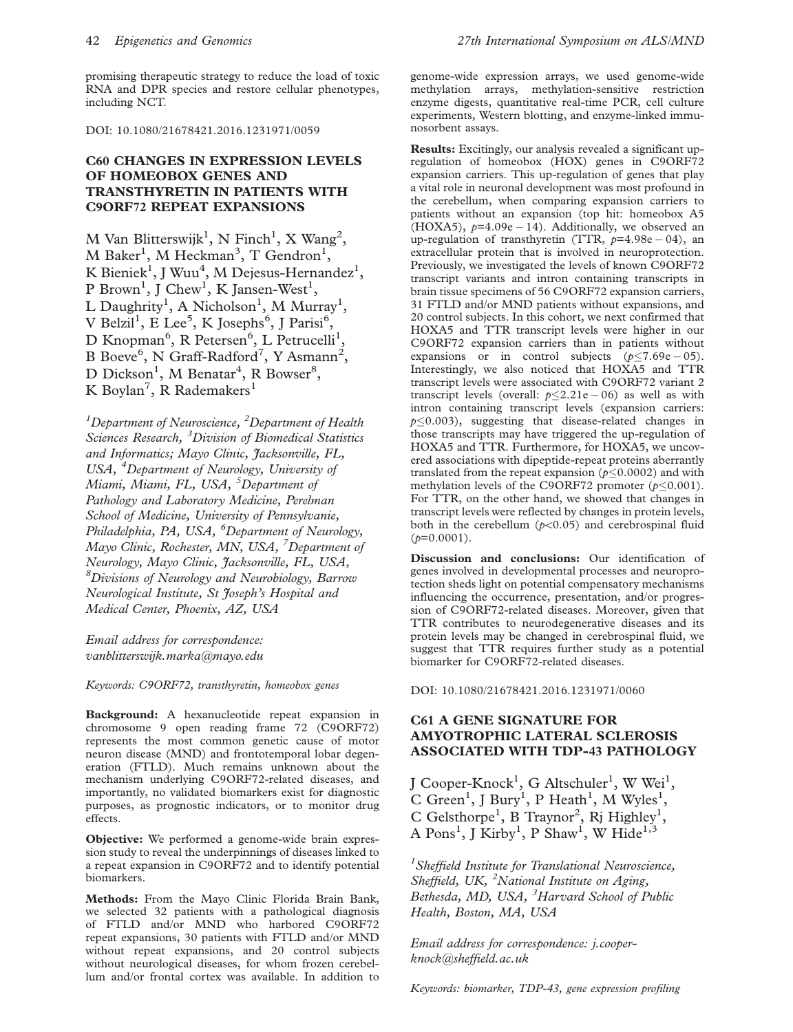promising therapeutic strategy to reduce the load of toxic RNA and DPR species and restore cellular phenotypes, including NCT.

DOI: 10.1080/21678421.2016.1231971/0059

# C60 CHANGES IN EXPRESSION LEVELS OF HOMEOBOX GENES AND TRANSTHYRETIN IN PATIENTS WITH C9ORF72 REPEAT EXPANSIONS

M Van Blitterswijk<sup>1</sup>, N Finch<sup>1</sup>, X Wang<sup>2</sup>, M Baker<sup>1</sup>, M Heckman<sup>3</sup>, T Gendron<sup>1</sup>, K Bieniek $^1$ , J Wuu $^4$ , M Dejesus-Hernandez $^1,$ P Brown<sup>1</sup>, J Chew<sup>1</sup>, K Jansen-West<sup>1</sup>, L Daughrity<sup>1</sup>, A Nicholson<sup>1</sup>, M Murray<sup>1</sup>, V Belzil<sup>1</sup>, E Lee<sup>5</sup>, K Josephs<sup>6</sup>, J Parisi<sup>6</sup>, D Knopman<sup>6</sup>, R Petersen<sup>6</sup>, L Petrucelli<sup>1</sup>, B Boeve<sup>6</sup>, N Graff-Radford<sup>7</sup>, Y Asmann<sup>2</sup>, D Dickson<sup>1</sup>, M Benatar<sup>4</sup>, R Bowser<sup>8</sup>, K Boylan<sup>7</sup>, R Rademakers<sup>1</sup>

<sup>1</sup>Department of Neuroscience, <sup>2</sup>Department of Health Sciences Research, <sup>3</sup>Division of Biomedical Statistics and Informatics; Mayo Clinic, Jacksonville, FL, USA, <sup>4</sup>Department of Neurology, University of Miami, Miami, FL, USA, <sup>5</sup>Department of Pathology and Laboratory Medicine, Perelman School of Medicine, University of Pennsylvanie, Philadelphia, PA, USA, <sup>6</sup>Department of Neurology, Mayo Clinic, Rochester, MN, USA, <sup>7</sup>Department of Neurology, Mayo Clinic, Jacksonville, FL, USA, 8 Divisions of Neurology and Neurobiology, Barrow Neurological Institute, St Joseph's Hospital and Medical Center, Phoenix, AZ, USA

Email address for correspondence: vanblitterswijk.marka@mayo.edu

Keywords: C9ORF72, transthyretin, homeobox genes

Background: A hexanucleotide repeat expansion in chromosome 9 open reading frame 72 (C9ORF72) represents the most common genetic cause of motor neuron disease (MND) and frontotemporal lobar degeneration (FTLD). Much remains unknown about the mechanism underlying C9ORF72-related diseases, and importantly, no validated biomarkers exist for diagnostic purposes, as prognostic indicators, or to monitor drug effects.

Objective: We performed a genome-wide brain expression study to reveal the underpinnings of diseases linked to a repeat expansion in C9ORF72 and to identify potential biomarkers.

Methods: From the Mayo Clinic Florida Brain Bank, we selected 32 patients with a pathological diagnosis of FTLD and/or MND who harbored C9ORF72 repeat expansions, 30 patients with FTLD and/or MND without repeat expansions, and 20 control subjects without neurological diseases, for whom frozen cerebellum and/or frontal cortex was available. In addition to

genome-wide expression arrays, we used genome-wide methylation arrays, methylation-sensitive restriction enzyme digests, quantitative real-time PCR, cell culture experiments, Western blotting, and enzyme-linked immunosorbent assays.

Results: Excitingly, our analysis revealed a significant upregulation of homeobox (HOX) genes in C9ORF72 expansion carriers. This up-regulation of genes that play a vital role in neuronal development was most profound in the cerebellum, when comparing expansion carriers to patients without an expansion (top hit: homeobox A5 (HOXA5),  $p=4.09e-14$ ). Additionally, we observed an up-regulation of transthyretin (TTR,  $p=4.98e-04$ ), an extracellular protein that is involved in neuroprotection. Previously, we investigated the levels of known C9ORF72 transcript variants and intron containing transcripts in brain tissue specimens of 56 C9ORF72 expansion carriers, 31 FTLD and/or MND patients without expansions, and 20 control subjects. In this cohort, we next confirmed that HOXA5 and TTR transcript levels were higher in our C9ORF72 expansion carriers than in patients without expansions or in control subjects  $(p \le 7.69e - 05)$ . Interestingly, we also noticed that HOXA5 and TTR transcript levels were associated with C9ORF72 variant 2 transcript levels (overall:  $p \le 2.21e - 06$ ) as well as with intron containing transcript levels (expansion carriers:  $p \le 0.003$ ), suggesting that disease-related changes in those transcripts may have triggered the up-regulation of HOXA5 and TTR. Furthermore, for HOXA5, we uncovered associations with dipeptide-repeat proteins aberrantly translated from the repeat expansion ( $p \le 0.0002$ ) and with methylation levels of the C9ORF72 promoter  $(p<0.001)$ . For TTR, on the other hand, we showed that changes in transcript levels were reflected by changes in protein levels, both in the cerebellum  $(p<0.05)$  and cerebrospinal fluid  $(p=0.0001)$ .

Discussion and conclusions: Our identification of genes involved in developmental processes and neuroprotection sheds light on potential compensatory mechanisms influencing the occurrence, presentation, and/or progression of C9ORF72-related diseases. Moreover, given that TTR contributes to neurodegenerative diseases and its protein levels may be changed in cerebrospinal fluid, we suggest that TTR requires further study as a potential biomarker for C9ORF72-related diseases.

DOI: 10.1080/21678421.2016.1231971/0060

# C61 A GENE SIGNATURE FOR AMYOTROPHIC LATERAL SCLEROSIS ASSOCIATED WITH TDP-43 PATHOLOGY

J Cooper-Knock<sup>1</sup>, G Altschuler<sup>1</sup>, W Wei<sup>1</sup>, C Green<sup>1</sup>, J Bury<sup>1</sup>, P Heath<sup>1</sup>, M Wyles<sup>1</sup>, C Gelsthorpe<sup>1</sup>, B Traynor<sup>2</sup>, Rj Highley<sup>1</sup>, A Pons<sup>1</sup>, J Kirby<sup>1</sup>, P Shaw<sup>1</sup>, W Hide<sup>1,3</sup>

<sup>1</sup>Sheffield Institute for Translational Neuroscience, Sheffield, UK,  ${}^{2}$ National Institute on Aging, Bethesda, MD, USA, <sup>3</sup>Harvard School of Public Health, Boston, MA, USA

Email address for correspondence: j.cooperknock@sheffield.ac.uk

Keywords: biomarker, TDP-43, gene expression profiling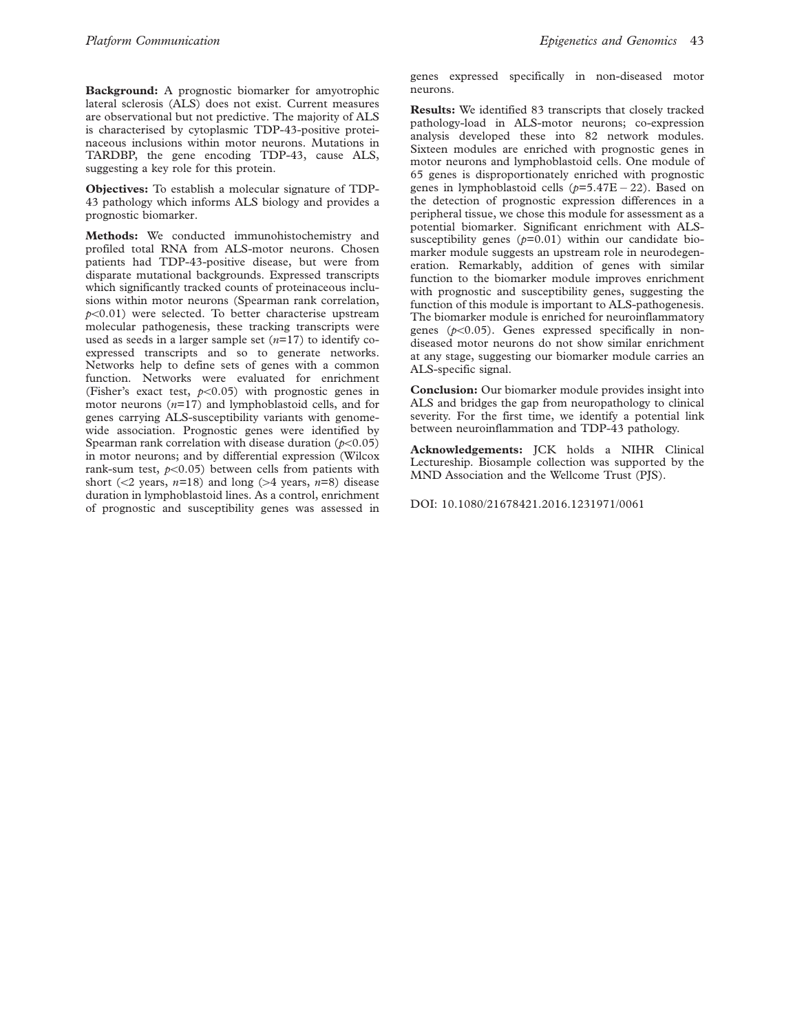Background: A prognostic biomarker for amyotrophic lateral sclerosis (ALS) does not exist. Current measures are observational but not predictive. The majority of ALS is characterised by cytoplasmic TDP-43-positive proteinaceous inclusions within motor neurons. Mutations in TARDBP, the gene encoding TDP-43, cause ALS, suggesting a key role for this protein.

Objectives: To establish a molecular signature of TDP-43 pathology which informs ALS biology and provides a prognostic biomarker.

Methods: We conducted immunohistochemistry and profiled total RNA from ALS-motor neurons. Chosen patients had TDP-43-positive disease, but were from disparate mutational backgrounds. Expressed transcripts which significantly tracked counts of proteinaceous inclusions within motor neurons (Spearman rank correlation,  $p<0.01$ ) were selected. To better characterise upstream molecular pathogenesis, these tracking transcripts were used as seeds in a larger sample set  $(n=17)$  to identify coexpressed transcripts and so to generate networks. Networks help to define sets of genes with a common function. Networks were evaluated for enrichment (Fisher's exact test,  $p<0.05$ ) with prognostic genes in motor neurons  $(n=17)$  and lymphoblastoid cells, and for genes carrying ALS-susceptibility variants with genomewide association. Prognostic genes were identified by Spearman rank correlation with disease duration  $(p<0.05)$ in motor neurons; and by differential expression (Wilcox rank-sum test,  $p<0.05$ ) between cells from patients with short ( $\langle 2 \rangle$  years,  $n=18$ ) and long ( $>4$  years,  $n=8$ ) disease duration in lymphoblastoid lines. As a control, enrichment of prognostic and susceptibility genes was assessed in genes expressed specifically in non-diseased motor neurons.

Results: We identified 83 transcripts that closely tracked pathology-load in ALS-motor neurons; co-expression analysis developed these into 82 network modules. Sixteen modules are enriched with prognostic genes in motor neurons and lymphoblastoid cells. One module of 65 genes is disproportionately enriched with prognostic genes in lymphoblastoid cells  $(p=5.47E-22)$ . Based on the detection of prognostic expression differences in a peripheral tissue, we chose this module for assessment as a potential biomarker. Significant enrichment with ALSsusceptibility genes  $(p=0.01)$  within our candidate biomarker module suggests an upstream role in neurodegeneration. Remarkably, addition of genes with similar function to the biomarker module improves enrichment with prognostic and susceptibility genes, suggesting the function of this module is important to ALS-pathogenesis. The biomarker module is enriched for neuroinflammatory genes  $(p<0.05)$ . Genes expressed specifically in nondiseased motor neurons do not show similar enrichment at any stage, suggesting our biomarker module carries an ALS-specific signal.

Conclusion: Our biomarker module provides insight into ALS and bridges the gap from neuropathology to clinical severity. For the first time, we identify a potential link between neuroinflammation and TDP-43 pathology.

Acknowledgements: JCK holds a NIHR Clinical Lectureship. Biosample collection was supported by the MND Association and the Wellcome Trust (PJS).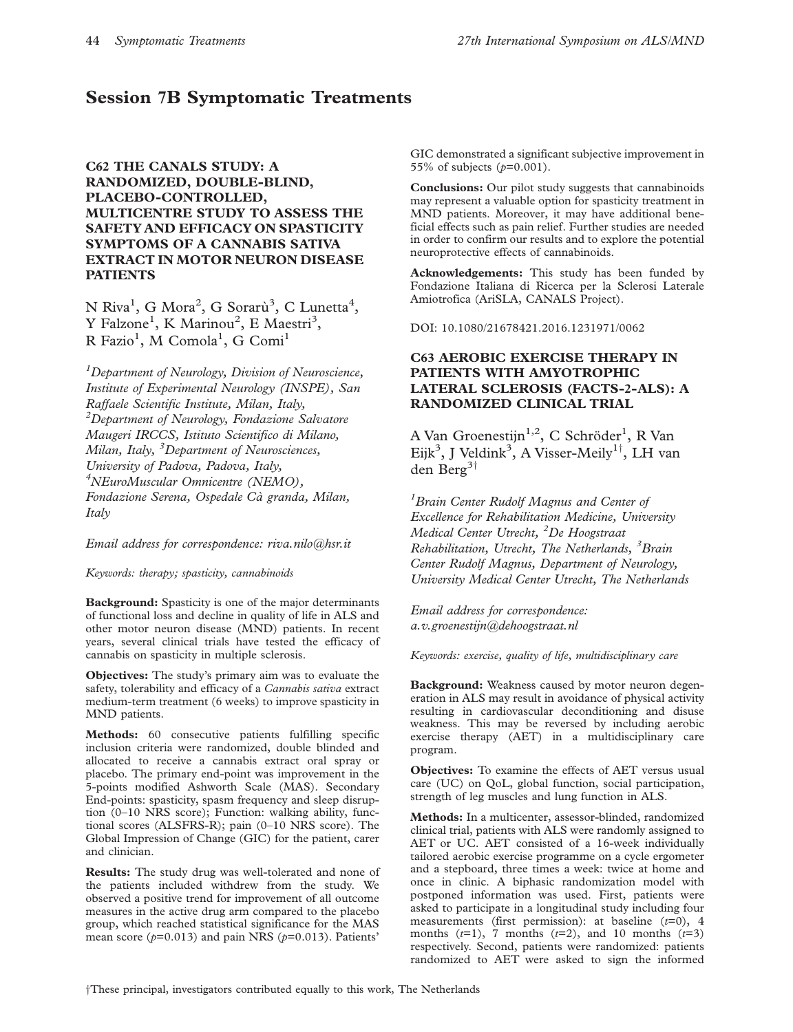# Session 7B Symptomatic Treatments

# C62 THE CANALS STUDY: A RANDOMIZED, DOUBLE-BLIND, PLACEBO-CONTROLLED, MULTICENTRE STUDY TO ASSESS THE SAFETY AND EFFICACY ON SPASTICITY SYMPTOMS OF A CANNABIS SATIVA EXTRACT IN MOTOR NEURON DISEASE PATIENTS

N Riva $^1$ , G Mora $^2$ , G Sorarù $^3$ , C Lunetta $^4$ , Y Falzone<sup>1</sup>, K Marinou<sup>2</sup>, E Maestri<sup>3</sup>, R Fazio<sup>1</sup>, M Comola<sup>1</sup>, G Comi<sup>1</sup>

<sup>1</sup>Department of Neurology, Division of Neuroscience, Institute of Experimental Neurology (INSPE), San Raffaele Scientific Institute, Milan, Italy, <sup>2</sup>Department of Neurology, Fondazione Salvatore Maugeri IRCCS, Istituto Scientifico di Milano, Milan, Italy, <sup>3</sup>Department of Neurosciences, University of Padova, Padova, Italy, 4 NEuroMuscular Omnicentre (NEMO), Fondazione Serena, Ospedale Cà granda, Milan, **Italy** 

Email address for correspondence: riva.nilo@hsr.it

Keywords: therapy; spasticity, cannabinoids

Background: Spasticity is one of the major determinants of functional loss and decline in quality of life in ALS and other motor neuron disease (MND) patients. In recent years, several clinical trials have tested the efficacy of cannabis on spasticity in multiple sclerosis.

Objectives: The study's primary aim was to evaluate the safety, tolerability and efficacy of a Cannabis sativa extract medium-term treatment (6 weeks) to improve spasticity in MND patients.

Methods: 60 consecutive patients fulfilling specific inclusion criteria were randomized, double blinded and allocated to receive a cannabis extract oral spray or placebo. The primary end-point was improvement in the 5-points modified Ashworth Scale (MAS). Secondary End-points: spasticity, spasm frequency and sleep disruption (0–10 NRS score); Function: walking ability, functional scores (ALSFRS-R); pain (0–10 NRS score). The Global Impression of Change (GIC) for the patient, carer and clinician.

Results: The study drug was well-tolerated and none of the patients included withdrew from the study. We observed a positive trend for improvement of all outcome measures in the active drug arm compared to the placebo group, which reached statistical significance for the MAS mean score ( $p=0.013$ ) and pain NRS ( $p=0.013$ ). Patients'

GIC demonstrated a significant subjective improvement in 55% of subjects  $(p=0.001)$ .

Conclusions: Our pilot study suggests that cannabinoids may represent a valuable option for spasticity treatment in MND patients. Moreover, it may have additional beneficial effects such as pain relief. Further studies are needed in order to confirm our results and to explore the potential neuroprotective effects of cannabinoids.

Acknowledgements: This study has been funded by Fondazione Italiana di Ricerca per la Sclerosi Laterale Amiotrofica (AriSLA, CANALS Project).

DOI: 10.1080/21678421.2016.1231971/0062

# C63 AEROBIC EXERCISE THERAPY IN PATIENTS WITH AMYOTROPHIC LATERAL SCLEROSIS (FACTS-2-ALS): A RANDOMIZED CLINICAL TRIAL

A Van Groenestijn<sup>1,2</sup>, C Schröder<sup>1</sup>, R Van Eijk<sup>3</sup>, J Veldink<sup>3</sup>, A Visser-Meily<sup>1†</sup>, LH van den Berg<sup>3†</sup>

<sup>1</sup> Brain Center Rudolf Magnus and Center of Excellence for Rehabilitation Medicine, University Medical Center Utrecht, <sup>2</sup>De Hoogstraat Rehabilitation, Utrecht, The Netherlands, <sup>3</sup>Brain Center Rudolf Magnus, Department of Neurology, University Medical Center Utrecht, The Netherlands

Email address for correspondence: a.v.groenestijn@dehoogstraat.nl

Keywords: exercise, quality of life, multidisciplinary care

Background: Weakness caused by motor neuron degeneration in ALS may result in avoidance of physical activity resulting in cardiovascular deconditioning and disuse weakness. This may be reversed by including aerobic exercise therapy (AET) in a multidisciplinary care program.

Objectives: To examine the effects of AET versus usual care (UC) on QoL, global function, social participation, strength of leg muscles and lung function in ALS.

Methods: In a multicenter, assessor-blinded, randomized clinical trial, patients with ALS were randomly assigned to AET or UC. AET consisted of a 16-week individually tailored aerobic exercise programme on a cycle ergometer and a stepboard, three times a week: twice at home and once in clinic. A biphasic randomization model with postponed information was used. First, patients were asked to participate in a longitudinal study including four measurements (first permission): at baseline  $(t=0)$ , 4 months  $(t=1)$ , 7 months  $(t=2)$ , and 10 months  $(t=3)$ respectively. Second, patients were randomized: patients randomized to AET were asked to sign the informed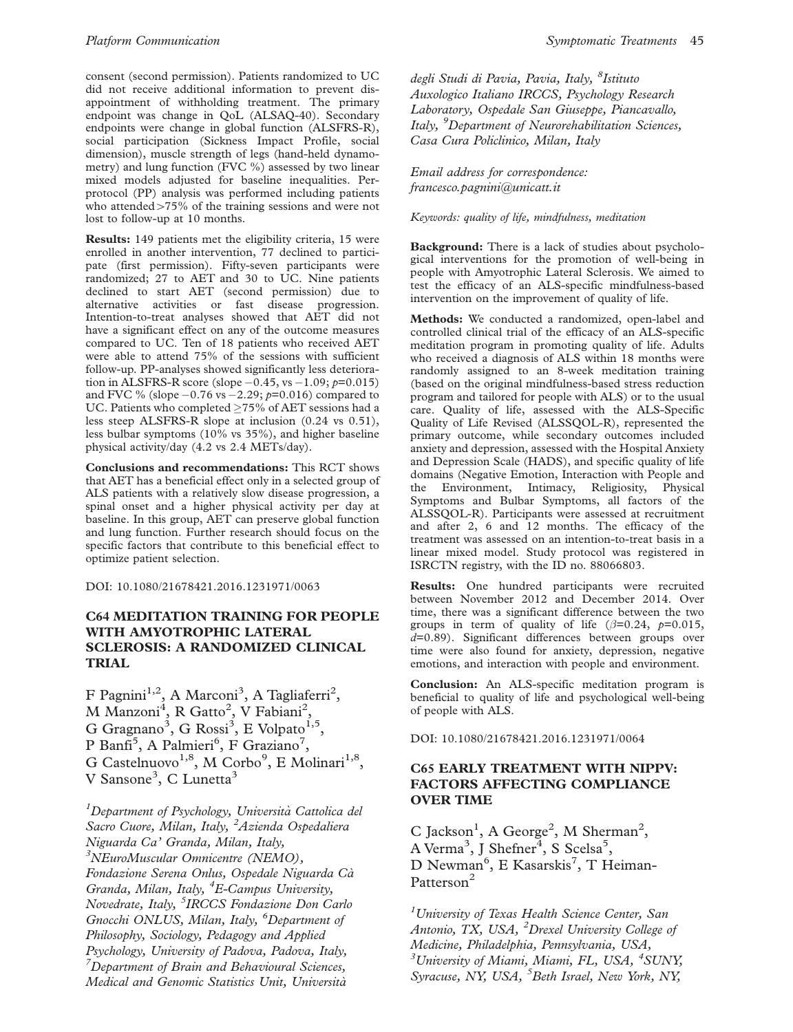consent (second permission). Patients randomized to UC did not receive additional information to prevent disappointment of withholding treatment. The primary endpoint was change in QoL (ALSAQ-40). Secondary endpoints were change in global function (ALSFRS-R), social participation (Sickness Impact Profile, social dimension), muscle strength of legs (hand-held dynamometry) and lung function (FVC %) assessed by two linear mixed models adjusted for baseline inequalities. Perprotocol (PP) analysis was performed including patients who attended $>75\%$  of the training sessions and were not lost to follow-up at 10 months.

Results: 149 patients met the eligibility criteria, 15 were enrolled in another intervention, 77 declined to participate (first permission). Fifty-seven participants were randomized; 27 to AET and 30 to UC. Nine patients declined to start AET (second permission) due to alternative activities or fast disease progression. Intention-to-treat analyses showed that AET did not have a significant effect on any of the outcome measures compared to UC. Ten of 18 patients who received AET were able to attend 75% of the sessions with sufficient follow-up. PP-analyses showed significantly less deterioration in ALSFRS-R score (slope  $-0.45$ , vs  $-1.09$ ;  $p=0.015$ ) and FVC % (slope  $-0.76$  vs  $-2.29$ ;  $p=0.016$ ) compared to UC. Patients who completed  $\geq$  75% of AET sessions had a less steep ALSFRS-R slope at inclusion (0.24 vs 0.51), less bulbar symptoms (10% vs 35%), and higher baseline physical activity/day (4.2 vs 2.4 METs/day).

Conclusions and recommendations: This RCT shows that AET has a beneficial effect only in a selected group of ALS patients with a relatively slow disease progression, a spinal onset and a higher physical activity per day at baseline. In this group, AET can preserve global function and lung function. Further research should focus on the specific factors that contribute to this beneficial effect to optimize patient selection.

DOI: 10.1080/21678421.2016.1231971/0063

# C64 MEDITATION TRAINING FOR PEOPLE WITH AMYOTROPHIC LATERAL SCLEROSIS: A RANDOMIZED CLINICAL **TRIAL**

F Pagnini<sup>1,2</sup>, A Marconi<sup>3</sup>, A Tagliaferri<sup>2</sup>, M Manzoni<sup>4</sup>, R Gatto<sup>2</sup>, V Fabiani<sup>2</sup>, G Gragnano<sup>3</sup>, G Rossi<sup>3</sup>, E Volpato<sup>1,5</sup>, P Banfi<sup>5</sup>, A Palmieri<sup>6</sup>, F Graziano<sup>7</sup>, G Castelnuovo<sup>1,8</sup>, M Corbo<sup>9</sup>, E Molinari<sup>1,8</sup>, V Sansone<sup>3</sup>, C Lunetta<sup>3</sup>

<sup>1</sup>Department of Psychology, Università Cattolica del Sacro Cuore, Milan, Italy, <sup>2</sup>Azienda Ospedaliera Niguarda Ca' Granda, Milan, Italy, 3 NEuroMuscular Omnicentre (NEMO), Fondazione Serena Onlus, Ospedale Niguarda Ca` Granda, Milan, Italy, <sup>4</sup>E-Campus University, Novedrate, Italy, <sup>5</sup>IRCCS Fondazione Don Carlo Gnocchi ONLUS, Milan, Italy, <sup>6</sup>Department of Philosophy, Sociology, Pedagogy and Applied Psychology, University of Padova, Padova, Italy, <sup>7</sup>Department of Brain and Behavioural Sciences, Medical and Genomic Statistics Unit, Universita`

degli Studi di Pavia, Pavia, Italy, <sup>8</sup>Istituto Auxologico Italiano IRCCS, Psychology Research Laboratory, Ospedale San Giuseppe, Piancavallo, Italy, <sup>9</sup>Department of Neurorehabilitation Sciences, Casa Cura Policlinico, Milan, Italy

Email address for correspondence: francesco.pagnini@unicatt.it

Keywords: quality of life, mindfulness, meditation

Background: There is a lack of studies about psychological interventions for the promotion of well-being in people with Amyotrophic Lateral Sclerosis. We aimed to test the efficacy of an ALS-specific mindfulness-based intervention on the improvement of quality of life.

Methods: We conducted a randomized, open-label and controlled clinical trial of the efficacy of an ALS-specific meditation program in promoting quality of life. Adults who received a diagnosis of ALS within 18 months were randomly assigned to an 8-week meditation training (based on the original mindfulness-based stress reduction program and tailored for people with ALS) or to the usual care. Quality of life, assessed with the ALS-Specific Quality of Life Revised (ALSSQOL-R), represented the primary outcome, while secondary outcomes included anxiety and depression, assessed with the Hospital Anxiety and Depression Scale (HADS), and specific quality of life domains (Negative Emotion, Interaction with People and the Environment, Intimacy, Religiosity, Physical Symptoms and Bulbar Symptoms, all factors of the ALSSQOL-R). Participants were assessed at recruitment and after 2, 6 and 12 months. The efficacy of the treatment was assessed on an intention-to-treat basis in a linear mixed model. Study protocol was registered in ISRCTN registry, with the ID no. 88066803.

Results: One hundred participants were recruited between November 2012 and December 2014. Over time, there was a significant difference between the two groups in term of quality of life  $(\beta=0.24, p=0.015,$  $d=0.89$ ). Significant differences between groups over time were also found for anxiety, depression, negative emotions, and interaction with people and environment.

Conclusion: An ALS-specific meditation program is beneficial to quality of life and psychological well-being of people with ALS.

DOI: 10.1080/21678421.2016.1231971/0064

# C65 EARLY TREATMENT WITH NIPPV: FACTORS AFFECTING COMPLIANCE OVER TIME

C Jackson<sup>1</sup>, A George<sup>2</sup>, M Sherman<sup>2</sup>, A Verma<sup>3</sup>, J Shefner<sup>4</sup>, S Scelsa<sup>5</sup>, D Newman<sup>6</sup>, E Kasarskis<sup>7</sup>, T Heiman-Patterson<sup>2</sup>

<sup>1</sup>University of Texas Health Science Center, San Antonio, TX, USA, <sup>2</sup>Drexel University College of Medicine, Philadelphia, Pennsylvania, USA, <sup>3</sup>University of Miami, Miami, FL, USA, <sup>4</sup>SUNY, Syracuse, NY, USA, <sup>5</sup>Beth Israel, New York, NY,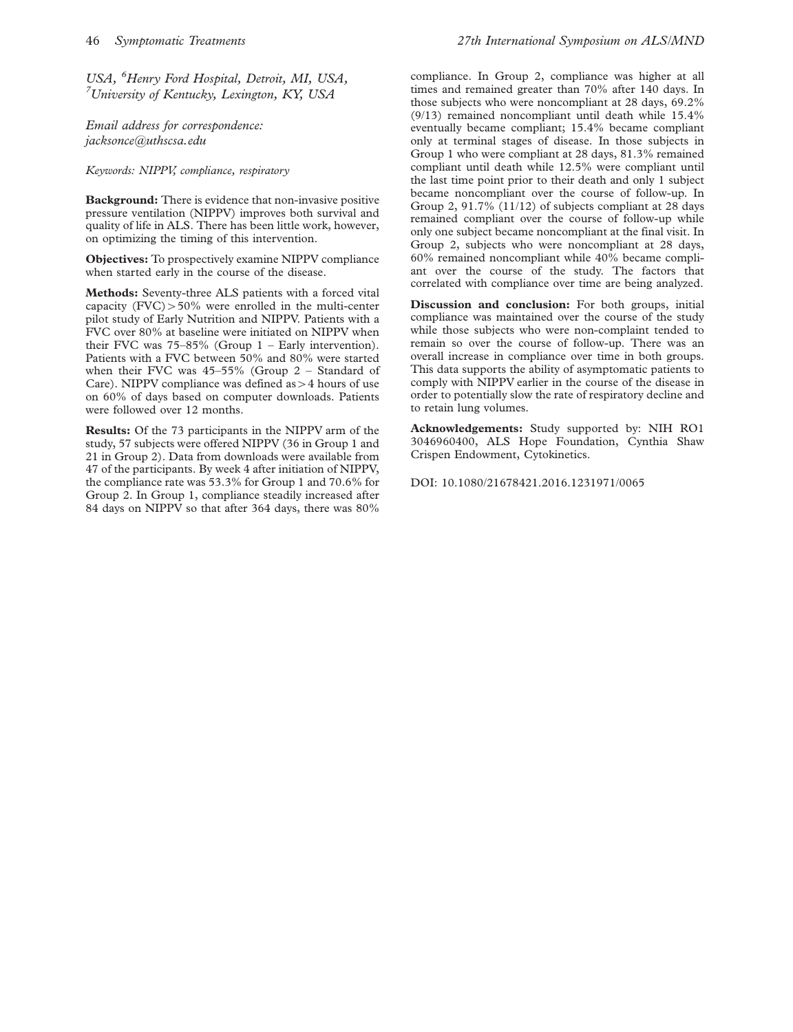USA, <sup>6</sup>Henry Ford Hospital, Detroit, MI, USA,<br><sup>7</sup>University of Kentuchy, Lexington, KV, USA University of Kentucky, Lexington, KY, USA

Email address for correspondence: jacksonce@uthscsa.edu

Keywords: NIPPV, compliance, respiratory

Background: There is evidence that non-invasive positive pressure ventilation (NIPPV) improves both survival and quality of life in ALS. There has been little work, however, on optimizing the timing of this intervention.

Objectives: To prospectively examine NIPPV compliance when started early in the course of the disease.

Methods: Seventy-three ALS patients with a forced vital capacity  $(FVC) > 50\%$  were enrolled in the multi-center pilot study of Early Nutrition and NIPPV. Patients with a FVC over 80% at baseline were initiated on NIPPV when their FVC was  $75-85\%$  (Group  $1$  – Early intervention). Patients with a FVC between 50% and 80% were started when their FVC was 45–55% (Group 2 – Standard of Care). NIPPV compliance was defined as  $>4$  hours of use on 60% of days based on computer downloads. Patients were followed over 12 months.

Results: Of the 73 participants in the NIPPV arm of the study, 57 subjects were offered NIPPV (36 in Group 1 and 21 in Group 2). Data from downloads were available from 47 of the participants. By week 4 after initiation of NIPPV, the compliance rate was 53.3% for Group 1 and 70.6% for Group 2. In Group 1, compliance steadily increased after 84 days on NIPPV so that after 364 days, there was 80%

compliance. In Group 2, compliance was higher at all times and remained greater than 70% after 140 days. In those subjects who were noncompliant at 28 days, 69.2% (9/13) remained noncompliant until death while 15.4% eventually became compliant; 15.4% became compliant only at terminal stages of disease. In those subjects in Group 1 who were compliant at 28 days, 81.3% remained compliant until death while 12.5% were compliant until the last time point prior to their death and only 1 subject became noncompliant over the course of follow-up. In Group 2, 91.7% (11/12) of subjects compliant at 28 days remained compliant over the course of follow-up while only one subject became noncompliant at the final visit. In Group 2, subjects who were noncompliant at 28 days, 60% remained noncompliant while 40% became compliant over the course of the study. The factors that correlated with compliance over time are being analyzed.

Discussion and conclusion: For both groups, initial compliance was maintained over the course of the study while those subjects who were non-complaint tended to remain so over the course of follow-up. There was an overall increase in compliance over time in both groups. This data supports the ability of asymptomatic patients to comply with NIPPV earlier in the course of the disease in order to potentially slow the rate of respiratory decline and to retain lung volumes.

Acknowledgements: Study supported by: NIH RO1 3046960400, ALS Hope Foundation, Cynthia Shaw Crispen Endowment, Cytokinetics.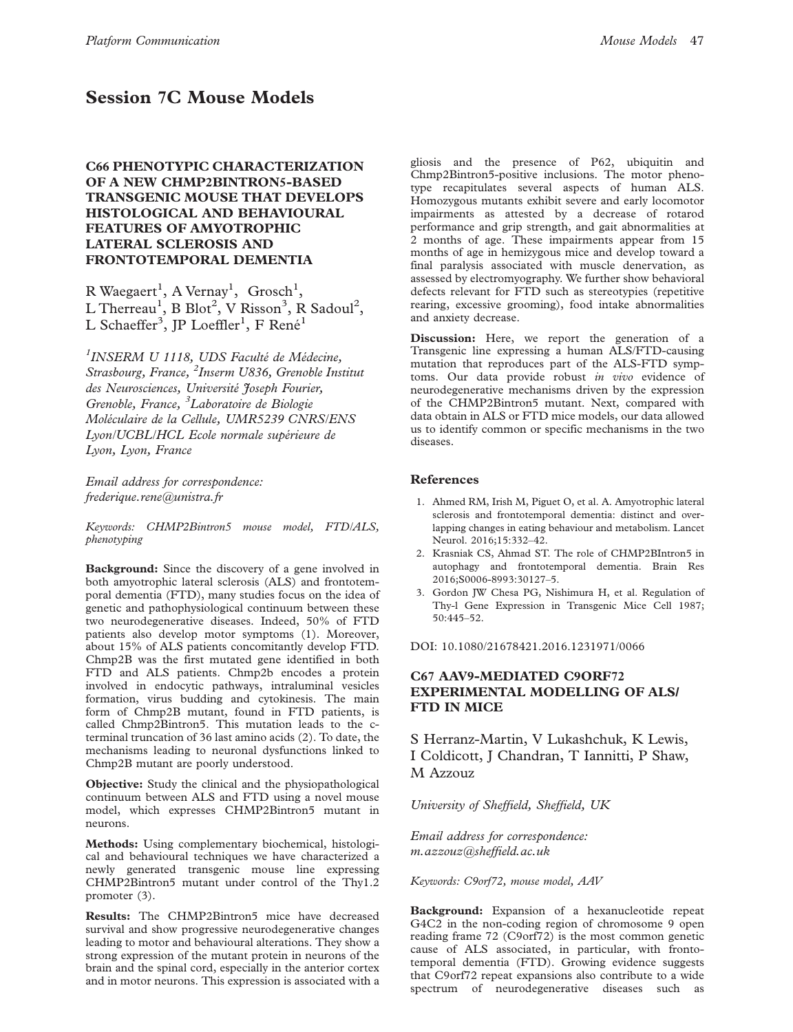# Session 7C Mouse Models

# C66 PHENOTYPIC CHARACTERIZATION OF A NEW CHMP2BINTRON5-BASED TRANSGENIC MOUSE THAT DEVELOPS HISTOLOGICAL AND BEHAVIOURAL FEATURES OF AMYOTROPHIC LATERAL SCLEROSIS AND FRONTOTEMPORAL DEMENTIA

R Waegaert<sup>1</sup>, A Vernay<sup>1</sup>, Grosch<sup>1</sup>, L Therreau<sup>1</sup>, B Blot<sup>2</sup>, V Risson<sup>3</sup>, R Sadoul<sup>2</sup>, L Schaeffer<sup>3</sup>, JP Loeffler<sup>1</sup>, F René<sup>1</sup>

<sup>1</sup>INSERM U 1118, UDS Faculté de Médecine, Strasbourg, France, <sup>2</sup>Inserm U836, Grenoble Institut des Neurosciences, Université Joseph Fourier, Grenoble, France, <sup>3</sup>Laboratoire de Biologie Moléculaire de la Cellule, UMR5239 CNRS/ENS Lyon/UCBL/HCL Ecole normale supérieure de Lyon, Lyon, France

Email address for correspondence: frederique.rene@unistra.fr

Keywords: CHMP2Bintron5 mouse model, FTD/ALS, phenotyping

Background: Since the discovery of a gene involved in both amyotrophic lateral sclerosis (ALS) and frontotemporal dementia (FTD), many studies focus on the idea of genetic and pathophysiological continuum between these two neurodegenerative diseases. Indeed, 50% of FTD patients also develop motor symptoms (1). Moreover, about 15% of ALS patients concomitantly develop FTD. Chmp2B was the first mutated gene identified in both FTD and ALS patients. Chmp2b encodes a protein involved in endocytic pathways, intraluminal vesicles formation, virus budding and cytokinesis. The main form of Chmp2B mutant, found in FTD patients, is called Chmp2Bintron5. This mutation leads to the cterminal truncation of 36 last amino acids (2). To date, the mechanisms leading to neuronal dysfunctions linked to Chmp2B mutant are poorly understood.

Objective: Study the clinical and the physiopathological continuum between ALS and FTD using a novel mouse model, which expresses CHMP2Bintron5 mutant in neurons.

Methods: Using complementary biochemical, histological and behavioural techniques we have characterized a newly generated transgenic mouse line expressing CHMP2Bintron5 mutant under control of the Thy1.2 promoter (3).

Results: The CHMP2Bintron5 mice have decreased survival and show progressive neurodegenerative changes leading to motor and behavioural alterations. They show a strong expression of the mutant protein in neurons of the brain and the spinal cord, especially in the anterior cortex and in motor neurons. This expression is associated with a

gliosis and the presence of P62, ubiquitin and Chmp2Bintron5-positive inclusions. The motor phenotype recapitulates several aspects of human ALS. Homozygous mutants exhibit severe and early locomotor impairments as attested by a decrease of rotarod performance and grip strength, and gait abnormalities at 2 months of age. These impairments appear from 15 months of age in hemizygous mice and develop toward a final paralysis associated with muscle denervation, as assessed by electromyography. We further show behavioral defects relevant for FTD such as stereotypies (repetitive rearing, excessive grooming), food intake abnormalities and anxiety decrease.

Discussion: Here, we report the generation of a Transgenic line expressing a human ALS/FTD-causing mutation that reproduces part of the ALS-FTD symptoms. Our data provide robust in vivo evidence of neurodegenerative mechanisms driven by the expression of the CHMP2Bintron5 mutant. Next, compared with data obtain in ALS or FTD mice models, our data allowed us to identify common or specific mechanisms in the two diseases.

#### References

- 1. Ahmed RM, Irish M, Piguet O, et al. A. Amyotrophic lateral sclerosis and frontotemporal dementia: distinct and overlapping changes in eating behaviour and metabolism. Lancet Neurol. 2016;15:332–42.
- 2. Krasniak CS, Ahmad ST. The role of CHMP2BIntron5 in autophagy and frontotemporal dementia. Brain Res 2016;S0006-8993:30127–5.
- 3. Gordon JW Chesa PG, Nishimura H, et al. Regulation of Thy-l Gene Expression in Transgenic Mice Cell 1987; 50:445–52.

DOI: 10.1080/21678421.2016.1231971/0066

#### C67 AAV9-MEDIATED C9ORF72 EXPERIMENTAL MODELLING OF ALS/ FTD IN MICE

S Herranz-Martin, V Lukashchuk, K Lewis, I Coldicott, J Chandran, T Iannitti, P Shaw, M Azzouz

University of Sheffield, Sheffield, UK

Email address for correspondence: m.azzouz@sheffield.ac.uk

Keywords: C9orf72, mouse model, AAV

Background: Expansion of a hexanucleotide repeat G4C2 in the non-coding region of chromosome 9 open reading frame 72 (C9orf72) is the most common genetic cause of ALS associated, in particular, with frontotemporal dementia (FTD). Growing evidence suggests that C9orf72 repeat expansions also contribute to a wide spectrum of neurodegenerative diseases such as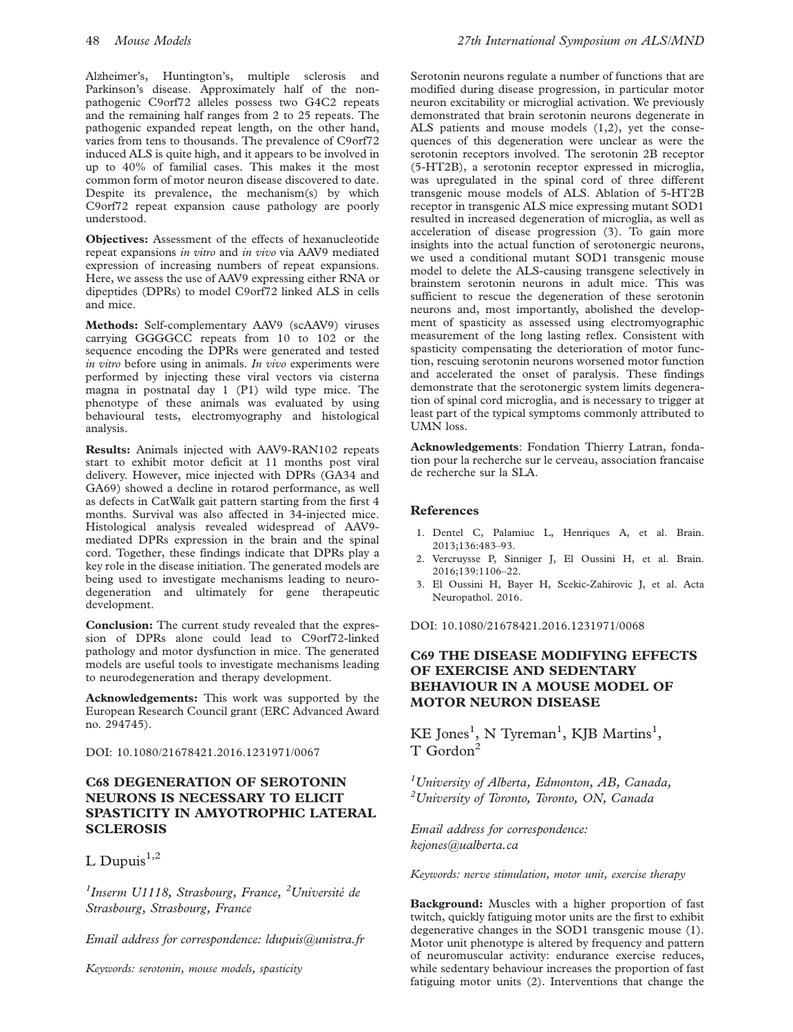Alzheimer's, Huntington's, multiple sclerosis and Parkinson's disease. Approximately half of the nonpathogenic C9orf72 alleles possess two G4C2 repeats and the remaining half ranges from 2 to 25 repeats. The pathogenic expanded repeat length, on the other hand, varies from tens to thousands. The prevalence of C9orf72 induced ALS is quite high, and it appears to be involved in up to 40% of familial cases. This makes it the most common form of motor neuron disease discovered to date. Despite its prevalence, the mechanism(s) by which C9orf72 repeat expansion cause pathology are poorly understood.

Objectives: Assessment of the effects of hexanucleotide repeat expansions in vitro and in vivo via AAV9 mediated expression of increasing numbers of repeat expansions. Here, we assess the use of AAV9 expressing either RNA or dipeptides (DPRs) to model C9orf72 linked ALS in cells and mice.

Methods: Self-complementary AAV9 (scAAV9) viruses carrying GGGGCC repeats from 10 to 102 or the sequence encoding the DPRs were generated and tested in vitro before using in animals. In vivo experiments were performed by injecting these viral vectors via cisterna magna in postnatal day 1 (P1) wild type mice. The phenotype of these animals was evaluated by using behavioural tests, electromyography and histological analysis.

Results: Animals injected with AAV9-RAN102 repeats start to exhibit motor deficit at 11 months post viral delivery. However, mice injected with DPRs (GA34 and GA69) showed a decline in rotarod performance, as well as defects in CatWalk gait pattern starting from the first 4 months. Survival was also affected in 34-injected mice. Histological analysis revealed widespread of AAV9 mediated DPRs expression in the brain and the spinal cord. Together, these findings indicate that DPRs play a key role in the disease initiation. The generated models are being used to investigate mechanisms leading to neurodegeneration and ultimately for gene therapeutic development.

Conclusion: The current study revealed that the expression of DPRs alone could lead to C9orf72-linked pathology and motor dysfunction in mice. The generated models are useful tools to investigate mechanisms leading to neurodegeneration and therapy development.

Acknowledgements: This work was supported by the European Research Council grant (ERC Advanced Award no. 294745).

DOI: 10.1080/21678421.2016.1231971/0067

# C68 DEGENERATION OF SEROTONIN NEURONS IS NECESSARY TO ELICIT SPASTICITY IN AMYOTROPHIC LATERAL **SCLEROSIS**

L Dupuis $^{1,2}$ 

<sup>1</sup>Inserm U1118, Strasbourg, France, <sup>2</sup>Université de Strasbourg, Strasbourg, France

Email address for correspondence: ldupuis@unistra.fr

Serotonin neurons regulate a number of functions that are modified during disease progression, in particular motor neuron excitability or microglial activation. We previously demonstrated that brain serotonin neurons degenerate in ALS patients and mouse models (1,2), yet the consequences of this degeneration were unclear as were the serotonin receptors involved. The serotonin 2B receptor (5-HT2B), a serotonin receptor expressed in microglia, was upregulated in the spinal cord of three different transgenic mouse models of ALS. Ablation of 5-HT2B receptor in transgenic ALS mice expressing mutant SOD1 resulted in increased degeneration of microglia, as well as acceleration of disease progression (3). To gain more insights into the actual function of serotonergic neurons, we used a conditional mutant SOD1 transgenic mouse model to delete the ALS-causing transgene selectively in brainstem serotonin neurons in adult mice. This was sufficient to rescue the degeneration of these serotonin neurons and, most importantly, abolished the development of spasticity as assessed using electromyographic measurement of the long lasting reflex. Consistent with spasticity compensating the deterioration of motor function, rescuing serotonin neurons worsened motor function and accelerated the onset of paralysis. These findings demonstrate that the serotonergic system limits degeneration of spinal cord microglia, and is necessary to trigger at least part of the typical symptoms commonly attributed to UMN loss.

Acknowledgements: Fondation Thierry Latran, fondation pour la recherche sur le cerveau, association francaise de recherche sur la SLA.

# References

- 1. Dentel C, Palamiuc L, Henriques A, et al. Brain. 2013;136:483–93.
- 2. Vercruysse P, Sinniger J, El Oussini H, et al. Brain. 2016;139:1106–22.
- 3. El Oussini H, Bayer H, Scekic-Zahirovic J, et al. Acta Neuropathol. 2016.

DOI: 10.1080/21678421.2016.1231971/0068

# C69 THE DISEASE MODIFYING EFFECTS OF EXERCISE AND SEDENTARY BEHAVIOUR IN A MOUSE MODEL OF MOTOR NEURON DISEASE

KE Jones<sup>1</sup>, N Tyreman<sup>1</sup>, KJB Martins<sup>1</sup>, T Gordon<sup>2</sup>

<sup>1</sup>University of Alberta, Edmonton, AB, Canada, <sup>2</sup>University of Toronto, Toronto, ON, Canada

Email address for correspondence: kejones@ualberta.ca

Keywords: nerve stimulation, motor unit, exercise therapy

Background: Muscles with a higher proportion of fast twitch, quickly fatiguing motor units are the first to exhibit degenerative changes in the SOD1 transgenic mouse [\(1](#page-49-0)). Motor unit phenotype is altered by frequency and pattern of neuromuscular activity: endurance exercise reduces, while sedentary behaviour increases the proportion of fast fatiguing motor units [\(2](#page-49-0)). Interventions that change the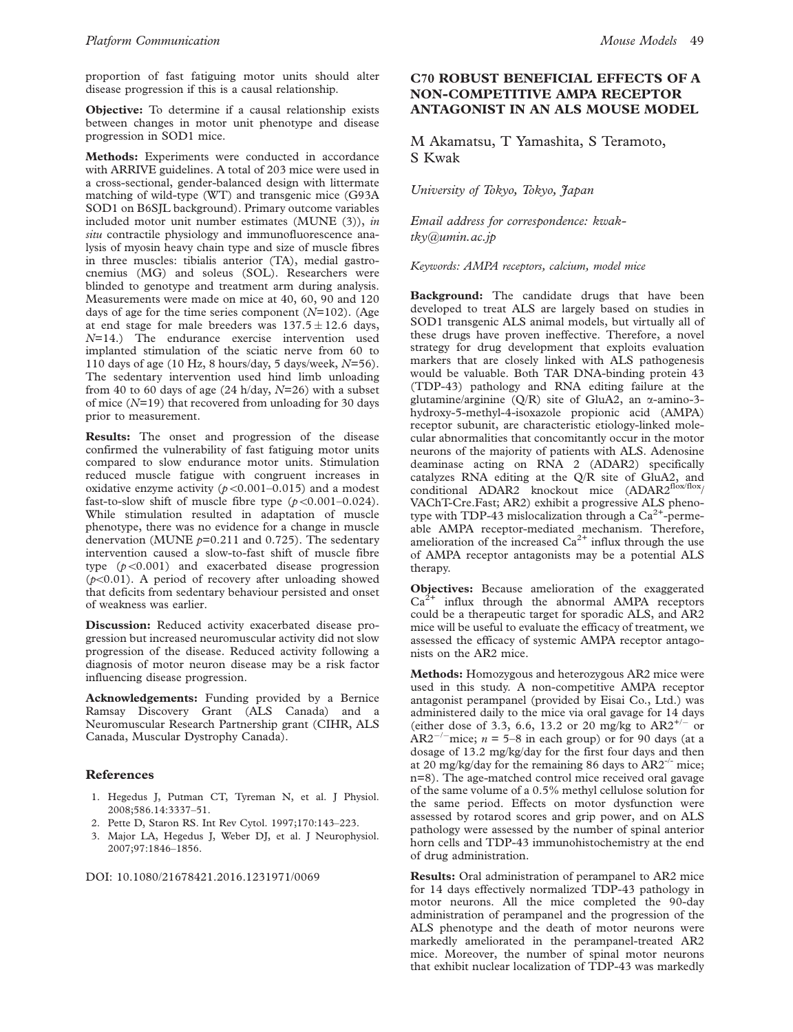<span id="page-49-0"></span>proportion of fast fatiguing motor units should alter disease progression if this is a causal relationship.

Objective: To determine if a causal relationship exists between changes in motor unit phenotype and disease progression in SOD1 mice.

Methods: Experiments were conducted in accordance with ARRIVE guidelines. A total of 203 mice were used in a cross-sectional, gender-balanced design with littermate matching of wild-type (WT) and transgenic mice (G93A SOD1 on B6SJL background). Primary outcome variables included motor unit number estimates (MUNE (3)), in situ contractile physiology and immunofluorescence analysis of myosin heavy chain type and size of muscle fibres in three muscles: tibialis anterior (TA), medial gastrocnemius (MG) and soleus (SOL). Researchers were blinded to genotype and treatment arm during analysis. Measurements were made on mice at 40, 60, 90 and 120 days of age for the time series component  $(N=102)$ . (Age at end stage for male breeders was  $137.5 \pm 12.6$  days,  $N=14.$ ) The endurance exercise intervention used implanted stimulation of the sciatic nerve from 60 to 110 days of age (10 Hz, 8 hours/day, 5 days/week,  $N=56$ ). The sedentary intervention used hind limb unloading from 40 to 60 days of age (24 h/day,  $N=26$ ) with a subset of mice  $(N=19)$  that recovered from unloading for 30 days prior to measurement.

Results: The onset and progression of the disease confirmed the vulnerability of fast fatiguing motor units compared to slow endurance motor units. Stimulation reduced muscle fatigue with congruent increases in oxidative enzyme activity  $(p<0.001-0.015)$  and a modest fast-to-slow shift of muscle fibre type  $(p<0.001-0.024)$ . While stimulation resulted in adaptation of muscle phenotype, there was no evidence for a change in muscle denervation (MUNE  $p=0.211$  and 0.725). The sedentary intervention caused a slow-to-fast shift of muscle fibre type  $(p<0.001)$  and exacerbated disease progression  $(p<0.01)$ . A period of recovery after unloading showed that deficits from sedentary behaviour persisted and onset of weakness was earlier.

Discussion: Reduced activity exacerbated disease progression but increased neuromuscular activity did not slow progression of the disease. Reduced activity following a diagnosis of motor neuron disease may be a risk factor influencing disease progression.

Acknowledgements: Funding provided by a Bernice Ramsay Discovery Grant (ALS Canada) and a Neuromuscular Research Partnership grant (CIHR, ALS Canada, Muscular Dystrophy Canada).

#### References

- 1. Hegedus J, Putman CT, Tyreman N, et al. J Physiol. 2008;586.14:3337–51.
- 2. Pette D, Staron RS. Int Rev Cytol. 1997;170:143–223.
- 3. Major LA, Hegedus J, Weber DJ, et al. J Neurophysiol. 2007;97:1846–1856.

DOI: 10.1080/21678421.2016.1231971/0069

# C70 ROBUST BENEFICIAL EFFECTS OF A NON-COMPETITIVE AMPA RECEPTOR ANTAGONIST IN AN ALS MOUSE MODEL

# M Akamatsu, T Yamashita, S Teramoto, S Kwak

University of Tokyo, Tokyo, Japan

Email address for correspondence: kwaktky@umin.ac.jp

Keywords: AMPA receptors, calcium, model mice

Background: The candidate drugs that have been developed to treat ALS are largely based on studies in SOD1 transgenic ALS animal models, but virtually all of these drugs have proven ineffective. Therefore, a novel strategy for drug development that exploits evaluation markers that are closely linked with ALS pathogenesis would be valuable. Both TAR DNA-binding protein 43 (TDP-43) pathology and RNA editing failure at the glutamine/arginine  $(Q/R)$  site of GluA2, an  $\alpha$ -amino-3hydroxy-5-methyl-4-isoxazole propionic acid (AMPA) receptor subunit, are characteristic etiology-linked molecular abnormalities that concomitantly occur in the motor neurons of the majority of patients with ALS. Adenosine deaminase acting on RNA 2 (ADAR2) specifically catalyzes RNA editing at the Q/R site of GluA2, and conditional ADAR2 knockout mice (ADAR2<sup>flox/flox</sup>/ VAChT-Cre.Fast; AR2) exhibit a progressive ALS phenotype with TDP-43 mislocalization through a  $Ca^{2+}$ -permeable AMPA receptor-mediated mechanism. Therefore, amelioration of the increased  $Ca^{2+}$  influx through the use of AMPA receptor antagonists may be a potential ALS therapy.

**Objectives:** Because amelioration of the exaggerated  $Ca<sup>2+</sup>$  influx through the abnormal AMPA receptors could be a therapeutic target for sporadic ALS, and AR2 mice will be useful to evaluate the efficacy of treatment, we assessed the efficacy of systemic AMPA receptor antagonists on the AR2 mice.

Methods: Homozygous and heterozygous AR2 mice were used in this study. A non-competitive AMPA receptor antagonist perampanel (provided by Eisai Co., Ltd.) was administered daily to the mice via oral gavage for 14 days (either dose of 3.3, 6.6, 13.2 or 20 mg/kg to  $AR2^{+/-}$  or AR2<sup>-/-</sup>mice;  $n = 5-8$  in each group) or for 90 days (at a dosage of 13.2 mg/kg/day for the first four days and then at 20 mg/kg/day for the remaining 86 days to  $AR2^{-/-}$  mice; n=8). The age-matched control mice received oral gavage of the same volume of a 0.5% methyl cellulose solution for the same period. Effects on motor dysfunction were assessed by rotarod scores and grip power, and on ALS pathology were assessed by the number of spinal anterior horn cells and TDP-43 immunohistochemistry at the end of drug administration.

Results: Oral administration of perampanel to AR2 mice for 14 days effectively normalized TDP-43 pathology in motor neurons. All the mice completed the 90-day administration of perampanel and the progression of the ALS phenotype and the death of motor neurons were markedly ameliorated in the perampanel-treated AR2 mice. Moreover, the number of spinal motor neurons that exhibit nuclear localization of TDP-43 was markedly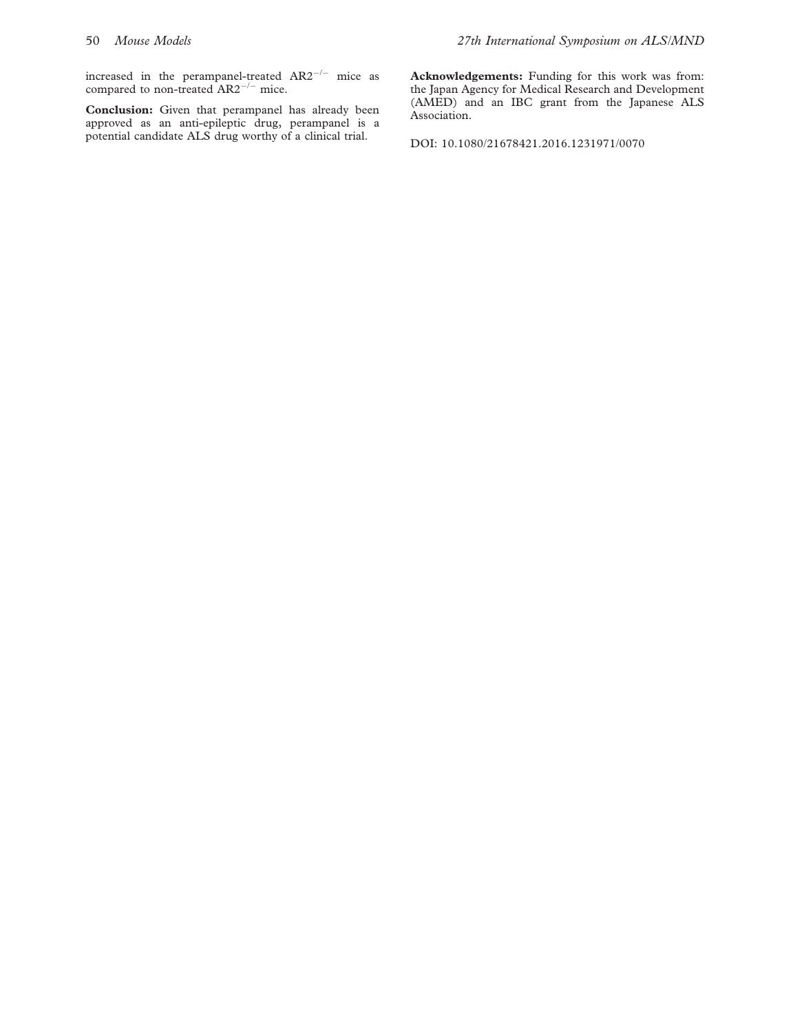increased in the perampanel-treated  $AR2^{-/-}$  mice as compared to non-treated  $AR2^{-/-}$  mice.

Conclusion: Given that perampanel has already been approved as an anti-epileptic drug, perampanel is a potential candidate ALS drug worthy of a clinical trial.

Acknowledgements: Funding for this work was from: the Japan Agency for Medical Research and Development (AMED) and an IBC grant from the Japanese ALS Association.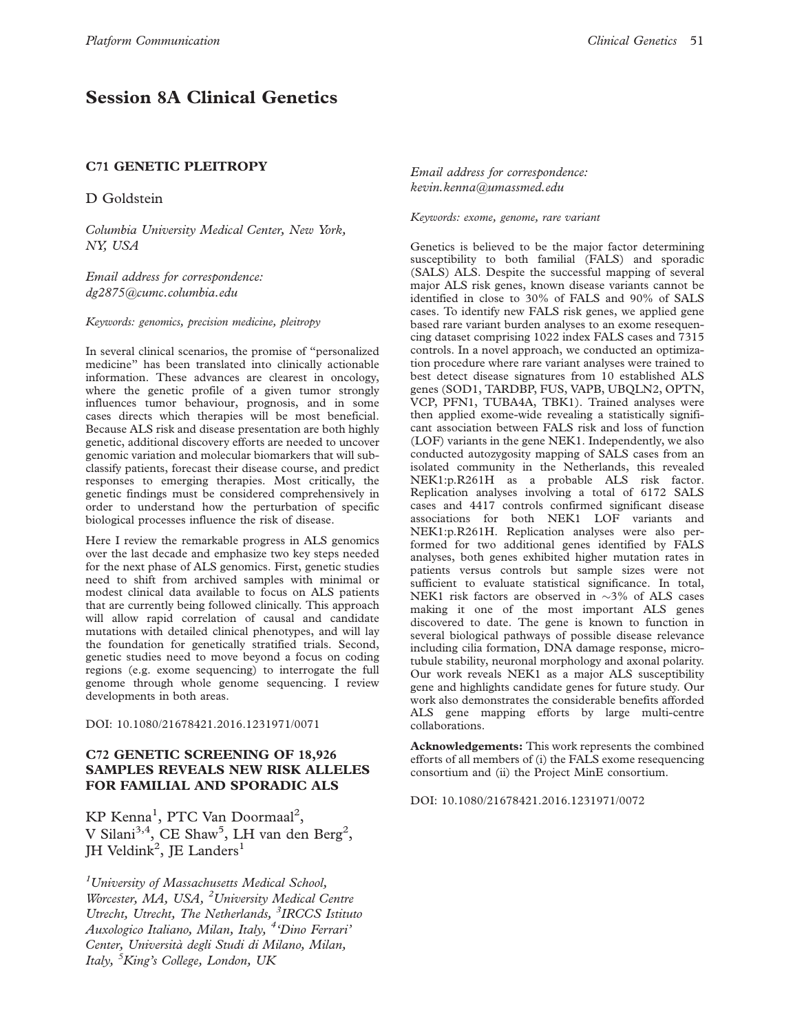# Session 8A Clinical Genetics

### C71 GENETIC PLEITROPY

D Goldstein

Columbia University Medical Center, New York, NY, USA

Email address for correspondence: dg2875@cumc.columbia.edu

Keywords: genomics, precision medicine, pleitropy

In several clinical scenarios, the promise of ''personalized medicine'' has been translated into clinically actionable information. These advances are clearest in oncology, where the genetic profile of a given tumor strongly influences tumor behaviour, prognosis, and in some cases directs which therapies will be most beneficial. Because ALS risk and disease presentation are both highly genetic, additional discovery efforts are needed to uncover genomic variation and molecular biomarkers that will subclassify patients, forecast their disease course, and predict responses to emerging therapies. Most critically, the genetic findings must be considered comprehensively in order to understand how the perturbation of specific biological processes influence the risk of disease.

Here I review the remarkable progress in ALS genomics over the last decade and emphasize two key steps needed for the next phase of ALS genomics. First, genetic studies need to shift from archived samples with minimal or modest clinical data available to focus on ALS patients that are currently being followed clinically. This approach will allow rapid correlation of causal and candidate mutations with detailed clinical phenotypes, and will lay the foundation for genetically stratified trials. Second, genetic studies need to move beyond a focus on coding regions (e.g. exome sequencing) to interrogate the full genome through whole genome sequencing. I review developments in both areas.

DOI: 10.1080/21678421.2016.1231971/0071

# C72 GENETIC SCREENING OF 18,926 SAMPLES REVEALS NEW RISK ALLELES FOR FAMILIAL AND SPORADIC ALS

KP Kenna<sup>1</sup>, PTC Van Doormaal<sup>2</sup>, V Silani<sup>3,4</sup>, CE Shaw<sup>5</sup>, LH van den Berg<sup>2</sup>, JH Veldink<sup>2</sup>, JE Landers<sup>1</sup>

<sup>1</sup>University of Massachusetts Medical School, Worcester, MA, USA, <sup>2</sup>University Medical Centre Utrecht, Utrecht, The Netherlands, <sup>3</sup>IRCCS Istituto Auxologico Italiano, Milan, Italy, <sup>4</sup>'Dino Ferrari' Center, Universita` degli Studi di Milano, Milan, Italy, <sup>5</sup>King's College, London, UK

Email address for correspondence: kevin.kenna@umassmed.edu

Keywords: exome, genome, rare variant

Genetics is believed to be the major factor determining susceptibility to both familial (FALS) and sporadic (SALS) ALS. Despite the successful mapping of several major ALS risk genes, known disease variants cannot be identified in close to 30% of FALS and 90% of SALS cases. To identify new FALS risk genes, we applied gene based rare variant burden analyses to an exome resequencing dataset comprising 1022 index FALS cases and 7315 controls. In a novel approach, we conducted an optimization procedure where rare variant analyses were trained to best detect disease signatures from 10 established ALS genes (SOD1, TARDBP, FUS, VAPB, UBQLN2, OPTN, VCP, PFN1, TUBA4A, TBK1). Trained analyses were then applied exome-wide revealing a statistically significant association between FALS risk and loss of function (LOF) variants in the gene NEK1. Independently, we also conducted autozygosity mapping of SALS cases from an isolated community in the Netherlands, this revealed NEK1:p.R261H as a probable ALS risk factor. Replication analyses involving a total of 6172 SALS cases and 4417 controls confirmed significant disease associations for both NEK1 LOF variants and NEK1:p.R261H. Replication analyses were also performed for two additional genes identified by FALS analyses, both genes exhibited higher mutation rates in patients versus controls but sample sizes were not sufficient to evaluate statistical significance. In total, NEK1 risk factors are observed in  $\sim$ 3% of ALS cases making it one of the most important ALS genes discovered to date. The gene is known to function in several biological pathways of possible disease relevance including cilia formation, DNA damage response, microtubule stability, neuronal morphology and axonal polarity. Our work reveals NEK1 as a major ALS susceptibility gene and highlights candidate genes for future study. Our work also demonstrates the considerable benefits afforded ALS gene mapping efforts by large multi-centre collaborations.

Acknowledgements: This work represents the combined efforts of all members of (i) the FALS exome resequencing consortium and (ii) the Project MinE consortium.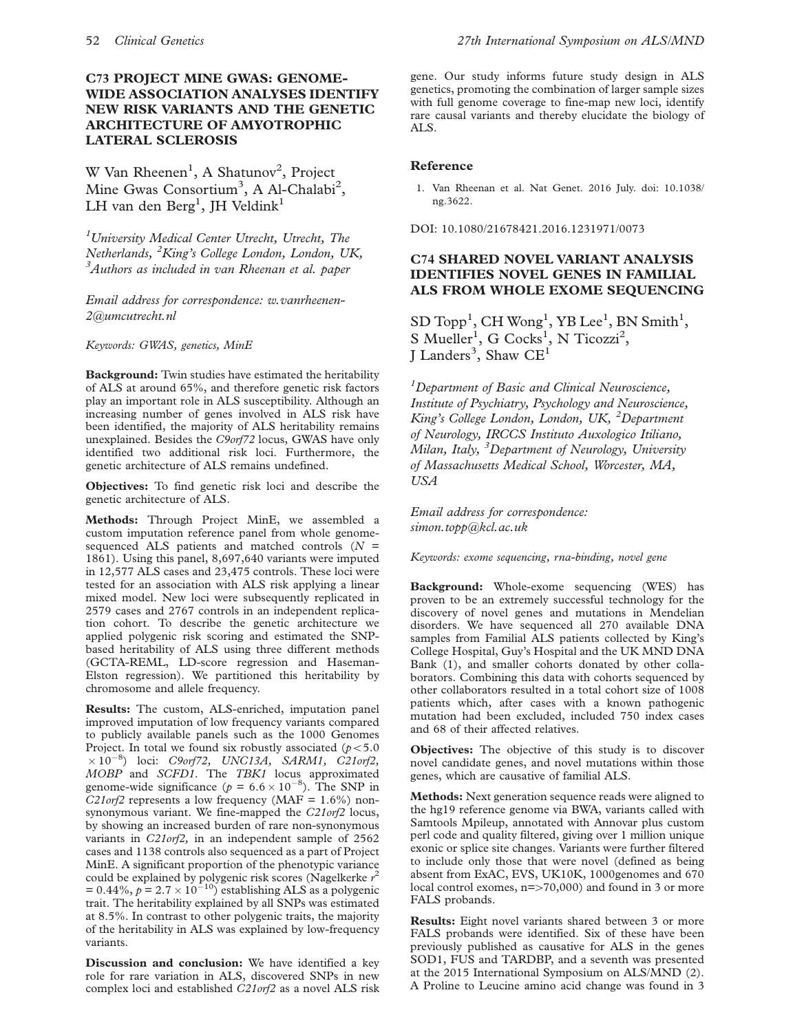# C73 PROJECT MINE GWAS: GENOME-WIDE ASSOCIATION ANALYSES IDENTIFY NEW RISK VARIANTS AND THE GENETIC ARCHITECTURE OF AMYOTROPHIC LATERAL SCLEROSIS

W Van Rheenen<sup>1</sup>, A Shatunov<sup>2</sup>, Project Mine Gwas Consortium<sup>3</sup>, A Al-Chalabi<sup>2</sup>,  $LH$  van den Berg<sup>1</sup>, JH Veldink<sup>1</sup>

<sup>1</sup>University Medical Center Utrecht, Utrecht, The Netherlands, <sup>2</sup>King's College London, London, UK,<br><sup>3</sup> Authors as included in van Pheanan et al. 5050r.  $3A$ uthors as included in van Rheenan et al. paper

Email address for correspondence: w.vanrheenen-2@umcutrecht.nl

Keywords: GWAS, genetics, MinE

Background: Twin studies have estimated the heritability of ALS at around 65%, and therefore genetic risk factors play an important role in ALS susceptibility. Although an increasing number of genes involved in ALS risk have been identified, the majority of ALS heritability remains unexplained. Besides the C9orf72 locus, GWAS have only identified two additional risk loci. Furthermore, the genetic architecture of ALS remains undefined.

Objectives: To find genetic risk loci and describe the genetic architecture of ALS.

Methods: Through Project MinE, we assembled a custom imputation reference panel from whole genomesequenced ALS patients and matched controls  $(N =$ 1861). Using this panel, 8,697,640 variants were imputed in 12,577 ALS cases and 23,475 controls. These loci were tested for an association with ALS risk applying a linear mixed model. New loci were subsequently replicated in 2579 cases and 2767 controls in an independent replication cohort. To describe the genetic architecture we applied polygenic risk scoring and estimated the SNPbased heritability of ALS using three different methods (GCTA-REML, LD-score regression and Haseman-Elston regression). We partitioned this heritability by chromosome and allele frequency.

Results: The custom, ALS-enriched, imputation panel improved imputation of low frequency variants compared to publicly available panels such as the 1000 Genomes Project. In total we found six robustly associated  $(p<5.0$  $\times 10^{-8}$ ) loci: C9orf72, UNC13A, SARM1, C21orf2, MOBP and SCFD1. The TBK1 locus approximated genome-wide significance ( $p = 6.6 \times 10^{-8}$ ). The SNP in  $C21$ orf2 represents a low frequency (MAF = 1.6%) nonsynonymous variant. We fine-mapped the C21orf2 locus, by showing an increased burden of rare non-synonymous variants in C21orf2, in an independent sample of 2562 cases and 1138 controls also sequenced as a part of Project MinE. A significant proportion of the phenotypic variance could be explained by polygenic risk scores (Nagelkerke  $r^2$ = 0.44%,  $p = 2.7 \times 10^{-10}$  establishing ALS as a polygenic trait. The heritability explained by all SNPs was estimated at 8.5%. In contrast to other polygenic traits, the majority of the heritability in ALS was explained by low-frequency variants.

Discussion and conclusion: We have identified a key role for rare variation in ALS, discovered SNPs in new complex loci and established C21orf2 as a novel ALS risk gene. Our study informs future study design in ALS genetics, promoting the combination of larger sample sizes with full genome coverage to fine-map new loci, identify rare causal variants and thereby elucidate the biology of ALS.

#### Reference

1. Van Rheenan et al. Nat Genet. 2016 July. doi: 10.1038/ ng.3622.

DOI: 10.1080/21678421.2016.1231971/0073

## C74 SHARED NOVEL VARIANT ANALYSIS IDENTIFIES NOVEL GENES IN FAMILIAL ALS FROM WHOLE EXOME SEQUENCING

SD Topp<sup>1</sup>, CH Wong<sup>1</sup>, YB Lee<sup>1</sup>, BN Smith<sup>1</sup>, S Mueller<sup>1</sup>, G Cocks<sup>1</sup>, N Ticozzi<sup>2</sup>, J Landers<sup>3</sup>, Shaw CE<sup>1</sup>

<sup>1</sup>Department of Basic and Clinical Neuroscience, Institute of Psychiatry, Psychology and Neuroscience, King's College London, London, UK, <sup>2</sup> Department of Neurology, IRCCS Instituto Auxologico Itiliano, Milan, Italy, <sup>3</sup>Department of Neurology, University of Massachusetts Medical School, Worcester, MA, USA

Email address for correspondence: simon.topp@kcl.ac.uk

Keywords: exome sequencing, rna-binding, novel gene

Background: Whole-exome sequencing (WES) has proven to be an extremely successful technology for the discovery of novel genes and mutations in Mendelian disorders. We have sequenced all 270 available DNA samples from Familial ALS patients collected by King's College Hospital, Guy's Hospital and the UK MND DNA Bank ([1\)](#page-53-0), and smaller cohorts donated by other collaborators. Combining this data with cohorts sequenced by other collaborators resulted in a total cohort size of 1008 patients which, after cases with a known pathogenic mutation had been excluded, included 750 index cases and 68 of their affected relatives.

Objectives: The objective of this study is to discover novel candidate genes, and novel mutations within those genes, which are causative of familial ALS.

Methods: Next generation sequence reads were aligned to the hg19 reference genome via BWA, variants called with Samtools Mpileup, annotated with Annovar plus custom perl code and quality filtered, giving over 1 million unique exonic or splice site changes. Variants were further filtered to include only those that were novel (defined as being absent from ExAC, EVS, UK10K, 1000genomes and 670 local control exomes,  $n=$  >70,000) and found in 3 or more FALS probands.

Results: Eight novel variants shared between 3 or more FALS probands were identified. Six of these have been previously published as causative for ALS in the genes SOD1, FUS and TARDBP, and a seventh was presented at the 2015 International Symposium on ALS/MND [\(2](#page-53-0)). A Proline to Leucine amino acid change was found in 3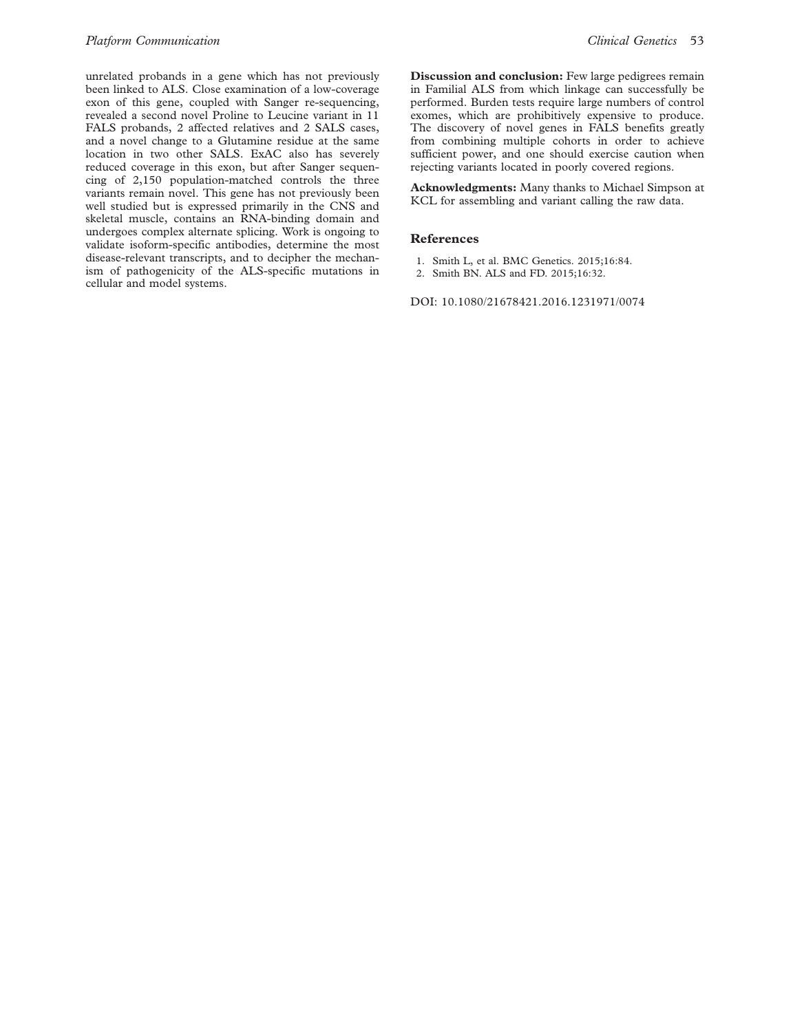<span id="page-53-0"></span>unrelated probands in a gene which has not previously been linked to ALS. Close examination of a low-coverage exon of this gene, coupled with Sanger re-sequencing, revealed a second novel Proline to Leucine variant in 11 FALS probands, 2 affected relatives and 2 SALS cases, and a novel change to a Glutamine residue at the same location in two other SALS. ExAC also has severely reduced coverage in this exon, but after Sanger sequencing of 2,150 population-matched controls the three variants remain novel. This gene has not previously been well studied but is expressed primarily in the CNS and skeletal muscle, contains an RNA-binding domain and undergoes complex alternate splicing. Work is ongoing to validate isoform-specific antibodies, determine the most disease-relevant transcripts, and to decipher the mechanism of pathogenicity of the ALS-specific mutations in cellular and model systems.

Discussion and conclusion: Few large pedigrees remain in Familial ALS from which linkage can successfully be performed. Burden tests require large numbers of control exomes, which are prohibitively expensive to produce. The discovery of novel genes in FALS benefits greatly from combining multiple cohorts in order to achieve sufficient power, and one should exercise caution when rejecting variants located in poorly covered regions.

Acknowledgments: Many thanks to Michael Simpson at KCL for assembling and variant calling the raw data.

#### References

- 1. Smith L, et al. BMC Genetics. 2015;16:84.
- 2. Smith BN. ALS and FD. 2015;16:32.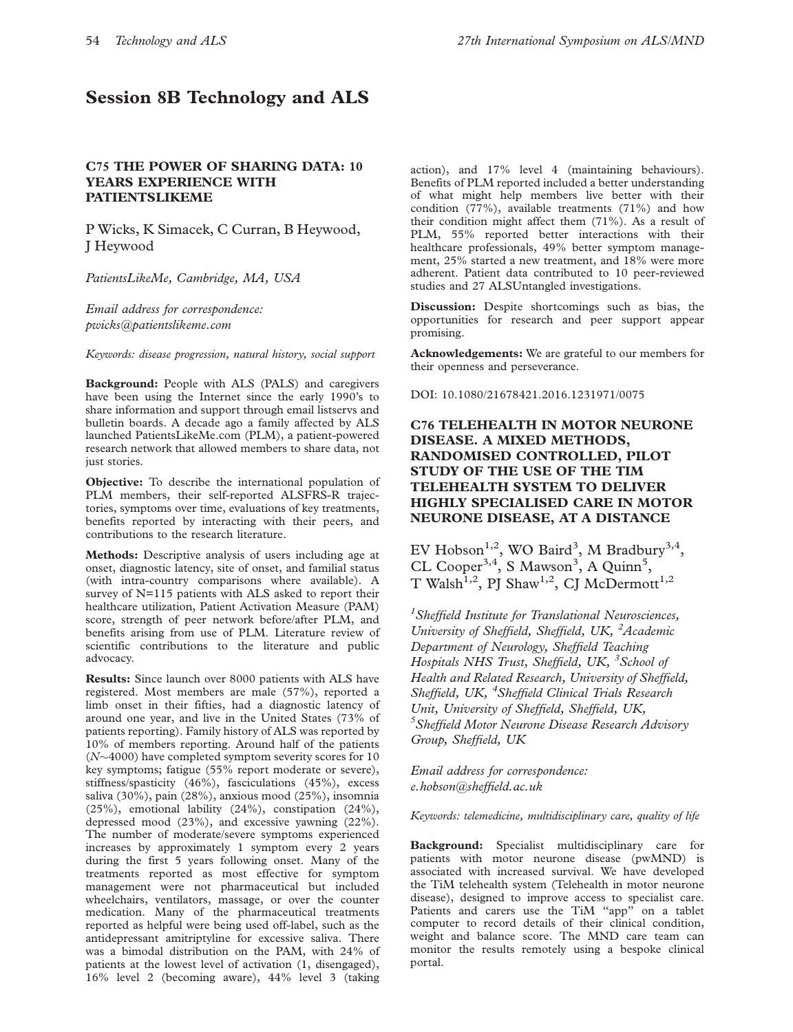# Session 8B Technology and ALS

## C75 THE POWER OF SHARING DATA: 10 YEARS EXPERIENCE WITH PATIENTSLIKEME

P Wicks, K Simacek, C Curran, B Heywood, J Heywood

PatientsLikeMe, Cambridge, MA, USA

Email address for correspondence: pwicks@patientslikeme.com

Keywords: disease progression, natural history, social support

Background: People with ALS (PALS) and caregivers have been using the Internet since the early 1990's to share information and support through email listservs and bulletin boards. A decade ago a family affected by ALS launched PatientsLikeMe.com (PLM), a patient-powered research network that allowed members to share data, not just stories.

Objective: To describe the international population of PLM members, their self-reported ALSFRS-R trajectories, symptoms over time, evaluations of key treatments, benefits reported by interacting with their peers, and contributions to the research literature.

Methods: Descriptive analysis of users including age at onset, diagnostic latency, site of onset, and familial status (with intra-country comparisons where available). A survey of N=115 patients with ALS asked to report their healthcare utilization, Patient Activation Measure (PAM) score, strength of peer network before/after PLM, and benefits arising from use of PLM. Literature review of scientific contributions to the literature and public advocacy.

Results: Since launch over 8000 patients with ALS have registered. Most members are male (57%), reported a limb onset in their fifties, had a diagnostic latency of around one year, and live in the United States (73% of patients reporting). Family history of ALS was reported by 10% of members reporting. Around half of the patients  $(N \sim 4000)$  have completed symptom severity scores for 10 key symptoms; fatigue (55% report moderate or severe), stiffness/spasticity (46%), fasciculations (45%), excess saliva (30%), pain (28%), anxious mood (25%), insomnia (25%), emotional lability (24%), constipation (24%), depressed mood (23%), and excessive yawning (22%). The number of moderate/severe symptoms experienced increases by approximately 1 symptom every 2 years during the first 5 years following onset. Many of the treatments reported as most effective for symptom management were not pharmaceutical but included wheelchairs, ventilators, massage, or over the counter medication. Many of the pharmaceutical treatments reported as helpful were being used off-label, such as the antidepressant amitriptyline for excessive saliva. There was a bimodal distribution on the PAM, with 24% of patients at the lowest level of activation (1, disengaged), 16% level 2 (becoming aware), 44% level 3 (taking

action), and 17% level 4 (maintaining behaviours). Benefits of PLM reported included a better understanding of what might help members live better with their condition (77%), available treatments (71%) and how their condition might affect them (71%). As a result of PLM, 55% reported better interactions with their healthcare professionals, 49% better symptom management, 25% started a new treatment, and 18% were more adherent. Patient data contributed to 10 peer-reviewed studies and 27 ALSUntangled investigations.

Discussion: Despite shortcomings such as bias, the opportunities for research and peer support appear promising.

Acknowledgements: We are grateful to our members for their openness and perseverance.

DOI: 10.1080/21678421.2016.1231971/0075

# C76 TELEHEALTH IN MOTOR NEURONE DISEASE. A MIXED METHODS, RANDOMISED CONTROLLED, PILOT STUDY OF THE USE OF THE TIM TELEHEALTH SYSTEM TO DELIVER HIGHLY SPECIALISED CARE IN MOTOR NEURONE DISEASE, AT A DISTANCE

EV Hobson<sup>1,2</sup>, WO Baird<sup>3</sup>, M Bradbury<sup>3,4</sup>, CL Cooper<sup>3,4</sup>, S Mawson<sup>3</sup>, A Quinn<sup>5</sup>, T Walsh<sup>1,2</sup>, PJ Shaw<sup>1,2</sup>, CJ McDermott<sup>1,2</sup>

<sup>1</sup>Sheffield Institute for Translational Neurosciences, University of Sheffield, Sheffield, UK, <sup>2</sup>Academic Department of Neurology, Sheffield Teaching Hospitals NHS Trust, Sheffield, UK, <sup>3</sup>School of Health and Related Research, University of Sheffield, Sheffield, UK, <sup>4</sup>Sheffield Clinical Trials Research Unit, University of Sheffield, Sheffield, UK, 5 Sheffield Motor Neurone Disease Research Advisory Group, Sheffield, UK

Email address for correspondence: e.hobson@sheffield.ac.uk

Keywords: telemedicine, multidisciplinary care, quality of life

Background: Specialist multidisciplinary care for patients with motor neurone disease (pwMND) is associated with increased survival. We have developed the TiM telehealth system (Telehealth in motor neurone disease), designed to improve access to specialist care. Patients and carers use the TiM ''app'' on a tablet computer to record details of their clinical condition, weight and balance score. The MND care team can monitor the results remotely using a bespoke clinical portal.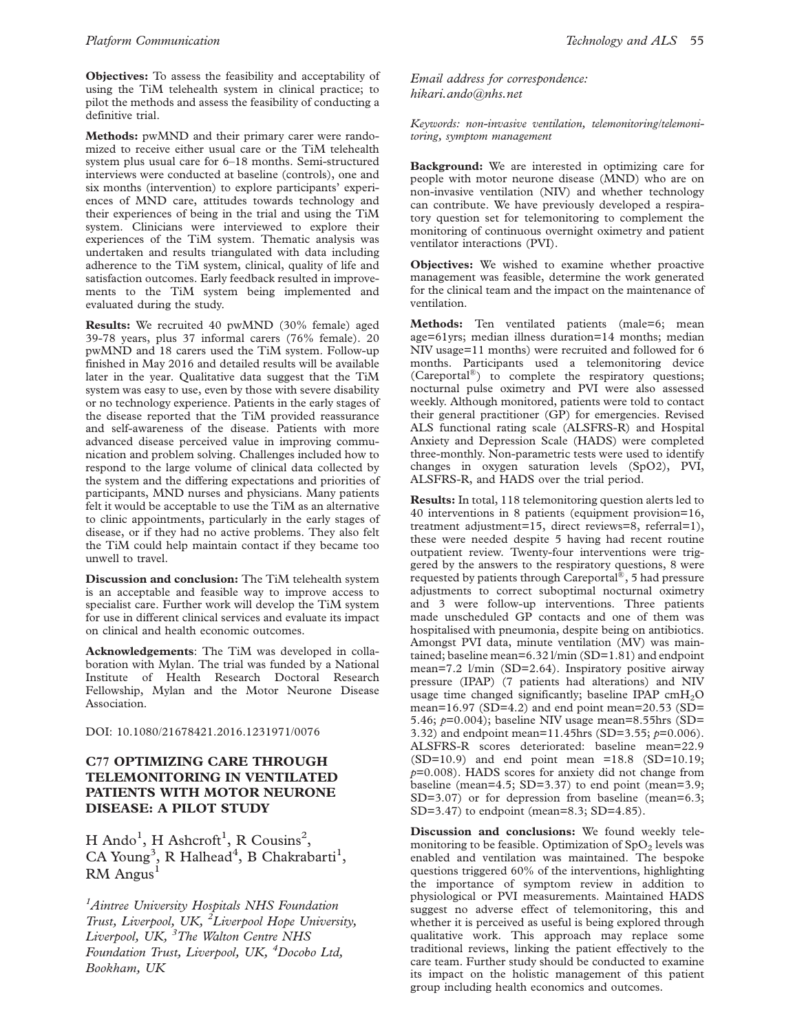Objectives: To assess the feasibility and acceptability of using the TiM telehealth system in clinical practice; to pilot the methods and assess the feasibility of conducting a definitive trial.

Methods: pwMND and their primary carer were randomized to receive either usual care or the TiM telehealth system plus usual care for 6–18 months. Semi-structured interviews were conducted at baseline (controls), one and six months (intervention) to explore participants' experiences of MND care, attitudes towards technology and their experiences of being in the trial and using the TiM system. Clinicians were interviewed to explore their experiences of the TiM system. Thematic analysis was undertaken and results triangulated with data including adherence to the TiM system, clinical, quality of life and satisfaction outcomes. Early feedback resulted in improvements to the TiM system being implemented and evaluated during the study.

Results: We recruited 40 pwMND (30% female) aged 39-78 years, plus 37 informal carers (76% female). 20 pwMND and 18 carers used the TiM system. Follow-up finished in May 2016 and detailed results will be available later in the year. Qualitative data suggest that the TiM system was easy to use, even by those with severe disability or no technology experience. Patients in the early stages of the disease reported that the TiM provided reassurance and self-awareness of the disease. Patients with more advanced disease perceived value in improving communication and problem solving. Challenges included how to respond to the large volume of clinical data collected by the system and the differing expectations and priorities of participants, MND nurses and physicians. Many patients felt it would be acceptable to use the TiM as an alternative to clinic appointments, particularly in the early stages of disease, or if they had no active problems. They also felt the TiM could help maintain contact if they became too unwell to travel.

Discussion and conclusion: The TiM telehealth system is an acceptable and feasible way to improve access to specialist care. Further work will develop the TiM system for use in different clinical services and evaluate its impact on clinical and health economic outcomes.

Acknowledgements: The TiM was developed in collaboration with Mylan. The trial was funded by a National Institute of Health Research Doctoral Research Fellowship, Mylan and the Motor Neurone Disease Association.

DOI: 10.1080/21678421.2016.1231971/0076

# C77 OPTIMIZING CARE THROUGH TELEMONITORING IN VENTILATED PATIENTS WITH MOTOR NEURONE DISEASE: A PILOT STUDY

H Ando<sup>1</sup>, H Ashcroft<sup>1</sup>, R Cousins<sup>2</sup>, CA Young<sup>3</sup>, R Halhead<sup>4</sup>, B Chakrabarti<sup>1</sup>,  $RM$  Angus<sup>1</sup>

<sup>1</sup> Aintree University Hospitals NHS Foundation Trust, Liverpool, UK, <sup>2</sup>Liverpool Hope University, Liverpool, UK, <sup>3</sup>The Walton Centre NHS Foundation Trust, Liverpool, UK, <sup>4</sup>Docobo Ltd, Bookham, UK

Email address for correspondence: hikari.ando@nhs.net

Keywords: non-invasive ventilation, telemonitoring/telemonitoring, symptom management

Background: We are interested in optimizing care for people with motor neurone disease (MND) who are on non-invasive ventilation (NIV) and whether technology can contribute. We have previously developed a respiratory question set for telemonitoring to complement the monitoring of continuous overnight oximetry and patient ventilator interactions (PVI).

Objectives: We wished to examine whether proactive management was feasible, determine the work generated for the clinical team and the impact on the maintenance of ventilation.

Methods: Ten ventilated patients (male=6; mean age=61yrs; median illness duration=14 months; median NIV usage=11 months) were recruited and followed for 6 months. Participants used a telemonitoring device  $(Careportal^<sup>®</sup>)$  to complete the respiratory questions; nocturnal pulse oximetry and PVI were also assessed weekly. Although monitored, patients were told to contact their general practitioner (GP) for emergencies. Revised ALS functional rating scale (ALSFRS-R) and Hospital Anxiety and Depression Scale (HADS) were completed three-monthly. Non-parametric tests were used to identify changes in oxygen saturation levels (SpO2), PVI, ALSFRS-R, and HADS over the trial period.

Results: In total, 118 telemonitoring question alerts led to 40 interventions in 8 patients (equipment provision=16, treatment adjustment=15, direct reviews=8, referral=1), these were needed despite 5 having had recent routine outpatient review. Twenty-four interventions were triggered by the answers to the respiratory questions, 8 were requested by patients through Careportal®, 5 had pressure adjustments to correct suboptimal nocturnal oximetry and 3 were follow-up interventions. Three patients made unscheduled GP contacts and one of them was hospitalised with pneumonia, despite being on antibiotics. Amongst PVI data, minute ventilation (MV) was maintained; baseline mean=6.32 l/min (SD=1.81) and endpoint mean=7.2 l/min (SD=2.64). Inspiratory positive airway pressure (IPAP) (7 patients had alterations) and NIV usage time changed significantly; baseline IPAP  $cmH<sub>2</sub>O$ mean=16.97 (SD=4.2) and end point mean=20.53 (SD= 5.46;  $p=0.004$ ); baseline NIV usage mean=8.55hrs (SD= 3.32) and endpoint mean=11.45hrs (SD=3.55;  $p=0.006$ ). ALSFRS-R scores deteriorated: baseline mean=22.9  $(SD=10.9)$  and end point mean =18.8  $(SD=10.19;$  $p=0.008$ ). HADS scores for anxiety did not change from baseline (mean=4.5; SD=3.37) to end point (mean=3.9; SD=3.07) or for depression from baseline (mean=6.3; SD=3.47) to endpoint (mean=8.3; SD=4.85).

Discussion and conclusions: We found weekly telemonitoring to be feasible. Optimization of  $SpO<sub>2</sub>$  levels was enabled and ventilation was maintained. The bespoke questions triggered 60% of the interventions, highlighting the importance of symptom review in addition to physiological or PVI measurements. Maintained HADS suggest no adverse effect of telemonitoring, this and whether it is perceived as useful is being explored through qualitative work. This approach may replace some traditional reviews, linking the patient effectively to the care team. Further study should be conducted to examine its impact on the holistic management of this patient group including health economics and outcomes.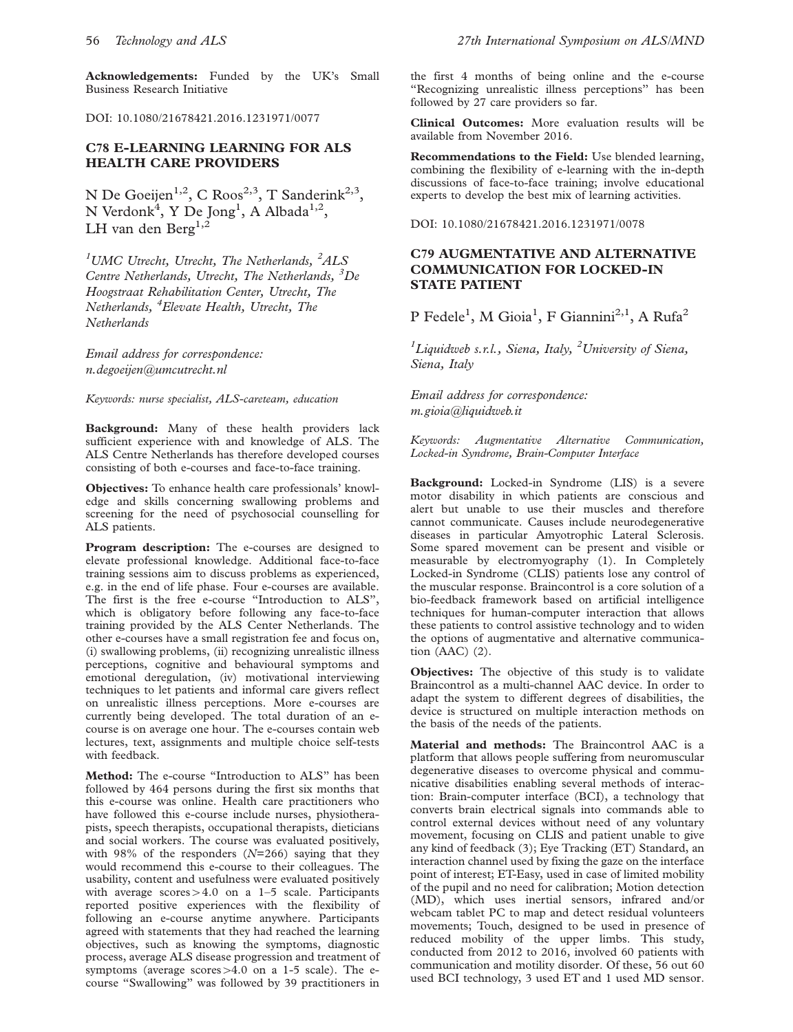Acknowledgements: Funded by the UK's Small Business Research Initiative

DOI: 10.1080/21678421.2016.1231971/0077

### C78 E-LEARNING LEARNING FOR ALS HEALTH CARE PROVIDERS

N De Goeijen<sup>1,2</sup>, C Roos<sup>2,3</sup>, T Sanderink<sup>2,3</sup>, N Verdonk $^4$ , Y De Jong<sup>1</sup>, A Albada<sup>1,2</sup>, LH van den Berg<sup>1,2</sup>

<sup>1</sup> UMC Utrecht, Utrecht, The Netherlands,  ${}^{2}$ ALS Centre Netherlands, Utrecht, The Netherlands, <sup>3</sup>De Hoogstraat Rehabilitation Center, Utrecht, The Netherlands, <sup>4</sup>Elevate Health, Utrecht, The **Netherlands** 

Email address for correspondence: n.degoeijen@umcutrecht.nl

Keywords: nurse specialist, ALS-careteam, education

Background: Many of these health providers lack sufficient experience with and knowledge of ALS. The ALS Centre Netherlands has therefore developed courses consisting of both e-courses and face-to-face training.

Objectives: To enhance health care professionals' knowledge and skills concerning swallowing problems and screening for the need of psychosocial counselling for ALS patients.

Program description: The e-courses are designed to elevate professional knowledge. Additional face-to-face training sessions aim to discuss problems as experienced, e.g. in the end of life phase. Four e-courses are available. The first is the free e-course "Introduction to ALS", which is obligatory before following any face-to-face training provided by the ALS Center Netherlands. The other e-courses have a small registration fee and focus on, (i) swallowing problems, (ii) recognizing unrealistic illness perceptions, cognitive and behavioural symptoms and emotional deregulation, (iv) motivational interviewing techniques to let patients and informal care givers reflect on unrealistic illness perceptions. More e-courses are currently being developed. The total duration of an ecourse is on average one hour. The e-courses contain web lectures, text, assignments and multiple choice self-tests with feedback.

Method: The e-course "Introduction to ALS" has been followed by 464 persons during the first six months that this e-course was online. Health care practitioners who have followed this e-course include nurses, physiotherapists, speech therapists, occupational therapists, dieticians and social workers. The course was evaluated positively, with 98% of the responders  $(N=266)$  saying that they would recommend this e-course to their colleagues. The usability, content and usefulness were evaluated positively with average  $scores > 4.0$  on a 1–5 scale. Participants reported positive experiences with the flexibility of following an e-course anytime anywhere. Participants agreed with statements that they had reached the learning objectives, such as knowing the symptoms, diagnostic process, average ALS disease progression and treatment of symptoms (average scores $>4.0$  on a 1-5 scale). The ecourse ''Swallowing'' was followed by 39 practitioners in

the first 4 months of being online and the e-course "Recognizing unrealistic illness perceptions" has been followed by 27 care providers so far.

Clinical Outcomes: More evaluation results will be available from November 2016.

Recommendations to the Field: Use blended learning, combining the flexibility of e-learning with the in-depth discussions of face-to-face training; involve educational experts to develop the best mix of learning activities.

DOI: 10.1080/21678421.2016.1231971/0078

## C79 AUGMENTATIVE AND ALTERNATIVE COMMUNICATION FOR LOCKED-IN STATE PATIENT

P Fedele<sup>1</sup>, M Gioia<sup>1</sup>, F Giannini<sup>2,1</sup>, A Rufa<sup>2</sup>

<sup>1</sup>Liquidweb s.r.l., Siena, Italy, <sup>2</sup>University of Siena, Siena, Italy

Email address for correspondence: m.gioia@liquidweb.it

Keywords: Augmentative Alternative Communication, Locked-in Syndrome, Brain-Computer Interface

Background: Locked-in Syndrome (LIS) is a severe motor disability in which patients are conscious and alert but unable to use their muscles and therefore cannot communicate. Causes include neurodegenerative diseases in particular Amyotrophic Lateral Sclerosis. Some spared movement can be present and visible or measurable by electromyography ([1\)](#page-57-0). In Completely Locked-in Syndrome (CLIS) patients lose any control of the muscular response. Braincontrol is a core solution of a bio-feedback framework based on artificial intelligence techniques for human-computer interaction that allows these patients to control assistive technology and to widen the options of augmentative and alternative communication (AAC) ([2\)](#page-57-0).

Objectives: The objective of this study is to validate Braincontrol as a multi-channel AAC device. In order to adapt the system to different degrees of disabilities, the device is structured on multiple interaction methods on the basis of the needs of the patients.

Material and methods: The Braincontrol AAC is a platform that allows people suffering from neuromuscular degenerative diseases to overcome physical and communicative disabilities enabling several methods of interaction: Brain-computer interface (BCI), a technology that converts brain electrical signals into commands able to control external devices without need of any voluntary movement, focusing on CLIS and patient unable to give any kind of feedback ([3\)](#page-57-0); Eye Tracking (ET) Standard, an interaction channel used by fixing the gaze on the interface point of interest; ET-Easy, used in case of limited mobility of the pupil and no need for calibration; Motion detection (MD), which uses inertial sensors, infrared and/or webcam tablet PC to map and detect residual volunteers movements; Touch, designed to be used in presence of reduced mobility of the upper limbs. This study, conducted from 2012 to 2016, involved 60 patients with communication and motility disorder. Of these, 56 out 60 used BCI technology, 3 used ET and 1 used MD sensor.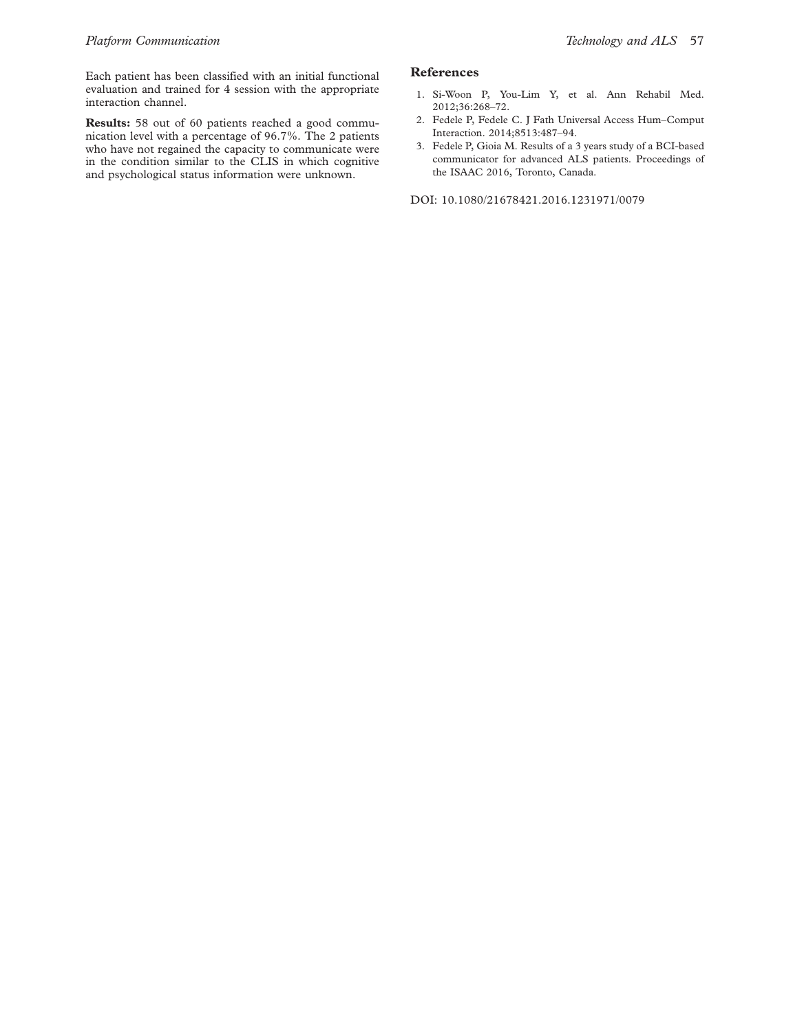<span id="page-57-0"></span>Each patient has been classified with an initial functional evaluation and trained for 4 session with the appropriate interaction channel.

Results: 58 out of 60 patients reached a good communication level with a percentage of 96.7%. The 2 patients who have not regained the capacity to communicate were in the condition similar to the CLIS in which cognitive and psychological status information were unknown.

#### References

- 1. Si-Woon P, You-Lim Y, et al. Ann Rehabil Med. 2012;36:268–72.
- 2. Fedele P, Fedele C. J Fath Universal Access Hum–Comput Interaction. 2014;8513:487–94.
- 3. Fedele P, Gioia M. Results of a 3 years study of a BCI-based communicator for advanced ALS patients. Proceedings of the ISAAC 2016, Toronto, Canada.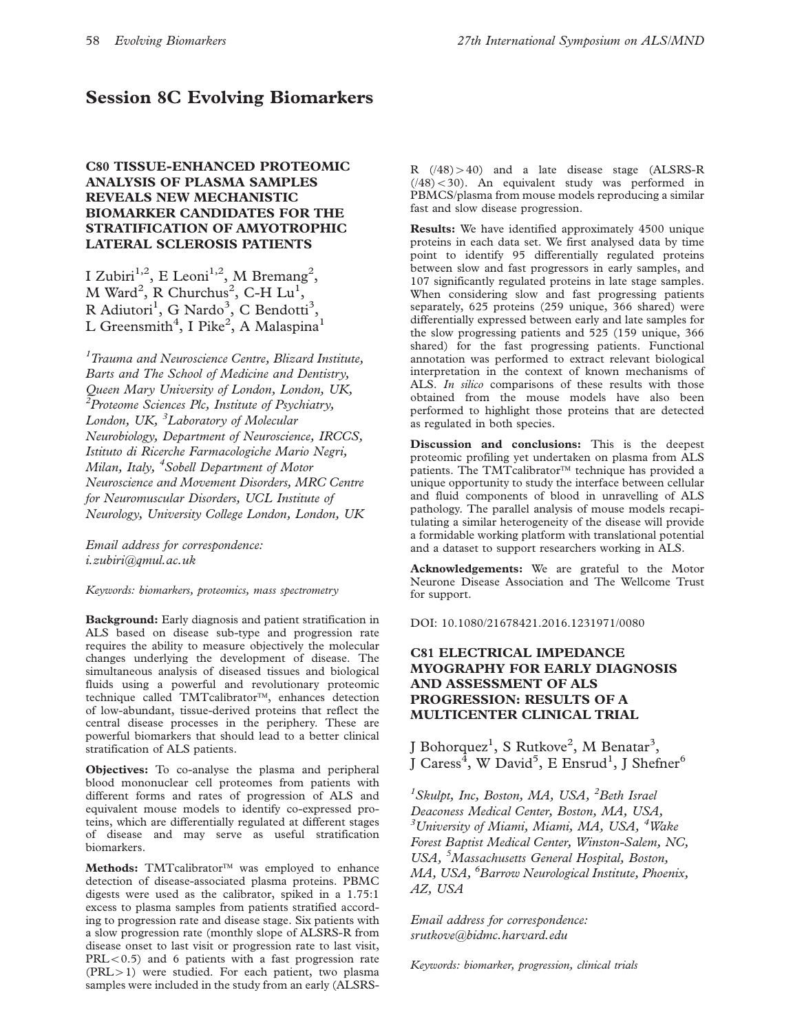# Session 8C Evolving Biomarkers

# C80 TISSUE-ENHANCED PROTEOMIC ANALYSIS OF PLASMA SAMPLES REVEALS NEW MECHANISTIC BIOMARKER CANDIDATES FOR THE STRATIFICATION OF AMYOTROPHIC LATERAL SCLEROSIS PATIENTS

I Zubiri<sup>1,2</sup>, E Leoni<sup>1,2</sup>, M Bremang<sup>2</sup>, M Ward<sup>2</sup>, R Churchus<sup>2</sup>, C-H Lu<sup>1</sup>, R Adiutori<sup>1</sup>, G Nardo<sup>3</sup>, C Bendotti<sup>3</sup>, L Greensmith<sup>4</sup>, I Pike<sup>2</sup>, A Malaspina<sup>1</sup>

<sup>1</sup> Trauma and Neuroscience Centre, Blizard Institute, Barts and The School of Medicine and Dentistry, Queen Mary University of London, London, UK,  $\overline{P}$ Proteome Sciences Plc, Institute of Psychiatry, London, UK, <sup>3</sup>Laboratory of Molecular Neurobiology, Department of Neuroscience, IRCCS, Istituto di Ricerche Farmacologiche Mario Negri, Milan, Italy, <sup>4</sup>Sobell Department of Motor Neuroscience and Movement Disorders, MRC Centre for Neuromuscular Disorders, UCL Institute of Neurology, University College London, London, UK

Email address for correspondence: i.zubiri@qmul.ac.uk

Keywords: biomarkers, proteomics, mass spectrometry

Background: Early diagnosis and patient stratification in ALS based on disease sub-type and progression rate requires the ability to measure objectively the molecular changes underlying the development of disease. The simultaneous analysis of diseased tissues and biological fluids using a powerful and revolutionary proteomic technique called TMTcalibrator™, enhances detection of low-abundant, tissue-derived proteins that reflect the central disease processes in the periphery. These are powerful biomarkers that should lead to a better clinical stratification of ALS patients.

Objectives: To co-analyse the plasma and peripheral blood mononuclear cell proteomes from patients with different forms and rates of progression of ALS and equivalent mouse models to identify co-expressed proteins, which are differentially regulated at different stages of disease and may serve as useful stratification biomarkers.

Methods: TMTcalibrator™ was employed to enhance detection of disease-associated plasma proteins. PBMC digests were used as the calibrator, spiked in a 1.75:1 excess to plasma samples from patients stratified according to progression rate and disease stage. Six patients with a slow progression rate (monthly slope of ALSRS-R from disease onset to last visit or progression rate to last visit,  $PRL < 0.5$ ) and 6 patients with a fast progression rate  $(PRL>1)$  were studied. For each patient, two plasma samples were included in the study from an early (ALSRS-

 $R$  (/48) > 40) and a late disease stage (ALSRS-R  $(48)$  < 30). An equivalent study was performed in PBMCS/plasma from mouse models reproducing a similar fast and slow disease progression.

Results: We have identified approximately 4500 unique proteins in each data set. We first analysed data by time point to identify 95 differentially regulated proteins between slow and fast progressors in early samples, and 107 significantly regulated proteins in late stage samples. When considering slow and fast progressing patients separately, 625 proteins (259 unique, 366 shared) were differentially expressed between early and late samples for the slow progressing patients and 525 (159 unique, 366 shared) for the fast progressing patients. Functional annotation was performed to extract relevant biological interpretation in the context of known mechanisms of ALS. In silico comparisons of these results with those obtained from the mouse models have also been performed to highlight those proteins that are detected as regulated in both species.

Discussion and conclusions: This is the deepest proteomic profiling yet undertaken on plasma from ALS patients. The TMTcalibrator™ technique has provided a unique opportunity to study the interface between cellular and fluid components of blood in unravelling of ALS pathology. The parallel analysis of mouse models recapitulating a similar heterogeneity of the disease will provide a formidable working platform with translational potential and a dataset to support researchers working in ALS.

Acknowledgements: We are grateful to the Motor Neurone Disease Association and The Wellcome Trust for support.

DOI: 10.1080/21678421.2016.1231971/0080

# C81 ELECTRICAL IMPEDANCE MYOGRAPHY FOR EARLY DIAGNOSIS AND ASSESSMENT OF ALS PROGRESSION: RESULTS OF A MULTICENTER CLINICAL TRIAL

J Bohorquez<sup>1</sup>, S Rutkove<sup>2</sup>, M Benatar<sup>3</sup>,  $\bar{\rm J}$  Caress $^{\tilde{4}}$ , W David $^5$ , E Ensrud $^1$ , J Shefner $^6$ 

<sup>1</sup>Skulpt, Inc, Boston, MA, USA, <sup>2</sup>Beth Israel Deaconess Medical Center, Boston, MA, USA, <sup>3</sup>University of Miami, Miami, MA, USA, <sup>4</sup>Wake Forest Baptist Medical Center, Winston-Salem, NC, USA, <sup>5</sup>Massachusetts General Hospital, Boston, MA, USA, <sup>6</sup>Barrow Neurological Institute, Phoenix, AZ, USA

Email address for correspondence: srutkove@bidmc.harvard.edu

Keywords: biomarker, progression, clinical trials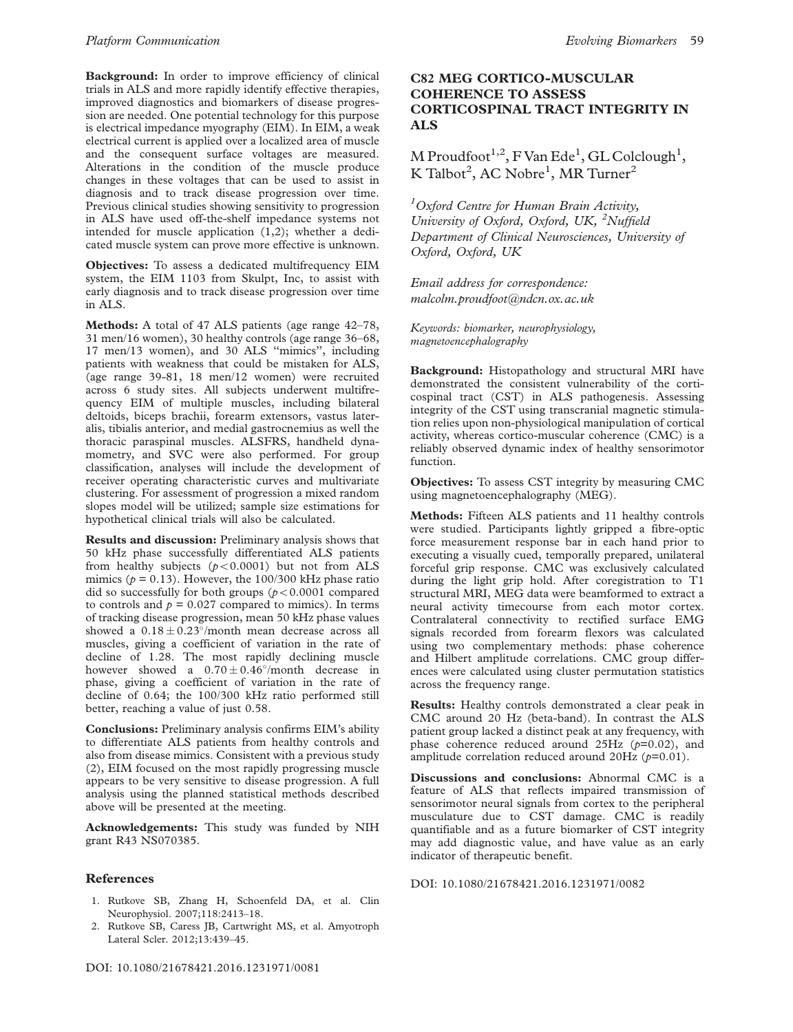Background: In order to improve efficiency of clinical trials in ALS and more rapidly identify effective therapies, improved diagnostics and biomarkers of disease progression are needed. One potential technology for this purpose is electrical impedance myography (EIM). In EIM, a weak electrical current is applied over a localized area of muscle and the consequent surface voltages are measured. Alterations in the condition of the muscle produce changes in these voltages that can be used to assist in diagnosis and to track disease progression over time. Previous clinical studies showing sensitivity to progression in ALS have used off-the-shelf impedance systems not intended for muscle application  $(1,2)$ ; whether a dedicated muscle system can prove more effective is unknown.

Objectives: To assess a dedicated multifrequency EIM system, the EIM 1103 from Skulpt, Inc, to assist with early diagnosis and to track disease progression over time in ALS.

Methods: A total of 47 ALS patients (age range 42–78, 31 men/16 women), 30 healthy controls (age range 36–68, 17 men/13 women), and 30 ALS ''mimics'', including patients with weakness that could be mistaken for ALS, (age range 39-81, 18 men/12 women) were recruited across 6 study sites. All subjects underwent multifrequency EIM of multiple muscles, including bilateral deltoids, biceps brachii, forearm extensors, vastus lateralis, tibialis anterior, and medial gastrocnemius as well the thoracic paraspinal muscles. ALSFRS, handheld dynamometry, and SVC were also performed. For group classification, analyses will include the development of receiver operating characteristic curves and multivariate clustering. For assessment of progression a mixed random slopes model will be utilized; sample size estimations for hypothetical clinical trials will also be calculated.

Results and discussion: Preliminary analysis shows that 50 kHz phase successfully differentiated ALS patients from healthy subjects  $(p<0.0001)$  but not from ALS mimics ( $p = 0.13$ ). However, the 100/300 kHz phase ratio did so successfully for both groups  $(p<0.0001$  compared to controls and  $p = 0.027$  compared to mimics). In terms of tracking disease progression, mean 50 kHz phase values showed a  $0.18 \pm 0.23^{\circ}/$ month mean decrease across all muscles, giving a coefficient of variation in the rate of decline of 1.28. The most rapidly declining muscle however showed a  $0.70 \pm 0.46^\circ$ /month decrease in phase, giving a coefficient of variation in the rate of decline of 0.64; the 100/300 kHz ratio performed still better, reaching a value of just 0.58.

Conclusions: Preliminary analysis confirms EIM's ability to differentiate ALS patients from healthy controls and also from disease mimics. Consistent with a previous study (2), EIM focused on the most rapidly progressing muscle appears to be very sensitive to disease progression. A full analysis using the planned statistical methods described above will be presented at the meeting.

Acknowledgements: This study was funded by NIH grant R43 NS070385.

#### References

- 1. Rutkove SB, Zhang H, Schoenfeld DA, et al. Clin Neurophysiol. 2007;118:2413–18.
- 2. Rutkove SB, Caress JB, Cartwright MS, et al. Amyotroph Lateral Scler. 2012;13:439–45.

# C82 MEG CORTICO-MUSCULAR COHERENCE TO ASSESS CORTICOSPINAL TRACT INTEGRITY IN ALS

M Proudfoot<sup>1,2</sup>, F Van Ede<sup>1</sup>, GL Colclough<sup>1</sup>, K Talbot<sup>2</sup>, AC Nobre<sup>1</sup>, MR Turner<sup>2</sup>

<sup>1</sup>Oxford Centre for Human Brain Activity, University of Oxford, Oxford, UK, <sup>2</sup>Nuffield Department of Clinical Neurosciences, University of Oxford, Oxford, UK

Email address for correspondence: malcolm.proudfoot@ndcn.ox.ac.uk

Keywords: biomarker, neurophysiology, magnetoencephalography

Background: Histopathology and structural MRI have demonstrated the consistent vulnerability of the corticospinal tract (CST) in ALS pathogenesis. Assessing integrity of the CST using transcranial magnetic stimulation relies upon non-physiological manipulation of cortical activity, whereas cortico-muscular coherence (CMC) is a reliably observed dynamic index of healthy sensorimotor function.

Objectives: To assess CST integrity by measuring CMC using magnetoencephalography (MEG).

Methods: Fifteen ALS patients and 11 healthy controls were studied. Participants lightly gripped a fibre-optic force measurement response bar in each hand prior to executing a visually cued, temporally prepared, unilateral forceful grip response. CMC was exclusively calculated during the light grip hold. After coregistration to T1 structural MRI, MEG data were beamformed to extract a neural activity timecourse from each motor cortex. Contralateral connectivity to rectified surface EMG signals recorded from forearm flexors was calculated using two complementary methods: phase coherence and Hilbert amplitude correlations. CMC group differences were calculated using cluster permutation statistics across the frequency range.

Results: Healthy controls demonstrated a clear peak in CMC around 20 Hz (beta-band). In contrast the ALS patient group lacked a distinct peak at any frequency, with phase coherence reduced around 25Hz ( $p=0.02$ ), and amplitude correlation reduced around  $20Hz$  ( $p=0.01$ ).

Discussions and conclusions: Abnormal CMC is a feature of ALS that reflects impaired transmission of sensorimotor neural signals from cortex to the peripheral musculature due to CST damage. CMC is readily quantifiable and as a future biomarker of CST integrity may add diagnostic value, and have value as an early indicator of therapeutic benefit.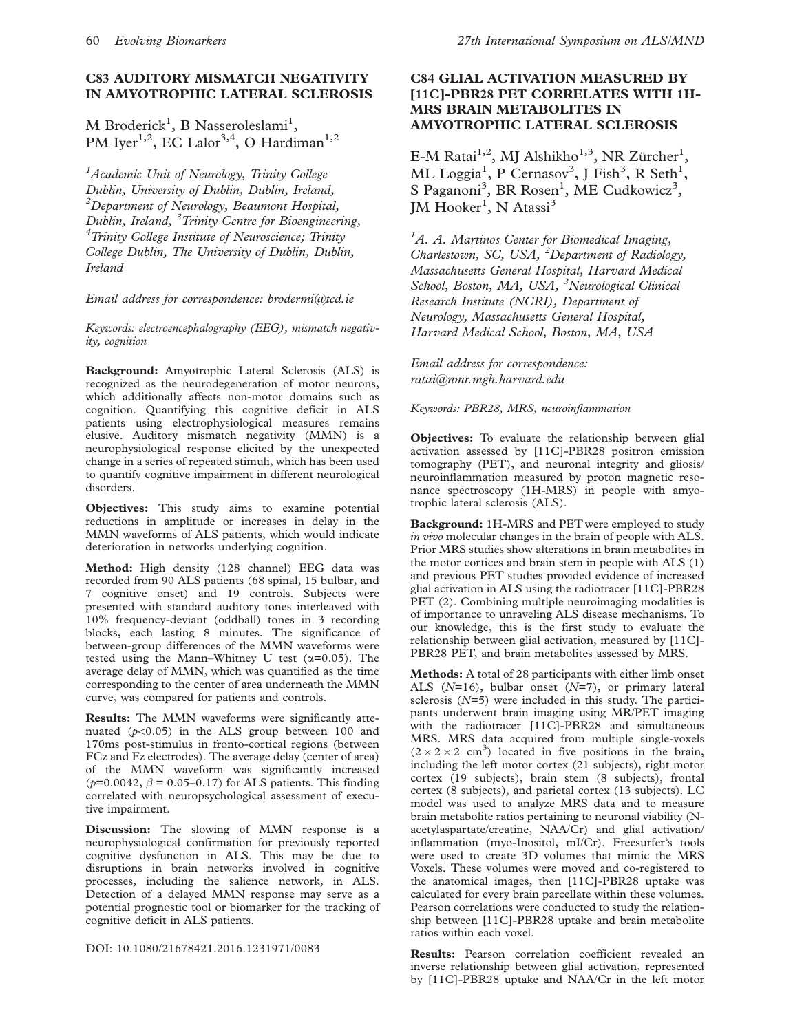# C83 AUDITORY MISMATCH NEGATIVITY IN AMYOTROPHIC LATERAL SCLEROSIS

M Broderick<sup>1</sup>, B Nasseroleslami<sup>1</sup>, PM Iver<sup>1,2</sup>, EC Lalor<sup>3,4</sup>, O Hardiman<sup>1,2</sup>

<sup>1</sup> Academic Unit of Neurology, Trinity College Dublin, University of Dublin, Dublin, Ireland, <sup>2</sup>Department of Neurology, Beaumont Hospital, Dublin, Ireland, <sup>3</sup> Trinity Centre for Bioengineering, <sup>4</sup>  ${}^{4}$ Trinity College Institute of Neuroscience; Trinity College Dublin, The University of Dublin, Dublin, Ireland

Email address for correspondence: brodermi@tcd.ie

Keywords: electroencephalography (EEG), mismatch negativity, cognition

Background: Amyotrophic Lateral Sclerosis (ALS) is recognized as the neurodegeneration of motor neurons, which additionally affects non-motor domains such as cognition. Quantifying this cognitive deficit in ALS patients using electrophysiological measures remains elusive. Auditory mismatch negativity (MMN) is a neurophysiological response elicited by the unexpected change in a series of repeated stimuli, which has been used to quantify cognitive impairment in different neurological disorders.

Objectives: This study aims to examine potential reductions in amplitude or increases in delay in the MMN waveforms of ALS patients, which would indicate deterioration in networks underlying cognition.

Method: High density (128 channel) EEG data was recorded from 90 ALS patients (68 spinal, 15 bulbar, and 7 cognitive onset) and 19 controls. Subjects were presented with standard auditory tones interleaved with 10% frequency-deviant (oddball) tones in 3 recording blocks, each lasting 8 minutes. The significance of between-group differences of the MMN waveforms were tested using the Mann–Whitney U test ( $\alpha$ =0.05). The average delay of MMN, which was quantified as the time corresponding to the center of area underneath the MMN curve, was compared for patients and controls.

Results: The MMN waveforms were significantly attenuated  $(p<0.05)$  in the ALS group between 100 and 170ms post-stimulus in fronto-cortical regions (between FCz and Fz electrodes). The average delay (center of area) of the MMN waveform was significantly increased ( $p=0.0042$ ,  $\beta = 0.05-0.17$ ) for ALS patients. This finding correlated with neuropsychological assessment of executive impairment.

Discussion: The slowing of MMN response is a neurophysiological confirmation for previously reported cognitive dysfunction in ALS. This may be due to disruptions in brain networks involved in cognitive processes, including the salience network, in ALS. Detection of a delayed MMN response may serve as a potential prognostic tool or biomarker for the tracking of cognitive deficit in ALS patients.

DOI: 10.1080/21678421.2016.1231971/0083

## C84 GLIAL ACTIVATION MEASURED BY [11C]-PBR28 PET CORRELATES WITH 1H-MRS BRAIN METABOLITES IN AMYOTROPHIC LATERAL SCLEROSIS

E-M Ratai<sup>1,2</sup>, MJ Alshikho<sup>1,3</sup>, NR Zürcher<sup>1</sup>, ML Loggia<sup>1</sup>, P Cernasov<sup>3</sup>, J Fish<sup>3</sup>, R Seth<sup>1</sup>, S Paganoni<sup>3</sup>, BR Rosen<sup>1</sup>, ME Cudkowicz<sup>3</sup>, JM Hooker<sup>1</sup>, N Atassi<sup>3</sup>

<sup>1</sup>A. A. Martinos Center for Biomedical Imaging, Charlestown, SC, USA, <sup>2</sup>Department of Radiology, Massachusetts General Hospital, Harvard Medical School, Boston, MA, USA, <sup>3</sup>Neurological Clinical Research Institute (NCRI), Department of Neurology, Massachusetts General Hospital, Harvard Medical School, Boston, MA, USA

Email address for correspondence: ratai@nmr.mgh.harvard.edu

Keywords: PBR28, MRS, neuroinflammation

Objectives: To evaluate the relationship between glial activation assessed by [11C]-PBR28 positron emission tomography (PET), and neuronal integrity and gliosis/ neuroinflammation measured by proton magnetic resonance spectroscopy (1H-MRS) in people with amyotrophic lateral sclerosis (ALS).

Background: 1H-MRS and PET were employed to study in vivo molecular changes in the brain of people with ALS. Prior MRS studies show alterations in brain metabolites in the motor cortices and brain stem in people with ALS ([1\)](#page-61-0) and previous PET studies provided evidence of increased glial activation in ALS using the radiotracer [11C]-PBR28 PET [\(2](#page-61-0)). Combining multiple neuroimaging modalities is of importance to unraveling ALS disease mechanisms. To our knowledge, this is the first study to evaluate the relationship between glial activation, measured by [11C]- PBR28 PET, and brain metabolites assessed by MRS.

Methods: A total of 28 participants with either limb onset ALS  $(N=16)$ , bulbar onset  $(N=7)$ , or primary lateral sclerosis  $(N=5)$  were included in this study. The participants underwent brain imaging using MR/PET imaging with the radiotracer [11C]-PBR28 and simultaneous MRS. MRS data acquired from multiple single-voxels  $(2 \times 2 \times 2 \text{ cm}^3)$  located in five positions in the brain, including the left motor cortex (21 subjects), right motor cortex (19 subjects), brain stem (8 subjects), frontal cortex (8 subjects), and parietal cortex (13 subjects). LC model was used to analyze MRS data and to measure brain metabolite ratios pertaining to neuronal viability (Nacetylaspartate/creatine, NAA/Cr) and glial activation/ inflammation (myo-Inositol, mI/Cr). Freesurfer's tools were used to create 3D volumes that mimic the MRS Voxels. These volumes were moved and co-registered to the anatomical images, then [11C]-PBR28 uptake was calculated for every brain parcellate within these volumes. Pearson correlations were conducted to study the relationship between [11C]-PBR28 uptake and brain metabolite ratios within each voxel.

Results: Pearson correlation coefficient revealed an inverse relationship between glial activation, represented by [11C]-PBR28 uptake and NAA/Cr in the left motor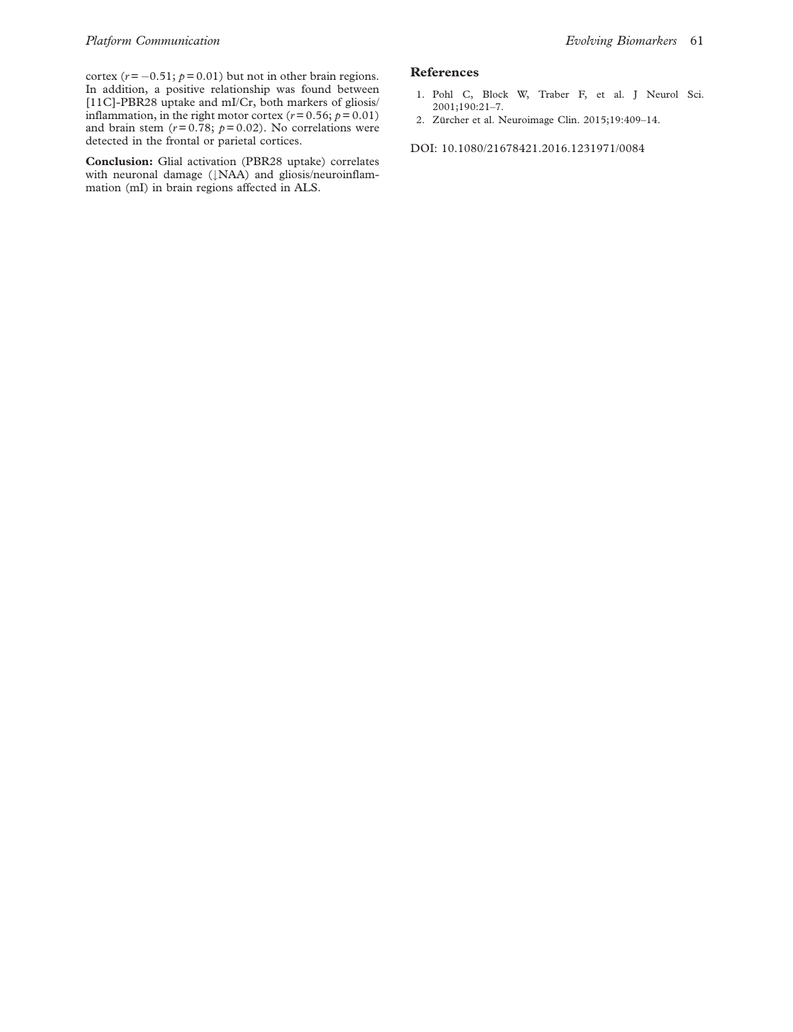<span id="page-61-0"></span>cortex  $(r = -0.51; p = 0.01)$  but not in other brain regions. In addition, a positive relationship was found between [11C]-PBR28 uptake and mI/Cr, both markers of gliosis/ inflammation, in the right motor cortex ( $r = 0.56$ ;  $p = 0.01$ ) and brain stem  $(r=0.78; p=0.02)$ . No correlations were detected in the frontal or parietal cortices.

Conclusion: Glial activation (PBR28 uptake) correlates with neuronal damage  $(|NAA\rangle$  and gliosis/neuroinflammation (mI) in brain regions affected in ALS.

#### References

- 1. Pohl C, Block W, Traber F, et al. J Neurol Sci. 2001;190:21–7.
- 2. Zürcher et al. Neuroimage Clin. 2015;19:409-14.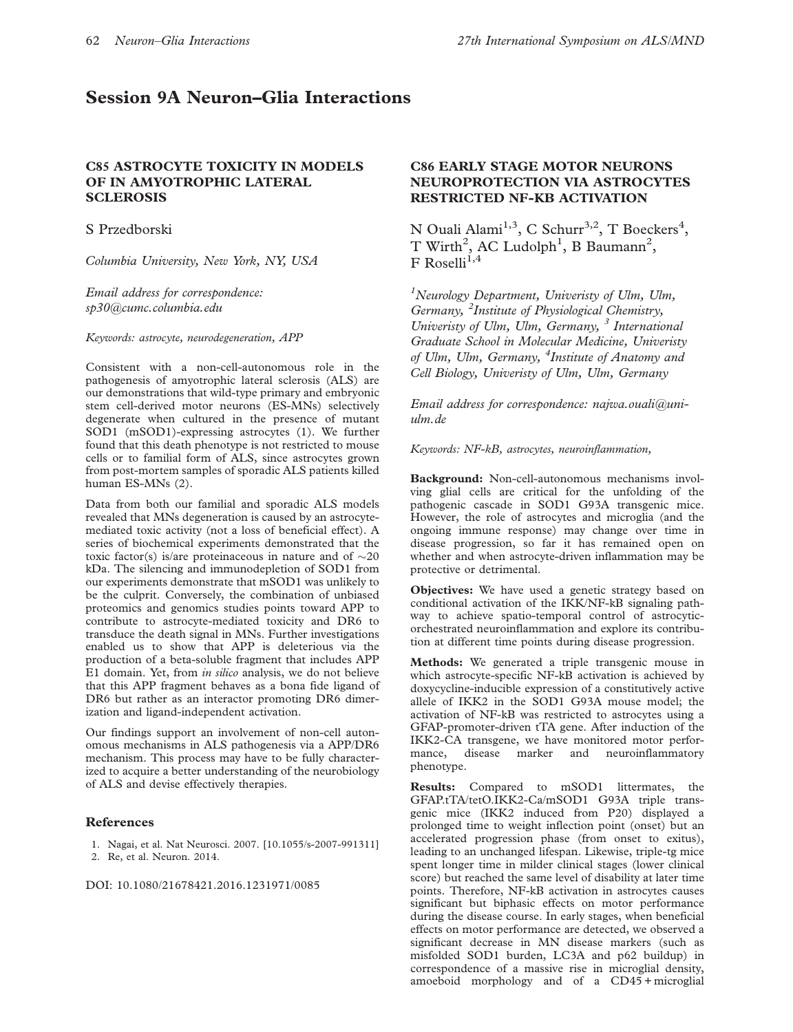# Session 9A Neuron–Glia Interactions

#### C85 ASTROCYTE TOXICITY IN MODELS OF IN AMYOTROPHIC LATERAL **SCLEROSIS**

S Przedborski

Columbia University, New York, NY, USA

Email address for correspondence: sp30@cumc.columbia.edu

Keywords: astrocyte, neurodegeneration, APP

Consistent with a non-cell-autonomous role in the pathogenesis of amyotrophic lateral sclerosis (ALS) are our demonstrations that wild-type primary and embryonic stem cell-derived motor neurons (ES-MNs) selectively degenerate when cultured in the presence of mutant SOD1 (mSOD1)-expressing astrocytes (1). We further found that this death phenotype is not restricted to mouse cells or to familial form of ALS, since astrocytes grown from post-mortem samples of sporadic ALS patients killed human ES-MNs (2).

Data from both our familial and sporadic ALS models revealed that MNs degeneration is caused by an astrocytemediated toxic activity (not a loss of beneficial effect). A series of biochemical experiments demonstrated that the toxic factor(s) is/are proteinaceous in nature and of  $\sim 20$ kDa. The silencing and immunodepletion of SOD1 from our experiments demonstrate that mSOD1 was unlikely to be the culprit. Conversely, the combination of unbiased proteomics and genomics studies points toward APP to contribute to astrocyte-mediated toxicity and DR6 to transduce the death signal in MNs. Further investigations enabled us to show that APP is deleterious via the production of a beta-soluble fragment that includes APP E1 domain. Yet, from in silico analysis, we do not believe that this APP fragment behaves as a bona fide ligand of DR6 but rather as an interactor promoting DR6 dimerization and ligand-independent activation.

Our findings support an involvement of non-cell autonomous mechanisms in ALS pathogenesis via a APP/DR6 mechanism. This process may have to be fully characterized to acquire a better understanding of the neurobiology of ALS and devise effectively therapies.

#### References

1. Nagai, et al. Nat Neurosci. 2007. [10.1055/s-2007-991311]

2. Re, et al. Neuron. 2014.

DOI: 10.1080/21678421.2016.1231971/0085

# C86 EARLY STAGE MOTOR NEURONS NEUROPROTECTION VIA ASTROCYTES RESTRICTED NF-KB ACTIVATION

N Ouali Alami<sup>1,3</sup>, C Schurr<sup>3,2</sup>, T Boeckers<sup>4</sup>, T Wirth<sup>2</sup>, AC Ludolph<sup>1</sup>, B Baumann<sup>2</sup>,  $F$  Roselli<sup>1,4</sup>

<sup>1</sup>Neurology Department, Univeristy of Ulm, Ulm, Germany, <sup>2</sup>Institute of Physiological Chemistry, Univeristy of Ulm, Ulm, Germany,  $3$  International Graduate School in Molecular Medicine, Univeristy of Ulm, Ulm, Germany, <sup>4</sup>Institute of Anatomy and Cell Biology, Univeristy of Ulm, Ulm, Germany

Email address for correspondence: najwa.ouali@uniulm.de

Keywords: NF-kB, astrocytes, neuroinflammation,

Background: Non-cell-autonomous mechanisms involving glial cells are critical for the unfolding of the pathogenic cascade in SOD1 G93A transgenic mice. However, the role of astrocytes and microglia (and the ongoing immune response) may change over time in disease progression, so far it has remained open on whether and when astrocyte-driven inflammation may be protective or detrimental.

Objectives: We have used a genetic strategy based on conditional activation of the IKK/NF-kB signaling pathway to achieve spatio-temporal control of astrocyticorchestrated neuroinflammation and explore its contribution at different time points during disease progression.

Methods: We generated a triple transgenic mouse in which astrocyte-specific NF-kB activation is achieved by doxycycline-inducible expression of a constitutively active allele of IKK2 in the SOD1 G93A mouse model; the activation of NF-kB was restricted to astrocytes using a GFAP-promoter-driven tTA gene. After induction of the IKK2-CA transgene, we have monitored motor performance, disease marker and neuroinflammatory phenotype.

Results: Compared to mSOD1 littermates, the GFAP.tTA/tetO.IKK2-Ca/mSOD1 G93A triple transgenic mice (IKK2 induced from P20) displayed a prolonged time to weight inflection point (onset) but an accelerated progression phase (from onset to exitus), leading to an unchanged lifespan. Likewise, triple-tg mice spent longer time in milder clinical stages (lower clinical score) but reached the same level of disability at later time points. Therefore, NF-kB activation in astrocytes causes significant but biphasic effects on motor performance during the disease course. In early stages, when beneficial effects on motor performance are detected, we observed a significant decrease in MN disease markers (such as misfolded SOD1 burden, LC3A and p62 buildup) in correspondence of a massive rise in microglial density, amoeboid morphology and of a CD45 + microglial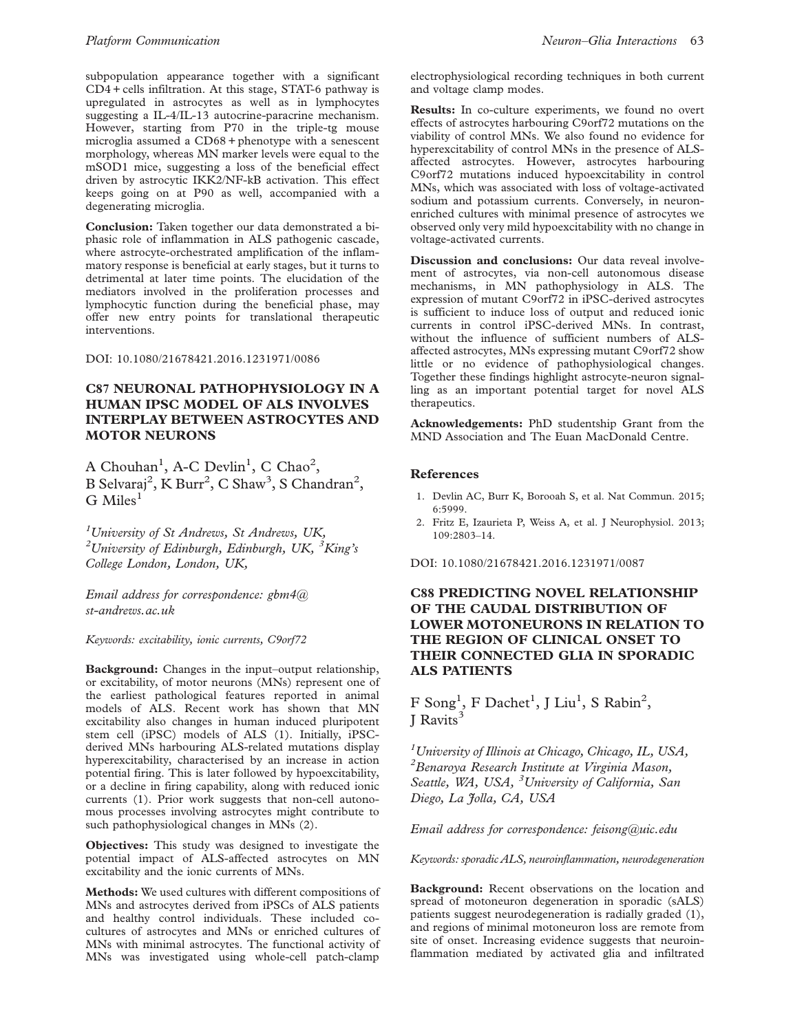subpopulation appearance together with a significant CD4 + cells infiltration. At this stage, STAT-6 pathway is upregulated in astrocytes as well as in lymphocytes suggesting a IL-4/IL-13 autocrine-paracrine mechanism. However, starting from P70 in the triple-tg mouse microglia assumed a CD68 + phenotype with a senescent morphology, whereas MN marker levels were equal to the mSOD1 mice, suggesting a loss of the beneficial effect driven by astrocytic IKK2/NF-kB activation. This effect keeps going on at P90 as well, accompanied with a degenerating microglia.

Conclusion: Taken together our data demonstrated a biphasic role of inflammation in ALS pathogenic cascade, where astrocyte-orchestrated amplification of the inflammatory response is beneficial at early stages, but it turns to detrimental at later time points. The elucidation of the mediators involved in the proliferation processes and lymphocytic function during the beneficial phase, may offer new entry points for translational therapeutic interventions.

DOI: 10.1080/21678421.2016.1231971/0086

# C87 NEURONAL PATHOPHYSIOLOGY IN A HUMAN IPSC MODEL OF ALS INVOLVES INTERPLAY BETWEEN ASTROCYTES AND MOTOR NEURONS

A Chouhan<sup>1</sup>, A-C Devlin<sup>1</sup>, C Chao<sup>2</sup>, B Selvaraj<sup>2</sup>, K Burr<sup>2</sup>, C Shaw<sup>3</sup>, S Chandran<sup>2</sup>,  $G$  Miles<sup>1</sup>

<sup>1</sup>University of St Andrews, St Andrews, UK, <sup>2</sup>University of Edinburgh, Edinburgh, UK,  ${}^{3}$ King's College London, London, UK,

Email address for correspondence: gbm4@ st-andrews.ac.uk

Keywords: excitability, ionic currents, C9orf72

Background: Changes in the input–output relationship, or excitability, of motor neurons (MNs) represent one of the earliest pathological features reported in animal models of ALS. Recent work has shown that MN excitability also changes in human induced pluripotent stem cell (iPSC) models of ALS (1). Initially, iPSCderived MNs harbouring ALS-related mutations display hyperexcitability, characterised by an increase in action potential firing. This is later followed by hypoexcitability, or a decline in firing capability, along with reduced ionic currents (1). Prior work suggests that non-cell autonomous processes involving astrocytes might contribute to such pathophysiological changes in MNs (2).

Objectives: This study was designed to investigate the potential impact of ALS-affected astrocytes on MN excitability and the ionic currents of MNs.

Methods: We used cultures with different compositions of MNs and astrocytes derived from iPSCs of ALS patients and healthy control individuals. These included cocultures of astrocytes and MNs or enriched cultures of MNs with minimal astrocytes. The functional activity of MNs was investigated using whole-cell patch-clamp

electrophysiological recording techniques in both current and voltage clamp modes.

Results: In co-culture experiments, we found no overt effects of astrocytes harbouring C9orf72 mutations on the viability of control MNs. We also found no evidence for hyperexcitability of control MNs in the presence of ALSaffected astrocytes. However, astrocytes harbouring C9orf72 mutations induced hypoexcitability in control MNs, which was associated with loss of voltage-activated sodium and potassium currents. Conversely, in neuronenriched cultures with minimal presence of astrocytes we observed only very mild hypoexcitability with no change in voltage-activated currents.

Discussion and conclusions: Our data reveal involvement of astrocytes, via non-cell autonomous disease mechanisms, in MN pathophysiology in ALS. The expression of mutant C9orf72 in iPSC-derived astrocytes is sufficient to induce loss of output and reduced ionic currents in control iPSC-derived MNs. In contrast, without the influence of sufficient numbers of ALSaffected astrocytes, MNs expressing mutant C9orf72 show little or no evidence of pathophysiological changes. Together these findings highlight astrocyte-neuron signalling as an important potential target for novel ALS therapeutics.

Acknowledgements: PhD studentship Grant from the MND Association and The Euan MacDonald Centre.

### References

- 1. Devlin AC, Burr K, Borooah S, et al. Nat Commun. 2015; 6:5999.
- 2. Fritz E, Izaurieta P, Weiss A, et al. J Neurophysiol. 2013; 109:2803–14.

DOI: 10.1080/21678421.2016.1231971/0087

# C88 PREDICTING NOVEL RELATIONSHIP OF THE CAUDAL DISTRIBUTION OF LOWER MOTONEURONS IN RELATION TO THE REGION OF CLINICAL ONSET TO THEIR CONNECTED GLIA IN SPORADIC ALS PATIENTS

F Song<sup>1</sup>, F Dachet<sup>1</sup>, J Liu<sup>1</sup>, S Rabin<sup>2</sup>, I Ravits<sup>3</sup>

<sup>1</sup> University of Illinois at Chicago, Chicago, IL, USA, 2 Benaroya Research Institute at Virginia Mason, Seattle, WA, USA, <sup>3</sup>University of California, San Diego, La Jolla, CA, USA

Email address for correspondence: feisong@uic.edu

Keywords: sporadic ALS, neuroinflammation, neurodegeneration

Background: Recent observations on the location and spread of motoneuron degeneration in sporadic (sALS) patients suggest neurodegeneration is radially graded [\(1](#page-64-0)), and regions of minimal motoneuron loss are remote from site of onset. Increasing evidence suggests that neuroinflammation mediated by activated glia and infiltrated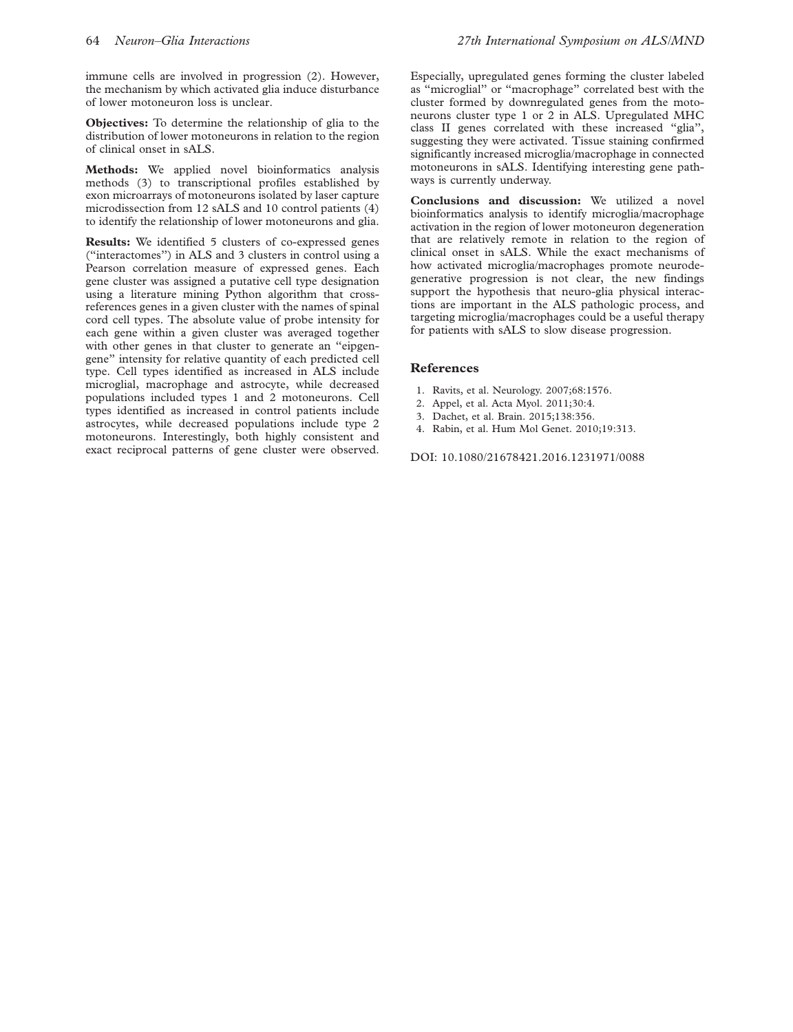<span id="page-64-0"></span>immune cells are involved in progression (2). However, the mechanism by which activated glia induce disturbance of lower motoneuron loss is unclear.

Objectives: To determine the relationship of glia to the distribution of lower motoneurons in relation to the region of clinical onset in sALS.

Methods: We applied novel bioinformatics analysis methods (3) to transcriptional profiles established by exon microarrays of motoneurons isolated by laser capture microdissection from 12 sALS and 10 control patients (4) to identify the relationship of lower motoneurons and glia.

Results: We identified 5 clusters of co-expressed genes (''interactomes'') in ALS and 3 clusters in control using a Pearson correlation measure of expressed genes. Each gene cluster was assigned a putative cell type designation using a literature mining Python algorithm that crossreferences genes in a given cluster with the names of spinal cord cell types. The absolute value of probe intensity for each gene within a given cluster was averaged together with other genes in that cluster to generate an "eipgengene'' intensity for relative quantity of each predicted cell type. Cell types identified as increased in ALS include microglial, macrophage and astrocyte, while decreased populations included types 1 and 2 motoneurons. Cell types identified as increased in control patients include astrocytes, while decreased populations include type 2 motoneurons. Interestingly, both highly consistent and exact reciprocal patterns of gene cluster were observed.

Especially, upregulated genes forming the cluster labeled as ''microglial'' or ''macrophage'' correlated best with the cluster formed by downregulated genes from the motoneurons cluster type 1 or 2 in ALS. Upregulated MHC class II genes correlated with these increased ''glia'', suggesting they were activated. Tissue staining confirmed significantly increased microglia/macrophage in connected motoneurons in sALS. Identifying interesting gene pathways is currently underway.

Conclusions and discussion: We utilized a novel bioinformatics analysis to identify microglia/macrophage activation in the region of lower motoneuron degeneration that are relatively remote in relation to the region of clinical onset in sALS. While the exact mechanisms of how activated microglia/macrophages promote neurodegenerative progression is not clear, the new findings support the hypothesis that neuro-glia physical interactions are important in the ALS pathologic process, and targeting microglia/macrophages could be a useful therapy for patients with sALS to slow disease progression.

#### **References**

- 1. Ravits, et al. Neurology. 2007;68:1576.
- 2. Appel, et al. Acta Myol. 2011;30:4.
- 3. Dachet, et al. Brain. 2015;138:356.
- 4. Rabin, et al. Hum Mol Genet. 2010;19:313.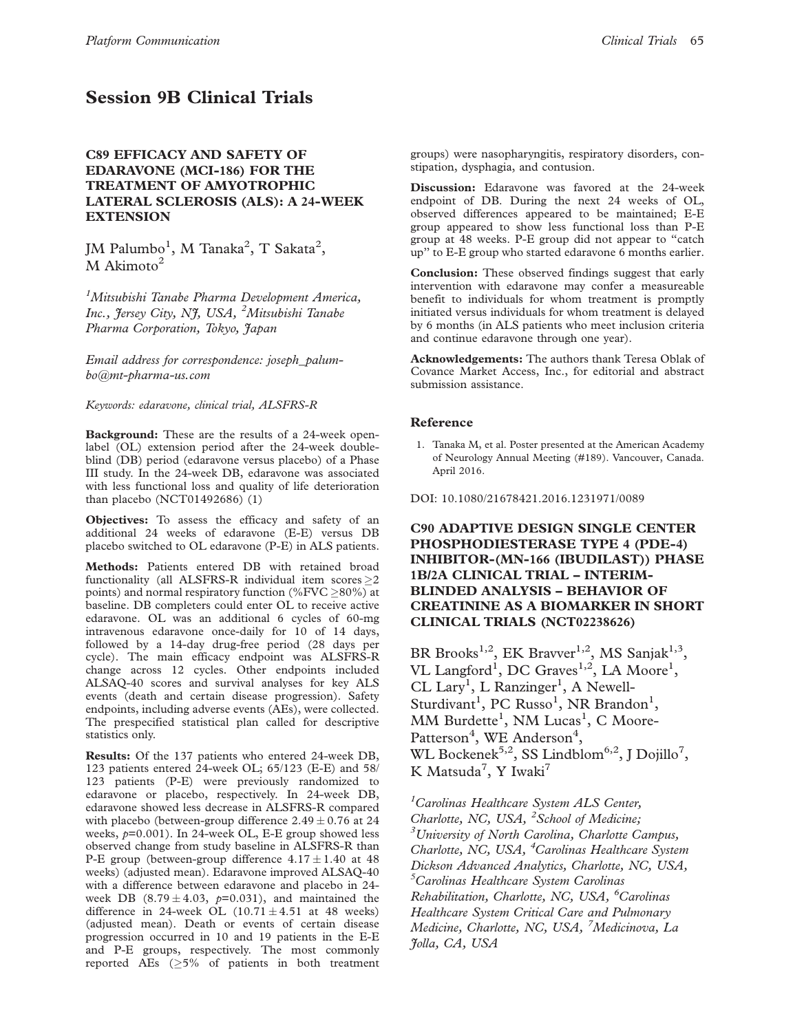# Session 9B Clinical Trials

# C89 EFFICACY AND SAFETY OF EDARAVONE (MCI-186) FOR THE TREATMENT OF AMYOTROPHIC LATERAL SCLEROSIS (ALS): A 24-WEEK **EXTENSION**

JM Palumbo $^1$ , M Tanaka $^2$ , T Sakata $^2$ ,  $\rm M$  Akimoto<sup>2</sup>

<sup>1</sup>Mitsubishi Tanabe Pharma Development America, Inc., Jersey City, NJ, USA, <sup>2</sup>Mitsubishi Tanabe Pharma Corporation, Tokyo, Japan

Email address for correspondence: joseph\_palumbo@mt-pharma-us.com

Keywords: edaravone, clinical trial, ALSFRS-R

Background: These are the results of a 24-week openlabel (OL) extension period after the 24-week doubleblind (DB) period (edaravone versus placebo) of a Phase III study. In the 24-week DB, edaravone was associated with less functional loss and quality of life deterioration than placebo (NCT01492686) (1)

Objectives: To assess the efficacy and safety of an additional 24 weeks of edaravone (E-E) versus DB placebo switched to OL edaravone (P-E) in ALS patients.

Methods: Patients entered DB with retained broad functionality (all ALSFRS-R individual item  $scores > 2$ points) and normal respiratory function (%FVC  $\geq$ 80%) at baseline. DB completers could enter OL to receive active edaravone. OL was an additional 6 cycles of 60-mg intravenous edaravone once-daily for 10 of 14 days, followed by a 14-day drug-free period (28 days per cycle). The main efficacy endpoint was ALSFRS-R change across 12 cycles. Other endpoints included ALSAQ-40 scores and survival analyses for key ALS events (death and certain disease progression). Safety endpoints, including adverse events (AEs), were collected. The prespecified statistical plan called for descriptive statistics only.

Results: Of the 137 patients who entered 24-week DB, 123 patients entered 24-week OL; 65/123 (E-E) and 58/ 123 patients (P-E) were previously randomized to edaravone or placebo, respectively. In 24-week DB, edaravone showed less decrease in ALSFRS-R compared with placebo (between-group difference  $2.49 \pm 0.76$  at 24 weeks, p=0.001). In 24-week OL, E-E group showed less observed change from study baseline in ALSFRS-R than P-E group (between-group difference  $4.17 \pm 1.40$  at 48 weeks) (adjusted mean). Edaravone improved ALSAQ-40 with a difference between edaravone and placebo in 24 week DB  $(8.79 \pm 4.03, p=0.031)$ , and maintained the difference in 24-week OL  $(10.71 \pm 4.51$  at 48 weeks) (adjusted mean). Death or events of certain disease progression occurred in 10 and 19 patients in the E-E and P-E groups, respectively. The most commonly reported AEs  $(≥5%$  of patients in both treatment

groups) were nasopharyngitis, respiratory disorders, constipation, dysphagia, and contusion.

Discussion: Edaravone was favored at the 24-week endpoint of DB. During the next 24 weeks of OL, observed differences appeared to be maintained; E-E group appeared to show less functional loss than P-E group at 48 weeks. P-E group did not appear to ''catch up'' to E-E group who started edaravone 6 months earlier.

Conclusion: These observed findings suggest that early intervention with edaravone may confer a measureable benefit to individuals for whom treatment is promptly initiated versus individuals for whom treatment is delayed by 6 months (in ALS patients who meet inclusion criteria and continue edaravone through one year).

Acknowledgements: The authors thank Teresa Oblak of Covance Market Access, Inc., for editorial and abstract submission assistance.

#### Reference

1. Tanaka M, et al. Poster presented at the American Academy of Neurology Annual Meeting (#189). Vancouver, Canada. April 2016.

DOI: 10.1080/21678421.2016.1231971/0089

# C90 ADAPTIVE DESIGN SINGLE CENTER PHOSPHODIESTERASE TYPE 4 (PDE-4) INHIBITOR-(MN-166 (IBUDILAST)) PHASE 1B/2A CLINICAL TRIAL – INTERIM-BLINDED ANALYSIS – BEHAVIOR OF CREATININE AS A BIOMARKER IN SHORT CLINICAL TRIALS (NCT02238626)

BR Brooks<sup>1,2</sup>, EK Bravver<sup>1,2</sup>, MS Sanjak<sup>1,3</sup>, VL Langford<sup>1</sup>, DC Graves<sup>1,2</sup>, LA Moore<sup>1</sup>, CL Lary<sup>1</sup>, L Ranzinger<sup>1</sup>, A Newell-Sturdivant<sup>1</sup>, PC Russo<sup>1</sup>, NR Brandon<sup>1</sup>, MM Burdette<sup>1</sup>, NM Lucas<sup>1</sup>, C Moore-Patterson<sup>4</sup>, WE Anderson<sup>4</sup>, WL Bockenek<sup>5,2</sup>, SS Lindblom<sup>6,2</sup>, J Dojillo<sup>7</sup>, K Matsuda<sup>7</sup>, Y Iwaki<sup>7</sup>

<sup>1</sup>Carolinas Healthcare System ALS Center, Charlotte, NC, USA, <sup>2</sup> School of Medicine;<br><sup>3</sup> University of Newth Carolina, Charlotte C  $3$ University of North Carolina, Charlotte Campus, Charlotte, NC, USA, <sup>4</sup>Carolinas Healthcare System Dickson Advanced Analytics, Charlotte, NC, USA, 5 Carolinas Healthcare System Carolinas Rehabilitation, Charlotte, NC, USA, <sup>6</sup>Carolinas Healthcare System Critical Care and Pulmonary Medicine, Charlotte, NC, USA, <sup>7</sup>Medicinova, La Jolla, CA, USA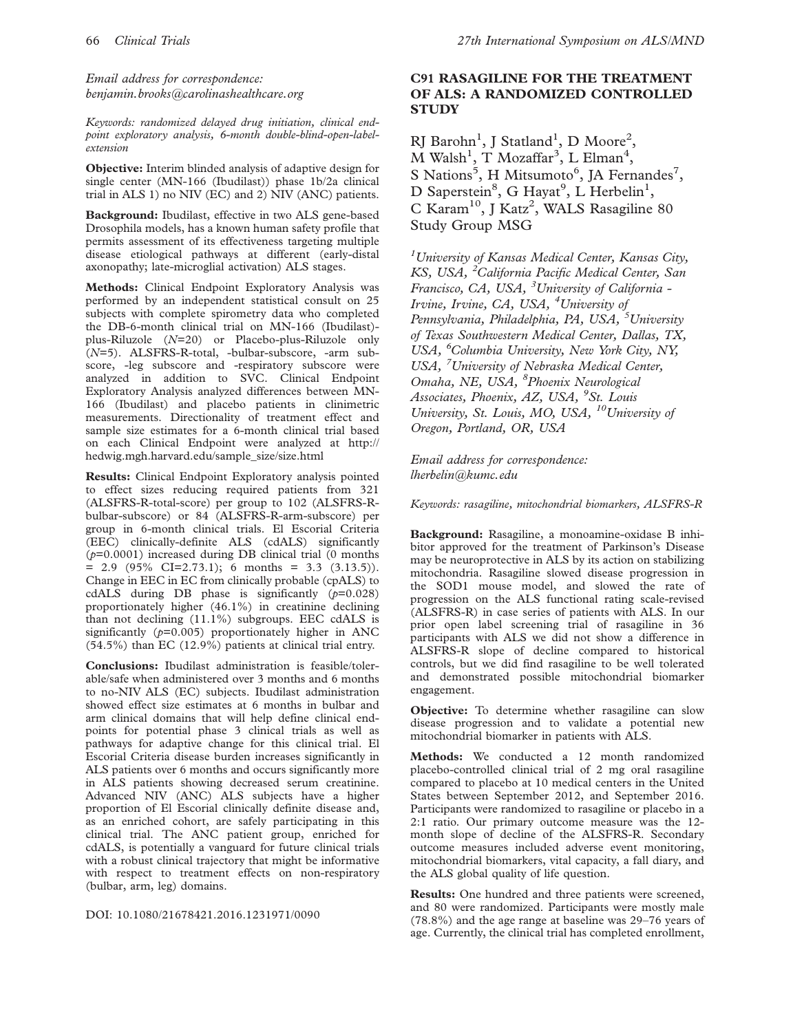### Email address for correspondence: benjamin.brooks@carolinashealthcare.org

Keywords: randomized delayed drug initiation, clinical endpoint exploratory analysis, 6-month double-blind-open-labelextension

Objective: Interim blinded analysis of adaptive design for single center (MN-166 (Ibudilast)) phase 1b/2a clinical trial in ALS 1) no NIV (EC) and 2) NIV (ANC) patients.

Background: Ibudilast, effective in two ALS gene-based Drosophila models, has a known human safety profile that permits assessment of its effectiveness targeting multiple disease etiological pathways at different (early-distal axonopathy; late-microglial activation) ALS stages.

Methods: Clinical Endpoint Exploratory Analysis was performed by an independent statistical consult on 25 subjects with complete spirometry data who completed the DB-6-month clinical trial on MN-166 (Ibudilast) plus-Riluzole (N=20) or Placebo-plus-Riluzole only (N=5). ALSFRS-R-total, -bulbar-subscore, -arm subscore, -leg subscore and -respiratory subscore were analyzed in addition to SVC. Clinical Endpoint Exploratory Analysis analyzed differences between MN-166 (Ibudilast) and placebo patients in clinimetric measurements. Directionality of treatment effect and sample size estimates for a 6-month clinical trial based on each Clinical Endpoint were analyzed at http:// hedwig.mgh.harvard.edu/sample\_size/size.html

Results: Clinical Endpoint Exploratory analysis pointed to effect sizes reducing required patients from 321 (ALSFRS-R-total-score) per group to 102 (ALSFRS-Rbulbar-subscore) or 84 (ALSFRS-R-arm-subscore) per group in 6-month clinical trials. El Escorial Criteria (EEC) clinically-definite ALS (cdALS) significantly  $(p=0.0001)$  increased during DB clinical trial (0 months  $= 2.9$  (95\% CI=2.73.1); 6 months = 3.3 (3.13.5)). Change in EEC in EC from clinically probable (cpALS) to cdALS during DB phase is significantly  $(p=0.028)$ proportionately higher (46.1%) in creatinine declining than not declining (11.1%) subgroups. EEC cdALS is significantly  $(p=0.005)$  proportionately higher in ANC (54.5%) than EC (12.9%) patients at clinical trial entry.

Conclusions: Ibudilast administration is feasible/tolerable/safe when administered over 3 months and 6 months to no-NIV ALS (EC) subjects. Ibudilast administration showed effect size estimates at 6 months in bulbar and arm clinical domains that will help define clinical endpoints for potential phase 3 clinical trials as well as pathways for adaptive change for this clinical trial. El Escorial Criteria disease burden increases significantly in ALS patients over 6 months and occurs significantly more in ALS patients showing decreased serum creatinine. Advanced NIV (ANC) ALS subjects have a higher proportion of El Escorial clinically definite disease and, as an enriched cohort, are safely participating in this clinical trial. The ANC patient group, enriched for cdALS, is potentially a vanguard for future clinical trials with a robust clinical trajectory that might be informative with respect to treatment effects on non-respiratory (bulbar, arm, leg) domains.

DOI: 10.1080/21678421.2016.1231971/0090

# C91 RASAGILINE FOR THE TREATMENT OF ALS: A RANDOMIZED CONTROLLED **STUDY**

RJ Barohn<sup>1</sup>, J Statland<sup>1</sup>, D Moore<sup>2</sup>, M Walsh<sup>1</sup>, T Mozaffar<sup>3</sup>, L Elman<sup>4</sup>, S Nations<sup>5</sup>, H Mitsumoto<sup>6</sup>, JA Fernandes<sup>7</sup>, D Saperstein<sup>8</sup>, G Hayat<sup>9</sup>, L Herbelin<sup>1</sup>, C Karam<sup>10</sup>, J Katz<sup>2</sup>, WALS Rasagiline 80 Study Group MSG

<sup>1</sup> University of Kansas Medical Center, Kansas City, KS, USA, <sup>2</sup>California Pacific Medical Center, San Francisco, CA, USA, <sup>3</sup>University of California -Irvine, Irvine, CA, USA, <sup>4</sup>University of Pennsylvania, Philadelphia, PA, USA, <sup>5</sup>University of Texas Southwestern Medical Center, Dallas, TX, USA, <sup>6</sup>Columbia University, New York City, NY, USA, <sup>7</sup>University of Nebraska Medical Center, Omaha, NE, USA, <sup>8</sup>Phoenix Neurological Associates, Phoenix, AZ, USA, <sup>9</sup>St. Louis University, St. Louis, MO, USA, <sup>10</sup>University of Oregon, Portland, OR, USA

Email address for correspondence: lherbelin@kumc.edu

Keywords: rasagiline, mitochondrial biomarkers, ALSFRS-R

Background: Rasagiline, a monoamine-oxidase B inhibitor approved for the treatment of Parkinson's Disease may be neuroprotective in ALS by its action on stabilizing mitochondria. Rasagiline slowed disease progression in the SOD1 mouse model, and slowed the rate of progression on the ALS functional rating scale-revised (ALSFRS-R) in case series of patients with ALS. In our prior open label screening trial of rasagiline in 36 participants with ALS we did not show a difference in ALSFRS-R slope of decline compared to historical controls, but we did find rasagiline to be well tolerated and demonstrated possible mitochondrial biomarker engagement.

Objective: To determine whether rasagiline can slow disease progression and to validate a potential new mitochondrial biomarker in patients with ALS.

Methods: We conducted a 12 month randomized placebo-controlled clinical trial of 2 mg oral rasagiline compared to placebo at 10 medical centers in the United States between September 2012, and September 2016. Participants were randomized to rasagiline or placebo in a 2:1 ratio. Our primary outcome measure was the 12 month slope of decline of the ALSFRS-R. Secondary outcome measures included adverse event monitoring, mitochondrial biomarkers, vital capacity, a fall diary, and the ALS global quality of life question.

Results: One hundred and three patients were screened, and 80 were randomized. Participants were mostly male (78.8%) and the age range at baseline was 29–76 years of age. Currently, the clinical trial has completed enrollment,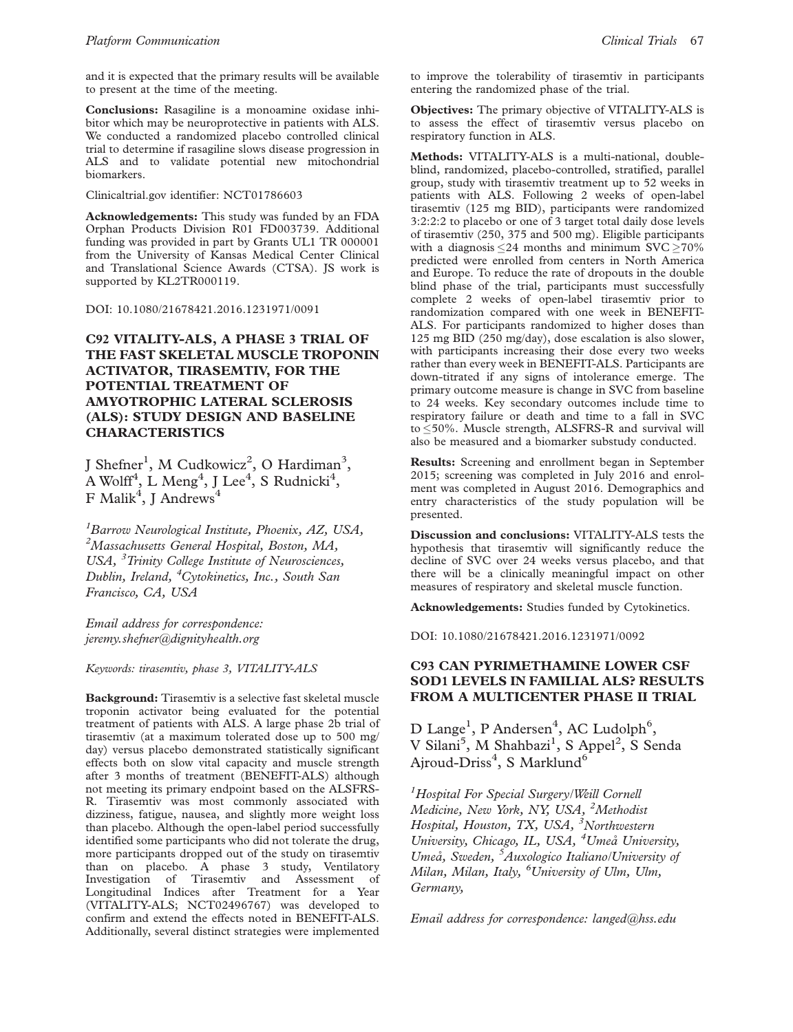and it is expected that the primary results will be available to present at the time of the meeting.

Conclusions: Rasagiline is a monoamine oxidase inhibitor which may be neuroprotective in patients with ALS. We conducted a randomized placebo controlled clinical trial to determine if rasagiline slows disease progression in ALS and to validate potential new mitochondrial biomarkers.

Clinicaltrial.gov identifier: NCT01786603

Acknowledgements: This study was funded by an FDA Orphan Products Division R01 FD003739. Additional funding was provided in part by Grants UL1 TR 000001 from the University of Kansas Medical Center Clinical and Translational Science Awards (CTSA). JS work is supported by KL2TR000119.

DOI: 10.1080/21678421.2016.1231971/0091

# C92 VITALITY-ALS, A PHASE 3 TRIAL OF THE FAST SKELETAL MUSCLE TROPONIN ACTIVATOR, TIRASEMTIV, FOR THE POTENTIAL TREATMENT OF AMYOTROPHIC LATERAL SCLEROSIS (ALS): STUDY DESIGN AND BASELINE CHARACTERISTICS

J Shefner<sup>1</sup>, M Cudkowicz<sup>2</sup>, O Hardiman<sup>3</sup>, A Wolff<sup>4</sup>, L Meng<sup>4</sup>, J Lee<sup>4</sup>, S Rudnicki<sup>4</sup>, F Malik<sup>4</sup>, J Andrews<sup>4</sup>

<sup>1</sup> Barrow Neurological Institute, Phoenix, AZ, USA, <sup>2</sup>Massachusetts General Hospital, Boston, MA, USA, <sup>3</sup> Trinity College Institute of Neurosciences, Dublin, Ireland, <sup>4</sup>Cytokinetics, Inc., South San Francisco, CA, USA

Email address for correspondence: jeremy.shefner@dignityhealth.org

Keywords: tirasemtiv, phase 3, VITALITY-ALS

Background: Tirasemtiv is a selective fast skeletal muscle troponin activator being evaluated for the potential treatment of patients with ALS. A large phase 2b trial of tirasemtiv (at a maximum tolerated dose up to 500 mg/ day) versus placebo demonstrated statistically significant effects both on slow vital capacity and muscle strength after 3 months of treatment (BENEFIT-ALS) although not meeting its primary endpoint based on the ALSFRS-R. Tirasemtiv was most commonly associated with dizziness, fatigue, nausea, and slightly more weight loss than placebo. Although the open-label period successfully identified some participants who did not tolerate the drug, more participants dropped out of the study on tirasemtiv than on placebo. A phase 3 study, Ventilatory Investigation of Tirasemtiv and Assessment of Longitudinal Indices after Treatment for a Year (VITALITY-ALS; NCT02496767) was developed to confirm and extend the effects noted in BENEFIT-ALS. Additionally, several distinct strategies were implemented

to improve the tolerability of tirasemtiv in participants entering the randomized phase of the trial.

Objectives: The primary objective of VITALITY-ALS is to assess the effect of tirasemtiv versus placebo on respiratory function in ALS.

Methods: VITALITY-ALS is a multi-national, doubleblind, randomized, placebo-controlled, stratified, parallel group, study with tirasemtiv treatment up to 52 weeks in patients with ALS. Following 2 weeks of open-label tirasemtiv (125 mg BID), participants were randomized 3:2:2:2 to placebo or one of 3 target total daily dose levels of tirasemtiv (250, 375 and 500 mg). Eligible participants with a diagnosis  $\leq$  24 months and minimum SVC  $>$  70% predicted were enrolled from centers in North America and Europe. To reduce the rate of dropouts in the double blind phase of the trial, participants must successfully complete 2 weeks of open-label tirasemtiv prior to randomization compared with one week in BENEFIT-ALS. For participants randomized to higher doses than 125 mg BID (250 mg/day), dose escalation is also slower, with participants increasing their dose every two weeks rather than every week in BENEFIT-ALS. Participants are down-titrated if any signs of intolerance emerge. The primary outcome measure is change in SVC from baseline to 24 weeks. Key secondary outcomes include time to respiratory failure or death and time to a fall in SVC to 50%. Muscle strength, ALSFRS-R and survival will also be measured and a biomarker substudy conducted.

Results: Screening and enrollment began in September 2015; screening was completed in July 2016 and enrolment was completed in August 2016. Demographics and entry characteristics of the study population will be presented.

Discussion and conclusions: VITALITY-ALS tests the hypothesis that tirasemtiv will significantly reduce the decline of SVC over 24 weeks versus placebo, and that there will be a clinically meaningful impact on other measures of respiratory and skeletal muscle function.

Acknowledgements: Studies funded by Cytokinetics.

DOI: 10.1080/21678421.2016.1231971/0092

## C93 CAN PYRIMETHAMINE LOWER CSF SOD1 LEVELS IN FAMILIAL ALS? RESULTS FROM A MULTICENTER PHASE II TRIAL

D Lange<sup>1</sup>, P Andersen<sup>4</sup>, AC Ludolph<sup>6</sup>, V Silani<sup>5</sup>, M Shahbazi<sup>1</sup>, S Appel<sup>2</sup>, S Senda Ajroud-Driss<sup>4</sup>, S Marklund<sup>6</sup>

<sup>1</sup>Hospital For Special Surgery/Weill Cornell Medicine, New York, NY, USA, <sup>2</sup>Methodist Hospital, Houston, TX, USA, <sup>3</sup>Northwestern University, Chicago, IL, USA, <sup>4</sup>Umeå University, Umeå, Sweden, <sup>5</sup>Auxologico Italiano/University of Milan, Milan, Italy, <sup>6</sup>University of Ulm, Ulm, Germany,

Email address for correspondence: langed@hss.edu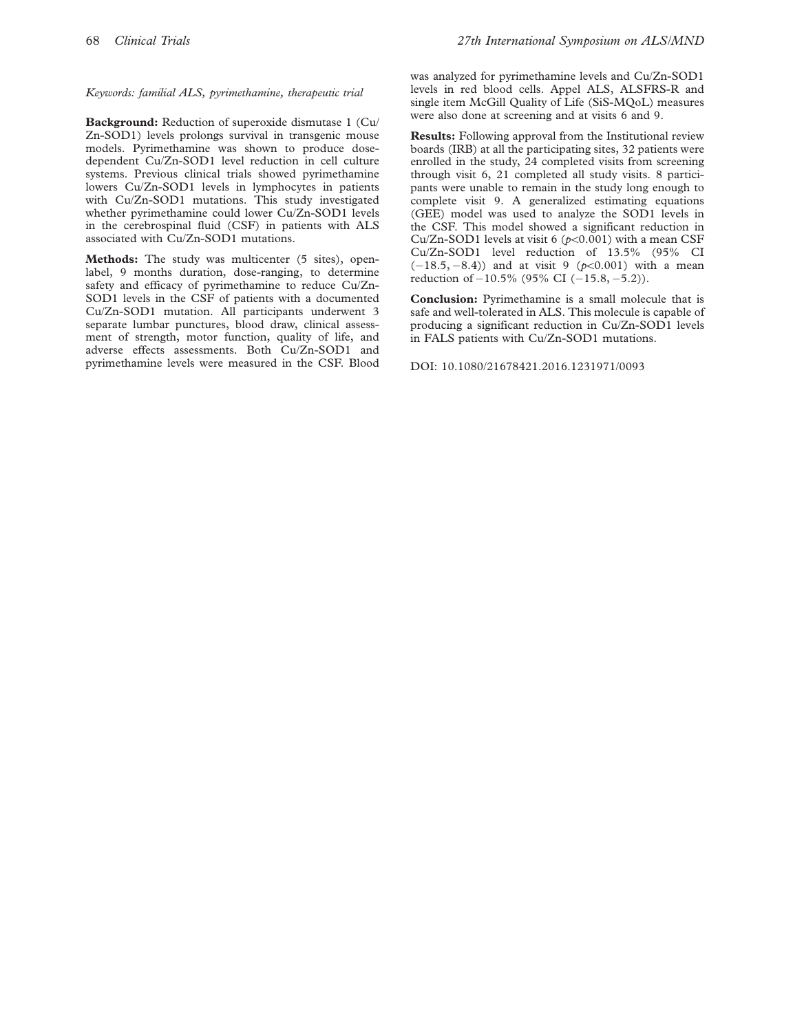Keywords: familial ALS, pyrimethamine, therapeutic trial

Background: Reduction of superoxide dismutase 1 (Cu/ Zn-SOD1) levels prolongs survival in transgenic mouse models. Pyrimethamine was shown to produce dosedependent Cu/Zn-SOD1 level reduction in cell culture systems. Previous clinical trials showed pyrimethamine lowers Cu/Zn-SOD1 levels in lymphocytes in patients with Cu/Zn-SOD1 mutations. This study investigated whether pyrimethamine could lower Cu/Zn-SOD1 levels in the cerebrospinal fluid (CSF) in patients with ALS associated with Cu/Zn-SOD1 mutations.

Methods: The study was multicenter (5 sites), openlabel, 9 months duration, dose-ranging, to determine safety and efficacy of pyrimethamine to reduce Cu/Zn-SOD1 levels in the CSF of patients with a documented Cu/Zn-SOD1 mutation. All participants underwent 3 separate lumbar punctures, blood draw, clinical assessment of strength, motor function, quality of life, and adverse effects assessments. Both Cu/Zn-SOD1 and pyrimethamine levels were measured in the CSF. Blood was analyzed for pyrimethamine levels and Cu/Zn-SOD1 levels in red blood cells. Appel ALS, ALSFRS-R and single item McGill Quality of Life (SiS-MQoL) measures were also done at screening and at visits 6 and 9.

Results: Following approval from the Institutional review boards (IRB) at all the participating sites, 32 patients were enrolled in the study, 24 completed visits from screening through visit 6, 21 completed all study visits. 8 participants were unable to remain in the study long enough to complete visit 9. A generalized estimating equations (GEE) model was used to analyze the SOD1 levels in the CSF. This model showed a significant reduction in Cu/Zn-SOD1 levels at visit 6 ( $p<0.001$ ) with a mean CSF Cu/Zn-SOD1 level reduction of 13.5% (95% CI  $(-18.5, -8.4)$  and at visit 9 ( $p < 0.001$ ) with a mean reduction of  $-10.5\%$  (95% CI ( $-15.8, -5.2$ )).

Conclusion: Pyrimethamine is a small molecule that is safe and well-tolerated in ALS. This molecule is capable of producing a significant reduction in Cu/Zn-SOD1 levels in FALS patients with Cu/Zn-SOD1 mutations.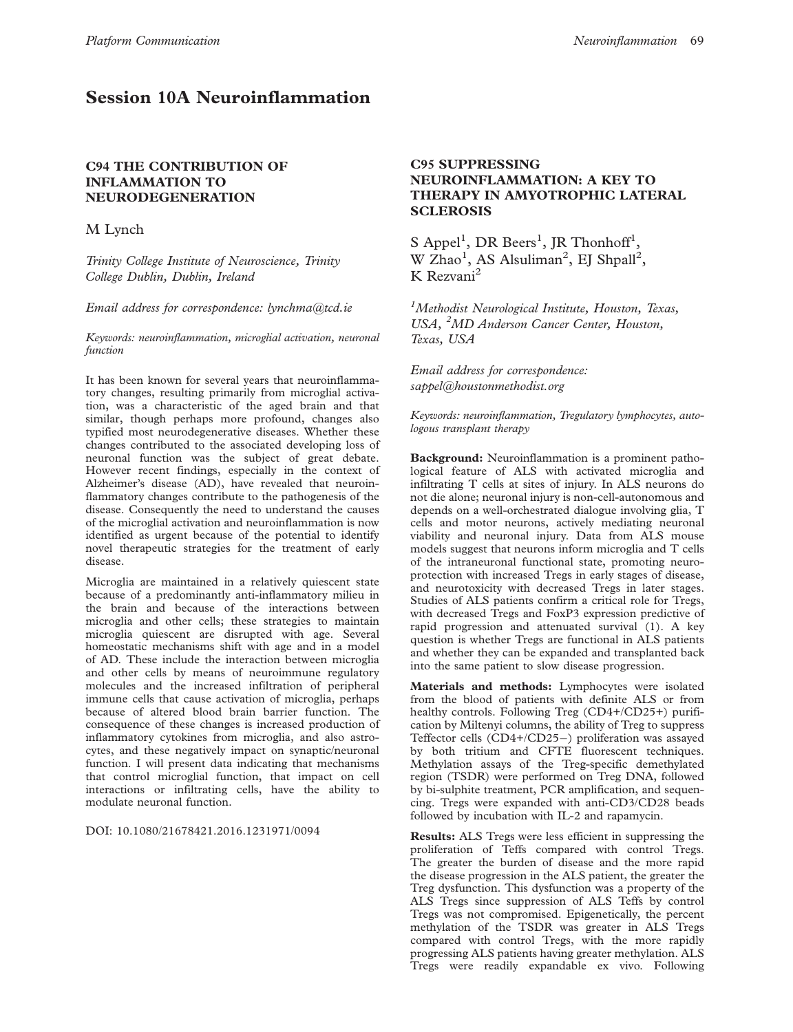# Session 10A Neuroinflammation

### C94 THE CONTRIBUTION OF INFLAMMATION TO NEURODEGENERATION

M Lynch

Trinity College Institute of Neuroscience, Trinity College Dublin, Dublin, Ireland

Email address for correspondence: lynchma@tcd.ie

Keywords: neuroinflammation, microglial activation, neuronal function

It has been known for several years that neuroinflammatory changes, resulting primarily from microglial activation, was a characteristic of the aged brain and that similar, though perhaps more profound, changes also typified most neurodegenerative diseases. Whether these changes contributed to the associated developing loss of neuronal function was the subject of great debate. However recent findings, especially in the context of Alzheimer's disease (AD), have revealed that neuroinflammatory changes contribute to the pathogenesis of the disease. Consequently the need to understand the causes of the microglial activation and neuroinflammation is now identified as urgent because of the potential to identify novel therapeutic strategies for the treatment of early disease.

Microglia are maintained in a relatively quiescent state because of a predominantly anti-inflammatory milieu in the brain and because of the interactions between microglia and other cells; these strategies to maintain microglia quiescent are disrupted with age. Several homeostatic mechanisms shift with age and in a model of AD. These include the interaction between microglia and other cells by means of neuroimmune regulatory molecules and the increased infiltration of peripheral immune cells that cause activation of microglia, perhaps because of altered blood brain barrier function. The consequence of these changes is increased production of inflammatory cytokines from microglia, and also astrocytes, and these negatively impact on synaptic/neuronal function. I will present data indicating that mechanisms that control microglial function, that impact on cell interactions or infiltrating cells, have the ability to modulate neuronal function.

DOI: 10.1080/21678421.2016.1231971/0094

### C95 SUPPRESSING NEUROINFLAMMATION: A KEY TO THERAPY IN AMYOTROPHIC LATERAL **SCLEROSIS**

S Appel<sup>1</sup>, DR Beers<sup>1</sup>, JR Thonhoff<sup>1</sup>, W Zhao<sup>1</sup>, AS Alsuliman<sup>2</sup>, EJ Shpall<sup>2</sup>, K Rezvani2

<sup>1</sup>Methodist Neurological Institute, Houston, Texas, USA, <sup>2</sup>MD Anderson Cancer Center, Houston, Texas, USA

Email address for correspondence: sappel@houstonmethodist.org

Keywords: neuroinflammation, Tregulatory lymphocytes, autologous transplant therapy

Background: Neuroinflammation is a prominent pathological feature of ALS with activated microglia and infiltrating T cells at sites of injury. In ALS neurons do not die alone; neuronal injury is non-cell-autonomous and depends on a well-orchestrated dialogue involving glia, T cells and motor neurons, actively mediating neuronal viability and neuronal injury. Data from ALS mouse models suggest that neurons inform microglia and T cells of the intraneuronal functional state, promoting neuroprotection with increased Tregs in early stages of disease, and neurotoxicity with decreased Tregs in later stages. Studies of ALS patients confirm a critical role for Tregs, with decreased Tregs and FoxP3 expression predictive of rapid progression and attenuated survival [\(1](#page-70-0)). A key question is whether Tregs are functional in ALS patients and whether they can be expanded and transplanted back into the same patient to slow disease progression.

Materials and methods: Lymphocytes were isolated from the blood of patients with definite ALS or from healthy controls. Following Treg (CD4+/CD25+) purification by Miltenyi columns, the ability of Treg to suppress Teffector cells (CD4+/CD25-) proliferation was assayed by both tritium and CFTE fluorescent techniques. Methylation assays of the Treg-specific demethylated region (TSDR) were performed on Treg DNA, followed by bi-sulphite treatment, PCR amplification, and sequencing. Tregs were expanded with anti-CD3/CD28 beads followed by incubation with IL-2 and rapamycin.

Results: ALS Tregs were less efficient in suppressing the proliferation of Teffs compared with control Tregs. The greater the burden of disease and the more rapid the disease progression in the ALS patient, the greater the Treg dysfunction. This dysfunction was a property of the ALS Tregs since suppression of ALS Teffs by control Tregs was not compromised. Epigenetically, the percent methylation of the TSDR was greater in ALS Tregs compared with control Tregs, with the more rapidly progressing ALS patients having greater methylation. ALS Tregs were readily expandable ex vivo. Following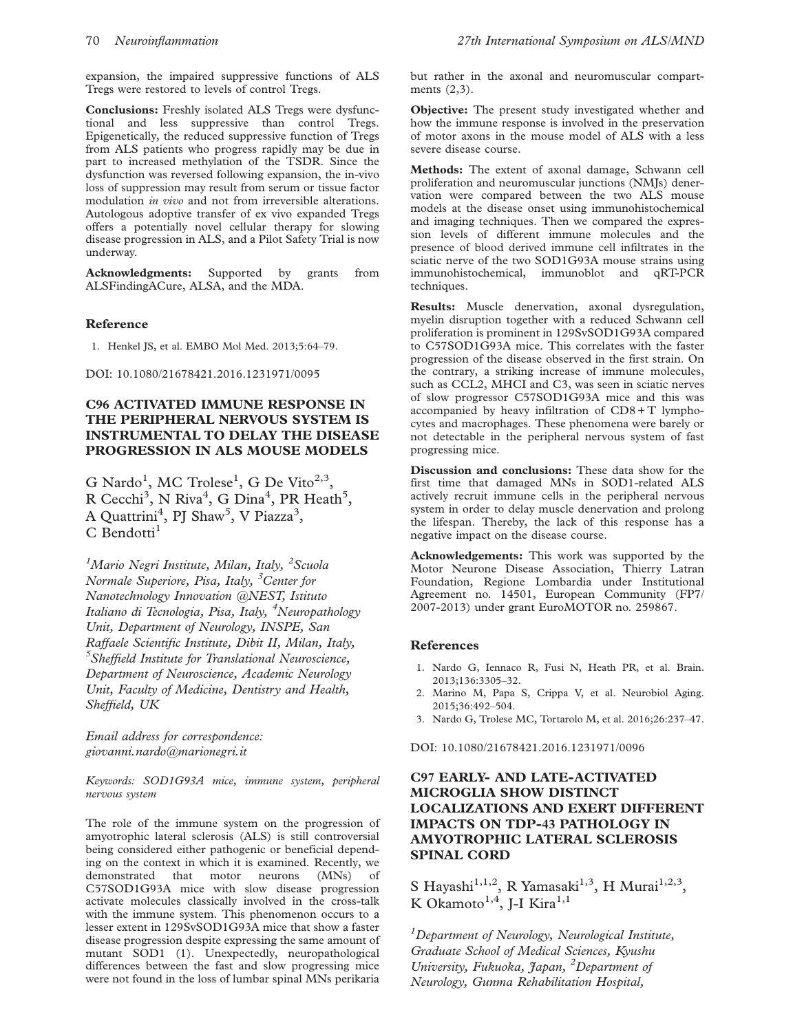<span id="page-70-0"></span>expansion, the impaired suppressive functions of ALS Tregs were restored to levels of control Tregs.

Conclusions: Freshly isolated ALS Tregs were dysfunctional and less suppressive than control Tregs. Epigenetically, the reduced suppressive function of Tregs from ALS patients who progress rapidly may be due in part to increased methylation of the TSDR. Since the dysfunction was reversed following expansion, the in-vivo loss of suppression may result from serum or tissue factor modulation in vivo and not from irreversible alterations. Autologous adoptive transfer of ex vivo expanded Tregs offers a potentially novel cellular therapy for slowing disease progression in ALS, and a Pilot Safety Trial is now underway.

Acknowledgments: Supported by grants from ALSFindingACure, ALSA, and the MDA.

#### Reference

1. Henkel JS, et al. EMBO Mol Med. 2013;5:64–79.

DOI: 10.1080/21678421.2016.1231971/0095

# C96 ACTIVATED IMMUNE RESPONSE IN THE PERIPHERAL NERVOUS SYSTEM IS INSTRUMENTAL TO DELAY THE DISEASE PROGRESSION IN ALS MOUSE MODELS

G Nardo<sup>1</sup>, MC Trolese<sup>1</sup>, G De Vito<sup>2,3</sup>, R Cecchi<sup>3</sup>, N Riva<sup>4</sup>, G Dina<sup>4</sup>, PR Heath<sup>5</sup>, A Quattrini<sup>4</sup>, PJ Shaw<sup>5</sup>, V Piazza<sup>3</sup>,  $C$  Bendotti<sup>1</sup>

<sup>1</sup>Mario Negri Institute, Milan, Italy, <sup>2</sup>Scuola Normale Superiore, Pisa, Italy, <sup>3</sup>Center for Nanotechnology Innovation @NEST, Istituto Italiano di Tecnologia, Pisa, Italy, <sup>4</sup>Neuropathology Unit, Department of Neurology, INSPE, San Raffaele Scientific Institute, Dibit II, Milan, Italy, <sup>5</sup>Sheffield Institute for Translational Neuroscience, Department of Neuroscience, Academic Neurology Unit, Faculty of Medicine, Dentistry and Health, Sheffield, UK

Email address for correspondence: giovanni.nardo@marionegri.it

Keywords: SOD1G93A mice, immune system, peripheral nervous system

The role of the immune system on the progression of amyotrophic lateral sclerosis (ALS) is still controversial being considered either pathogenic or beneficial depending on the context in which it is examined. Recently, we demonstrated that motor neurons (MNs) of C57SOD1G93A mice with slow disease progression activate molecules classically involved in the cross-talk with the immune system. This phenomenon occurs to a lesser extent in 129SvSOD1G93A mice that show a faster disease progression despite expressing the same amount of mutant SOD1 (1). Unexpectedly, neuropathological differences between the fast and slow progressing mice were not found in the loss of lumbar spinal MNs perikaria

but rather in the axonal and neuromuscular compartments (2,3).

Objective: The present study investigated whether and how the immune response is involved in the preservation of motor axons in the mouse model of ALS with a less severe disease course.

Methods: The extent of axonal damage, Schwann cell proliferation and neuromuscular junctions (NMJs) denervation were compared between the two ALS mouse models at the disease onset using immunohistochemical and imaging techniques. Then we compared the expression levels of different immune molecules and the presence of blood derived immune cell infiltrates in the sciatic nerve of the two SOD1G93A mouse strains using immunohistochemical, immunoblot and qRT-PCR techniques.

Results: Muscle denervation, axonal dysregulation, myelin disruption together with a reduced Schwann cell proliferation is prominent in 129SvSOD1G93A compared to C57SOD1G93A mice. This correlates with the faster progression of the disease observed in the first strain. On the contrary, a striking increase of immune molecules, such as CCL2, MHCI and C3, was seen in sciatic nerves of slow progressor C57SOD1G93A mice and this was accompanied by heavy infiltration of CD8 + T lymphocytes and macrophages. These phenomena were barely or not detectable in the peripheral nervous system of fast progressing mice.

Discussion and conclusions: These data show for the first time that damaged MNs in SOD1-related ALS actively recruit immune cells in the peripheral nervous system in order to delay muscle denervation and prolong the lifespan. Thereby, the lack of this response has a negative impact on the disease course.

Acknowledgements: This work was supported by the Motor Neurone Disease Association, Thierry Latran Foundation, Regione Lombardia under Institutional Agreement no. 14501, European Community (FP7/ 2007-2013) under grant EuroMOTOR no. 259867.

#### References

- 1. Nardo G, Iennaco R, Fusi N, Heath PR, et al. Brain. 2013;136:3305–32.
- 2. Marino M, Papa S, Crippa V, et al. Neurobiol Aging. 2015;36:492–504.
- 3. Nardo G, Trolese MC, Tortarolo M, et al. 2016;26:237–47.

DOI: 10.1080/21678421.2016.1231971/0096

# C97 EARLY- AND LATE-ACTIVATED MICROGLIA SHOW DISTINCT LOCALIZATIONS AND EXERT DIFFERENT IMPACTS ON TDP-43 PATHOLOGY IN AMYOTROPHIC LATERAL SCLEROSIS SPINAL CORD

S Hayashi<sup>1,1,2</sup>, R Yamasaki<sup>1,3</sup>, H Murai<sup>1,2,3</sup>, K Okamoto<sup>1,4</sup>, J-I Kira<sup>1,1</sup>

<sup>1</sup>Department of Neurology, Neurological Institute, Graduate School of Medical Sciences, Kyushu University, Fukuoka, Japan, <sup>2</sup>Department of Neurology, Gunma Rehabilitation Hospital,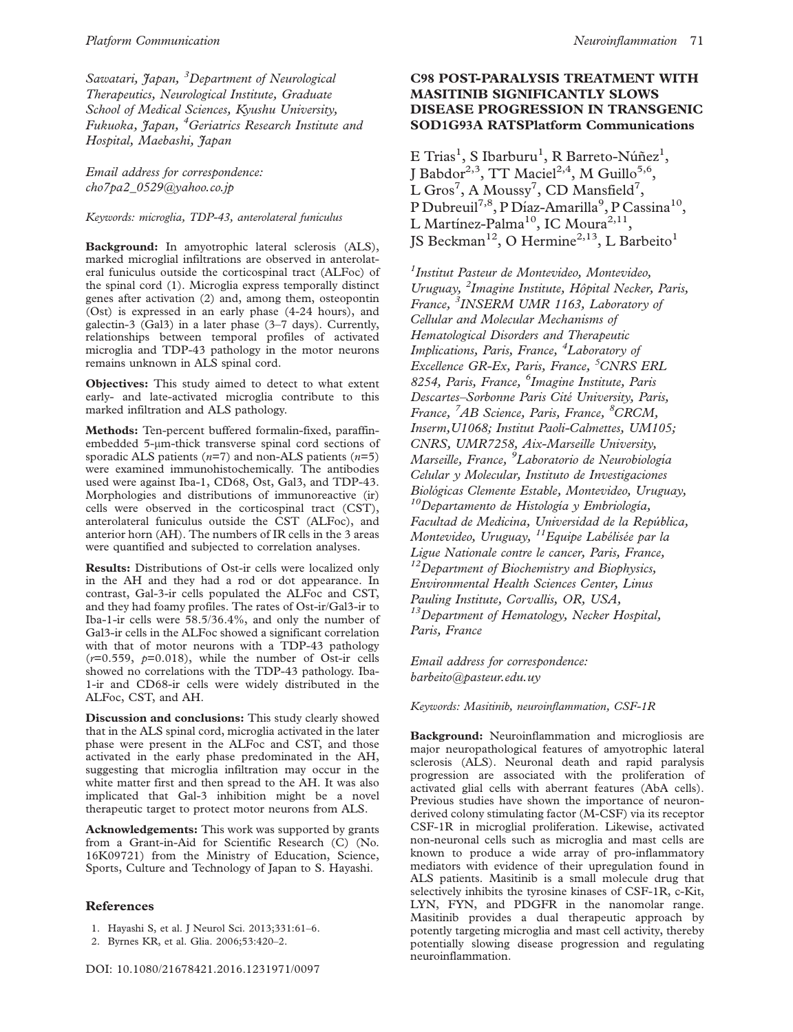Sawatari, Japan, <sup>3</sup>Department of Neurological Therapeutics, Neurological Institute, Graduate School of Medical Sciences, Kyushu University, Fukuoka, Japan, <sup>4</sup> Geriatrics Research Institute and Hospital, Maebashi, Japan

Email address for correspondence: cho7pa2\_0529@yahoo.co.jp

Keywords: microglia, TDP-43, anterolateral funiculus

Background: In amyotrophic lateral sclerosis (ALS), marked microglial infiltrations are observed in anterolateral funiculus outside the corticospinal tract (ALFoc) of the spinal cord (1). Microglia express temporally distinct genes after activation (2) and, among them, osteopontin (Ost) is expressed in an early phase (4-24 hours), and galectin-3 (Gal3) in a later phase (3–7 days). Currently, relationships between temporal profiles of activated microglia and TDP-43 pathology in the motor neurons remains unknown in ALS spinal cord.

Objectives: This study aimed to detect to what extent early- and late-activated microglia contribute to this marked infiltration and ALS pathology.

Methods: Ten-percent buffered formalin-fixed, paraffinembedded 5-µm-thick transverse spinal cord sections of sporadic ALS patients  $(n=7)$  and non-ALS patients  $(n=5)$ were examined immunohistochemically. The antibodies used were against Iba-1, CD68, Ost, Gal3, and TDP-43. Morphologies and distributions of immunoreactive (ir) cells were observed in the corticospinal tract (CST), anterolateral funiculus outside the CST (ALFoc), and anterior horn (AH). The numbers of IR cells in the 3 areas were quantified and subjected to correlation analyses.

Results: Distributions of Ost-ir cells were localized only in the AH and they had a rod or dot appearance. In contrast, Gal-3-ir cells populated the ALFoc and CST, and they had foamy profiles. The rates of Ost-ir/Gal3-ir to Iba-1-ir cells were 58.5/36.4%, and only the number of Gal3-ir cells in the ALFoc showed a significant correlation with that of motor neurons with a TDP-43 pathology  $(r=0.559, p=0.018)$ , while the number of Ost-ir cells showed no correlations with the TDP-43 pathology. Iba-1-ir and CD68-ir cells were widely distributed in the ALFoc, CST, and AH.

Discussion and conclusions: This study clearly showed that in the ALS spinal cord, microglia activated in the later phase were present in the ALFoc and CST, and those activated in the early phase predominated in the AH, suggesting that microglia infiltration may occur in the white matter first and then spread to the AH. It was also implicated that Gal-3 inhibition might be a novel therapeutic target to protect motor neurons from ALS.

Acknowledgements: This work was supported by grants from a Grant-in-Aid for Scientific Research (C) (No. 16K09721) from the Ministry of Education, Science, Sports, Culture and Technology of Japan to S. Hayashi.

#### References

- 1. Hayashi S, et al. J Neurol Sci. 2013;331:61–6.
- 2. Byrnes KR, et al. Glia. 2006;53:420–2.

# C98 POST-PARALYSIS TREATMENT WITH MASITINIB SIGNIFICANTLY SLOWS DISEASE PROGRESSION IN TRANSGENIC SOD1G93A RATSPlatform Communications

E Trias<sup>1</sup>, S Ibarburu<sup>1</sup>, R Barreto-Núñez<sup>1</sup>, J Babdor<sup>2,3</sup>, TT Maciel<sup>2,4</sup>, M Guillo<sup>5,6</sup>, L Gros<sup>7</sup>, A Moussy<sup>7</sup>, CD Mansfield<sup>7</sup>, P Dubreuil<sup>7,8</sup>, P Díaz-Amarilla<sup>9</sup>, P Cassina<sup>10</sup>, L Martínez-Palma<sup>10</sup>, IC Moura<sup>2,11</sup>, JS Beckman<sup>12</sup>, O Hermine<sup>2,13</sup>, L Barbeito<sup>1</sup>

<sup>1</sup>Institut Pasteur de Montevideo, Montevideo, Uruguay, <sup>2</sup>Imagine Institute, Hôpital Necker, Paris, France, <sup>3</sup>INSERM UMR 1163, Laboratory of Cellular and Molecular Mechanisms of Hematological Disorders and Therapeutic Implications, Paris, France, <sup>4</sup>Laboratory of Excellence GR-Ex, Paris, France, <sup>5</sup>CNRS ERL 8254, Paris, France, <sup>6</sup>Imagine Institute, Paris Descartes–Sorbonne Paris Cité University, Paris, France, <sup>7</sup>AB Science, Paris, France, <sup>8</sup>CRCM, Inserm,U1068; Institut Paoli-Calmettes, UM105; CNRS, UMR7258, Aix-Marseille University, Marseille, France, <sup>9</sup>Laboratorio de Neurobiología Celular y Molecular, Instituto de Investigaciones Biológicas Clemente Estable, Montevideo, Uruguay,  $10D$ epartamento de Histología y Embriología, Facultad de Medicina, Universidad de la República, Montevideo, Uruguay, <sup>11</sup>Equipe Labélisée par la Ligue Nationale contre le cancer, Paris, France,  $12$ Department of Biochemistry and Biophysics, Environmental Health Sciences Center, Linus Pauling Institute, Corvallis, OR, USA, <sup>13</sup>Department of Hematology, Necker Hospital, Paris, France

Email address for correspondence: barbeito@pasteur.edu.uy

Keywords: Masitinib, neuroinflammation, CSF-1R

Background: Neuroinflammation and microgliosis are major neuropathological features of amyotrophic lateral sclerosis (ALS). Neuronal death and rapid paralysis progression are associated with the proliferation of activated glial cells with aberrant features (AbA cells). Previous studies have shown the importance of neuronderived colony stimulating factor (M-CSF) via its receptor CSF-1R in microglial proliferation. Likewise, activated non-neuronal cells such as microglia and mast cells are known to produce a wide array of pro-inflammatory mediators with evidence of their upregulation found in ALS patients. Masitinib is a small molecule drug that selectively inhibits the tyrosine kinases of CSF-1R, c-Kit, LYN, FYN, and PDGFR in the nanomolar range. Masitinib provides a dual therapeutic approach by potently targeting microglia and mast cell activity, thereby potentially slowing disease progression and regulating neuroinflammation.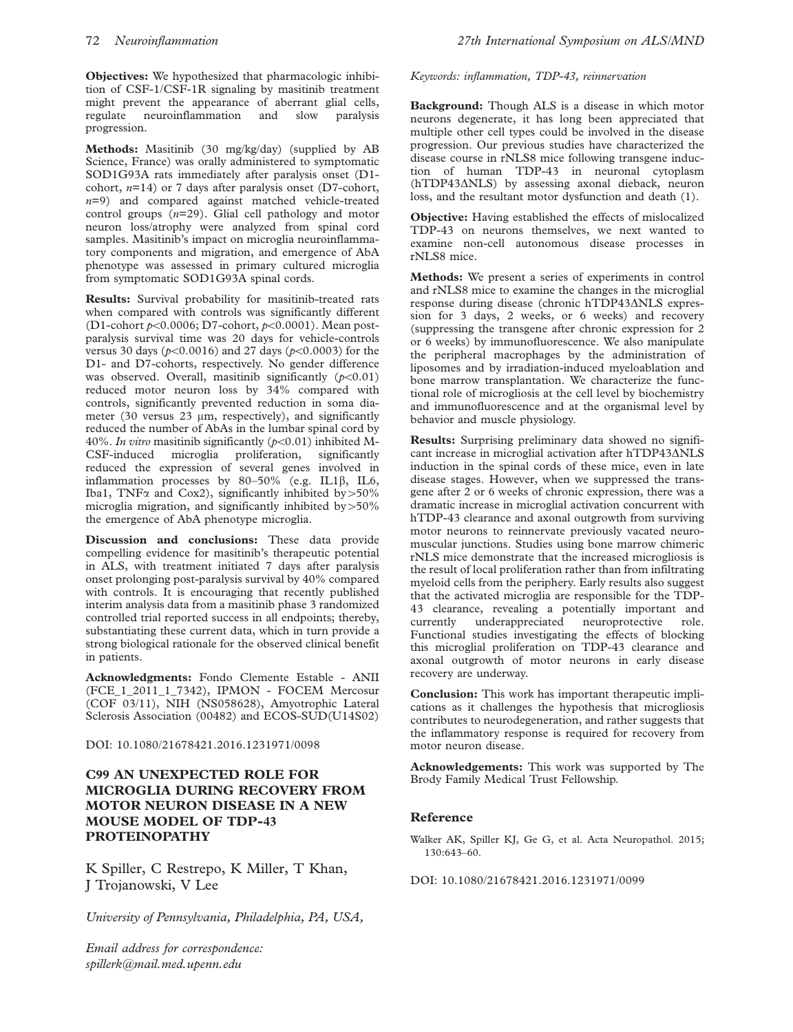Objectives: We hypothesized that pharmacologic inhibition of CSF-1/CSF-1R signaling by masitinib treatment might prevent the appearance of aberrant glial cells, regulate neuroinflammation and slow paralysis progression.

Methods: Masitinib (30 mg/kg/day) (supplied by AB Science, France) was orally administered to symptomatic SOD1G93A rats immediately after paralysis onset (D1 cohort,  $n=14$ ) or 7 days after paralysis onset (D7-cohort,  $n=9$ ) and compared against matched vehicle-treated control groups  $(n=29)$ . Glial cell pathology and motor neuron loss/atrophy were analyzed from spinal cord samples. Masitinib's impact on microglia neuroinflammatory components and migration, and emergence of AbA phenotype was assessed in primary cultured microglia from symptomatic SOD1G93A spinal cords.

Results: Survival probability for masitinib-treated rats when compared with controls was significantly different (D1-cohort  $p<0.0006$ ; D7-cohort,  $p<0.0001$ ). Mean postparalysis survival time was 20 days for vehicle-controls versus 30 days ( $p<0.0016$ ) and 27 days ( $p<0.0003$ ) for the D1- and D7-cohorts, respectively. No gender difference was observed. Overall, masitinib significantly  $(p<0.01)$ reduced motor neuron loss by 34% compared with controls, significantly prevented reduction in soma diameter (30 versus  $23 \mu m$ , respectively), and significantly reduced the number of AbAs in the lumbar spinal cord by 40%. In vitro masitinib significantly ( $p<0.01$ ) inhibited M-CSF-induced microglia proliferation, significantly reduced the expression of several genes involved in inflammation processes by  $80-50\%$  (e.g. IL1 $\beta$ , IL6, Iba1, TNF $\alpha$  and Cox2), significantly inhibited by > 50% microglia migration, and significantly inhibited by $>50\%$ the emergence of AbA phenotype microglia.

Discussion and conclusions: These data provide compelling evidence for masitinib's therapeutic potential in ALS, with treatment initiated 7 days after paralysis onset prolonging post-paralysis survival by 40% compared with controls. It is encouraging that recently published interim analysis data from a masitinib phase 3 randomized controlled trial reported success in all endpoints; thereby, substantiating these current data, which in turn provide a strong biological rationale for the observed clinical benefit in patients.

Acknowledgments: Fondo Clemente Estable - ANII (FCE\_1\_2011\_1\_7342), IPMON - FOCEM Mercosur (COF 03/11), NIH (NS058628), Amyotrophic Lateral Sclerosis Association (00482) and ECOS-SUD(U14S02)

DOI: 10.1080/21678421.2016.1231971/0098

# C99 AN UNEXPECTED ROLE FOR MICROGLIA DURING RECOVERY FROM MOTOR NEURON DISEASE IN A NEW MOUSE MODEL OF TDP-43 PROTEINOPATHY

K Spiller, C Restrepo, K Miller, T Khan, J Trojanowski, V Lee

University of Pennsylvania, Philadelphia, PA, USA,

Email address for correspondence: spillerk@mail.med.upenn.edu

Keywords: inflammation, TDP-43, reinnervation

Background: Though ALS is a disease in which motor neurons degenerate, it has long been appreciated that multiple other cell types could be involved in the disease progression. Our previous studies have characterized the disease course in rNLS8 mice following transgene induction of human TDP-43 in neuronal cytoplasm (hTDP43 $\triangle$ NLS) by assessing axonal dieback, neuron loss, and the resultant motor dysfunction and death (1).

Objective: Having established the effects of mislocalized TDP-43 on neurons themselves, we next wanted to examine non-cell autonomous disease processes in rNLS8 mice.

Methods: We present a series of experiments in control and rNLS8 mice to examine the changes in the microglial response during disease (chronic hTDP43 $\triangle$ NLS expression for 3 days, 2 weeks, or 6 weeks) and recovery (suppressing the transgene after chronic expression for 2 or 6 weeks) by immunofluorescence. We also manipulate the peripheral macrophages by the administration of liposomes and by irradiation-induced myeloablation and bone marrow transplantation. We characterize the functional role of microgliosis at the cell level by biochemistry and immunofluorescence and at the organismal level by behavior and muscle physiology.

Results: Surprising preliminary data showed no significant increase in microglial activation after hTDP43 $\triangle$ NLS induction in the spinal cords of these mice, even in late disease stages. However, when we suppressed the transgene after 2 or 6 weeks of chronic expression, there was a dramatic increase in microglial activation concurrent with hTDP-43 clearance and axonal outgrowth from surviving motor neurons to reinnervate previously vacated neuromuscular junctions. Studies using bone marrow chimeric rNLS mice demonstrate that the increased microgliosis is the result of local proliferation rather than from infiltrating myeloid cells from the periphery. Early results also suggest that the activated microglia are responsible for the TDP-43 clearance, revealing a potentially important and currently underappreciated neuroprotective role. Functional studies investigating the effects of blocking this microglial proliferation on TDP-43 clearance and axonal outgrowth of motor neurons in early disease recovery are underway.

Conclusion: This work has important therapeutic implications as it challenges the hypothesis that microgliosis contributes to neurodegeneration, and rather suggests that the inflammatory response is required for recovery from motor neuron disease.

Acknowledgements: This work was supported by The Brody Family Medical Trust Fellowship.

## Reference

Walker AK, Spiller KJ, Ge G, et al. Acta Neuropathol. 2015; 130:643–60.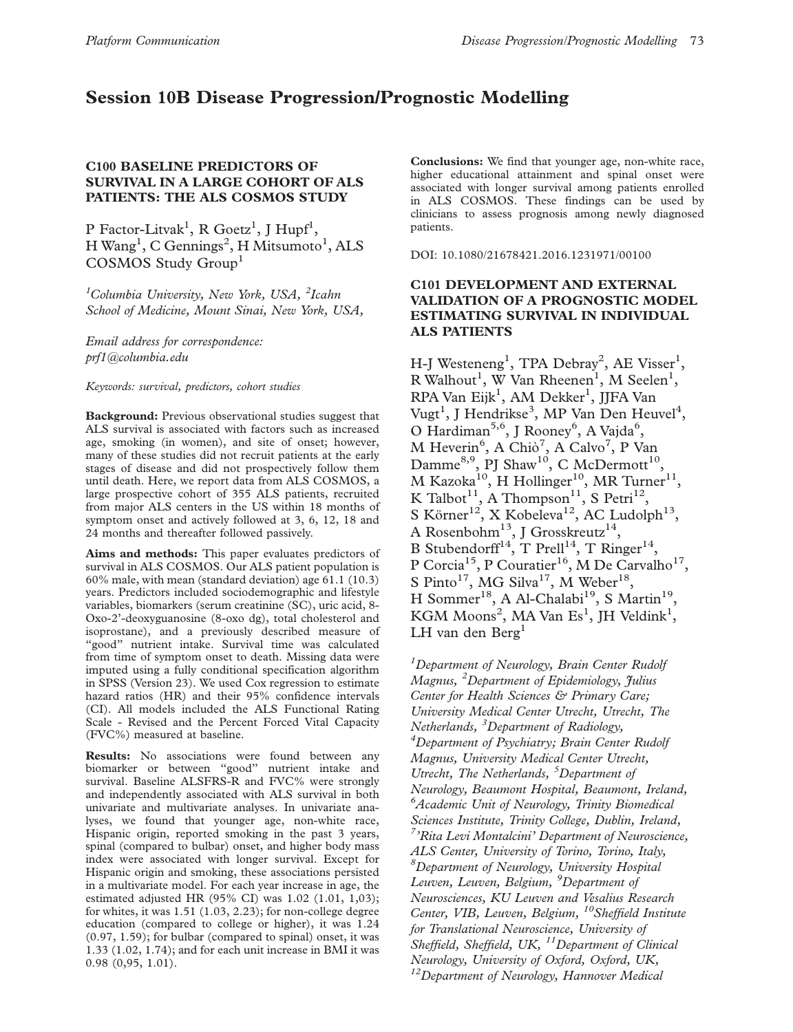# Session 10B Disease Progression/Prognostic Modelling

# C100 BASELINE PREDICTORS OF SURVIVAL IN A LARGE COHORT OF ALS PATIENTS: THE ALS COSMOS STUDY

P Factor-Litvak<sup>1</sup>, R Goetz<sup>1</sup>, J Hupf<sup>1</sup>, H Wang<sup>1</sup>, C Gennings<sup>2</sup>, H Mitsumoto<sup>1</sup>, ALS COSMOS Study Group<sup>1</sup>

<sup>1</sup>Columbia University, New York, USA, <sup>2</sup>Icahn School of Medicine, Mount Sinai, New York, USA,

Email address for correspondence: prf1@columbia.edu

Keywords: survival, predictors, cohort studies

Background: Previous observational studies suggest that ALS survival is associated with factors such as increased age, smoking (in women), and site of onset; however, many of these studies did not recruit patients at the early stages of disease and did not prospectively follow them until death. Here, we report data from ALS COSMOS, a large prospective cohort of 355 ALS patients, recruited from major ALS centers in the US within 18 months of symptom onset and actively followed at 3, 6, 12, 18 and 24 months and thereafter followed passively.

Aims and methods: This paper evaluates predictors of survival in ALS COSMOS. Our ALS patient population is 60% male, with mean (standard deviation) age 61.1 (10.3) years. Predictors included sociodemographic and lifestyle variables, biomarkers (serum creatinine (SC), uric acid, 8- Oxo-2'-deoxyguanosine (8-oxo dg), total cholesterol and isoprostane), and a previously described measure of "good" nutrient intake. Survival time was calculated from time of symptom onset to death. Missing data were imputed using a fully conditional specification algorithm in SPSS (Version 23). We used Cox regression to estimate hazard ratios (HR) and their 95% confidence intervals (CI). All models included the ALS Functional Rating Scale - Revised and the Percent Forced Vital Capacity (FVC%) measured at baseline.

Results: No associations were found between any biomarker or between ''good'' nutrient intake and survival. Baseline ALSFRS-R and FVC% were strongly and independently associated with ALS survival in both univariate and multivariate analyses. In univariate analyses, we found that younger age, non-white race, Hispanic origin, reported smoking in the past 3 years, spinal (compared to bulbar) onset, and higher body mass index were associated with longer survival. Except for Hispanic origin and smoking, these associations persisted in a multivariate model. For each year increase in age, the estimated adjusted HR (95% CI) was 1.02 (1.01, 1,03); for whites, it was 1.51 (1.03, 2.23); for non-college degree education (compared to college or higher), it was 1.24 (0.97, 1.59); for bulbar (compared to spinal) onset, it was 1.33 (1.02, 1.74); and for each unit increase in BMI it was 0.98 (0,95, 1.01).

Conclusions: We find that younger age, non-white race, higher educational attainment and spinal onset were associated with longer survival among patients enrolled in ALS COSMOS. These findings can be used by clinicians to assess prognosis among newly diagnosed patients.

DOI: 10.1080/21678421.2016.1231971/00100

# C101 DEVELOPMENT AND EXTERNAL VALIDATION OF A PROGNOSTIC MODEL ESTIMATING SURVIVAL IN INDIVIDUAL ALS PATIENTS

H-J Westeneng<sup>1</sup>, TPA Debray<sup>2</sup>, AE Visser<sup>1</sup>, R Walhout<sup>1</sup>, W Van Rheenen<sup>1</sup>, M Seelen<sup>1</sup>, RPA Van Eijk<sup>1</sup>, AM Dekker<sup>1</sup>, JJFA Van Vugt<sup>1</sup>, J Hendrikse<sup>3</sup>, MP Van Den Heuvel<sup>4</sup>, O Hardiman<sup>5,6</sup>, J Rooney<sup>6</sup>, A Vajda<sup>6</sup>, M Heverin<sup>6</sup>, A Chiò<sup>7</sup>, A Calvo<sup>7</sup>, P Van Damme<sup>8,9</sup>, PJ Shaw<sup>10</sup>, C McDermott<sup>10</sup>, M Kazoka<sup>10</sup>, H Hollinger<sup>10</sup>, MR Turner<sup>11</sup>, K Talbot<sup>11</sup>, A Thompson<sup>11</sup>, S Petri<sup>12</sup>, S Körner<sup>12</sup>, X Kobeleva<sup>12</sup>, AC Ludolph<sup>13</sup>, A Rosenbohm<sup>13</sup>, J Grosskreutz<sup>14</sup>, B Stubendorff<sup>14</sup>, T Prell<sup>14</sup>, T Ringer<sup>14</sup>, P Corcia<sup>15</sup>, P Couratier<sup>16</sup>, M De Carvalho<sup>17</sup>, S Pinto<sup>17</sup>, MG Silva<sup>17</sup>, M Weber<sup>18</sup>, H Sommer<sup>18</sup>, A Al-Chalabi<sup>19</sup>, S Martin<sup>19</sup>, KGM Moons<sup>2</sup>, MA Van Es<sup>1</sup>, JH Veldink<sup>1</sup>, LH van den Berg $<sup>1</sup>$ </sup>

<sup>1</sup>Department of Neurology, Brain Center Rudolj Magnus, <sup>2</sup>Department of Epidemiology, Julius Center for Health Sciences & Primary Care; University Medical Center Utrecht, Utrecht, The Netherlands, <sup>3</sup>Department of Radiology,  ${}^{4}$ Department of Psychiatry; Brain Center Rudolf Magnus, University Medical Center Utrecht, Utrecht, The Netherlands, <sup>5</sup>Department of Neurology, Beaumont Hospital, Beaumont, Ireland, 6 Academic Unit of Neurology, Trinity Biomedical Sciences Institute, Trinity College, Dublin, Ireland, 7 'Rita Levi Montalcini' Department of Neuroscience, ALS Center, University of Torino, Torino, Italy, 8 Department of Neurology, University Hospital Leuven, Leuven, Belgium, <sup>9</sup>Department of Neurosciences, KU Leuven and Vesalius Research Center, VIB, Leuven, Belgium, <sup>10</sup>Sheffield Institute for Translational Neuroscience, University of Sheffield, Sheffield, UK, <sup>11</sup>Department of Clinical Neurology, University of Oxford, Oxford, UK, <sup>12</sup>Department of Neurology, Hannover Medical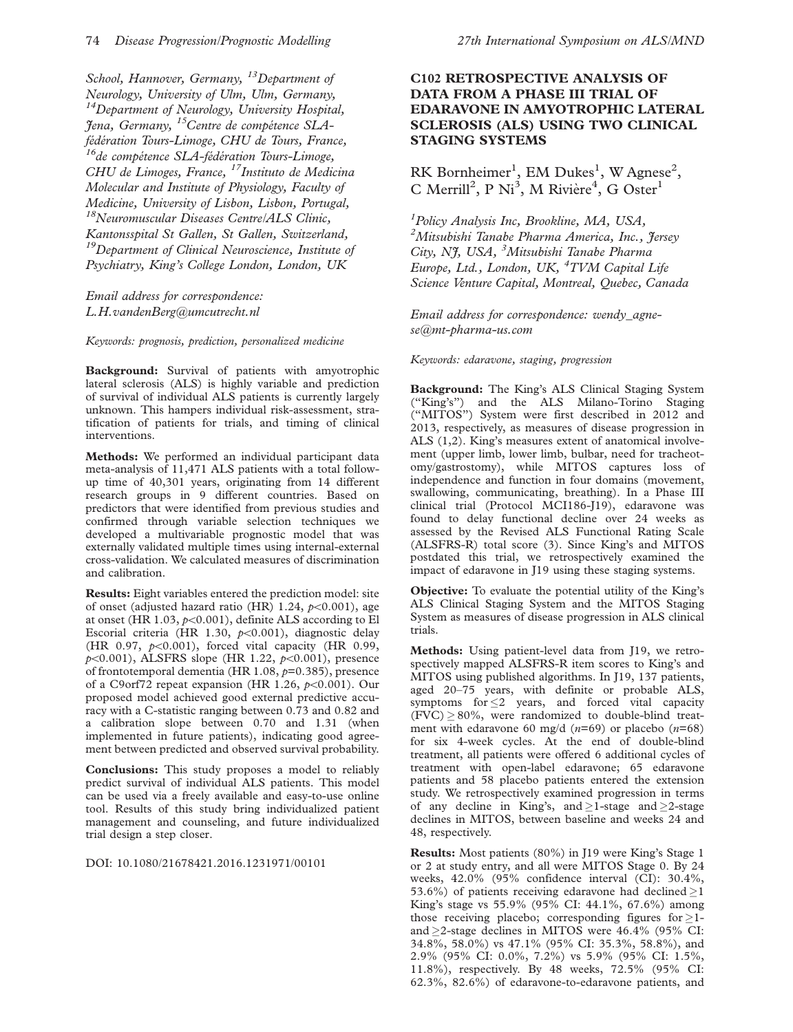School, Hannover, Germany, <sup>13</sup>Department of Neurology, University of Ulm, Ulm, Germany,  $14$ Department of Neurology, University Hospital, Jena, Germany, <sup>15</sup>Centre de compétence SLA-<br>fédération Tours-Limoge, CHU de Tours, France,  $^{16}$ de compétence SLA-fédération Tours-Limoge, CHU de Limoges, France, 17Instituto de Medicina Molecular and Institute of Physiology, Faculty of Medicine, University of Lisbon, Lisbon, Portugal,  $18$ Neuromuscular Diseases Centre/ALS Clinic, Kantonsspital St Gallen, St Gallen, Switzerland,  $19D$ epartment of Clinical Neuroscience, Institute of Psychiatry, King's College London, London, UK

#### Email address for correspondence: L.H.vandenBerg@umcutrecht.nl

Keywords: prognosis, prediction, personalized medicine

Background: Survival of patients with amyotrophic lateral sclerosis (ALS) is highly variable and prediction of survival of individual ALS patients is currently largely unknown. This hampers individual risk-assessment, stratification of patients for trials, and timing of clinical interventions.

Methods: We performed an individual participant data meta-analysis of 11,471 ALS patients with a total followup time of 40,301 years, originating from 14 different research groups in 9 different countries. Based on predictors that were identified from previous studies and confirmed through variable selection techniques we developed a multivariable prognostic model that was externally validated multiple times using internal-external cross-validation. We calculated measures of discrimination and calibration.

Results: Eight variables entered the prediction model: site of onset (adjusted hazard ratio (HR) 1.24,  $p<0.001$ ), age at onset (HR 1.03,  $p<0.001$ ), definite ALS according to El Escorial criteria (HR 1.30,  $p<0.001$ ), diagnostic delay (HR 0.97,  $p<0.001$ ), forced vital capacity (HR 0.99,  $p<0.001$ ), ALSFRS slope (HR 1.22,  $p<0.001$ ), presence of frontotemporal dementia (HR 1.08,  $p=0.385$ ), presence of a C9orf72 repeat expansion (HR 1.26,  $p<0.001$ ). Our proposed model achieved good external predictive accuracy with a C-statistic ranging between 0.73 and 0.82 and a calibration slope between 0.70 and 1.31 (when implemented in future patients), indicating good agreement between predicted and observed survival probability.

Conclusions: This study proposes a model to reliably predict survival of individual ALS patients. This model can be used via a freely available and easy-to-use online tool. Results of this study bring individualized patient management and counseling, and future individualized trial design a step closer.

DOI: 10.1080/21678421.2016.1231971/00101

## C102 RETROSPECTIVE ANALYSIS OF DATA FROM A PHASE III TRIAL OF EDARAVONE IN AMYOTROPHIC LATERAL SCLEROSIS (ALS) USING TWO CLINICAL STAGING SYSTEMS

RK Bornheimer<sup>1</sup>, EM Dukes<sup>1</sup>, W Agnese<sup>2</sup>, C Merrill<sup>2</sup>, P Ni<sup>3</sup>, M Rivière<sup>4</sup>, G Oster<sup>1</sup>

<sup>1</sup>Policy Analysis Inc, Brookline, MA, USA, <sup>2</sup>Mitsubishi Tanabe Pharma America, Inc., Jersey City, NJ, USA, <sup>3</sup>Mitsubishi Tanabe Pharma Europe, Ltd., London, UK, <sup>4</sup>TVM Capital Life Science Venture Capital, Montreal, Quebec, Canada

Email address for correspondence: wendy\_agnese@mt-pharma-us.com

Keywords: edaravone, staging, progression

Background: The King's ALS Clinical Staging System (''King's'') and the ALS Milano-Torino Staging (''MITOS'') System were first described in 2012 and 2013, respectively, as measures of disease progression in ALS ([1,2](#page-75-0)). King's measures extent of anatomical involvement (upper limb, lower limb, bulbar, need for tracheotomy/gastrostomy), while MITOS captures loss of independence and function in four domains (movement, swallowing, communicating, breathing). In a Phase III clinical trial (Protocol MCI186-J19), edaravone was found to delay functional decline over 24 weeks as assessed by the Revised ALS Functional Rating Scale (ALSFRS-R) total score [\(3](#page-75-0)). Since King's and MITOS postdated this trial, we retrospectively examined the impact of edaravone in J19 using these staging systems.

Objective: To evaluate the potential utility of the King's ALS Clinical Staging System and the MITOS Staging System as measures of disease progression in ALS clinical trials.

Methods: Using patient-level data from J19, we retrospectively mapped ALSFRS-R item scores to King's and MITOS using published algorithms. In J19, 137 patients, aged 20–75 years, with definite or probable ALS, symptoms for  $\leq$ 2 years, and forced vital capacity  $(FVC) > 80\%$ , were randomized to double-blind treatment with edaravone 60 mg/d ( $n=69$ ) or placebo ( $n=68$ ) for six 4-week cycles. At the end of double-blind treatment, all patients were offered 6 additional cycles of treatment with open-label edaravone; 65 edaravone patients and 58 placebo patients entered the extension study. We retrospectively examined progression in terms of any decline in King's, and  $\geq$  1-stage and  $\geq$  2-stage declines in MITOS, between baseline and weeks 24 and 48, respectively.

Results: Most patients (80%) in J19 were King's Stage 1 or 2 at study entry, and all were MITOS Stage 0. By 24 weeks, 42.0% (95% confidence interval (CI): 30.4%, 53.6%) of patients receiving edaravone had declined  $\geq$ 1 King's stage vs 55.9% (95% CI: 44.1%, 67.6%) among those receiving placebo; corresponding figures for  $\geq$  1and  $\geq$ 2-stage declines in MITOS were 46.4% (95% CI: 34.8%, 58.0%) vs 47.1% (95% CI: 35.3%, 58.8%), and 2.9% (95% CI: 0.0%, 7.2%) vs 5.9% (95% CI: 1.5%, 11.8%), respectively. By 48 weeks, 72.5% (95% CI: 62.3%, 82.6%) of edaravone-to-edaravone patients, and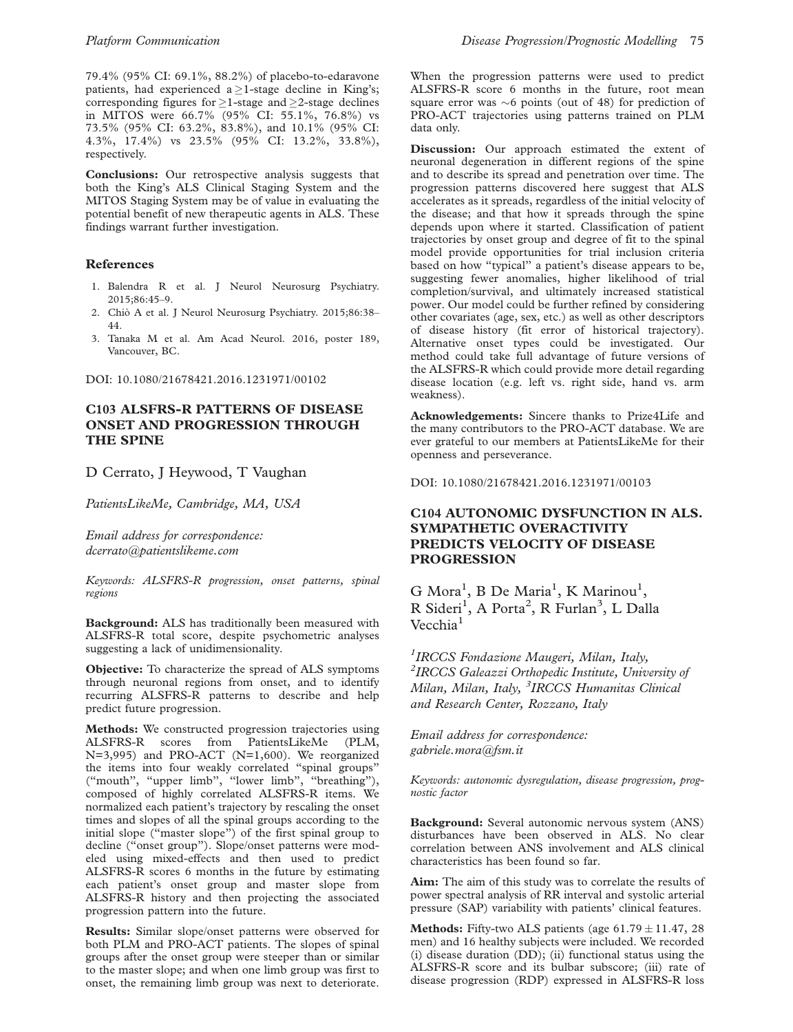<span id="page-75-0"></span>79.4% (95% CI: 69.1%, 88.2%) of placebo-to-edaravone patients, had experienced  $a > 1$ -stage decline in King's; corresponding figures for  $\geq$  1-stage and  $\geq$  2-stage declines in MITOS were 66.7% (95% CI: 55.1%, 76.8%) vs 73.5% (95% CI: 63.2%, 83.8%), and 10.1% (95% CI: 4.3%, 17.4%) vs 23.5% (95% CI: 13.2%, 33.8%), respectively.

Conclusions: Our retrospective analysis suggests that both the King's ALS Clinical Staging System and the MITOS Staging System may be of value in evaluating the potential benefit of new therapeutic agents in ALS. These findings warrant further investigation.

#### References

- 1. Balendra R et al. J Neurol Neurosurg Psychiatry. 2015;86:45–9.
- 2. Chio` A et al. J Neurol Neurosurg Psychiatry. 2015;86:38– 44.
- 3. Tanaka M et al. Am Acad Neurol. 2016, poster 189, Vancouver, BC.

#### DOI: 10.1080/21678421.2016.1231971/00102

## C103 ALSFRS-R PATTERNS OF DISEASE ONSET AND PROGRESSION THROUGH THE SPINE

#### D Cerrato, J Heywood, T Vaughan

PatientsLikeMe, Cambridge, MA, USA

Email address for correspondence: dcerrato@patientslikeme.com

Keywords: ALSFRS-R progression, onset patterns, spinal regions

Background: ALS has traditionally been measured with ALSFRS-R total score, despite psychometric analyses suggesting a lack of unidimensionality.

Objective: To characterize the spread of ALS symptoms through neuronal regions from onset, and to identify recurring ALSFRS-R patterns to describe and help predict future progression.

Methods: We constructed progression trajectories using ALSFRS-R scores from PatientsLikeMe (PLM, N=3,995) and PRO-ACT (N=1,600). We reorganized the items into four weakly correlated ''spinal groups'' (''mouth'', ''upper limb'', ''lower limb'', ''breathing''), composed of highly correlated ALSFRS-R items. We normalized each patient's trajectory by rescaling the onset times and slopes of all the spinal groups according to the initial slope (''master slope'') of the first spinal group to decline (''onset group''). Slope/onset patterns were modeled using mixed-effects and then used to predict ALSFRS-R scores 6 months in the future by estimating each patient's onset group and master slope from ALSFRS-R history and then projecting the associated progression pattern into the future.

Results: Similar slope/onset patterns were observed for both PLM and PRO-ACT patients. The slopes of spinal groups after the onset group were steeper than or similar to the master slope; and when one limb group was first to onset, the remaining limb group was next to deteriorate.

When the progression patterns were used to predict ALSFRS-R score 6 months in the future, root mean square error was  $\sim$ 6 points (out of 48) for prediction of PRO-ACT trajectories using patterns trained on PLM data only.

Discussion: Our approach estimated the extent of neuronal degeneration in different regions of the spine and to describe its spread and penetration over time. The progression patterns discovered here suggest that ALS accelerates as it spreads, regardless of the initial velocity of the disease; and that how it spreads through the spine depends upon where it started. Classification of patient trajectories by onset group and degree of fit to the spinal model provide opportunities for trial inclusion criteria based on how ''typical'' a patient's disease appears to be, suggesting fewer anomalies, higher likelihood of trial completion/survival, and ultimately increased statistical power. Our model could be further refined by considering other covariates (age, sex, etc.) as well as other descriptors of disease history (fit error of historical trajectory). Alternative onset types could be investigated. Our method could take full advantage of future versions of the ALSFRS-R which could provide more detail regarding disease location (e.g. left vs. right side, hand vs. arm weakness).

Acknowledgements: Sincere thanks to Prize4Life and the many contributors to the PRO-ACT database. We are ever grateful to our members at PatientsLikeMe for their openness and perseverance.

DOI: 10.1080/21678421.2016.1231971/00103

## C104 AUTONOMIC DYSFUNCTION IN ALS. SYMPATHETIC OVERACTIVITY PREDICTS VELOCITY OF DISEASE PROGRESSION

G Mora<sup>1</sup>, B De Maria<sup>1</sup>, K Marinou<sup>1</sup>, R Sideri<sup>1</sup>, A Porta<sup>2</sup>, R Furlan<sup>3</sup>, L Dalla Vecchia $^1$ 

<sup>1</sup>IRCCS Fondazione Maugeri, Milan, Italy, 2 IRCCS Galeazzi Orthopedic Institute, University of Milan, Milan, Italy, <sup>3</sup>IRCCS Humanitas Clinical and Research Center, Rozzano, Italy

Email address for correspondence: gabriele.mora@fsm.it

Keywords: autonomic dysregulation, disease progression, prognostic factor

Background: Several autonomic nervous system (ANS) disturbances have been observed in ALS. No clear correlation between ANS involvement and ALS clinical characteristics has been found so far.

Aim: The aim of this study was to correlate the results of power spectral analysis of RR interval and systolic arterial pressure (SAP) variability with patients' clinical features.

**Methods:** Fifty-two ALS patients (age  $61.79 \pm 11.47$ , 28 men) and 16 healthy subjects were included. We recorded (i) disease duration (DD); (ii) functional status using the ALSFRS-R score and its bulbar subscore; (iii) rate of disease progression (RDP) expressed in ALSFRS-R loss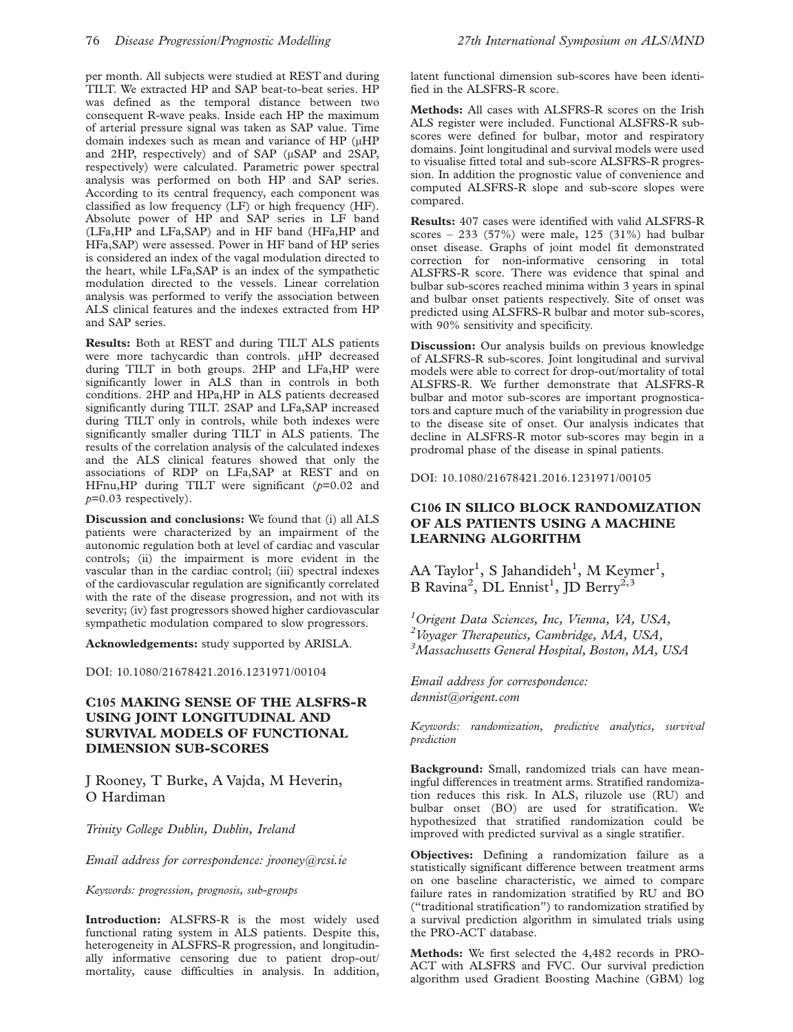per month. All subjects were studied at REST and during TILT. We extracted HP and SAP beat-to-beat series. HP was defined as the temporal distance between two consequent R-wave peaks. Inside each HP the maximum of arterial pressure signal was taken as SAP value. Time domain indexes such as mean and variance of HP ( $\mu$ HP and 2HP, respectively) and of SAP (µSAP and 2SAP, respectively) were calculated. Parametric power spectral analysis was performed on both HP and SAP series. According to its central frequency, each component was classified as low frequency (LF) or high frequency (HF). Absolute power of HP and SAP series in LF band (LFa,HP and LFa,SAP) and in HF band (HFa,HP and HFa,SAP) were assessed. Power in HF band of HP series is considered an index of the vagal modulation directed to the heart, while LFa,SAP is an index of the sympathetic modulation directed to the vessels. Linear correlation analysis was performed to verify the association between ALS clinical features and the indexes extracted from HP and SAP series.

Results: Both at REST and during TILT ALS patients were more tachycardic than controls.  $\mu$ HP decreased during TILT in both groups. 2HP and LFa,HP were significantly lower in ALS than in controls in both conditions. 2HP and HPa,HP in ALS patients decreased significantly during TILT. 2SAP and LFa,SAP increased during TILT only in controls, while both indexes were significantly smaller during TILT in ALS patients. The results of the correlation analysis of the calculated indexes and the ALS clinical features showed that only the associations of RDP on LFa,SAP at REST and on HFnu, HP during TILT were significant  $(p=0.02$  and  $p=0.03$  respectively).

Discussion and conclusions: We found that (i) all ALS patients were characterized by an impairment of the autonomic regulation both at level of cardiac and vascular controls; (ii) the impairment is more evident in the vascular than in the cardiac control; (iii) spectral indexes of the cardiovascular regulation are significantly correlated with the rate of the disease progression, and not with its severity; (iv) fast progressors showed higher cardiovascular sympathetic modulation compared to slow progressors.

Acknowledgements: study supported by ARISLA.

DOI: 10.1080/21678421.2016.1231971/00104

## C105 MAKING SENSE OF THE ALSFRS-R USING JOINT LONGITUDINAL AND SURVIVAL MODELS OF FUNCTIONAL DIMENSION SUB-SCORES

J Rooney, T Burke, A Vajda, M Heverin, O Hardiman

Trinity College Dublin, Dublin, Ireland

Email address for correspondence: jrooney@rcsi.ie

Keywords: progression, prognosis, sub-groups

Introduction: ALSFRS-R is the most widely used functional rating system in ALS patients. Despite this, heterogeneity in ALSFRS-R progression, and longitudinally informative censoring due to patient drop-out/ mortality, cause difficulties in analysis. In addition,

latent functional dimension sub-scores have been identified in the ALSFRS-R score.

Methods: All cases with ALSFRS-R scores on the Irish ALS register were included. Functional ALSFRS-R subscores were defined for bulbar, motor and respiratory domains. Joint longitudinal and survival models were used to visualise fitted total and sub-score ALSFRS-R progression. In addition the prognostic value of convenience and computed ALSFRS-R slope and sub-score slopes were compared.

Results: 407 cases were identified with valid ALSFRS-R scores – 233 (57%) were male, 125 (31%) had bulbar onset disease. Graphs of joint model fit demonstrated correction for non-informative censoring in total ALSFRS-R score. There was evidence that spinal and bulbar sub-scores reached minima within 3 years in spinal and bulbar onset patients respectively. Site of onset was predicted using ALSFRS-R bulbar and motor sub-scores, with 90% sensitivity and specificity.

Discussion: Our analysis builds on previous knowledge of ALSFRS-R sub-scores. Joint longitudinal and survival models were able to correct for drop-out/mortality of total ALSFRS-R. We further demonstrate that ALSFRS-R bulbar and motor sub-scores are important prognosticators and capture much of the variability in progression due to the disease site of onset. Our analysis indicates that decline in ALSFRS-R motor sub-scores may begin in a prodromal phase of the disease in spinal patients.

DOI: 10.1080/21678421.2016.1231971/00105

### C106 IN SILICO BLOCK RANDOMIZATION OF ALS PATIENTS USING A MACHINE LEARNING ALGORITHM

AA Taylor<sup>1</sup>, S Jahandideh<sup>1</sup>, M Keymer<sup>1</sup>, B Ravina<sup>2</sup>, DL Ennist<sup>1</sup>, JD Berry<sup>2,3</sup>

<sup>1</sup>Origent Data Sciences, Inc, Vienna, VA, USA, <sup>2</sup>Voyager Therapeutics, Cambridge, MA, USA, <sup>3</sup>Massachusetts General Hospital, Boston, MA, USA

Email address for correspondence: dennist@origent.com

Keywords: randomization, predictive analytics, survival prediction

Background: Small, randomized trials can have meaningful differences in treatment arms. Stratified randomization reduces this risk. In ALS, riluzole use (RU) and bulbar onset (BO) are used for stratification. We hypothesized that stratified randomization could be improved with predicted survival as a single stratifier.

Objectives: Defining a randomization failure as a statistically significant difference between treatment arms on one baseline characteristic, we aimed to compare failure rates in randomization stratified by RU and BO (''traditional stratification'') to randomization stratified by a survival prediction algorithm in simulated trials using the PRO-ACT database.

Methods: We first selected the 4,482 records in PRO-ACT with ALSFRS and FVC. Our survival prediction algorithm used Gradient Boosting Machine (GBM) log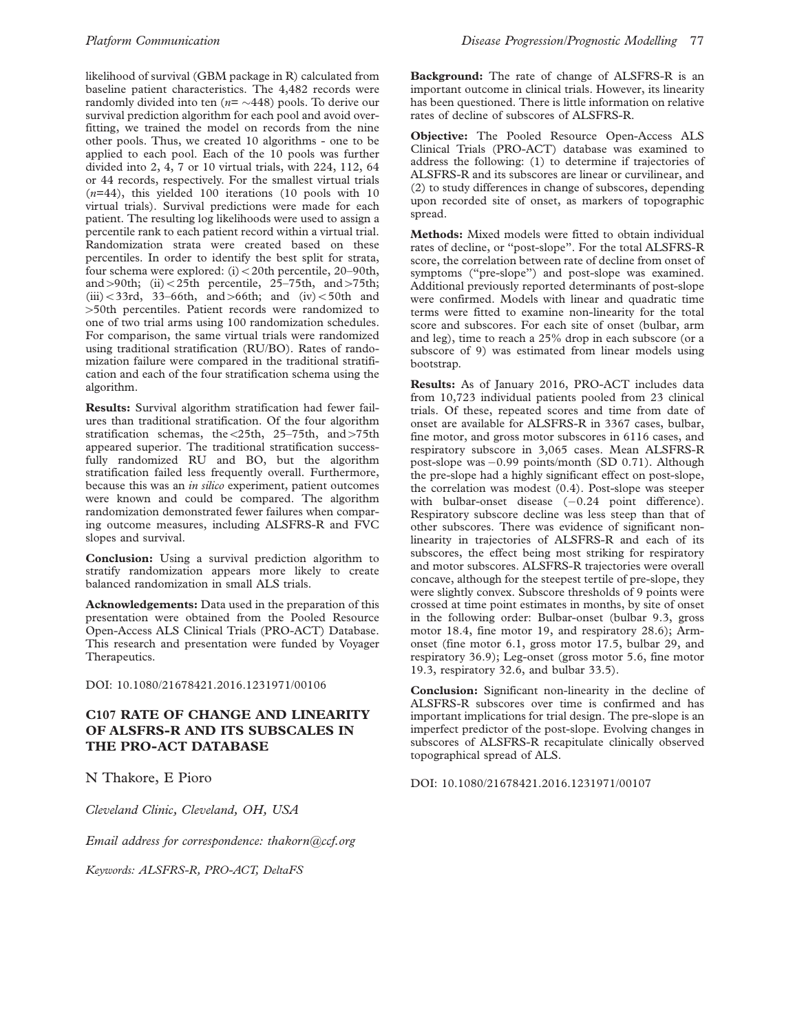likelihood of survival (GBM package in R) calculated from baseline patient characteristics. The 4,482 records were randomly divided into ten ( $n=$   $\sim$ 448) pools. To derive our survival prediction algorithm for each pool and avoid overfitting, we trained the model on records from the nine other pools. Thus, we created 10 algorithms - one to be applied to each pool. Each of the 10 pools was further divided into 2, 4, 7 or 10 virtual trials, with 224, 112, 64 or 44 records, respectively. For the smallest virtual trials  $(n=44)$ , this yielded 100 iterations (10 pools with 10 virtual trials). Survival predictions were made for each patient. The resulting log likelihoods were used to assign a percentile rank to each patient record within a virtual trial. Randomization strata were created based on these percentiles. In order to identify the best split for strata, four schema were explored: (i) < 20th percentile, 20–90th, and >90th; (ii) < 25th percentile, 25–75th, and >75th; (iii) $<$ 33rd, 33–66th, and  $>$ 66th; and (iv) $<$ 50th and 450th percentiles. Patient records were randomized to one of two trial arms using 100 randomization schedules. For comparison, the same virtual trials were randomized using traditional stratification (RU/BO). Rates of randomization failure were compared in the traditional stratification and each of the four stratification schema using the algorithm.

Results: Survival algorithm stratification had fewer failures than traditional stratification. Of the four algorithm stratification schemas, the  $<$ 25th, 25–75th, and >75th appeared superior. The traditional stratification successfully randomized RU and BO, but the algorithm stratification failed less frequently overall. Furthermore, because this was an in silico experiment, patient outcomes were known and could be compared. The algorithm randomization demonstrated fewer failures when comparing outcome measures, including ALSFRS-R and FVC slopes and survival.

Conclusion: Using a survival prediction algorithm to stratify randomization appears more likely to create balanced randomization in small ALS trials.

Acknowledgements: Data used in the preparation of this presentation were obtained from the Pooled Resource Open-Access ALS Clinical Trials (PRO-ACT) Database. This research and presentation were funded by Voyager Therapeutics.

DOI: 10.1080/21678421.2016.1231971/00106

# C107 RATE OF CHANGE AND LINEARITY OF ALSFRS-R AND ITS SUBSCALES IN THE PRO-ACT DATABASE

N Thakore, E Pioro

Cleveland Clinic, Cleveland, OH, USA

Email address for correspondence: thakorn@ccf.org

Keywords: ALSFRS-R, PRO-ACT, DeltaFS

Background: The rate of change of ALSFRS-R is an important outcome in clinical trials. However, its linearity has been questioned. There is little information on relative rates of decline of subscores of ALSFRS-R.

Objective: The Pooled Resource Open-Access ALS Clinical Trials (PRO-ACT) database was examined to address the following: (1) to determine if trajectories of ALSFRS-R and its subscores are linear or curvilinear, and (2) to study differences in change of subscores, depending upon recorded site of onset, as markers of topographic spread.

Methods: Mixed models were fitted to obtain individual rates of decline, or ''post-slope''. For the total ALSFRS-R score, the correlation between rate of decline from onset of symptoms ("pre-slope") and post-slope was examined. Additional previously reported determinants of post-slope were confirmed. Models with linear and quadratic time terms were fitted to examine non-linearity for the total score and subscores. For each site of onset (bulbar, arm and leg), time to reach a 25% drop in each subscore (or a subscore of 9) was estimated from linear models using bootstrap.

Results: As of January 2016, PRO-ACT includes data from 10,723 individual patients pooled from 23 clinical trials. Of these, repeated scores and time from date of onset are available for ALSFRS-R in 3367 cases, bulbar, fine motor, and gross motor subscores in 6116 cases, and respiratory subscore in 3,065 cases. Mean ALSFRS-R post-slope was  $-0.99$  points/month (SD 0.71). Although the pre-slope had a highly significant effect on post-slope, the correlation was modest (0.4). Post-slope was steeper with bulbar-onset disease  $(-0.24 \text{ point difference}).$ Respiratory subscore decline was less steep than that of other subscores. There was evidence of significant nonlinearity in trajectories of ALSFRS-R and each of its subscores, the effect being most striking for respiratory and motor subscores. ALSFRS-R trajectories were overall concave, although for the steepest tertile of pre-slope, they were slightly convex. Subscore thresholds of 9 points were crossed at time point estimates in months, by site of onset in the following order: Bulbar-onset (bulbar 9.3, gross motor 18.4, fine motor 19, and respiratory 28.6); Armonset (fine motor 6.1, gross motor 17.5, bulbar 29, and respiratory 36.9); Leg-onset (gross motor 5.6, fine motor 19.3, respiratory 32.6, and bulbar 33.5).

Conclusion: Significant non-linearity in the decline of ALSFRS-R subscores over time is confirmed and has important implications for trial design. The pre-slope is an imperfect predictor of the post-slope. Evolving changes in subscores of ALSFRS-R recapitulate clinically observed topographical spread of ALS.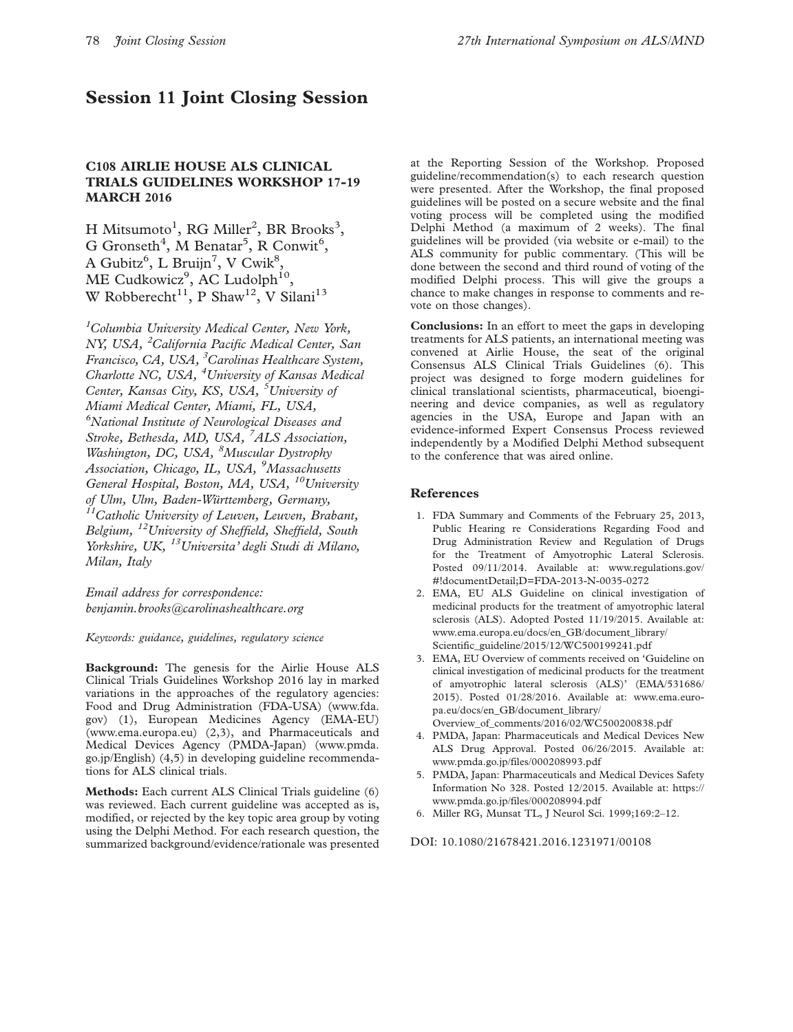# Session 11 Joint Closing Session

### C108 AIRLIE HOUSE ALS CLINICAL TRIALS GUIDELINES WORKSHOP 17-19 **MARCH 2016**

H Mitsumoto<sup>1</sup>, RG Miller<sup>2</sup>, BR Brooks<sup>3</sup>, G Gronseth<sup>4</sup>, M Benatar<sup>5</sup>, R Conwit<sup>6</sup>, A Gubitz<sup>6</sup>, L Bruijn<sup>7</sup>, V Cwik<sup>8</sup>, ME Cudkowicz<sup>9</sup>, AC Ludolph<sup>10</sup>, W Robberecht<sup>11</sup>, P Shaw<sup>12</sup>, V Silani<sup>13</sup>

<sup>1</sup>Columbia University Medical Center, New York, NY, USA, <sup>2</sup>California Pacific Medical Center, San Francisco, CA, USA, <sup>3</sup>Carolinas Healthcare System, Charlotte NC, USA, <sup>4</sup>University of Kansas Medical Center, Kansas City, KS, USA, <sup>5</sup>University of Miami Medical Center, Miami, FL, USA, 6 National Institute of Neurological Diseases and Stroke, Bethesda, MD, USA, <sup>7</sup>ALS Association, Washington, DC, USA, <sup>8</sup>Muscular Dystrophy Association, Chicago, IL, USA, <sup>9</sup>Massachusetts General Hospital, Boston, MA, USA, <sup>10</sup>University of Ulm, Ulm, Baden-Württemberg, Germany,<br><sup>11</sup>Catholic University of Leuven, Leuven, Brabant, Belgium, 12University of Sheffield, Sheffield, South Yorkshire, UK, <sup>13</sup>Universita<sup>'</sup> degli Studi di Milano, Milan, Italy

Email address for correspondence: benjamin.brooks@carolinashealthcare.org

Keywords: guidance, guidelines, regulatory science

Background: The genesis for the Airlie House ALS Clinical Trials Guidelines Workshop 2016 lay in marked variations in the approaches of the regulatory agencies: Food and Drug Administration (FDA-USA) (www.fda. gov) (1), European Medicines Agency (EMA-EU) (www.ema.europa.eu) (2,3), and Pharmaceuticals and Medical Devices Agency (PMDA-Japan) (www.pmda. go.jp/English) (4,5) in developing guideline recommendations for ALS clinical trials.

Methods: Each current ALS Clinical Trials guideline (6) was reviewed. Each current guideline was accepted as is, modified, or rejected by the key topic area group by voting using the Delphi Method. For each research question, the summarized background/evidence/rationale was presented at the Reporting Session of the Workshop. Proposed guideline/recommendation(s) to each research question were presented. After the Workshop, the final proposed guidelines will be posted on a secure website and the final voting process will be completed using the modified Delphi Method (a maximum of 2 weeks). The final guidelines will be provided (via website or e-mail) to the ALS community for public commentary. (This will be done between the second and third round of voting of the modified Delphi process. This will give the groups a chance to make changes in response to comments and revote on those changes).

Conclusions: In an effort to meet the gaps in developing treatments for ALS patients, an international meeting was convened at Airlie House, the seat of the original Consensus ALS Clinical Trials Guidelines (6). This project was designed to forge modern guidelines for clinical translational scientists, pharmaceutical, bioengineering and device companies, as well as regulatory agencies in the USA, Europe and Japan with an evidence-informed Expert Consensus Process reviewed independently by a Modified Delphi Method subsequent to the conference that was aired online.

#### References

- 1. FDA Summary and Comments of the February 25, 2013, Public Hearing re Considerations Regarding Food and Drug Administration Review and Regulation of Drugs for the Treatment of Amyotrophic Lateral Sclerosis. Posted 09/11/2014. Available at: www.regulations.gov/ #!documentDetail;D=FDA-2013-N-0035-0272
- 2. EMA, EU ALS Guideline on clinical investigation of medicinal products for the treatment of amyotrophic lateral sclerosis (ALS). Adopted Posted 11/19/2015. Available at: www.ema.europa.eu/docs/en\_GB/document\_library/ Scientific\_guideline/2015/12/WC500199241.pdf
- 3. EMA, EU Overview of comments received on 'Guideline on clinical investigation of medicinal products for the treatment of amyotrophic lateral sclerosis (ALS)' (EMA/531686/ 2015). Posted 01/28/2016. Available at: www.ema.europa.eu/docs/en\_GB/document\_library/ Overview\_of\_comments/2016/02/WC500200838.pdf
- 4. PMDA, Japan: Pharmaceuticals and Medical Devices New ALS Drug Approval. Posted 06/26/2015. Available at:
- www.pmda.go.jp/files/000208993.pdf 5. PMDA, Japan: Pharmaceuticals and Medical Devices Safety Information No 328. Posted 12/2015. Available at: https:// www.pmda.go.jp/files/000208994.pdf
- 6. Miller RG, Munsat TL, J Neurol Sci. 1999;169:2–12.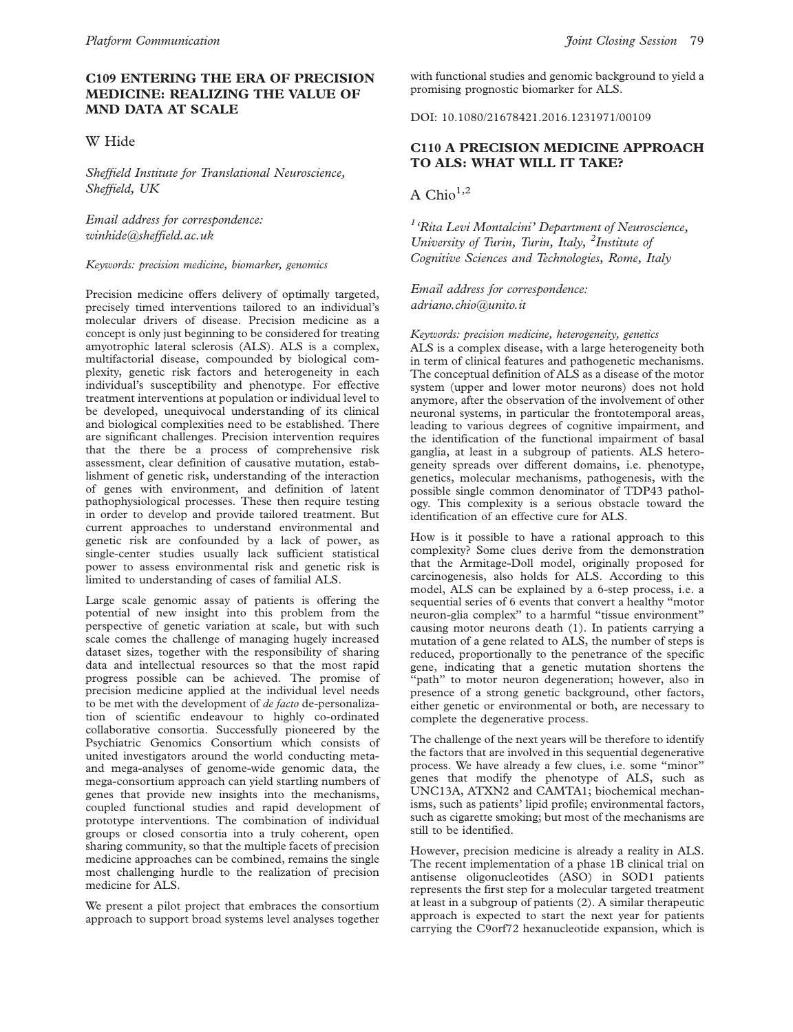MND DATA AT SCALE

# C109 ENTERING THE ERA OF PRECISION MEDICINE: REALIZING THE VALUE OF

#### W Hide

Sheffield Institute for Translational Neuroscience, Sheffield, UK

Email address for correspondence: winhide@sheffield.ac.uk

#### Keywords: precision medicine, biomarker, genomics

Precision medicine offers delivery of optimally targeted, precisely timed interventions tailored to an individual's molecular drivers of disease. Precision medicine as a concept is only just beginning to be considered for treating amyotrophic lateral sclerosis (ALS). ALS is a complex, multifactorial disease, compounded by biological complexity, genetic risk factors and heterogeneity in each individual's susceptibility and phenotype. For effective treatment interventions at population or individual level to be developed, unequivocal understanding of its clinical and biological complexities need to be established. There are significant challenges. Precision intervention requires that the there be a process of comprehensive risk assessment, clear definition of causative mutation, establishment of genetic risk, understanding of the interaction of genes with environment, and definition of latent pathophysiological processes. These then require testing in order to develop and provide tailored treatment. But current approaches to understand environmental and genetic risk are confounded by a lack of power, as single-center studies usually lack sufficient statistical power to assess environmental risk and genetic risk is limited to understanding of cases of familial ALS.

Large scale genomic assay of patients is offering the potential of new insight into this problem from the perspective of genetic variation at scale, but with such scale comes the challenge of managing hugely increased dataset sizes, together with the responsibility of sharing data and intellectual resources so that the most rapid progress possible can be achieved. The promise of precision medicine applied at the individual level needs to be met with the development of *de facto* de-personalization of scientific endeavour to highly co-ordinated collaborative consortia. Successfully pioneered by the Psychiatric Genomics Consortium which consists of united investigators around the world conducting metaand mega-analyses of genome-wide genomic data, the mega-consortium approach can yield startling numbers of genes that provide new insights into the mechanisms, coupled functional studies and rapid development of prototype interventions. The combination of individual groups or closed consortia into a truly coherent, open sharing community, so that the multiple facets of precision medicine approaches can be combined, remains the single most challenging hurdle to the realization of precision medicine for ALS.

We present a pilot project that embraces the consortium approach to support broad systems level analyses together with functional studies and genomic background to yield a promising prognostic biomarker for ALS.

DOI: 10.1080/21678421.2016.1231971/00109

#### C110 A PRECISION MEDICINE APPROACH TO ALS: WHAT WILL IT TAKE?

A Chio $1,2$ 

<sup>1</sup>'Rita Levi Montalcini' Department of Neuroscience, University of Turin, Turin, Italy, <sup>2</sup>Institute of Cognitive Sciences and Technologies, Rome, Italy

Email address for correspondence: adriano.chio@unito.it

Keywords: precision medicine, heterogeneity, genetics

ALS is a complex disease, with a large heterogeneity both in term of clinical features and pathogenetic mechanisms. The conceptual definition of ALS as a disease of the motor system (upper and lower motor neurons) does not hold anymore, after the observation of the involvement of other neuronal systems, in particular the frontotemporal areas, leading to various degrees of cognitive impairment, and the identification of the functional impairment of basal ganglia, at least in a subgroup of patients. ALS heterogeneity spreads over different domains, i.e. phenotype, genetics, molecular mechanisms, pathogenesis, with the possible single common denominator of TDP43 pathology. This complexity is a serious obstacle toward the identification of an effective cure for ALS.

How is it possible to have a rational approach to this complexity? Some clues derive from the demonstration that the Armitage-Doll model, originally proposed for carcinogenesis, also holds for ALS. According to this model, ALS can be explained by a 6-step process, i.e. a sequential series of 6 events that convert a healthy ''motor neuron-glia complex'' to a harmful ''tissue environment'' causing motor neurons death [\(1](#page-80-0)). In patients carrying a mutation of a gene related to ALS, the number of steps is reduced, proportionally to the penetrance of the specific gene, indicating that a genetic mutation shortens the "path" to motor neuron degeneration; however, also in presence of a strong genetic background, other factors, either genetic or environmental or both, are necessary to complete the degenerative process.

The challenge of the next years will be therefore to identify the factors that are involved in this sequential degenerative process. We have already a few clues, i.e. some ''minor'' genes that modify the phenotype of ALS, such as UNC13A, ATXN2 and CAMTA1; biochemical mechanisms, such as patients' lipid profile; environmental factors, such as cigarette smoking; but most of the mechanisms are still to be identified.

However, precision medicine is already a reality in ALS. The recent implementation of a phase 1B clinical trial on antisense oligonucleotides (ASO) in SOD1 patients represents the first step for a molecular targeted treatment at least in a subgroup of patients ([2\)](#page-80-0). A similar therapeutic approach is expected to start the next year for patients carrying the C9orf72 hexanucleotide expansion, which is